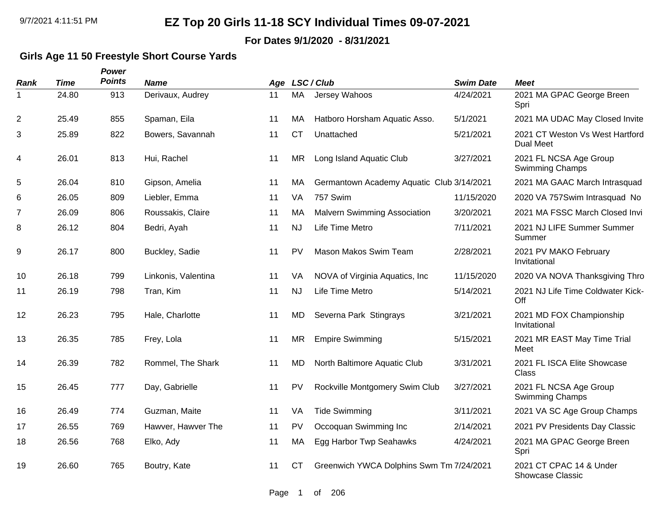**For Dates 9/1/2020 - 8/31/2021**

### **Girls Age 11 50 Freestyle Short Course Yards**

| <b>Rank</b>    | <b>Time</b> | Power<br><b>Points</b> | <b>Name</b>         |    |           | Age LSC/Club                              | <b>Swim Date</b> | <b>Meet</b>                                         |
|----------------|-------------|------------------------|---------------------|----|-----------|-------------------------------------------|------------------|-----------------------------------------------------|
| 1              | 24.80       | 913                    | Derivaux, Audrey    | 11 | MA        | Jersey Wahoos                             | 4/24/2021        | 2021 MA GPAC George Breen<br>Spri                   |
| $\overline{2}$ | 25.49       | 855                    | Spaman, Eila        | 11 | MA        | Hatboro Horsham Aquatic Asso.             | 5/1/2021         | 2021 MA UDAC May Closed Invite                      |
| 3              | 25.89       | 822                    | Bowers, Savannah    | 11 | <b>CT</b> | Unattached                                | 5/21/2021        | 2021 CT Weston Vs West Hartford<br><b>Dual Meet</b> |
| 4              | 26.01       | 813                    | Hui, Rachel         | 11 | <b>MR</b> | Long Island Aquatic Club                  | 3/27/2021        | 2021 FL NCSA Age Group<br><b>Swimming Champs</b>    |
| 5              | 26.04       | 810                    | Gipson, Amelia      | 11 | MA        | Germantown Academy Aquatic Club 3/14/2021 |                  | 2021 MA GAAC March Intrasquad                       |
| 6              | 26.05       | 809                    | Liebler, Emma       | 11 | <b>VA</b> | 757 Swim                                  | 11/15/2020       | 2020 VA 757Swim Intrasquad No                       |
| $\overline{7}$ | 26.09       | 806                    | Roussakis, Claire   | 11 | MA        | <b>Malvern Swimming Association</b>       | 3/20/2021        | 2021 MA FSSC March Closed Invi                      |
| 8              | 26.12       | 804                    | Bedri, Ayah         | 11 | <b>NJ</b> | Life Time Metro                           | 7/11/2021        | 2021 NJ LIFE Summer Summer<br>Summer                |
| 9              | 26.17       | 800                    | Buckley, Sadie      | 11 | <b>PV</b> | Mason Makos Swim Team                     | 2/28/2021        | 2021 PV MAKO February<br>Invitational               |
| 10             | 26.18       | 799                    | Linkonis, Valentina | 11 | VA        | NOVA of Virginia Aquatics, Inc.           | 11/15/2020       | 2020 VA NOVA Thanksgiving Thro                      |
| 11             | 26.19       | 798                    | Tran, Kim           | 11 | <b>NJ</b> | Life Time Metro                           | 5/14/2021        | 2021 NJ Life Time Coldwater Kick-<br>Off            |
| 12             | 26.23       | 795                    | Hale, Charlotte     | 11 | <b>MD</b> | Severna Park Stingrays                    | 3/21/2021        | 2021 MD FOX Championship<br>Invitational            |
| 13             | 26.35       | 785                    | Frey, Lola          | 11 | <b>MR</b> | <b>Empire Swimming</b>                    | 5/15/2021        | 2021 MR EAST May Time Trial<br>Meet                 |
| 14             | 26.39       | 782                    | Rommel, The Shark   | 11 | <b>MD</b> | North Baltimore Aquatic Club              | 3/31/2021        | 2021 FL ISCA Elite Showcase<br>Class                |
| 15             | 26.45       | 777                    | Day, Gabrielle      | 11 | <b>PV</b> | Rockville Montgomery Swim Club            | 3/27/2021        | 2021 FL NCSA Age Group<br>Swimming Champs           |
| 16             | 26.49       | 774                    | Guzman, Maite       | 11 | VA        | <b>Tide Swimming</b>                      | 3/11/2021        | 2021 VA SC Age Group Champs                         |
| 17             | 26.55       | 769                    | Hawver, Hawver The  | 11 | <b>PV</b> | Occoquan Swimming Inc                     | 2/14/2021        | 2021 PV Presidents Day Classic                      |
| 18             | 26.56       | 768                    | Elko, Ady           | 11 | MA        | Egg Harbor Twp Seahawks                   | 4/24/2021        | 2021 MA GPAC George Breen<br>Spri                   |
| 19             | 26.60       | 765                    | Boutry, Kate        | 11 | <b>CT</b> | Greenwich YWCA Dolphins Swm Tm 7/24/2021  |                  | 2021 CT CPAC 14 & Under<br><b>Showcase Classic</b>  |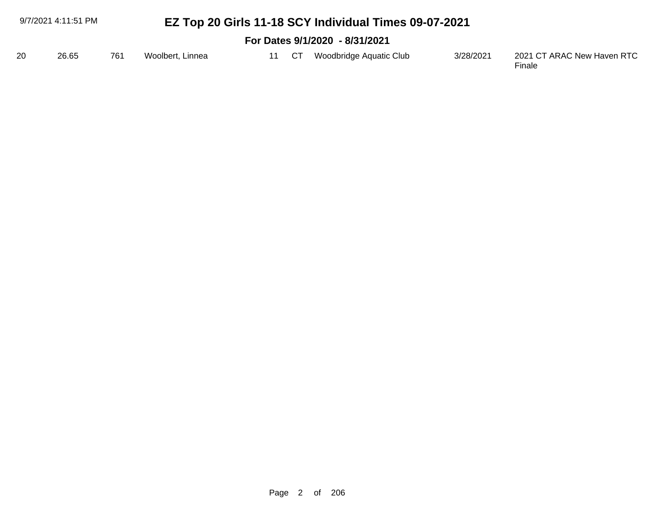| 9/7/2021   4:11:51 PM |                                |     |                  |    |  | EZ Top 20 Girls 11-18 SCY Individual Times 09-07-2021 |           |                                      |  |  |  |
|-----------------------|--------------------------------|-----|------------------|----|--|-------------------------------------------------------|-----------|--------------------------------------|--|--|--|
|                       | For Dates 9/1/2020 - 8/31/2021 |     |                  |    |  |                                                       |           |                                      |  |  |  |
| 20                    | 26.65                          | 761 | Woolbert, Linnea | 11 |  | CT Woodbridge Aquatic Club                            | 3/28/2021 | 2021 CT ARAC New Haven RTC<br>Finale |  |  |  |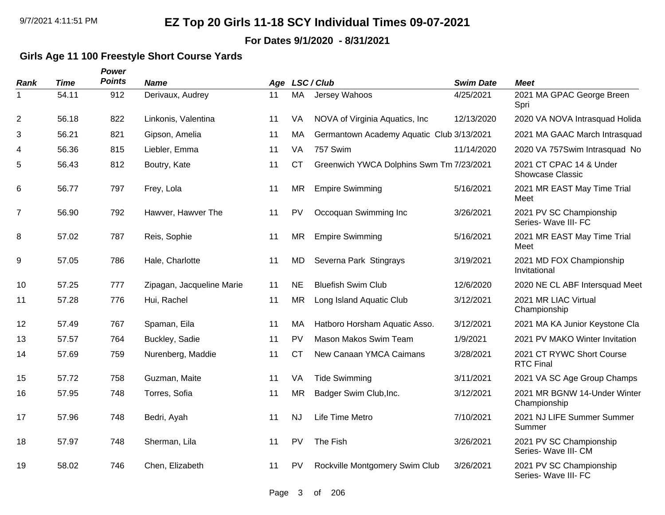**For Dates 9/1/2020 - 8/31/2021**

### **Girls Age 11 100 Freestyle Short Course Yards**

| <b>Rank</b>    | <b>Time</b> | Power<br><b>Points</b> | <b>Name</b>               |    |           | Age LSC/Club                              | <b>Swim Date</b> | <b>Meet</b>                                        |
|----------------|-------------|------------------------|---------------------------|----|-----------|-------------------------------------------|------------------|----------------------------------------------------|
| 1              | 54.11       | 912                    | Derivaux, Audrey          | 11 | MA        | Jersey Wahoos                             | 4/25/2021        | 2021 MA GPAC George Breen<br>Spri                  |
| $\overline{2}$ | 56.18       | 822                    | Linkonis, Valentina       | 11 | VA        | NOVA of Virginia Aquatics, Inc.           | 12/13/2020       | 2020 VA NOVA Intrasquad Holida                     |
| 3              | 56.21       | 821                    | Gipson, Amelia            | 11 | MA        | Germantown Academy Aquatic Club 3/13/2021 |                  | 2021 MA GAAC March Intrasquad                      |
| 4              | 56.36       | 815                    | Liebler, Emma             | 11 | VA        | 757 Swim                                  | 11/14/2020       | 2020 VA 757Swim Intrasquad No                      |
| 5              | 56.43       | 812                    | Boutry, Kate              | 11 | <b>CT</b> | Greenwich YWCA Dolphins Swm Tm 7/23/2021  |                  | 2021 CT CPAC 14 & Under<br><b>Showcase Classic</b> |
| 6              | 56.77       | 797                    | Frey, Lola                | 11 | MR        | <b>Empire Swimming</b>                    | 5/16/2021        | 2021 MR EAST May Time Trial<br>Meet                |
| $\overline{7}$ | 56.90       | 792                    | Hawver, Hawver The        | 11 | PV        | Occoquan Swimming Inc                     | 3/26/2021        | 2021 PV SC Championship<br>Series- Wave III- FC    |
| 8              | 57.02       | 787                    | Reis, Sophie              | 11 | MR        | <b>Empire Swimming</b>                    | 5/16/2021        | 2021 MR EAST May Time Trial<br>Meet                |
| 9              | 57.05       | 786                    | Hale, Charlotte           | 11 | <b>MD</b> | Severna Park Stingrays                    | 3/19/2021        | 2021 MD FOX Championship<br>Invitational           |
| 10             | 57.25       | 777                    | Zipagan, Jacqueline Marie | 11 | <b>NE</b> | <b>Bluefish Swim Club</b>                 | 12/6/2020        | 2020 NE CL ABF Intersquad Meet                     |
| 11             | 57.28       | 776                    | Hui, Rachel               | 11 | <b>MR</b> | Long Island Aquatic Club                  | 3/12/2021        | 2021 MR LIAC Virtual<br>Championship               |
| 12             | 57.49       | 767                    | Spaman, Eila              | 11 | MA        | Hatboro Horsham Aquatic Asso.             | 3/12/2021        | 2021 MA KA Junior Keystone Cla                     |
| 13             | 57.57       | 764                    | Buckley, Sadie            | 11 | PV        | Mason Makos Swim Team                     | 1/9/2021         | 2021 PV MAKO Winter Invitation                     |
| 14             | 57.69       | 759                    | Nurenberg, Maddie         | 11 | <b>CT</b> | New Canaan YMCA Caimans                   | 3/28/2021        | 2021 CT RYWC Short Course<br><b>RTC Final</b>      |
| 15             | 57.72       | 758                    | Guzman, Maite             | 11 | VA        | <b>Tide Swimming</b>                      | 3/11/2021        | 2021 VA SC Age Group Champs                        |
| 16             | 57.95       | 748                    | Torres, Sofia             | 11 | <b>MR</b> | Badger Swim Club, Inc.                    | 3/12/2021        | 2021 MR BGNW 14-Under Winter<br>Championship       |
| 17             | 57.96       | 748                    | Bedri, Ayah               | 11 | <b>NJ</b> | Life Time Metro                           | 7/10/2021        | 2021 NJ LIFE Summer Summer<br>Summer               |
| 18             | 57.97       | 748                    | Sherman, Lila             | 11 | PV        | The Fish                                  | 3/26/2021        | 2021 PV SC Championship<br>Series- Wave III- CM    |
| 19             | 58.02       | 746                    | Chen, Elizabeth           | 11 | PV        | Rockville Montgomery Swim Club            | 3/26/2021        | 2021 PV SC Championship<br>Series- Wave III- FC    |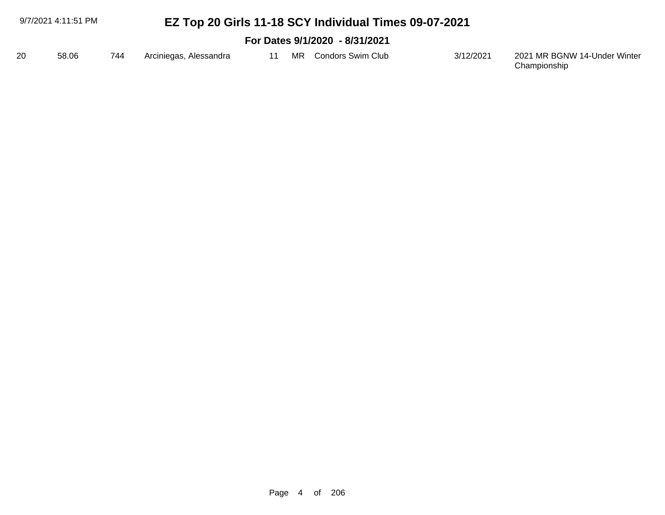|     | 9/7/2021 4:11:51 PM |     |                        |        | EZ Top 20 Girls 11-18 SCY Individual Times 09-07-2021 |           |                                              |
|-----|---------------------|-----|------------------------|--------|-------------------------------------------------------|-----------|----------------------------------------------|
|     |                     |     |                        |        | For Dates 9/1/2020 - 8/31/2021                        |           |                                              |
| -20 | 58.06               | 744 | Arciniegas, Alessandra | - 11 - | MR Condors Swim Club                                  | 3/12/2021 | 2021 MR BGNW 14-Under Winter<br>Championship |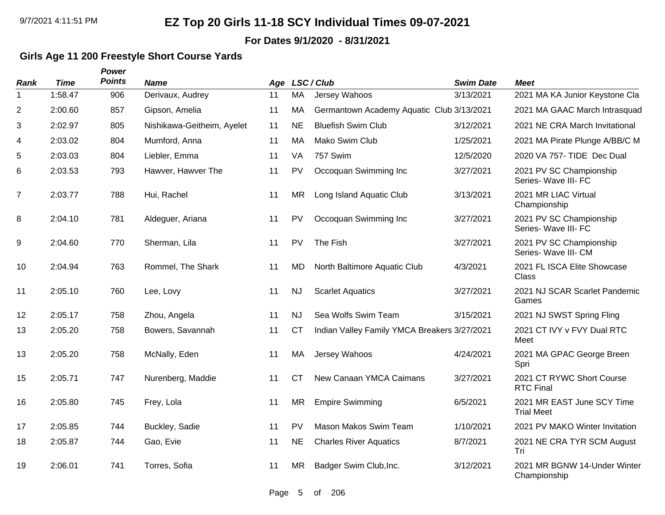#### **For Dates 9/1/2020 - 8/31/2021**

### **Girls Age 11 200 Freestyle Short Course Yards**

| Rank           | <b>Time</b> | Power<br><b>Points</b> | <b>Name</b>                |    |           | Age LSC/Club                                 | <b>Swim Date</b> | <b>Meet</b>                                     |
|----------------|-------------|------------------------|----------------------------|----|-----------|----------------------------------------------|------------------|-------------------------------------------------|
| 1              | 1:58.47     | 906                    | Derivaux, Audrey           | 11 | MA        | Jersey Wahoos                                | 3/13/2021        | 2021 MA KA Junior Keystone Cla                  |
| 2              | 2:00.60     | 857                    | Gipson, Amelia             | 11 | MA        | Germantown Academy Aquatic Club 3/13/2021    |                  | 2021 MA GAAC March Intrasquad                   |
| 3              | 2:02.97     | 805                    | Nishikawa-Geitheim, Ayelet | 11 | <b>NE</b> | <b>Bluefish Swim Club</b>                    | 3/12/2021        | 2021 NE CRA March Invitational                  |
| 4              | 2:03.02     | 804                    | Mumford, Anna              | 11 | <b>MA</b> | Mako Swim Club                               | 1/25/2021        | 2021 MA Pirate Plunge A/BB/C M                  |
| 5              | 2:03.03     | 804                    | Liebler, Emma              | 11 | VA        | 757 Swim                                     | 12/5/2020        | 2020 VA 757- TIDE Dec Dual                      |
| 6              | 2:03.53     | 793                    | Hawver, Hawver The         | 11 | PV        | Occoquan Swimming Inc                        | 3/27/2021        | 2021 PV SC Championship<br>Series- Wave III- FC |
| $\overline{7}$ | 2:03.77     | 788                    | Hui, Rachel                | 11 | <b>MR</b> | Long Island Aquatic Club                     | 3/13/2021        | 2021 MR LIAC Virtual<br>Championship            |
| 8              | 2:04.10     | 781                    | Aldeguer, Ariana           | 11 | PV        | Occoquan Swimming Inc                        | 3/27/2021        | 2021 PV SC Championship<br>Series- Wave III- FC |
| 9              | 2:04.60     | 770                    | Sherman, Lila              | 11 | <b>PV</b> | The Fish                                     | 3/27/2021        | 2021 PV SC Championship<br>Series- Wave III- CM |
| 10             | 2:04.94     | 763                    | Rommel, The Shark          | 11 | <b>MD</b> | North Baltimore Aquatic Club                 | 4/3/2021         | 2021 FL ISCA Elite Showcase<br>Class            |
| 11             | 2:05.10     | 760                    | Lee, Lovy                  | 11 | <b>NJ</b> | <b>Scarlet Aquatics</b>                      | 3/27/2021        | 2021 NJ SCAR Scarlet Pandemic<br>Games          |
| 12             | 2:05.17     | 758                    | Zhou, Angela               | 11 | <b>NJ</b> | Sea Wolfs Swim Team                          | 3/15/2021        | 2021 NJ SWST Spring Fling                       |
| 13             | 2:05.20     | 758                    | Bowers, Savannah           | 11 | <b>CT</b> | Indian Valley Family YMCA Breakers 3/27/2021 |                  | 2021 CT IVY v FVY Dual RTC<br>Meet              |
| 13             | 2:05.20     | 758                    | McNally, Eden              | 11 | MA        | Jersey Wahoos                                | 4/24/2021        | 2021 MA GPAC George Breen<br>Spri               |
| 15             | 2:05.71     | 747                    | Nurenberg, Maddie          | 11 | <b>CT</b> | New Canaan YMCA Caimans                      | 3/27/2021        | 2021 CT RYWC Short Course<br><b>RTC Final</b>   |
| 16             | 2:05.80     | 745                    | Frey, Lola                 | 11 | <b>MR</b> | <b>Empire Swimming</b>                       | 6/5/2021         | 2021 MR EAST June SCY Time<br><b>Trial Meet</b> |
| 17             | 2:05.85     | 744                    | Buckley, Sadie             | 11 | PV        | Mason Makos Swim Team                        | 1/10/2021        | 2021 PV MAKO Winter Invitation                  |
| 18             | 2:05.87     | 744                    | Gao, Evie                  | 11 | <b>NE</b> | <b>Charles River Aquatics</b>                | 8/7/2021         | 2021 NE CRA TYR SCM August<br>Tri               |
| 19             | 2:06.01     | 741                    | Torres, Sofia              | 11 | MR.       | Badger Swim Club, Inc.                       | 3/12/2021        | 2021 MR BGNW 14-Under Winter<br>Championship    |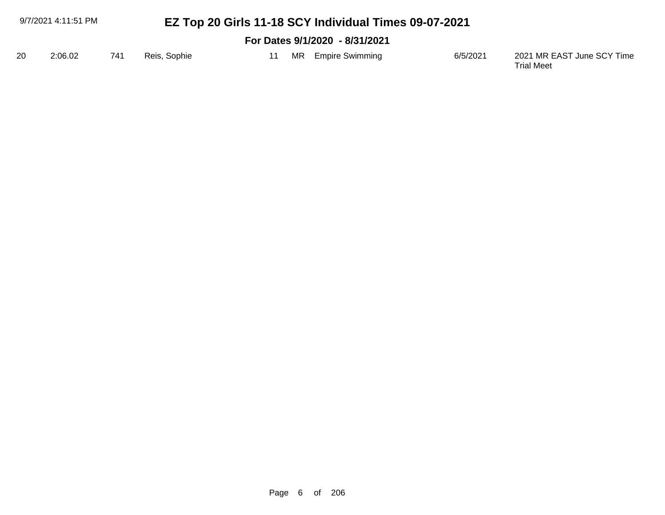|    | 9/7/2021 4:11:51 PM |     |              |    | EZ Top 20 Girls 11-18 SCY Individual Times 09-07-2021 |          |                                                 |
|----|---------------------|-----|--------------|----|-------------------------------------------------------|----------|-------------------------------------------------|
|    |                     |     |              |    | For Dates 9/1/2020 - 8/31/2021                        |          |                                                 |
| 20 | 2:06.02             | 741 | Reis, Sophie | 11 | MR Empire Swimming                                    | 6/5/2021 | 2021 MR EAST June SCY Time<br><b>Trial Meet</b> |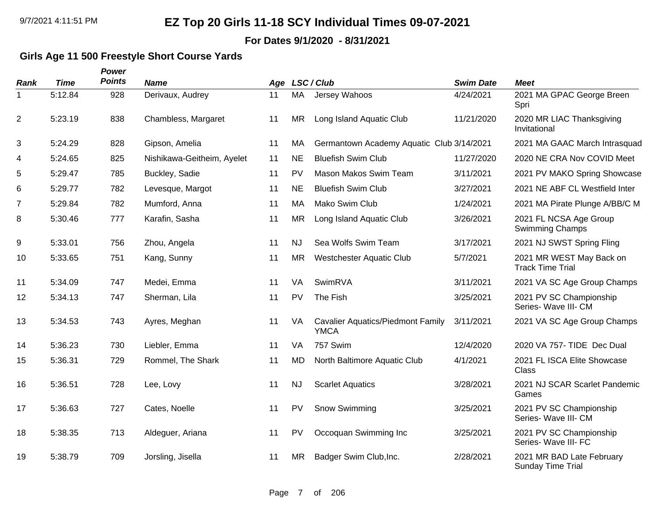**For Dates 9/1/2020 - 8/31/2021**

### **Girls Age 11 500 Freestyle Short Course Yards**

| <b>Rank</b>    | <b>Time</b> | Power<br><b>Points</b> | <b>Name</b>                |    |           | Age LSC/Club                                            | <b>Swim Date</b> | <b>Meet</b>                                         |
|----------------|-------------|------------------------|----------------------------|----|-----------|---------------------------------------------------------|------------------|-----------------------------------------------------|
| 1              | 5:12.84     | 928                    | Derivaux, Audrey           | 11 | MA        | Jersey Wahoos                                           | 4/24/2021        | 2021 MA GPAC George Breen<br>Spri                   |
| $\overline{c}$ | 5:23.19     | 838                    | Chambless, Margaret        | 11 | <b>MR</b> | Long Island Aquatic Club                                | 11/21/2020       | 2020 MR LIAC Thanksgiving<br>Invitational           |
| 3              | 5:24.29     | 828                    | Gipson, Amelia             | 11 | МA        | Germantown Academy Aquatic Club 3/14/2021               |                  | 2021 MA GAAC March Intrasquad                       |
| 4              | 5:24.65     | 825                    | Nishikawa-Geitheim, Ayelet | 11 | <b>NE</b> | <b>Bluefish Swim Club</b>                               | 11/27/2020       | 2020 NE CRA Nov COVID Meet                          |
| 5              | 5:29.47     | 785                    | Buckley, Sadie             | 11 | <b>PV</b> | Mason Makos Swim Team                                   | 3/11/2021        | 2021 PV MAKO Spring Showcase                        |
| 6              | 5:29.77     | 782                    | Levesque, Margot           | 11 | <b>NE</b> | <b>Bluefish Swim Club</b>                               | 3/27/2021        | 2021 NE ABF CL Westfield Inter                      |
| 7              | 5:29.84     | 782                    | Mumford, Anna              | 11 | MA        | Mako Swim Club                                          | 1/24/2021        | 2021 MA Pirate Plunge A/BB/C M                      |
| 8              | 5:30.46     | 777                    | Karafin, Sasha             | 11 | <b>MR</b> | Long Island Aquatic Club                                | 3/26/2021        | 2021 FL NCSA Age Group<br><b>Swimming Champs</b>    |
| 9              | 5:33.01     | 756                    | Zhou, Angela               | 11 | <b>NJ</b> | Sea Wolfs Swim Team                                     | 3/17/2021        | 2021 NJ SWST Spring Fling                           |
| 10             | 5:33.65     | 751                    | Kang, Sunny                | 11 | <b>MR</b> | <b>Westchester Aquatic Club</b>                         | 5/7/2021         | 2021 MR WEST May Back on<br><b>Track Time Trial</b> |
| 11             | 5:34.09     | 747                    | Medei, Emma                | 11 | <b>VA</b> | SwimRVA                                                 | 3/11/2021        | 2021 VA SC Age Group Champs                         |
| 12             | 5:34.13     | 747                    | Sherman, Lila              | 11 | PV        | The Fish                                                | 3/25/2021        | 2021 PV SC Championship<br>Series- Wave III- CM     |
| 13             | 5:34.53     | 743                    | Ayres, Meghan              | 11 | VA        | <b>Cavalier Aquatics/Piedmont Family</b><br><b>YMCA</b> | 3/11/2021        | 2021 VA SC Age Group Champs                         |
| 14             | 5:36.23     | 730                    | Liebler, Emma              | 11 | VA        | 757 Swim                                                | 12/4/2020        | 2020 VA 757- TIDE Dec Dual                          |
| 15             | 5:36.31     | 729                    | Rommel, The Shark          | 11 | <b>MD</b> | North Baltimore Aquatic Club                            | 4/1/2021         | 2021 FL ISCA Elite Showcase<br>Class                |
| 16             | 5:36.51     | 728                    | Lee, Lovy                  | 11 | <b>NJ</b> | <b>Scarlet Aquatics</b>                                 | 3/28/2021        | 2021 NJ SCAR Scarlet Pandemic<br>Games              |
| 17             | 5:36.63     | 727                    | Cates, Noelle              | 11 | <b>PV</b> | Snow Swimming                                           | 3/25/2021        | 2021 PV SC Championship<br>Series- Wave III- CM     |
| 18             | 5:38.35     | 713                    | Aldeguer, Ariana           | 11 | <b>PV</b> | Occoquan Swimming Inc                                   | 3/25/2021        | 2021 PV SC Championship<br>Series- Wave III- FC     |
| 19             | 5:38.79     | 709                    | Jorsling, Jisella          | 11 | <b>MR</b> | Badger Swim Club, Inc.                                  | 2/28/2021        | 2021 MR BAD Late February<br>Sunday Time Trial      |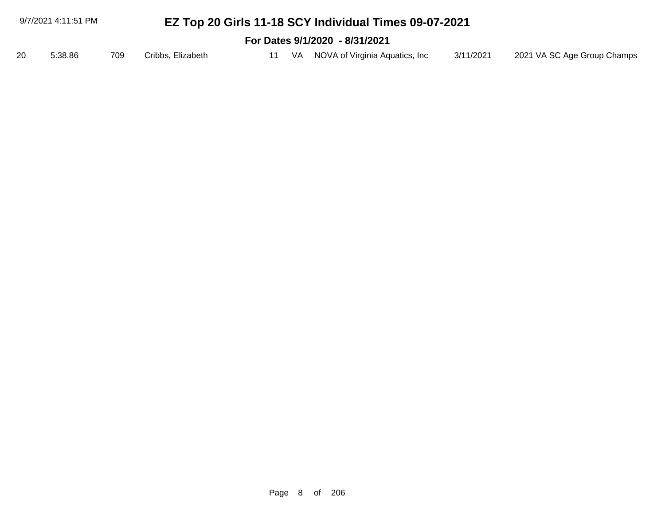| 9/7/2021 4:11:51 PM            |     |                   |  |  | EZ Top 20 Girls 11-18 SCY Individual Times 09-07-2021 |           |                             |  |  |
|--------------------------------|-----|-------------------|--|--|-------------------------------------------------------|-----------|-----------------------------|--|--|
| For Dates 9/1/2020 - 8/31/2021 |     |                   |  |  |                                                       |           |                             |  |  |
| 5:38.86                        | 709 | Cribbs, Elizabeth |  |  | 11 VA NOVA of Virginia Aquatics, Inc                  | 3/11/2021 | 2021 VA SC Age Group Champs |  |  |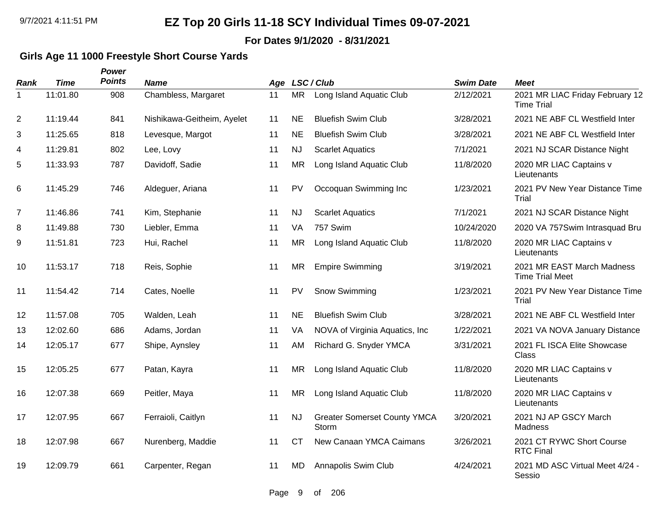#### **For Dates 9/1/2020 - 8/31/2021**

### **Girls Age 11 1000 Freestyle Short Course Yards**

| <b>Rank</b>       | <b>Time</b> | Power<br><b>Points</b> | <b>Name</b>                | Age |           | LSC / Club                                   | <b>Swim Date</b> | <b>Meet</b>                                          |
|-------------------|-------------|------------------------|----------------------------|-----|-----------|----------------------------------------------|------------------|------------------------------------------------------|
| 1                 | 11:01.80    | 908                    | Chambless, Margaret        | 11  | <b>MR</b> | Long Island Aquatic Club                     | 2/12/2021        | 2021 MR LIAC Friday February 12<br><b>Time Trial</b> |
| $\overline{2}$    | 11:19.44    | 841                    | Nishikawa-Geitheim, Ayelet | 11  | <b>NE</b> | <b>Bluefish Swim Club</b>                    | 3/28/2021        | 2021 NE ABF CL Westfield Inter                       |
| 3                 | 11:25.65    | 818                    | Levesque, Margot           | 11  | <b>NE</b> | <b>Bluefish Swim Club</b>                    | 3/28/2021        | 2021 NE ABF CL Westfield Inter                       |
| 4                 | 11:29.81    | 802                    | Lee, Lovy                  | 11  | <b>NJ</b> | <b>Scarlet Aquatics</b>                      | 7/1/2021         | 2021 NJ SCAR Distance Night                          |
| 5                 | 11:33.93    | 787                    | Davidoff, Sadie            | 11  | <b>MR</b> | Long Island Aquatic Club                     | 11/8/2020        | 2020 MR LIAC Captains v<br>Lieutenants               |
| 6                 | 11:45.29    | 746                    | Aldeguer, Ariana           | 11  | <b>PV</b> | Occoquan Swimming Inc                        | 1/23/2021        | 2021 PV New Year Distance Time<br>Trial              |
| $\overline{7}$    | 11:46.86    | 741                    | Kim, Stephanie             | 11  | <b>NJ</b> | <b>Scarlet Aquatics</b>                      | 7/1/2021         | 2021 NJ SCAR Distance Night                          |
| 8                 | 11:49.88    | 730                    | Liebler, Emma              | 11  | VA        | 757 Swim                                     | 10/24/2020       | 2020 VA 757Swim Intrasquad Bru                       |
| 9                 | 11:51.81    | 723                    | Hui, Rachel                | 11  | <b>MR</b> | Long Island Aquatic Club                     | 11/8/2020        | 2020 MR LIAC Captains v<br>Lieutenants               |
| 10                | 11:53.17    | 718                    | Reis, Sophie               | 11  | <b>MR</b> | <b>Empire Swimming</b>                       | 3/19/2021        | 2021 MR EAST March Madness<br><b>Time Trial Meet</b> |
| 11                | 11:54.42    | 714                    | Cates, Noelle              | 11  | PV        | Snow Swimming                                | 1/23/2021        | 2021 PV New Year Distance Time<br>Trial              |
| $12 \overline{ }$ | 11:57.08    | 705                    | Walden, Leah               | 11  | <b>NE</b> | <b>Bluefish Swim Club</b>                    | 3/28/2021        | 2021 NE ABF CL Westfield Inter                       |
| 13                | 12:02.60    | 686                    | Adams, Jordan              | 11  | VA        | NOVA of Virginia Aquatics, Inc               | 1/22/2021        | 2021 VA NOVA January Distance                        |
| 14                | 12:05.17    | 677                    | Shipe, Aynsley             | 11  | <b>AM</b> | Richard G. Snyder YMCA                       | 3/31/2021        | 2021 FL ISCA Elite Showcase<br>Class                 |
| 15                | 12:05.25    | 677                    | Patan, Kayra               | 11  | <b>MR</b> | Long Island Aquatic Club                     | 11/8/2020        | 2020 MR LIAC Captains v<br>Lieutenants               |
| 16                | 12:07.38    | 669                    | Peitler, Maya              | 11  | <b>MR</b> | Long Island Aquatic Club                     | 11/8/2020        | 2020 MR LIAC Captains v<br>Lieutenants               |
| 17                | 12:07.95    | 667                    | Ferraioli, Caitlyn         | 11  | <b>NJ</b> | <b>Greater Somerset County YMCA</b><br>Storm | 3/20/2021        | 2021 NJ AP GSCY March<br>Madness                     |
| 18                | 12:07.98    | 667                    | Nurenberg, Maddie          | 11  | <b>CT</b> | New Canaan YMCA Caimans                      | 3/26/2021        | 2021 CT RYWC Short Course<br><b>RTC Final</b>        |
| 19                | 12:09.79    | 661                    | Carpenter, Regan           | 11  | <b>MD</b> | Annapolis Swim Club                          | 4/24/2021        | 2021 MD ASC Virtual Meet 4/24 -<br>Sessio            |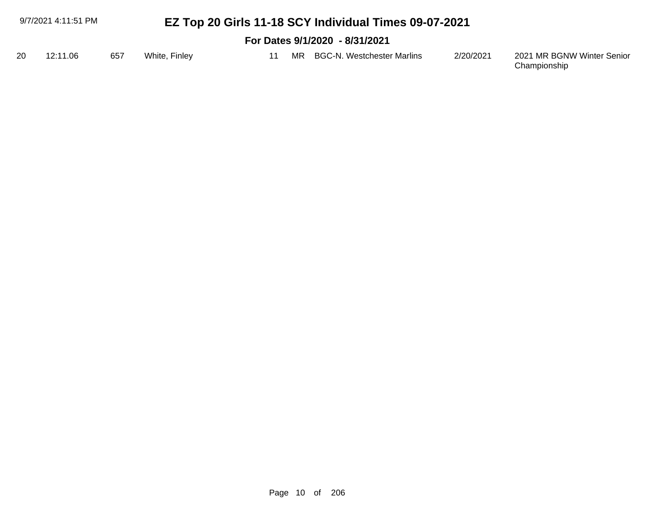|    | 9/7/2021 4:11:51 PM |     |               |    | EZ Top 20 Girls 11-18 SCY Individual Times 09-07-2021 |           |                                            |  |  |  |  |
|----|---------------------|-----|---------------|----|-------------------------------------------------------|-----------|--------------------------------------------|--|--|--|--|
|    |                     |     |               |    | For Dates 9/1/2020 - 8/31/2021                        |           |                                            |  |  |  |  |
| 20 | 12:11.06            | 657 | White, Finley | 11 | MR BGC-N. Westchester Marlins                         | 2/20/2021 | 2021 MR BGNW Winter Senior<br>Championship |  |  |  |  |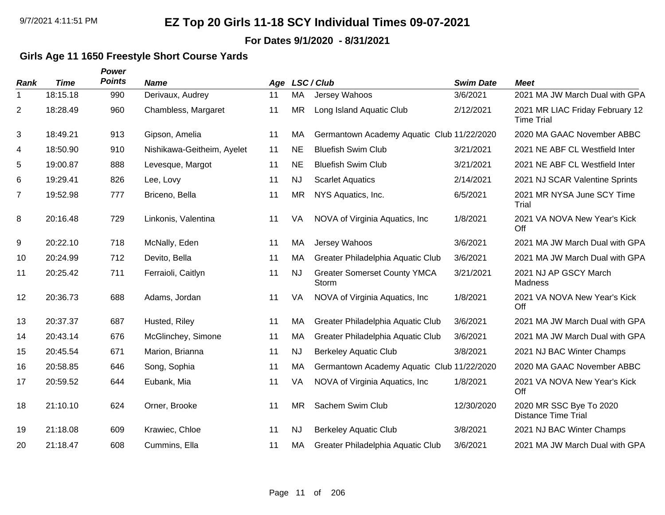**For Dates 9/1/2020 - 8/31/2021**

### **Girls Age 11 1650 Freestyle Short Course Yards**

| Rank           | <b>Time</b> | Power<br><b>Points</b> | <b>Name</b>                | Age |           | LSC / Club                                   | <b>Swim Date</b> | <b>Meet</b>                                           |
|----------------|-------------|------------------------|----------------------------|-----|-----------|----------------------------------------------|------------------|-------------------------------------------------------|
| 1              | 18:15.18    | 990                    | Derivaux, Audrey           | 11  | MA        | Jersey Wahoos                                | 3/6/2021         | 2021 MA JW March Dual with GPA                        |
| $\overline{c}$ | 18:28.49    | 960                    | Chambless, Margaret        | 11  | <b>MR</b> | Long Island Aquatic Club                     | 2/12/2021        | 2021 MR LIAC Friday February 12<br><b>Time Trial</b>  |
| 3              | 18:49.21    | 913                    | Gipson, Amelia             | 11  | МA        | Germantown Academy Aquatic Club 11/22/2020   |                  | 2020 MA GAAC November ABBC                            |
| 4              | 18:50.90    | 910                    | Nishikawa-Geitheim, Ayelet | 11  | <b>NE</b> | <b>Bluefish Swim Club</b>                    | 3/21/2021        | 2021 NE ABF CL Westfield Inter                        |
| 5              | 19:00.87    | 888                    | Levesque, Margot           | 11  | <b>NE</b> | <b>Bluefish Swim Club</b>                    | 3/21/2021        | 2021 NE ABF CL Westfield Inter                        |
| 6              | 19:29.41    | 826                    | Lee, Lovy                  | 11  | <b>NJ</b> | <b>Scarlet Aquatics</b>                      | 2/14/2021        | 2021 NJ SCAR Valentine Sprints                        |
| $\overline{7}$ | 19:52.98    | 777                    | Briceno, Bella             | 11  | <b>MR</b> | NYS Aquatics, Inc.                           | 6/5/2021         | 2021 MR NYSA June SCY Time<br>Trial                   |
| 8              | 20:16.48    | 729                    | Linkonis, Valentina        | 11  | VA        | NOVA of Virginia Aquatics, Inc.              | 1/8/2021         | 2021 VA NOVA New Year's Kick<br>Off                   |
| 9              | 20:22.10    | 718                    | McNally, Eden              | 11  | MA        | Jersey Wahoos                                | 3/6/2021         | 2021 MA JW March Dual with GPA                        |
| 10             | 20:24.99    | 712                    | Devito, Bella              | 11  | MA        | Greater Philadelphia Aquatic Club            | 3/6/2021         | 2021 MA JW March Dual with GPA                        |
| 11             | 20:25.42    | 711                    | Ferraioli, Caitlyn         | 11  | <b>NJ</b> | <b>Greater Somerset County YMCA</b><br>Storm | 3/21/2021        | 2021 NJ AP GSCY March<br>Madness                      |
| 12             | 20:36.73    | 688                    | Adams, Jordan              | 11  | VA        | NOVA of Virginia Aquatics, Inc.              | 1/8/2021         | 2021 VA NOVA New Year's Kick<br>Off                   |
| 13             | 20:37.37    | 687                    | Husted, Riley              | 11  | MA        | Greater Philadelphia Aquatic Club            | 3/6/2021         | 2021 MA JW March Dual with GPA                        |
| 14             | 20:43.14    | 676                    | McGlinchey, Simone         | 11  | MA        | Greater Philadelphia Aquatic Club            | 3/6/2021         | 2021 MA JW March Dual with GPA                        |
| 15             | 20:45.54    | 671                    | Marion, Brianna            | 11  | <b>NJ</b> | <b>Berkeley Aquatic Club</b>                 | 3/8/2021         | 2021 NJ BAC Winter Champs                             |
| 16             | 20:58.85    | 646                    | Song, Sophia               | 11  | MA        | Germantown Academy Aquatic Club 11/22/2020   |                  | 2020 MA GAAC November ABBC                            |
| 17             | 20:59.52    | 644                    | Eubank, Mia                | 11  | VA        | NOVA of Virginia Aquatics, Inc.              | 1/8/2021         | 2021 VA NOVA New Year's Kick<br>Off                   |
| 18             | 21:10.10    | 624                    | Orner, Brooke              | 11  | <b>MR</b> | Sachem Swim Club                             | 12/30/2020       | 2020 MR SSC Bye To 2020<br><b>Distance Time Trial</b> |
| 19             | 21:18.08    | 609                    | Krawiec, Chloe             | 11  | <b>NJ</b> | <b>Berkeley Aquatic Club</b>                 | 3/8/2021         | 2021 NJ BAC Winter Champs                             |
| 20             | 21:18.47    | 608                    | Cummins, Ella              | 11  | МA        | Greater Philadelphia Aquatic Club            | 3/6/2021         | 2021 MA JW March Dual with GPA                        |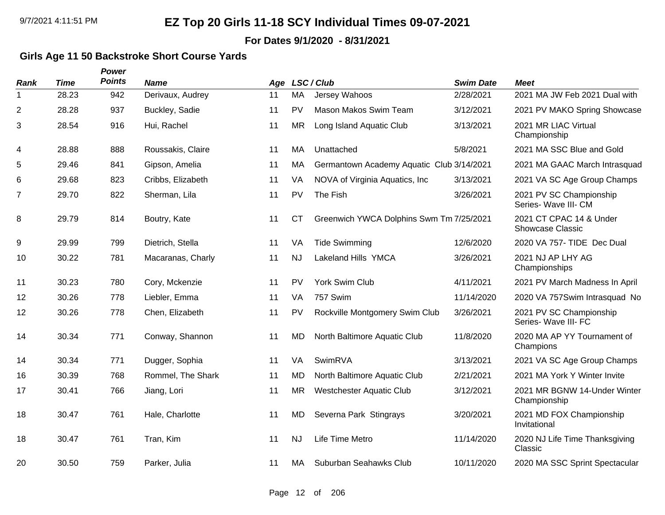**For Dates 9/1/2020 - 8/31/2021**

### **Girls Age 11 50 Backstroke Short Course Yards**

| <b>Rank</b>    | <b>Time</b> | Power<br><b>Points</b> | <b>Name</b>       |    |           | Age LSC/Club                              | <b>Swim Date</b> | <b>Meet</b>                                     |
|----------------|-------------|------------------------|-------------------|----|-----------|-------------------------------------------|------------------|-------------------------------------------------|
| 1              | 28.23       | 942                    | Derivaux, Audrey  | 11 | <b>MA</b> | Jersey Wahoos                             | 2/28/2021        | 2021 MA JW Feb 2021 Dual with                   |
| $\overline{2}$ | 28.28       | 937                    | Buckley, Sadie    | 11 | PV        | Mason Makos Swim Team                     | 3/12/2021        | 2021 PV MAKO Spring Showcase                    |
| 3              | 28.54       | 916                    | Hui, Rachel       | 11 | <b>MR</b> | Long Island Aquatic Club                  | 3/13/2021        | 2021 MR LIAC Virtual<br>Championship            |
| 4              | 28.88       | 888                    | Roussakis, Claire | 11 | <b>MA</b> | Unattached                                | 5/8/2021         | 2021 MA SSC Blue and Gold                       |
| 5              | 29.46       | 841                    | Gipson, Amelia    | 11 | MA        | Germantown Academy Aquatic Club 3/14/2021 |                  | 2021 MA GAAC March Intrasquad                   |
| 6              | 29.68       | 823                    | Cribbs, Elizabeth | 11 | VA        | NOVA of Virginia Aquatics, Inc.           | 3/13/2021        | 2021 VA SC Age Group Champs                     |
| $\overline{7}$ | 29.70       | 822                    | Sherman, Lila     | 11 | PV        | The Fish                                  | 3/26/2021        | 2021 PV SC Championship<br>Series- Wave III- CM |
| 8              | 29.79       | 814                    | Boutry, Kate      | 11 | <b>CT</b> | Greenwich YWCA Dolphins Swm Tm 7/25/2021  |                  | 2021 CT CPAC 14 & Under<br>Showcase Classic     |
| 9              | 29.99       | 799                    | Dietrich, Stella  | 11 | VA        | <b>Tide Swimming</b>                      | 12/6/2020        | 2020 VA 757- TIDE Dec Dual                      |
| 10             | 30.22       | 781                    | Macaranas, Charly | 11 | <b>NJ</b> | Lakeland Hills YMCA                       | 3/26/2021        | 2021 NJ AP LHY AG<br>Championships              |
| 11             | 30.23       | 780                    | Cory, Mckenzie    | 11 | <b>PV</b> | York Swim Club                            | 4/11/2021        | 2021 PV March Madness In April                  |
| 12             | 30.26       | 778                    | Liebler, Emma     | 11 | <b>VA</b> | 757 Swim                                  | 11/14/2020       | 2020 VA 757Swim Intrasquad No                   |
| 12             | 30.26       | 778                    | Chen, Elizabeth   | 11 | <b>PV</b> | Rockville Montgomery Swim Club            | 3/26/2021        | 2021 PV SC Championship<br>Series- Wave III- FC |
| 14             | 30.34       | 771                    | Conway, Shannon   | 11 | <b>MD</b> | North Baltimore Aquatic Club              | 11/8/2020        | 2020 MA AP YY Tournament of<br>Champions        |
| 14             | 30.34       | 771                    | Dugger, Sophia    | 11 | VA        | SwimRVA                                   | 3/13/2021        | 2021 VA SC Age Group Champs                     |
| 16             | 30.39       | 768                    | Rommel, The Shark | 11 | <b>MD</b> | North Baltimore Aquatic Club              | 2/21/2021        | 2021 MA York Y Winter Invite                    |
| 17             | 30.41       | 766                    | Jiang, Lori       | 11 | <b>MR</b> | <b>Westchester Aquatic Club</b>           | 3/12/2021        | 2021 MR BGNW 14-Under Winter<br>Championship    |
| 18             | 30.47       | 761                    | Hale, Charlotte   | 11 | <b>MD</b> | Severna Park Stingrays                    | 3/20/2021        | 2021 MD FOX Championship<br>Invitational        |
| 18             | 30.47       | 761                    | Tran, Kim         | 11 | <b>NJ</b> | Life Time Metro                           | 11/14/2020       | 2020 NJ Life Time Thanksgiving<br>Classic       |
| 20             | 30.50       | 759                    | Parker, Julia     | 11 | MA.       | Suburban Seahawks Club                    | 10/11/2020       | 2020 MA SSC Sprint Spectacular                  |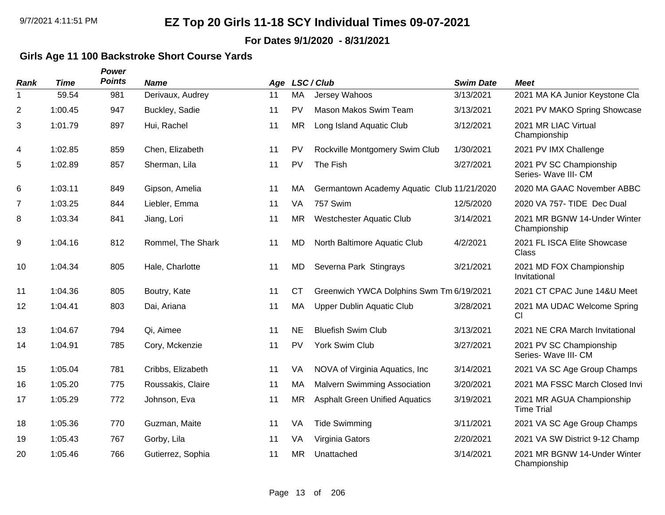**For Dates 9/1/2020 - 8/31/2021**

### **Girls Age 11 100 Backstroke Short Course Yards**

*Power*

| <b>Rank</b> | <b>Time</b> | <b>Points</b> | <b>Name</b>       |    |           | Age LSC/Club                               | <b>Swim Date</b> | <b>Meet</b>                                     |
|-------------|-------------|---------------|-------------------|----|-----------|--------------------------------------------|------------------|-------------------------------------------------|
| 1           | 59.54       | 981           | Derivaux, Audrey  | 11 | <b>MA</b> | Jersey Wahoos                              | 3/13/2021        | 2021 MA KA Junior Keystone Cla                  |
| 2           | 1:00.45     | 947           | Buckley, Sadie    | 11 | <b>PV</b> | Mason Makos Swim Team                      | 3/13/2021        | 2021 PV MAKO Spring Showcase                    |
| 3           | 1:01.79     | 897           | Hui, Rachel       | 11 | <b>MR</b> | Long Island Aquatic Club                   | 3/12/2021        | 2021 MR LIAC Virtual<br>Championship            |
| 4           | 1:02.85     | 859           | Chen, Elizabeth   | 11 | <b>PV</b> | Rockville Montgomery Swim Club             | 1/30/2021        | 2021 PV IMX Challenge                           |
| 5           | 1:02.89     | 857           | Sherman, Lila     | 11 | PV        | The Fish                                   | 3/27/2021        | 2021 PV SC Championship<br>Series- Wave III- CM |
| 6           | 1:03.11     | 849           | Gipson, Amelia    | 11 | MA        | Germantown Academy Aquatic Club 11/21/2020 |                  | 2020 MA GAAC November ABBC                      |
| 7           | 1:03.25     | 844           | Liebler, Emma     | 11 | VA        | 757 Swim                                   | 12/5/2020        | 2020 VA 757- TIDE Dec Dual                      |
| 8           | 1:03.34     | 841           | Jiang, Lori       | 11 | <b>MR</b> | <b>Westchester Aquatic Club</b>            | 3/14/2021        | 2021 MR BGNW 14-Under Winter<br>Championship    |
| 9           | 1:04.16     | 812           | Rommel, The Shark | 11 | <b>MD</b> | North Baltimore Aquatic Club               | 4/2/2021         | 2021 FL ISCA Elite Showcase<br>Class            |
| 10          | 1:04.34     | 805           | Hale, Charlotte   | 11 | <b>MD</b> | Severna Park Stingrays                     | 3/21/2021        | 2021 MD FOX Championship<br>Invitational        |
| 11          | 1:04.36     | 805           | Boutry, Kate      | 11 | <b>CT</b> | Greenwich YWCA Dolphins Swm Tm 6/19/2021   |                  | 2021 CT CPAC June 14&U Meet                     |
| 12          | 1:04.41     | 803           | Dai, Ariana       | 11 | MA        | <b>Upper Dublin Aquatic Club</b>           | 3/28/2021        | 2021 MA UDAC Welcome Spring<br>C <sub>l</sub>   |
| 13          | 1:04.67     | 794           | Qi, Aimee         | 11 | <b>NE</b> | <b>Bluefish Swim Club</b>                  | 3/13/2021        | 2021 NE CRA March Invitational                  |
| 14          | 1:04.91     | 785           | Cory, Mckenzie    | 11 | <b>PV</b> | York Swim Club                             | 3/27/2021        | 2021 PV SC Championship<br>Series- Wave III- CM |
| 15          | 1:05.04     | 781           | Cribbs, Elizabeth | 11 | VA        | NOVA of Virginia Aquatics, Inc.            | 3/14/2021        | 2021 VA SC Age Group Champs                     |
| 16          | 1:05.20     | 775           | Roussakis, Claire | 11 | МA        | <b>Malvern Swimming Association</b>        | 3/20/2021        | 2021 MA FSSC March Closed Invi                  |
| 17          | 1:05.29     | 772           | Johnson, Eva      | 11 | <b>MR</b> | <b>Asphalt Green Unified Aquatics</b>      | 3/19/2021        | 2021 MR AGUA Championship<br><b>Time Trial</b>  |
| 18          | 1:05.36     | 770           | Guzman, Maite     | 11 | VA        | <b>Tide Swimming</b>                       | 3/11/2021        | 2021 VA SC Age Group Champs                     |
| 19          | 1:05.43     | 767           | Gorby, Lila       | 11 | VA        | Virginia Gators                            | 2/20/2021        | 2021 VA SW District 9-12 Champ                  |
| 20          | 1:05.46     | 766           | Gutierrez, Sophia | 11 | <b>MR</b> | Unattached                                 | 3/14/2021        | 2021 MR BGNW 14-Under Winter<br>Championship    |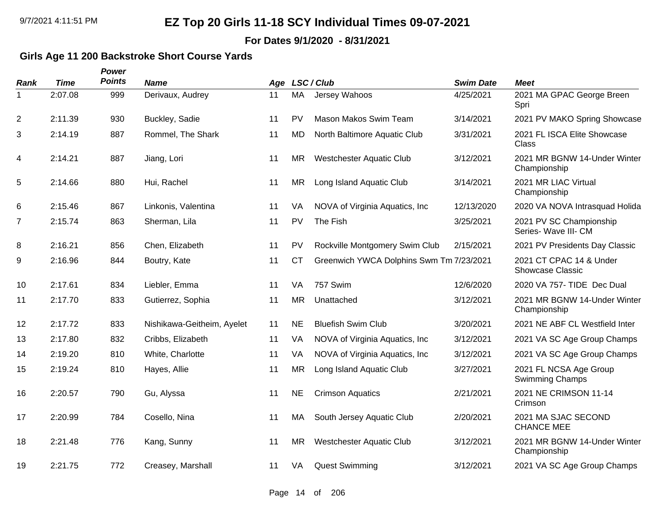**For Dates 9/1/2020 - 8/31/2021**

### **Girls Age 11 200 Backstroke Short Course Yards**

| <b>Rank</b>    | <b>Time</b> | Power<br><b>Points</b> | <b>Name</b>                |    |           | Age LSC/Club                             | <b>Swim Date</b> | <b>Meet</b>                                        |
|----------------|-------------|------------------------|----------------------------|----|-----------|------------------------------------------|------------------|----------------------------------------------------|
| 1              | 2:07.08     | 999                    | Derivaux, Audrey           | 11 | MA        | Jersey Wahoos                            | 4/25/2021        | 2021 MA GPAC George Breen<br>Spri                  |
| 2              | 2:11.39     | 930                    | Buckley, Sadie             | 11 | PV        | Mason Makos Swim Team                    | 3/14/2021        | 2021 PV MAKO Spring Showcase                       |
| 3              | 2:14.19     | 887                    | Rommel, The Shark          | 11 | <b>MD</b> | North Baltimore Aquatic Club             | 3/31/2021        | 2021 FL ISCA Elite Showcase<br>Class               |
| 4              | 2:14.21     | 887                    | Jiang, Lori                | 11 | <b>MR</b> | <b>Westchester Aquatic Club</b>          | 3/12/2021        | 2021 MR BGNW 14-Under Winter<br>Championship       |
| 5              | 2:14.66     | 880                    | Hui, Rachel                | 11 | <b>MR</b> | Long Island Aquatic Club                 | 3/14/2021        | 2021 MR LIAC Virtual<br>Championship               |
| 6              | 2:15.46     | 867                    | Linkonis, Valentina        | 11 | VA        | NOVA of Virginia Aquatics, Inc.          | 12/13/2020       | 2020 VA NOVA Intrasquad Holida                     |
| $\overline{7}$ | 2:15.74     | 863                    | Sherman, Lila              | 11 | PV        | The Fish                                 | 3/25/2021        | 2021 PV SC Championship<br>Series- Wave III- CM    |
| 8              | 2:16.21     | 856                    | Chen, Elizabeth            | 11 | PV        | Rockville Montgomery Swim Club           | 2/15/2021        | 2021 PV Presidents Day Classic                     |
| 9              | 2:16.96     | 844                    | Boutry, Kate               | 11 | <b>CT</b> | Greenwich YWCA Dolphins Swm Tm 7/23/2021 |                  | 2021 CT CPAC 14 & Under<br><b>Showcase Classic</b> |
| 10             | 2:17.61     | 834                    | Liebler, Emma              | 11 | VA        | 757 Swim                                 | 12/6/2020        | 2020 VA 757- TIDE Dec Dual                         |
| 11             | 2:17.70     | 833                    | Gutierrez, Sophia          | 11 | <b>MR</b> | Unattached                               | 3/12/2021        | 2021 MR BGNW 14-Under Winter<br>Championship       |
| 12             | 2:17.72     | 833                    | Nishikawa-Geitheim, Ayelet | 11 | <b>NE</b> | <b>Bluefish Swim Club</b>                | 3/20/2021        | 2021 NE ABF CL Westfield Inter                     |
| 13             | 2:17.80     | 832                    | Cribbs, Elizabeth          | 11 | VA        | NOVA of Virginia Aquatics, Inc.          | 3/12/2021        | 2021 VA SC Age Group Champs                        |
| 14             | 2:19.20     | 810                    | White, Charlotte           | 11 | VA        | NOVA of Virginia Aquatics, Inc.          | 3/12/2021        | 2021 VA SC Age Group Champs                        |
| 15             | 2:19.24     | 810                    | Hayes, Allie               | 11 | <b>MR</b> | Long Island Aquatic Club                 | 3/27/2021        | 2021 FL NCSA Age Group<br><b>Swimming Champs</b>   |
| 16             | 2:20.57     | 790                    | Gu, Alyssa                 | 11 | <b>NE</b> | <b>Crimson Aquatics</b>                  | 2/21/2021        | 2021 NE CRIMSON 11-14<br>Crimson                   |
| 17             | 2:20.99     | 784                    | Cosello, Nina              | 11 | MA        | South Jersey Aquatic Club                | 2/20/2021        | 2021 MA SJAC SECOND<br><b>CHANCE MEE</b>           |
| 18             | 2:21.48     | 776                    | Kang, Sunny                | 11 | <b>MR</b> | <b>Westchester Aquatic Club</b>          | 3/12/2021        | 2021 MR BGNW 14-Under Winter<br>Championship       |
| 19             | 2:21.75     | 772                    | Creasey, Marshall          | 11 | VA        | <b>Quest Swimming</b>                    | 3/12/2021        | 2021 VA SC Age Group Champs                        |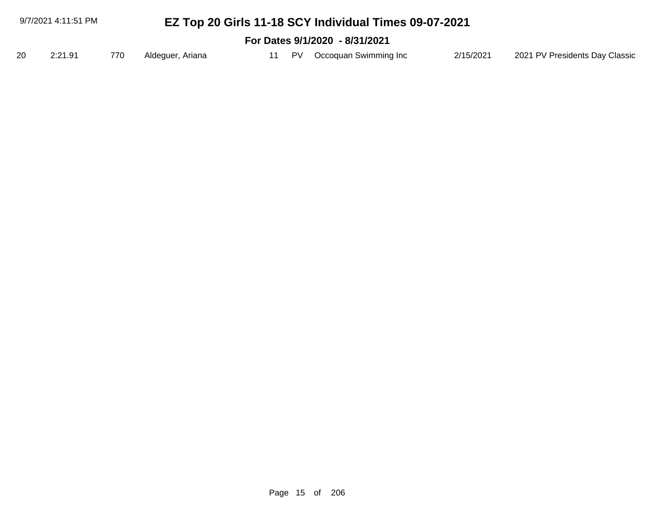| 9/7/2021 4:11:51 PM            |     |                  |  |  |  | EZ Top 20 Girls 11-18 SCY Individual Times 09-07-2021 |           |                                |  |  |
|--------------------------------|-----|------------------|--|--|--|-------------------------------------------------------|-----------|--------------------------------|--|--|
| For Dates 9/1/2020 - 8/31/2021 |     |                  |  |  |  |                                                       |           |                                |  |  |
| 2:21.91                        | 770 | Aldeguer, Ariana |  |  |  | PV Occoquan Swimming Inc                              | 2/15/2021 | 2021 PV Presidents Day Classic |  |  |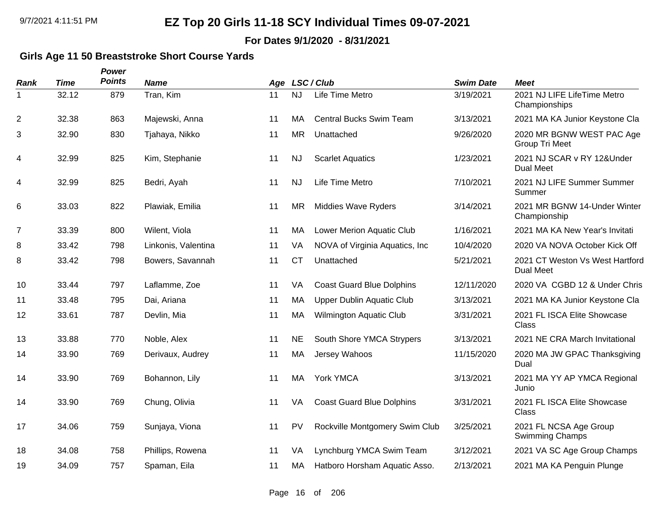#### **For Dates 9/1/2020 - 8/31/2021**

### **Girls Age 11 50 Breaststroke Short Course Yards**

| <b>Rank</b>    | <b>Time</b> | Power<br><b>Points</b> | <b>Name</b>         |    |           | Age LSC/Club                     | <b>Swim Date</b> | <b>Meet</b>                                         |
|----------------|-------------|------------------------|---------------------|----|-----------|----------------------------------|------------------|-----------------------------------------------------|
| 1              | 32.12       | 879                    | Tran, Kim           | 11 | <b>NJ</b> | Life Time Metro                  | 3/19/2021        | 2021 NJ LIFE LifeTime Metro<br>Championships        |
| 2              | 32.38       | 863                    | Majewski, Anna      | 11 | MA        | <b>Central Bucks Swim Team</b>   | 3/13/2021        | 2021 MA KA Junior Keystone Cla                      |
| 3              | 32.90       | 830                    | Tjahaya, Nikko      | 11 | <b>MR</b> | Unattached                       | 9/26/2020        | 2020 MR BGNW WEST PAC Age<br>Group Tri Meet         |
| 4              | 32.99       | 825                    | Kim, Stephanie      | 11 | <b>NJ</b> | <b>Scarlet Aquatics</b>          | 1/23/2021        | 2021 NJ SCAR v RY 12&Under<br><b>Dual Meet</b>      |
| 4              | 32.99       | 825                    | Bedri, Ayah         | 11 | <b>NJ</b> | Life Time Metro                  | 7/10/2021        | 2021 NJ LIFE Summer Summer<br>Summer                |
| 6              | 33.03       | 822                    | Plawiak, Emilia     | 11 | <b>MR</b> | <b>Middies Wave Ryders</b>       | 3/14/2021        | 2021 MR BGNW 14-Under Winter<br>Championship        |
| $\overline{7}$ | 33.39       | 800                    | Wilent, Viola       | 11 | MA        | Lower Merion Aquatic Club        | 1/16/2021        | 2021 MA KA New Year's Invitati                      |
| 8              | 33.42       | 798                    | Linkonis, Valentina | 11 | VA        | NOVA of Virginia Aquatics, Inc.  | 10/4/2020        | 2020 VA NOVA October Kick Off                       |
| 8              | 33.42       | 798                    | Bowers, Savannah    | 11 | <b>CT</b> | Unattached                       | 5/21/2021        | 2021 CT Weston Vs West Hartford<br><b>Dual Meet</b> |
| 10             | 33.44       | 797                    | Laflamme, Zoe       | 11 | VA        | <b>Coast Guard Blue Dolphins</b> | 12/11/2020       | 2020 VA CGBD 12 & Under Chris                       |
| 11             | 33.48       | 795                    | Dai, Ariana         | 11 | MA        | <b>Upper Dublin Aquatic Club</b> | 3/13/2021        | 2021 MA KA Junior Keystone Cla                      |
| 12             | 33.61       | 787                    | Devlin, Mia         | 11 | MA        | Wilmington Aquatic Club          | 3/31/2021        | 2021 FL ISCA Elite Showcase<br>Class                |
| 13             | 33.88       | 770                    | Noble, Alex         | 11 | <b>NE</b> | South Shore YMCA Strypers        | 3/13/2021        | 2021 NE CRA March Invitational                      |
| 14             | 33.90       | 769                    | Derivaux, Audrey    | 11 | MA        | Jersey Wahoos                    | 11/15/2020       | 2020 MA JW GPAC Thanksgiving<br>Dual                |
| 14             | 33.90       | 769                    | Bohannon, Lily      | 11 | MA        | York YMCA                        | 3/13/2021        | 2021 MA YY AP YMCA Regional<br>Junio                |
| 14             | 33.90       | 769                    | Chung, Olivia       | 11 | VA        | <b>Coast Guard Blue Dolphins</b> | 3/31/2021        | 2021 FL ISCA Elite Showcase<br>Class                |
| 17             | 34.06       | 759                    | Sunjaya, Viona      | 11 | <b>PV</b> | Rockville Montgomery Swim Club   | 3/25/2021        | 2021 FL NCSA Age Group<br>Swimming Champs           |
| 18             | 34.08       | 758                    | Phillips, Rowena    | 11 | VA        | Lynchburg YMCA Swim Team         | 3/12/2021        | 2021 VA SC Age Group Champs                         |
| 19             | 34.09       | 757                    | Spaman, Eila        | 11 | МA        | Hatboro Horsham Aquatic Asso.    | 2/13/2021        | 2021 MA KA Penguin Plunge                           |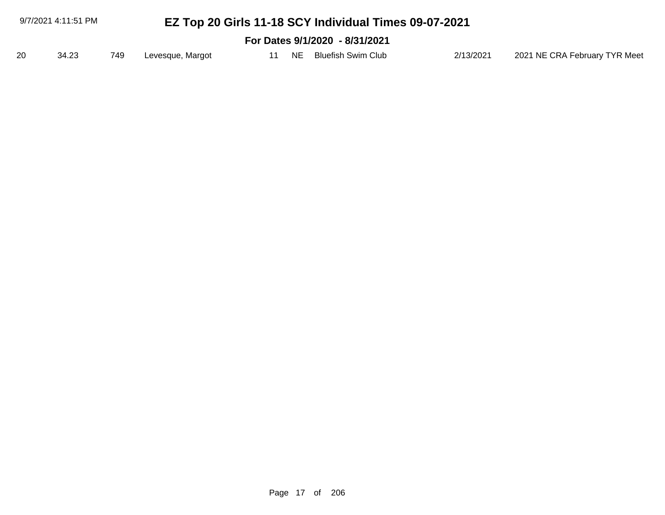| 9/7/2021 4:11:51 PM<br>EZ Top 20 Girls 11-18 SCY Individual Times 09-07-2021 |                                |     |                  |    |    |                    |           |                               |  |  |
|------------------------------------------------------------------------------|--------------------------------|-----|------------------|----|----|--------------------|-----------|-------------------------------|--|--|
|                                                                              | For Dates 9/1/2020 - 8/31/2021 |     |                  |    |    |                    |           |                               |  |  |
| 20                                                                           | 34.23                          | 749 | Levesque, Margot | 11 | NE | Bluefish Swim Club | 2/13/2021 | 2021 NE CRA February TYR Meet |  |  |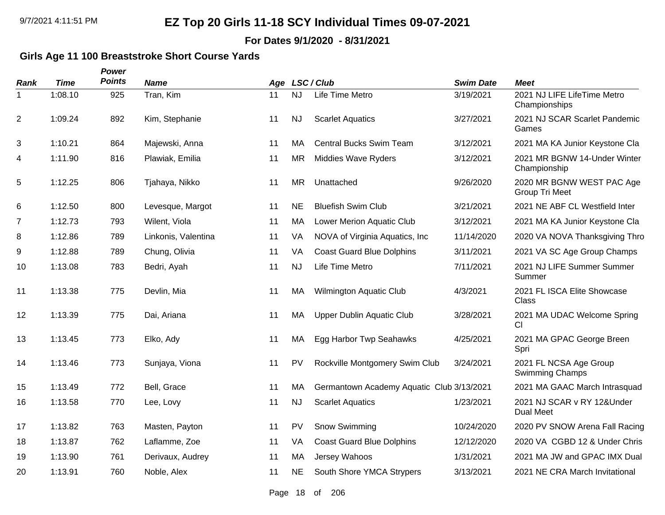**For Dates 9/1/2020 - 8/31/2021**

### **Girls Age 11 100 Breaststroke Short Course Yards**

| <b>Rank</b>    | <b>Time</b> | Power<br><b>Points</b> | <b>Name</b>         |    |           | Age LSC/Club                              | <b>Swim Date</b> | <b>Meet</b>                                    |
|----------------|-------------|------------------------|---------------------|----|-----------|-------------------------------------------|------------------|------------------------------------------------|
| 1              | 1:08.10     | 925                    | Tran, Kim           | 11 | <b>NJ</b> | Life Time Metro                           | 3/19/2021        | 2021 NJ LIFE LifeTime Metro<br>Championships   |
| 2              | 1:09.24     | 892                    | Kim, Stephanie      | 11 | <b>NJ</b> | <b>Scarlet Aquatics</b>                   | 3/27/2021        | 2021 NJ SCAR Scarlet Pandemic<br>Games         |
| 3              | 1:10.21     | 864                    | Majewski, Anna      | 11 | MA        | <b>Central Bucks Swim Team</b>            | 3/12/2021        | 2021 MA KA Junior Keystone Cla                 |
| 4              | 1:11.90     | 816                    | Plawiak, Emilia     | 11 | <b>MR</b> | <b>Middies Wave Ryders</b>                | 3/12/2021        | 2021 MR BGNW 14-Under Winter<br>Championship   |
| 5              | 1:12.25     | 806                    | Tjahaya, Nikko      | 11 | <b>MR</b> | Unattached                                | 9/26/2020        | 2020 MR BGNW WEST PAC Age<br>Group Tri Meet    |
| 6              | 1:12.50     | 800                    | Levesque, Margot    | 11 | <b>NE</b> | <b>Bluefish Swim Club</b>                 | 3/21/2021        | 2021 NE ABF CL Westfield Inter                 |
| $\overline{7}$ | 1:12.73     | 793                    | Wilent, Viola       | 11 | MA        | Lower Merion Aquatic Club                 | 3/12/2021        | 2021 MA KA Junior Keystone Cla                 |
| 8              | 1:12.86     | 789                    | Linkonis, Valentina | 11 | VA        | NOVA of Virginia Aquatics, Inc.           | 11/14/2020       | 2020 VA NOVA Thanksgiving Thro                 |
| 9              | 1:12.88     | 789                    | Chung, Olivia       | 11 | VA        | <b>Coast Guard Blue Dolphins</b>          | 3/11/2021        | 2021 VA SC Age Group Champs                    |
| 10             | 1:13.08     | 783                    | Bedri, Ayah         | 11 | <b>NJ</b> | Life Time Metro                           | 7/11/2021        | 2021 NJ LIFE Summer Summer<br>Summer           |
| 11             | 1:13.38     | 775                    | Devlin, Mia         | 11 | MA        | <b>Wilmington Aquatic Club</b>            | 4/3/2021         | 2021 FL ISCA Elite Showcase<br>Class           |
| 12             | 1:13.39     | 775                    | Dai, Ariana         | 11 | MA        | <b>Upper Dublin Aquatic Club</b>          | 3/28/2021        | 2021 MA UDAC Welcome Spring<br>CI              |
| 13             | 1:13.45     | 773                    | Elko, Ady           | 11 | MA        | Egg Harbor Twp Seahawks                   | 4/25/2021        | 2021 MA GPAC George Breen<br>Spri              |
| 14             | 1:13.46     | 773                    | Sunjaya, Viona      | 11 | <b>PV</b> | Rockville Montgomery Swim Club            | 3/24/2021        | 2021 FL NCSA Age Group<br>Swimming Champs      |
| 15             | 1:13.49     | 772                    | Bell, Grace         | 11 | MA        | Germantown Academy Aquatic Club 3/13/2021 |                  | 2021 MA GAAC March Intrasquad                  |
| 16             | 1:13.58     | 770                    | Lee, Lovy           | 11 | <b>NJ</b> | <b>Scarlet Aquatics</b>                   | 1/23/2021        | 2021 NJ SCAR v RY 12&Under<br><b>Dual Meet</b> |
| 17             | 1:13.82     | 763                    | Masten, Payton      | 11 | PV        | Snow Swimming                             | 10/24/2020       | 2020 PV SNOW Arena Fall Racing                 |
| 18             | 1:13.87     | 762                    | Laflamme, Zoe       | 11 | VA        | <b>Coast Guard Blue Dolphins</b>          | 12/12/2020       | 2020 VA CGBD 12 & Under Chris                  |
| 19             | 1:13.90     | 761                    | Derivaux, Audrey    | 11 | MA        | Jersey Wahoos                             | 1/31/2021        | 2021 MA JW and GPAC IMX Dual                   |
| 20             | 1:13.91     | 760                    | Noble, Alex         | 11 | <b>NE</b> | South Shore YMCA Strypers                 | 3/13/2021        | 2021 NE CRA March Invitational                 |

Page 18 of 206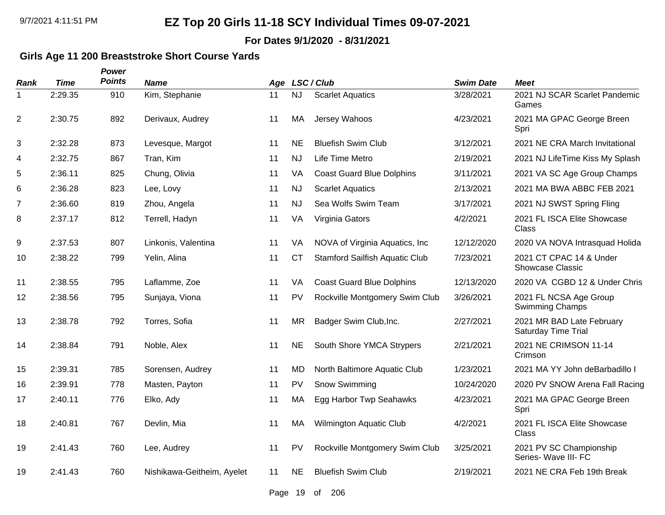**For Dates 9/1/2020 - 8/31/2021**

### **Girls Age 11 200 Breaststroke Short Course Yards**

| <b>Rank</b>    | <b>Time</b> | Power<br><b>Points</b> | <b>Name</b>                |    |           | Age LSC/Club                          | <b>Swim Date</b> | <b>Meet</b>                                             |
|----------------|-------------|------------------------|----------------------------|----|-----------|---------------------------------------|------------------|---------------------------------------------------------|
| 1              | 2:29.35     | 910                    | Kim, Stephanie             | 11 | <b>NJ</b> | <b>Scarlet Aquatics</b>               | 3/28/2021        | 2021 NJ SCAR Scarlet Pandemic<br>Games                  |
| $\overline{2}$ | 2:30.75     | 892                    | Derivaux, Audrey           | 11 | MA        | Jersey Wahoos                         | 4/23/2021        | 2021 MA GPAC George Breen<br>Spri                       |
| 3              | 2:32.28     | 873                    | Levesque, Margot           | 11 | <b>NE</b> | <b>Bluefish Swim Club</b>             | 3/12/2021        | 2021 NE CRA March Invitational                          |
| 4              | 2:32.75     | 867                    | Tran, Kim                  | 11 | <b>NJ</b> | Life Time Metro                       | 2/19/2021        | 2021 NJ LifeTime Kiss My Splash                         |
| 5              | 2:36.11     | 825                    | Chung, Olivia              | 11 | VA        | <b>Coast Guard Blue Dolphins</b>      | 3/11/2021        | 2021 VA SC Age Group Champs                             |
| 6              | 2:36.28     | 823                    | Lee, Lovy                  | 11 | <b>NJ</b> | <b>Scarlet Aquatics</b>               | 2/13/2021        | 2021 MA BWA ABBC FEB 2021                               |
| 7              | 2:36.60     | 819                    | Zhou, Angela               | 11 | <b>NJ</b> | Sea Wolfs Swim Team                   | 3/17/2021        | 2021 NJ SWST Spring Fling                               |
| 8              | 2:37.17     | 812                    | Terrell, Hadyn             | 11 | VA        | Virginia Gators                       | 4/2/2021         | 2021 FL ISCA Elite Showcase<br>Class                    |
| 9              | 2:37.53     | 807                    | Linkonis, Valentina        | 11 | VA        | NOVA of Virginia Aquatics, Inc.       | 12/12/2020       | 2020 VA NOVA Intrasquad Holida                          |
| 10             | 2:38.22     | 799                    | Yelin, Alina               | 11 | <b>CT</b> | <b>Stamford Sailfish Aquatic Club</b> | 7/23/2021        | 2021 CT CPAC 14 & Under<br>Showcase Classic             |
| 11             | 2:38.55     | 795                    | Laflamme, Zoe              | 11 | VA        | <b>Coast Guard Blue Dolphins</b>      | 12/13/2020       | 2020 VA CGBD 12 & Under Chris                           |
| 12             | 2:38.56     | 795                    | Sunjaya, Viona             | 11 | PV        | Rockville Montgomery Swim Club        | 3/26/2021        | 2021 FL NCSA Age Group<br><b>Swimming Champs</b>        |
| 13             | 2:38.78     | 792                    | Torres, Sofia              | 11 | <b>MR</b> | Badger Swim Club, Inc.                | 2/27/2021        | 2021 MR BAD Late February<br><b>Saturday Time Trial</b> |
| 14             | 2:38.84     | 791                    | Noble, Alex                | 11 | <b>NE</b> | South Shore YMCA Strypers             | 2/21/2021        | 2021 NE CRIMSON 11-14<br>Crimson                        |
| 15             | 2:39.31     | 785                    | Sorensen, Audrey           | 11 | <b>MD</b> | North Baltimore Aquatic Club          | 1/23/2021        | 2021 MA YY John deBarbadillo I                          |
| 16             | 2:39.91     | 778                    | Masten, Payton             | 11 | PV        | Snow Swimming                         | 10/24/2020       | 2020 PV SNOW Arena Fall Racing                          |
| 17             | 2:40.11     | 776                    | Elko, Ady                  | 11 | MA        | Egg Harbor Twp Seahawks               | 4/23/2021        | 2021 MA GPAC George Breen<br>Spri                       |
| 18             | 2:40.81     | 767                    | Devlin, Mia                | 11 | MA        | Wilmington Aquatic Club               | 4/2/2021         | 2021 FL ISCA Elite Showcase<br>Class                    |
| 19             | 2:41.43     | 760                    | Lee, Audrey                | 11 | PV        | Rockville Montgomery Swim Club        | 3/25/2021        | 2021 PV SC Championship<br>Series- Wave III- FC         |
| 19             | 2:41.43     | 760                    | Nishikawa-Geitheim, Ayelet | 11 | <b>NE</b> | <b>Bluefish Swim Club</b>             | 2/19/2021        | 2021 NE CRA Feb 19th Break                              |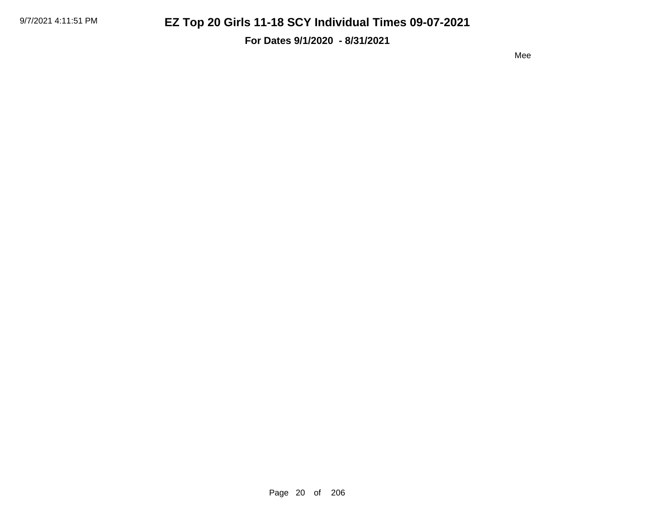**For Dates 9/1/2020 - 8/31/2021**

Mee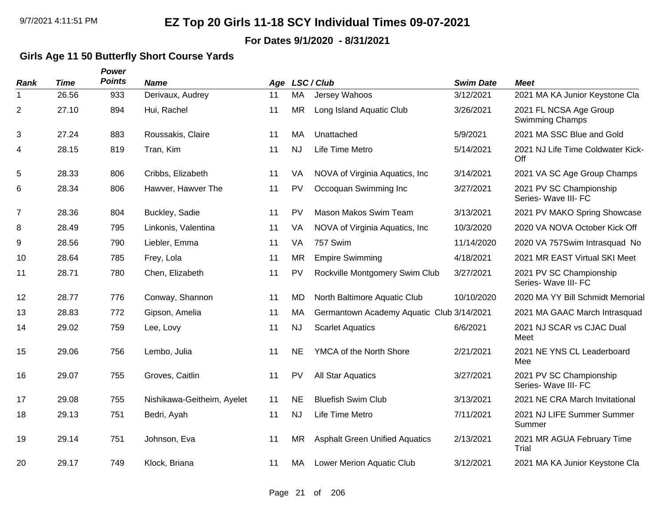#### **For Dates 9/1/2020 - 8/31/2021**

### **Girls Age 11 50 Butterfly Short Course Yards**

| <b>Rank</b>    | <b>Time</b> | Power<br><b>Points</b> | <b>Name</b>                |    |           | Age LSC/Club                              | <b>Swim Date</b> | <b>Meet</b>                                     |
|----------------|-------------|------------------------|----------------------------|----|-----------|-------------------------------------------|------------------|-------------------------------------------------|
| 1              | 26.56       | 933                    | Derivaux, Audrey           | 11 | MA        | Jersey Wahoos                             | 3/12/2021        | 2021 MA KA Junior Keystone Cla                  |
| $\overline{2}$ | 27.10       | 894                    | Hui, Rachel                | 11 | <b>MR</b> | Long Island Aquatic Club                  | 3/26/2021        | 2021 FL NCSA Age Group<br>Swimming Champs       |
| 3              | 27.24       | 883                    | Roussakis, Claire          | 11 | <b>MA</b> | Unattached                                | 5/9/2021         | 2021 MA SSC Blue and Gold                       |
| 4              | 28.15       | 819                    | Tran, Kim                  | 11 | <b>NJ</b> | Life Time Metro                           | 5/14/2021        | 2021 NJ Life Time Coldwater Kick-<br>Off        |
| 5              | 28.33       | 806                    | Cribbs, Elizabeth          | 11 | VA        | NOVA of Virginia Aquatics, Inc.           | 3/14/2021        | 2021 VA SC Age Group Champs                     |
| 6              | 28.34       | 806                    | Hawver, Hawver The         | 11 | <b>PV</b> | Occoquan Swimming Inc                     | 3/27/2021        | 2021 PV SC Championship<br>Series- Wave III- FC |
| $\overline{7}$ | 28.36       | 804                    | Buckley, Sadie             | 11 | PV        | Mason Makos Swim Team                     | 3/13/2021        | 2021 PV MAKO Spring Showcase                    |
| 8              | 28.49       | 795                    | Linkonis, Valentina        | 11 | VA        | NOVA of Virginia Aquatics, Inc.           | 10/3/2020        | 2020 VA NOVA October Kick Off                   |
| 9              | 28.56       | 790                    | Liebler, Emma              | 11 | <b>VA</b> | 757 Swim                                  | 11/14/2020       | 2020 VA 757Swim Intrasquad No                   |
| 10             | 28.64       | 785                    | Frey, Lola                 | 11 | <b>MR</b> | <b>Empire Swimming</b>                    | 4/18/2021        | 2021 MR EAST Virtual SKI Meet                   |
| 11             | 28.71       | 780                    | Chen, Elizabeth            | 11 | <b>PV</b> | Rockville Montgomery Swim Club            | 3/27/2021        | 2021 PV SC Championship<br>Series- Wave III- FC |
| 12             | 28.77       | 776                    | Conway, Shannon            | 11 | <b>MD</b> | North Baltimore Aquatic Club              | 10/10/2020       | 2020 MA YY Bill Schmidt Memorial                |
| 13             | 28.83       | 772                    | Gipson, Amelia             | 11 | MA        | Germantown Academy Aquatic Club 3/14/2021 |                  | 2021 MA GAAC March Intrasquad                   |
| 14             | 29.02       | 759                    | Lee, Lovy                  | 11 | <b>NJ</b> | <b>Scarlet Aquatics</b>                   | 6/6/2021         | 2021 NJ SCAR vs CJAC Dual<br>Meet               |
| 15             | 29.06       | 756                    | Lembo, Julia               | 11 | <b>NE</b> | YMCA of the North Shore                   | 2/21/2021        | 2021 NE YNS CL Leaderboard<br>Mee               |
| 16             | 29.07       | 755                    | Groves, Caitlin            | 11 | PV        | All Star Aquatics                         | 3/27/2021        | 2021 PV SC Championship<br>Series- Wave III- FC |
| 17             | 29.08       | 755                    | Nishikawa-Geitheim, Ayelet | 11 | <b>NE</b> | <b>Bluefish Swim Club</b>                 | 3/13/2021        | 2021 NE CRA March Invitational                  |
| 18             | 29.13       | 751                    | Bedri, Ayah                | 11 | <b>NJ</b> | Life Time Metro                           | 7/11/2021        | 2021 NJ LIFE Summer Summer<br>Summer            |
| 19             | 29.14       | 751                    | Johnson, Eva               | 11 | <b>MR</b> | <b>Asphalt Green Unified Aquatics</b>     | 2/13/2021        | 2021 MR AGUA February Time<br>Trial             |
| 20             | 29.17       | 749                    | Klock, Briana              | 11 | MA        | Lower Merion Aquatic Club                 | 3/12/2021        | 2021 MA KA Junior Keystone Cla                  |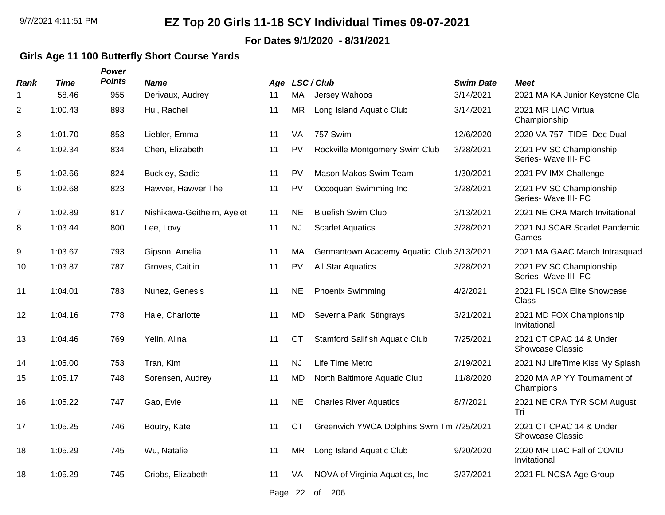**For Dates 9/1/2020 - 8/31/2021**

### **Girls Age 11 100 Butterfly Short Course Yards**

*Power*

| Rank           | <b>Time</b> | <b>Points</b> | <b>Name</b>                |    |           | Age LSC/Club                              | <b>Swim Date</b> | <b>Meet</b>                                     |
|----------------|-------------|---------------|----------------------------|----|-----------|-------------------------------------------|------------------|-------------------------------------------------|
| 1              | 58.46       | 955           | Derivaux, Audrey           | 11 | MA        | Jersey Wahoos                             | 3/14/2021        | 2021 MA KA Junior Keystone Cla                  |
| $\overline{c}$ | 1:00.43     | 893           | Hui, Rachel                | 11 | <b>MR</b> | Long Island Aquatic Club                  | 3/14/2021        | 2021 MR LIAC Virtual<br>Championship            |
| 3              | 1:01.70     | 853           | Liebler, Emma              | 11 | VA        | 757 Swim                                  | 12/6/2020        | 2020 VA 757- TIDE Dec Dual                      |
| 4              | 1:02.34     | 834           | Chen, Elizabeth            | 11 | PV        | Rockville Montgomery Swim Club            | 3/28/2021        | 2021 PV SC Championship<br>Series- Wave III- FC |
| 5              | 1:02.66     | 824           | Buckley, Sadie             | 11 | PV        | Mason Makos Swim Team                     | 1/30/2021        | 2021 PV IMX Challenge                           |
| 6              | 1:02.68     | 823           | Hawver, Hawver The         | 11 | <b>PV</b> | Occoquan Swimming Inc                     | 3/28/2021        | 2021 PV SC Championship<br>Series- Wave III- FC |
| $\overline{7}$ | 1:02.89     | 817           | Nishikawa-Geitheim, Ayelet | 11 | <b>NE</b> | <b>Bluefish Swim Club</b>                 | 3/13/2021        | 2021 NE CRA March Invitational                  |
| 8              | 1:03.44     | 800           | Lee, Lovy                  | 11 | <b>NJ</b> | <b>Scarlet Aquatics</b>                   | 3/28/2021        | 2021 NJ SCAR Scarlet Pandemic<br>Games          |
| 9              | 1:03.67     | 793           | Gipson, Amelia             | 11 | MA        | Germantown Academy Aquatic Club 3/13/2021 |                  | 2021 MA GAAC March Intrasquad                   |
| 10             | 1:03.87     | 787           | Groves, Caitlin            | 11 | <b>PV</b> | <b>All Star Aquatics</b>                  | 3/28/2021        | 2021 PV SC Championship<br>Series- Wave III- FC |
| 11             | 1:04.01     | 783           | Nunez, Genesis             | 11 | <b>NE</b> | <b>Phoenix Swimming</b>                   | 4/2/2021         | 2021 FL ISCA Elite Showcase<br>Class            |
| 12             | 1:04.16     | 778           | Hale, Charlotte            | 11 | <b>MD</b> | Severna Park Stingrays                    | 3/21/2021        | 2021 MD FOX Championship<br>Invitational        |
| 13             | 1:04.46     | 769           | Yelin, Alina               | 11 | <b>CT</b> | Stamford Sailfish Aquatic Club            | 7/25/2021        | 2021 CT CPAC 14 & Under<br>Showcase Classic     |
| 14             | 1:05.00     | 753           | Tran, Kim                  | 11 | <b>NJ</b> | Life Time Metro                           | 2/19/2021        | 2021 NJ LifeTime Kiss My Splash                 |
| 15             | 1:05.17     | 748           | Sorensen, Audrey           | 11 | <b>MD</b> | North Baltimore Aquatic Club              | 11/8/2020        | 2020 MA AP YY Tournament of<br>Champions        |
| 16             | 1:05.22     | 747           | Gao, Evie                  | 11 | <b>NE</b> | <b>Charles River Aquatics</b>             | 8/7/2021         | 2021 NE CRA TYR SCM August<br>Tri               |
| 17             | 1:05.25     | 746           | Boutry, Kate               | 11 | <b>CT</b> | Greenwich YWCA Dolphins Swm Tm 7/25/2021  |                  | 2021 CT CPAC 14 & Under<br>Showcase Classic     |
| 18             | 1:05.29     | 745           | Wu, Natalie                | 11 | <b>MR</b> | Long Island Aquatic Club                  | 9/20/2020        | 2020 MR LIAC Fall of COVID<br>Invitational      |
| 18             | 1:05.29     | 745           | Cribbs, Elizabeth          | 11 | VA        | NOVA of Virginia Aquatics, Inc.           | 3/27/2021        | 2021 FL NCSA Age Group                          |
|                |             |               |                            |    |           | Page 22 of 206                            |                  |                                                 |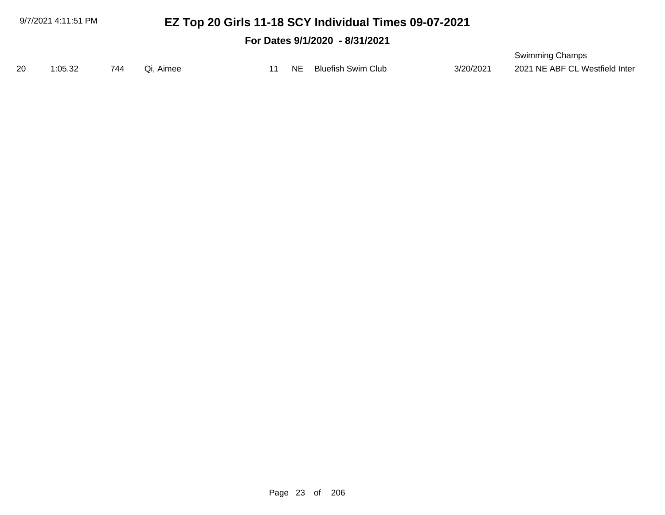#### **For Dates 9/1/2020 - 8/31/2021**

|    |         |     |           |  |                       |           | Swimming Champs                |
|----|---------|-----|-----------|--|-----------------------|-----------|--------------------------------|
| 20 | 1:05.32 | 744 | Qi, Aimee |  | NE Bluefish Swim Club | 3/20/2021 | 2021 NE ABF CL Westfield Inter |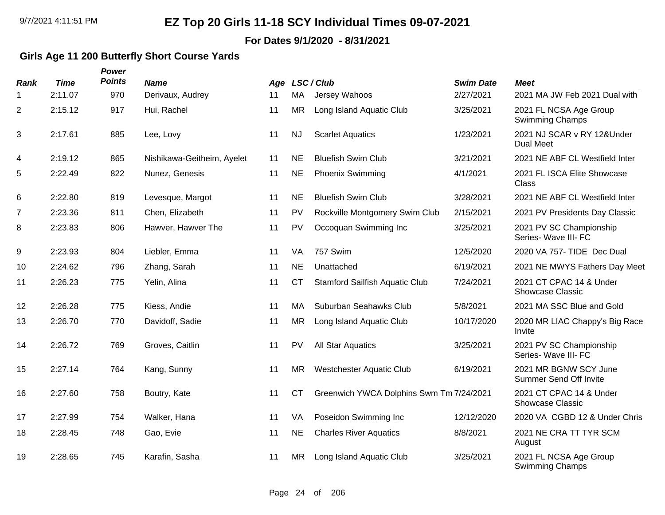#### **For Dates 9/1/2020 - 8/31/2021**

### **Girls Age 11 200 Butterfly Short Course Yards**

| Rank                     | <b>Time</b> | Power<br><b>Points</b> | <b>Name</b>                | Age |           | LSC / Club                               | <b>Swim Date</b> | <b>Meet</b>                                            |
|--------------------------|-------------|------------------------|----------------------------|-----|-----------|------------------------------------------|------------------|--------------------------------------------------------|
| 1                        | 2:11.07     | 970                    | Derivaux, Audrey           | 11  | <b>MA</b> | Jersey Wahoos                            | 2/27/2021        | 2021 MA JW Feb 2021 Dual with                          |
| 2                        | 2:15.12     | 917                    | Hui, Rachel                | 11  | <b>MR</b> | Long Island Aquatic Club                 | 3/25/2021        | 2021 FL NCSA Age Group<br>Swimming Champs              |
| 3                        | 2:17.61     | 885                    | Lee, Lovy                  | 11  | <b>NJ</b> | <b>Scarlet Aquatics</b>                  | 1/23/2021        | 2021 NJ SCAR v RY 12&Under<br><b>Dual Meet</b>         |
| $\overline{\mathcal{A}}$ | 2:19.12     | 865                    | Nishikawa-Geitheim, Ayelet | 11  | <b>NE</b> | <b>Bluefish Swim Club</b>                | 3/21/2021        | 2021 NE ABF CL Westfield Inter                         |
| 5                        | 2:22.49     | 822                    | Nunez, Genesis             | 11  | <b>NE</b> | <b>Phoenix Swimming</b>                  | 4/1/2021         | 2021 FL ISCA Elite Showcase<br>Class                   |
| 6                        | 2:22.80     | 819                    | Levesque, Margot           | 11  | <b>NE</b> | <b>Bluefish Swim Club</b>                | 3/28/2021        | 2021 NE ABF CL Westfield Inter                         |
| $\overline{7}$           | 2:23.36     | 811                    | Chen, Elizabeth            | 11  | PV        | Rockville Montgomery Swim Club           | 2/15/2021        | 2021 PV Presidents Day Classic                         |
| 8                        | 2:23.83     | 806                    | Hawver, Hawver The         | 11  | <b>PV</b> | Occoquan Swimming Inc                    | 3/25/2021        | 2021 PV SC Championship<br>Series- Wave III- FC        |
| 9                        | 2:23.93     | 804                    | Liebler, Emma              | 11  | VA        | 757 Swim                                 | 12/5/2020        | 2020 VA 757- TIDE Dec Dual                             |
| 10                       | 2:24.62     | 796                    | Zhang, Sarah               | 11  | <b>NE</b> | Unattached                               | 6/19/2021        | 2021 NE MWYS Fathers Day Meet                          |
| 11                       | 2:26.23     | 775                    | Yelin, Alina               | 11  | <b>CT</b> | <b>Stamford Sailfish Aquatic Club</b>    | 7/24/2021        | 2021 CT CPAC 14 & Under<br><b>Showcase Classic</b>     |
| 12                       | 2:26.28     | 775                    | Kiess, Andie               | 11  | <b>MA</b> | Suburban Seahawks Club                   | 5/8/2021         | 2021 MA SSC Blue and Gold                              |
| 13                       | 2:26.70     | 770                    | Davidoff, Sadie            | 11  | <b>MR</b> | Long Island Aquatic Club                 | 10/17/2020       | 2020 MR LIAC Chappy's Big Race<br>Invite               |
| 14                       | 2:26.72     | 769                    | Groves, Caitlin            | 11  | <b>PV</b> | <b>All Star Aquatics</b>                 | 3/25/2021        | 2021 PV SC Championship<br>Series- Wave III- FC        |
| 15                       | 2:27.14     | 764                    | Kang, Sunny                | 11  | MR        | <b>Westchester Aquatic Club</b>          | 6/19/2021        | 2021 MR BGNW SCY June<br><b>Summer Send Off Invite</b> |
| 16                       | 2:27.60     | 758                    | Boutry, Kate               | 11  | <b>CT</b> | Greenwich YWCA Dolphins Swm Tm 7/24/2021 |                  | 2021 CT CPAC 14 & Under<br><b>Showcase Classic</b>     |
| 17                       | 2:27.99     | 754                    | Walker, Hana               | 11  | <b>VA</b> | Poseidon Swimming Inc                    | 12/12/2020       | 2020 VA CGBD 12 & Under Chris                          |
| 18                       | 2:28.45     | 748                    | Gao, Evie                  | 11  | <b>NE</b> | <b>Charles River Aquatics</b>            | 8/8/2021         | 2021 NE CRA TT TYR SCM<br>August                       |
| 19                       | 2:28.65     | 745                    | Karafin, Sasha             | 11  | <b>MR</b> | Long Island Aquatic Club                 | 3/25/2021        | 2021 FL NCSA Age Group<br>Swimming Champs              |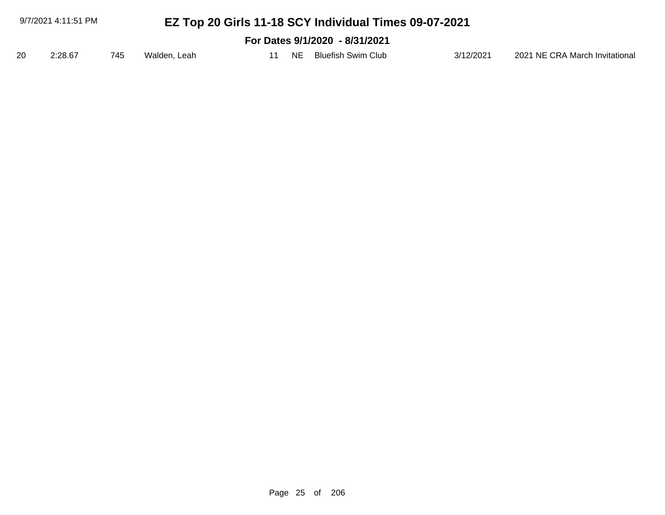| 9/7/2021 4:11:51 PM<br>EZ Top 20 Girls 11-18 SCY Individual Times 09-07-2021 |                                |     |              |  |  |  |                       |           |                                |  |  |
|------------------------------------------------------------------------------|--------------------------------|-----|--------------|--|--|--|-----------------------|-----------|--------------------------------|--|--|
|                                                                              | For Dates 9/1/2020 - 8/31/2021 |     |              |  |  |  |                       |           |                                |  |  |
| 20                                                                           | 2:28.67                        | 745 | Walden, Leah |  |  |  | NE Bluefish Swim Club | 3/12/2021 | 2021 NE CRA March Invitational |  |  |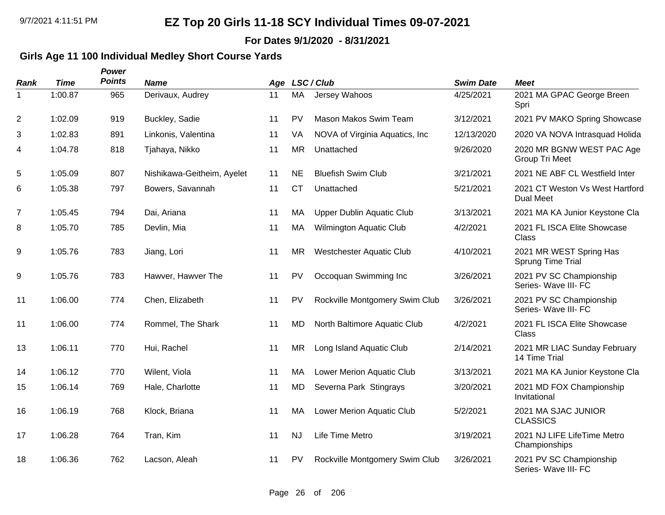**For Dates 9/1/2020 - 8/31/2021**

### **Girls Age 11 100 Individual Medley Short Course Yards**

| <b>Rank</b> | <b>Time</b> | Power<br><b>Points</b> | <b>Name</b>                | Age |           | LSC / Club                       | <b>Swim Date</b> | <b>Meet</b>                                         |
|-------------|-------------|------------------------|----------------------------|-----|-----------|----------------------------------|------------------|-----------------------------------------------------|
| 1           | 1:00.87     | 965                    | Derivaux, Audrey           | 11  | MA        | Jersey Wahoos                    | 4/25/2021        | 2021 MA GPAC George Breen<br>Spri                   |
| 2           | 1:02.09     | 919                    | Buckley, Sadie             | 11  | PV        | Mason Makos Swim Team            | 3/12/2021        | 2021 PV MAKO Spring Showcase                        |
| 3           | 1:02.83     | 891                    | Linkonis, Valentina        | 11  | VA        | NOVA of Virginia Aquatics, Inc.  | 12/13/2020       | 2020 VA NOVA Intrasquad Holida                      |
| 4           | 1:04.78     | 818                    | Tjahaya, Nikko             | 11  | <b>MR</b> | Unattached                       | 9/26/2020        | 2020 MR BGNW WEST PAC Age<br>Group Tri Meet         |
| 5           | 1:05.09     | 807                    | Nishikawa-Geitheim, Ayelet | 11  | <b>NE</b> | <b>Bluefish Swim Club</b>        | 3/21/2021        | 2021 NE ABF CL Westfield Inter                      |
| 6           | 1:05.38     | 797                    | Bowers, Savannah           | 11  | <b>CT</b> | Unattached                       | 5/21/2021        | 2021 CT Weston Vs West Hartford<br><b>Dual Meet</b> |
| 7           | 1:05.45     | 794                    | Dai, Ariana                | 11  | MA        | <b>Upper Dublin Aquatic Club</b> | 3/13/2021        | 2021 MA KA Junior Keystone Cla                      |
| 8           | 1:05.70     | 785                    | Devlin, Mia                | 11  | MA        | Wilmington Aquatic Club          | 4/2/2021         | 2021 FL ISCA Elite Showcase<br>Class                |
| 9           | 1:05.76     | 783                    | Jiang, Lori                | 11  | <b>MR</b> | <b>Westchester Aquatic Club</b>  | 4/10/2021        | 2021 MR WEST Spring Has<br>Sprung Time Trial        |
| 9           | 1:05.76     | 783                    | Hawver, Hawver The         | 11  | PV        | Occoquan Swimming Inc            | 3/26/2021        | 2021 PV SC Championship<br>Series- Wave III- FC     |
| 11          | 1:06.00     | 774                    | Chen, Elizabeth            | 11  | PV        | Rockville Montgomery Swim Club   | 3/26/2021        | 2021 PV SC Championship<br>Series- Wave III- FC     |
| 11          | 1:06.00     | 774                    | Rommel, The Shark          | 11  | <b>MD</b> | North Baltimore Aquatic Club     | 4/2/2021         | 2021 FL ISCA Elite Showcase<br>Class                |
| 13          | 1:06.11     | 770                    | Hui, Rachel                | 11  | <b>MR</b> | Long Island Aquatic Club         | 2/14/2021        | 2021 MR LIAC Sunday February<br>14 Time Trial       |
| 14          | 1:06.12     | 770                    | Wilent, Viola              | 11  | MA        | Lower Merion Aquatic Club        | 3/13/2021        | 2021 MA KA Junior Keystone Cla                      |
| 15          | 1:06.14     | 769                    | Hale, Charlotte            | 11  | <b>MD</b> | Severna Park Stingrays           | 3/20/2021        | 2021 MD FOX Championship<br>Invitational            |
| 16          | 1:06.19     | 768                    | Klock, Briana              | 11  | MA        | Lower Merion Aquatic Club        | 5/2/2021         | 2021 MA SJAC JUNIOR<br><b>CLASSICS</b>              |
| 17          | 1:06.28     | 764                    | Tran, Kim                  | 11  | <b>NJ</b> | Life Time Metro                  | 3/19/2021        | 2021 NJ LIFE LifeTime Metro<br>Championships        |
| 18          | 1:06.36     | 762                    | Lacson, Aleah              | 11  | PV        | Rockville Montgomery Swim Club   | 3/26/2021        | 2021 PV SC Championship<br>Series- Wave III- FC     |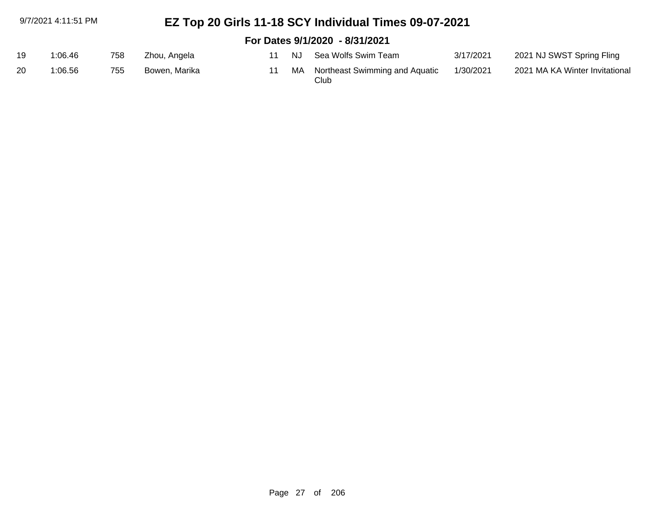|    | 9/7/2021 4:11:51 PM |     |               |    |     | EZ Top 20 Girls 11-18 SCY Individual Times 09-07-2021 |           |                                |
|----|---------------------|-----|---------------|----|-----|-------------------------------------------------------|-----------|--------------------------------|
|    |                     |     |               |    |     | For Dates 9/1/2020 - 8/31/2021                        |           |                                |
| 19 | 1:06.46             | 758 | Zhou, Angela  | 11 | NJ. | Sea Wolfs Swim Team                                   | 3/17/2021 | 2021 NJ SWST Spring Fling      |
| 20 | :06.56              | 755 | Bowen, Marika | 11 |     | MA Northeast Swimming and Aquatic                     | 1/30/2021 | 2021 MA KA Winter Invitational |

Club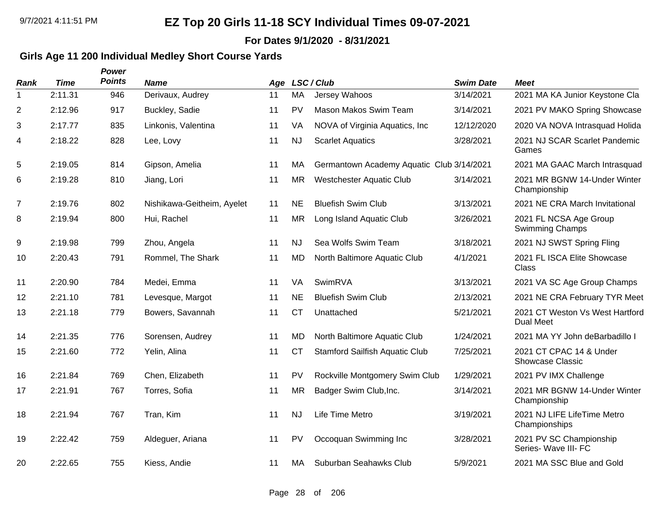**For Dates 9/1/2020 - 8/31/2021**

### **Girls Age 11 200 Individual Medley Short Course Yards**

| <b>Rank</b>    | <b>Time</b> | Power<br><b>Points</b> | <b>Name</b>                |    |           | Age LSC/Club                              | <b>Swim Date</b> | <b>Meet</b>                                         |
|----------------|-------------|------------------------|----------------------------|----|-----------|-------------------------------------------|------------------|-----------------------------------------------------|
| 1              | 2:11.31     | 946                    | Derivaux, Audrey           | 11 | MA        | Jersey Wahoos                             | 3/14/2021        | 2021 MA KA Junior Keystone Cla                      |
| $\overline{c}$ | 2:12.96     | 917                    | Buckley, Sadie             | 11 | <b>PV</b> | Mason Makos Swim Team                     | 3/14/2021        | 2021 PV MAKO Spring Showcase                        |
| 3              | 2:17.77     | 835                    | Linkonis, Valentina        | 11 | VA        | NOVA of Virginia Aquatics, Inc            | 12/12/2020       | 2020 VA NOVA Intrasquad Holida                      |
| 4              | 2:18.22     | 828                    | Lee, Lovy                  | 11 | <b>NJ</b> | <b>Scarlet Aquatics</b>                   | 3/28/2021        | 2021 NJ SCAR Scarlet Pandemic<br>Games              |
| 5              | 2:19.05     | 814                    | Gipson, Amelia             | 11 | MA        | Germantown Academy Aquatic Club 3/14/2021 |                  | 2021 MA GAAC March Intrasquad                       |
| 6              | 2:19.28     | 810                    | Jiang, Lori                | 11 | <b>MR</b> | Westchester Aquatic Club                  | 3/14/2021        | 2021 MR BGNW 14-Under Winter<br>Championship        |
| 7              | 2:19.76     | 802                    | Nishikawa-Geitheim, Ayelet | 11 | <b>NE</b> | <b>Bluefish Swim Club</b>                 | 3/13/2021        | 2021 NE CRA March Invitational                      |
| 8              | 2:19.94     | 800                    | Hui, Rachel                | 11 | <b>MR</b> | Long Island Aquatic Club                  | 3/26/2021        | 2021 FL NCSA Age Group<br><b>Swimming Champs</b>    |
| 9              | 2:19.98     | 799                    | Zhou, Angela               | 11 | <b>NJ</b> | Sea Wolfs Swim Team                       | 3/18/2021        | 2021 NJ SWST Spring Fling                           |
| 10             | 2:20.43     | 791                    | Rommel, The Shark          | 11 | <b>MD</b> | North Baltimore Aquatic Club              | 4/1/2021         | 2021 FL ISCA Elite Showcase<br>Class                |
| 11             | 2:20.90     | 784                    | Medei, Emma                | 11 | <b>VA</b> | SwimRVA                                   | 3/13/2021        | 2021 VA SC Age Group Champs                         |
| 12             | 2:21.10     | 781                    | Levesque, Margot           | 11 | <b>NE</b> | <b>Bluefish Swim Club</b>                 | 2/13/2021        | 2021 NE CRA February TYR Meet                       |
| 13             | 2:21.18     | 779                    | Bowers, Savannah           | 11 | <b>CT</b> | Unattached                                | 5/21/2021        | 2021 CT Weston Vs West Hartford<br><b>Dual Meet</b> |
| 14             | 2:21.35     | 776                    | Sorensen, Audrey           | 11 | <b>MD</b> | North Baltimore Aquatic Club              | 1/24/2021        | 2021 MA YY John deBarbadillo I                      |
| 15             | 2:21.60     | 772                    | Yelin, Alina               | 11 | <b>CT</b> | <b>Stamford Sailfish Aquatic Club</b>     | 7/25/2021        | 2021 CT CPAC 14 & Under<br>Showcase Classic         |
| 16             | 2:21.84     | 769                    | Chen, Elizabeth            | 11 | PV        | Rockville Montgomery Swim Club            | 1/29/2021        | 2021 PV IMX Challenge                               |
| 17             | 2:21.91     | 767                    | Torres, Sofia              | 11 | <b>MR</b> | Badger Swim Club, Inc.                    | 3/14/2021        | 2021 MR BGNW 14-Under Winter<br>Championship        |
| 18             | 2:21.94     | 767                    | Tran, Kim                  | 11 | <b>NJ</b> | Life Time Metro                           | 3/19/2021        | 2021 NJ LIFE LifeTime Metro<br>Championships        |
| 19             | 2:22.42     | 759                    | Aldeguer, Ariana           | 11 | <b>PV</b> | Occoquan Swimming Inc                     | 3/28/2021        | 2021 PV SC Championship<br>Series- Wave III- FC     |
| 20             | 2:22.65     | 755                    | Kiess, Andie               | 11 | МA        | Suburban Seahawks Club                    | 5/9/2021         | 2021 MA SSC Blue and Gold                           |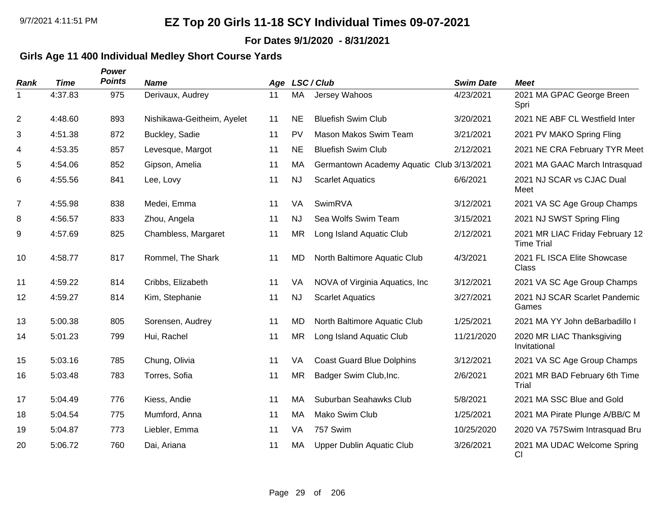**For Dates 9/1/2020 - 8/31/2021**

### **Girls Age 11 400 Individual Medley Short Course Yards**

| Rank           | <b>Time</b> | Power<br><b>Points</b> | <b>Name</b>                | Age |           | LSC/Club                                  | <b>Swim Date</b> | <b>Meet</b>                                          |
|----------------|-------------|------------------------|----------------------------|-----|-----------|-------------------------------------------|------------------|------------------------------------------------------|
| 1              | 4:37.83     | 975                    | Derivaux, Audrey           | 11  | MA        | Jersey Wahoos                             | 4/23/2021        | 2021 MA GPAC George Breen<br>Spri                    |
| 2              | 4:48.60     | 893                    | Nishikawa-Geitheim, Ayelet | 11  | <b>NE</b> | <b>Bluefish Swim Club</b>                 | 3/20/2021        | 2021 NE ABF CL Westfield Inter                       |
| 3              | 4:51.38     | 872                    | Buckley, Sadie             | 11  | <b>PV</b> | Mason Makos Swim Team                     | 3/21/2021        | 2021 PV MAKO Spring Fling                            |
| 4              | 4:53.35     | 857                    | Levesque, Margot           | 11  | <b>NE</b> | <b>Bluefish Swim Club</b>                 | 2/12/2021        | 2021 NE CRA February TYR Meet                        |
| 5              | 4:54.06     | 852                    | Gipson, Amelia             | 11  | МA        | Germantown Academy Aquatic Club 3/13/2021 |                  | 2021 MA GAAC March Intrasquad                        |
| 6              | 4:55.56     | 841                    | Lee, Lovy                  | 11  | <b>NJ</b> | <b>Scarlet Aquatics</b>                   | 6/6/2021         | 2021 NJ SCAR vs CJAC Dual<br>Meet                    |
| $\overline{7}$ | 4:55.98     | 838                    | Medei, Emma                | 11  | VA        | SwimRVA                                   | 3/12/2021        | 2021 VA SC Age Group Champs                          |
| 8              | 4:56.57     | 833                    | Zhou, Angela               | 11  | <b>NJ</b> | Sea Wolfs Swim Team                       | 3/15/2021        | 2021 NJ SWST Spring Fling                            |
| 9              | 4:57.69     | 825                    | Chambless, Margaret        | 11  | MR        | Long Island Aquatic Club                  | 2/12/2021        | 2021 MR LIAC Friday February 12<br><b>Time Trial</b> |
| 10             | 4:58.77     | 817                    | Rommel, The Shark          | 11  | <b>MD</b> | North Baltimore Aquatic Club              | 4/3/2021         | 2021 FL ISCA Elite Showcase<br>Class                 |
| 11             | 4:59.22     | 814                    | Cribbs, Elizabeth          | 11  | VA        | NOVA of Virginia Aquatics, Inc.           | 3/12/2021        | 2021 VA SC Age Group Champs                          |
| 12             | 4:59.27     | 814                    | Kim, Stephanie             | 11  | <b>NJ</b> | <b>Scarlet Aquatics</b>                   | 3/27/2021        | 2021 NJ SCAR Scarlet Pandemic<br>Games               |
| 13             | 5:00.38     | 805                    | Sorensen, Audrey           | 11  | <b>MD</b> | North Baltimore Aquatic Club              | 1/25/2021        | 2021 MA YY John deBarbadillo I                       |
| 14             | 5:01.23     | 799                    | Hui, Rachel                | 11  | <b>MR</b> | Long Island Aquatic Club                  | 11/21/2020       | 2020 MR LIAC Thanksgiving<br>Invitational            |
| 15             | 5:03.16     | 785                    | Chung, Olivia              | 11  | VA        | <b>Coast Guard Blue Dolphins</b>          | 3/12/2021        | 2021 VA SC Age Group Champs                          |
| 16             | 5:03.48     | 783                    | Torres, Sofia              | 11  | <b>MR</b> | Badger Swim Club, Inc.                    | 2/6/2021         | 2021 MR BAD February 6th Time<br>Trial               |
| 17             | 5:04.49     | 776                    | Kiess, Andie               | 11  | MA        | Suburban Seahawks Club                    | 5/8/2021         | 2021 MA SSC Blue and Gold                            |
| 18             | 5:04.54     | 775                    | Mumford, Anna              | 11  | MA        | Mako Swim Club                            | 1/25/2021        | 2021 MA Pirate Plunge A/BB/C M                       |
| 19             | 5:04.87     | 773                    | Liebler, Emma              | 11  | VA        | 757 Swim                                  | 10/25/2020       | 2020 VA 757Swim Intrasquad Bru                       |
| 20             | 5:06.72     | 760                    | Dai, Ariana                | 11  | <b>MA</b> | <b>Upper Dublin Aquatic Club</b>          | 3/26/2021        | 2021 MA UDAC Welcome Spring<br>СI                    |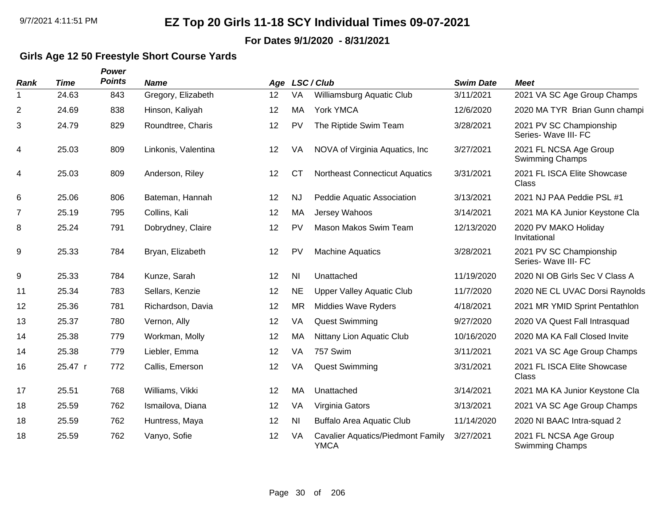#### **For Dates 9/1/2020 - 8/31/2021**

### **Girls Age 12 50 Freestyle Short Course Yards**

| <b>Rank</b>    | <b>Time</b> | Power<br><b>Points</b> | <b>Name</b>         | Age               |                | LSC / Club                                              | <b>Swim Date</b> | <b>Meet</b>                                      |
|----------------|-------------|------------------------|---------------------|-------------------|----------------|---------------------------------------------------------|------------------|--------------------------------------------------|
| 1              | 24.63       | 843                    | Gregory, Elizabeth  | $12 \overline{ }$ | VA             | Williamsburg Aquatic Club                               | 3/11/2021        | 2021 VA SC Age Group Champs                      |
| $\overline{c}$ | 24.69       | 838                    | Hinson, Kaliyah     | 12                | MA             | York YMCA                                               | 12/6/2020        | 2020 MA TYR Brian Gunn champi                    |
| 3              | 24.79       | 829                    | Roundtree, Charis   | 12                | PV             | The Riptide Swim Team                                   | 3/28/2021        | 2021 PV SC Championship<br>Series- Wave III- FC  |
| 4              | 25.03       | 809                    | Linkonis, Valentina | 12                | VA             | NOVA of Virginia Aquatics, Inc.                         | 3/27/2021        | 2021 FL NCSA Age Group<br><b>Swimming Champs</b> |
| 4              | 25.03       | 809                    | Anderson, Riley     | 12                | <b>CT</b>      | <b>Northeast Connecticut Aquatics</b>                   | 3/31/2021        | 2021 FL ISCA Elite Showcase<br>Class             |
| 6              | 25.06       | 806                    | Bateman, Hannah     | 12                | <b>NJ</b>      | Peddie Aquatic Association                              | 3/13/2021        | 2021 NJ PAA Peddie PSL #1                        |
| $\overline{7}$ | 25.19       | 795                    | Collins, Kali       | 12                | MA             | Jersey Wahoos                                           | 3/14/2021        | 2021 MA KA Junior Keystone Cla                   |
| 8              | 25.24       | 791                    | Dobrydney, Claire   | 12                | <b>PV</b>      | Mason Makos Swim Team                                   | 12/13/2020       | 2020 PV MAKO Holiday<br>Invitational             |
| 9              | 25.33       | 784                    | Bryan, Elizabeth    | 12                | <b>PV</b>      | <b>Machine Aquatics</b>                                 | 3/28/2021        | 2021 PV SC Championship<br>Series- Wave III- FC  |
| 9              | 25.33       | 784                    | Kunze, Sarah        | 12                | N <sub>l</sub> | Unattached                                              | 11/19/2020       | 2020 NI OB Girls Sec V Class A                   |
| 11             | 25.34       | 783                    | Sellars, Kenzie     | 12                | <b>NE</b>      | <b>Upper Valley Aquatic Club</b>                        | 11/7/2020        | 2020 NE CL UVAC Dorsi Raynolds                   |
| 12             | 25.36       | 781                    | Richardson, Davia   | 12                | <b>MR</b>      | <b>Middies Wave Ryders</b>                              | 4/18/2021        | 2021 MR YMID Sprint Pentathlon                   |
| 13             | 25.37       | 780                    | Vernon, Ally        | 12                | VA             | <b>Quest Swimming</b>                                   | 9/27/2020        | 2020 VA Quest Fall Intrasquad                    |
| 14             | 25.38       | 779                    | Workman, Molly      | 12                | MA             | Nittany Lion Aquatic Club                               | 10/16/2020       | 2020 MA KA Fall Closed Invite                    |
| 14             | 25.38       | 779                    | Liebler, Emma       | 12                | VA             | 757 Swim                                                | 3/11/2021        | 2021 VA SC Age Group Champs                      |
| 16             | 25.47 r     | 772                    | Callis, Emerson     | 12                | VA             | <b>Quest Swimming</b>                                   | 3/31/2021        | 2021 FL ISCA Elite Showcase<br>Class             |
| 17             | 25.51       | 768                    | Williams, Vikki     | 12                | <b>MA</b>      | Unattached                                              | 3/14/2021        | 2021 MA KA Junior Keystone Cla                   |
| 18             | 25.59       | 762                    | Ismailova, Diana    | 12                | VA             | Virginia Gators                                         | 3/13/2021        | 2021 VA SC Age Group Champs                      |
| 18             | 25.59       | 762                    | Huntress, Maya      | 12                | N <sub>l</sub> | <b>Buffalo Area Aquatic Club</b>                        | 11/14/2020       | 2020 NI BAAC Intra-squad 2                       |
| 18             | 25.59       | 762                    | Vanyo, Sofie        | 12                | VA             | <b>Cavalier Aquatics/Piedmont Family</b><br><b>YMCA</b> | 3/27/2021        | 2021 FL NCSA Age Group<br>Swimming Champs        |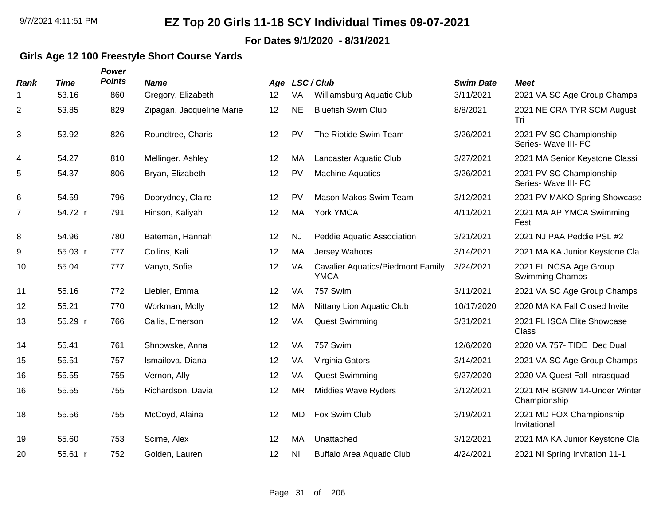#### **For Dates 9/1/2020 - 8/31/2021**

### **Girls Age 12 100 Freestyle Short Course Yards**

| Rank           | <b>Time</b> | Power<br><b>Points</b> | <b>Name</b>               |    |           | Age LSC/Club                                            | <b>Swim Date</b> | <b>Meet</b>                                      |
|----------------|-------------|------------------------|---------------------------|----|-----------|---------------------------------------------------------|------------------|--------------------------------------------------|
| 1              | 53.16       | 860                    | Gregory, Elizabeth        | 12 | VA        | Williamsburg Aquatic Club                               | 3/11/2021        | 2021 VA SC Age Group Champs                      |
| $\overline{2}$ | 53.85       | 829                    | Zipagan, Jacqueline Marie | 12 | <b>NE</b> | <b>Bluefish Swim Club</b>                               | 8/8/2021         | 2021 NE CRA TYR SCM August<br>Tri                |
| 3              | 53.92       | 826                    | Roundtree, Charis         | 12 | <b>PV</b> | The Riptide Swim Team                                   | 3/26/2021        | 2021 PV SC Championship<br>Series- Wave III- FC  |
| 4              | 54.27       | 810                    | Mellinger, Ashley         | 12 | MA        | Lancaster Aquatic Club                                  | 3/27/2021        | 2021 MA Senior Keystone Classi                   |
| 5              | 54.37       | 806                    | Bryan, Elizabeth          | 12 | <b>PV</b> | <b>Machine Aquatics</b>                                 | 3/26/2021        | 2021 PV SC Championship<br>Series- Wave III- FC  |
| 6              | 54.59       | 796                    | Dobrydney, Claire         | 12 | PV        | Mason Makos Swim Team                                   | 3/12/2021        | 2021 PV MAKO Spring Showcase                     |
| 7              | 54.72 r     | 791                    | Hinson, Kaliyah           | 12 | MA        | York YMCA                                               | 4/11/2021        | 2021 MA AP YMCA Swimming<br>Festi                |
| 8              | 54.96       | 780                    | Bateman, Hannah           | 12 | <b>NJ</b> | Peddie Aquatic Association                              | 3/21/2021        | 2021 NJ PAA Peddie PSL #2                        |
| 9              | 55.03 r     | 777                    | Collins, Kali             | 12 | <b>MA</b> | Jersey Wahoos                                           | 3/14/2021        | 2021 MA KA Junior Keystone Cla                   |
| 10             | 55.04       | 777                    | Vanyo, Sofie              | 12 | VA        | <b>Cavalier Aquatics/Piedmont Family</b><br><b>YMCA</b> | 3/24/2021        | 2021 FL NCSA Age Group<br><b>Swimming Champs</b> |
| 11             | 55.16       | 772                    | Liebler, Emma             | 12 | VA        | 757 Swim                                                | 3/11/2021        | 2021 VA SC Age Group Champs                      |
| 12             | 55.21       | 770                    | Workman, Molly            | 12 | MA        | Nittany Lion Aquatic Club                               | 10/17/2020       | 2020 MA KA Fall Closed Invite                    |
| 13             | 55.29 r     | 766                    | Callis, Emerson           | 12 | VA        | <b>Quest Swimming</b>                                   | 3/31/2021        | 2021 FL ISCA Elite Showcase<br>Class             |
| 14             | 55.41       | 761                    | Shnowske, Anna            | 12 | VA        | 757 Swim                                                | 12/6/2020        | 2020 VA 757- TIDE Dec Dual                       |
| 15             | 55.51       | 757                    | Ismailova, Diana          | 12 | VA        | Virginia Gators                                         | 3/14/2021        | 2021 VA SC Age Group Champs                      |
| 16             | 55.55       | 755                    | Vernon, Ally              | 12 | VA        | <b>Quest Swimming</b>                                   | 9/27/2020        | 2020 VA Quest Fall Intrasquad                    |
| 16             | 55.55       | 755                    | Richardson, Davia         | 12 | <b>MR</b> | <b>Middies Wave Ryders</b>                              | 3/12/2021        | 2021 MR BGNW 14-Under Winter<br>Championship     |
| 18             | 55.56       | 755                    | McCoyd, Alaina            | 12 | <b>MD</b> | Fox Swim Club                                           | 3/19/2021        | 2021 MD FOX Championship<br>Invitational         |
| 19             | 55.60       | 753                    | Scime, Alex               | 12 | MA        | Unattached                                              | 3/12/2021        | 2021 MA KA Junior Keystone Cla                   |
| 20             | 55.61 r     | 752                    | Golden, Lauren            | 12 | <b>NI</b> | <b>Buffalo Area Aquatic Club</b>                        | 4/24/2021        | 2021 NI Spring Invitation 11-1                   |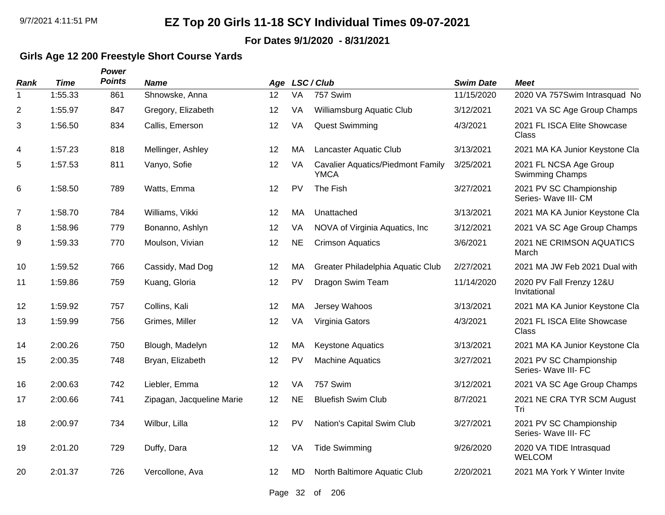**For Dates 9/1/2020 - 8/31/2021**

### **Girls Age 12 200 Freestyle Short Course Yards**

*Power*

| Rank           | <b>Time</b> | <b>Points</b> | <b>Name</b>               |    |           | Age LSC/Club                                            | <b>Swim Date</b> | <b>Meet</b>                                      |
|----------------|-------------|---------------|---------------------------|----|-----------|---------------------------------------------------------|------------------|--------------------------------------------------|
| 1              | 1:55.33     | 861           | Shnowske, Anna            | 12 | VA        | 757 Swim                                                | 11/15/2020       | 2020 VA 757Swim Intrasquad No                    |
| $\overline{2}$ | 1:55.97     | 847           | Gregory, Elizabeth        | 12 | VA        | Williamsburg Aquatic Club                               | 3/12/2021        | 2021 VA SC Age Group Champs                      |
| 3              | 1:56.50     | 834           | Callis, Emerson           | 12 | VA        | <b>Quest Swimming</b>                                   | 4/3/2021         | 2021 FL ISCA Elite Showcase<br>Class             |
| 4              | 1:57.23     | 818           | Mellinger, Ashley         | 12 | MA        | Lancaster Aquatic Club                                  | 3/13/2021        | 2021 MA KA Junior Keystone Cla                   |
| 5              | 1:57.53     | 811           | Vanyo, Sofie              | 12 | VA        | <b>Cavalier Aquatics/Piedmont Family</b><br><b>YMCA</b> | 3/25/2021        | 2021 FL NCSA Age Group<br><b>Swimming Champs</b> |
| 6              | 1:58.50     | 789           | Watts, Emma               | 12 | PV        | The Fish                                                | 3/27/2021        | 2021 PV SC Championship<br>Series- Wave III- CM  |
| $\overline{7}$ | 1:58.70     | 784           | Williams, Vikki           | 12 | MA        | Unattached                                              | 3/13/2021        | 2021 MA KA Junior Keystone Cla                   |
| 8              | 1:58.96     | 779           | Bonanno, Ashlyn           | 12 | VA        | NOVA of Virginia Aquatics, Inc.                         | 3/12/2021        | 2021 VA SC Age Group Champs                      |
| 9              | 1:59.33     | 770           | Moulson, Vivian           | 12 | <b>NE</b> | <b>Crimson Aquatics</b>                                 | 3/6/2021         | 2021 NE CRIMSON AQUATICS<br>March                |
| 10             | 1:59.52     | 766           | Cassidy, Mad Dog          | 12 | MA        | Greater Philadelphia Aquatic Club                       | 2/27/2021        | 2021 MA JW Feb 2021 Dual with                    |
| 11             | 1:59.86     | 759           | Kuang, Gloria             | 12 | PV        | Dragon Swim Team                                        | 11/14/2020       | 2020 PV Fall Frenzy 12&U<br>Invitational         |
| 12             | 1:59.92     | 757           | Collins, Kali             | 12 | MA        | Jersey Wahoos                                           | 3/13/2021        | 2021 MA KA Junior Keystone Cla                   |
| 13             | 1:59.99     | 756           | Grimes, Miller            | 12 | VA        | Virginia Gators                                         | 4/3/2021         | 2021 FL ISCA Elite Showcase<br>Class             |
| 14             | 2:00.26     | 750           | Blough, Madelyn           | 12 | MA        | <b>Keystone Aquatics</b>                                | 3/13/2021        | 2021 MA KA Junior Keystone Cla                   |
| 15             | 2:00.35     | 748           | Bryan, Elizabeth          | 12 | <b>PV</b> | <b>Machine Aquatics</b>                                 | 3/27/2021        | 2021 PV SC Championship<br>Series- Wave III- FC  |
| 16             | 2:00.63     | 742           | Liebler, Emma             | 12 | VA        | 757 Swim                                                | 3/12/2021        | 2021 VA SC Age Group Champs                      |
| 17             | 2:00.66     | 741           | Zipagan, Jacqueline Marie | 12 | <b>NE</b> | <b>Bluefish Swim Club</b>                               | 8/7/2021         | 2021 NE CRA TYR SCM August<br>Tri                |
| 18             | 2:00.97     | 734           | Wilbur, Lilla             | 12 | PV        | Nation's Capital Swim Club                              | 3/27/2021        | 2021 PV SC Championship<br>Series- Wave III- FC  |
| 19             | 2:01.20     | 729           | Duffy, Dara               | 12 | VA        | <b>Tide Swimming</b>                                    | 9/26/2020        | 2020 VA TIDE Intrasquad<br><b>WELCOM</b>         |
| 20             | 2:01.37     | 726           | Vercollone, Ava           | 12 | <b>MD</b> | North Baltimore Aquatic Club                            | 2/20/2021        | 2021 MA York Y Winter Invite                     |
|                |             |               |                           |    |           |                                                         |                  |                                                  |

Page 32 of 206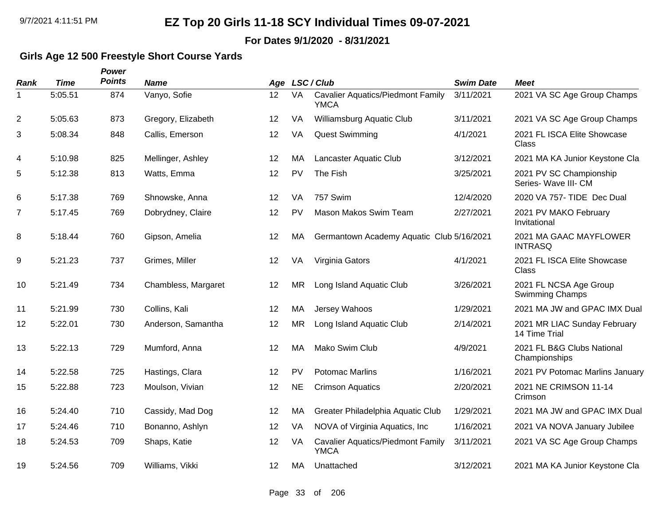#### **For Dates 9/1/2020 - 8/31/2021**

### **Girls Age 12 500 Freestyle Short Course Yards**

| Rank | <b>Time</b> | Power<br><b>Points</b> | <b>Name</b>         |    |           | Age LSC/Club                                            | <b>Swim Date</b> | <b>Meet</b>                                      |
|------|-------------|------------------------|---------------------|----|-----------|---------------------------------------------------------|------------------|--------------------------------------------------|
| 1    | 5:05.51     | 874                    | Vanyo, Sofie        | 12 | VA        | <b>Cavalier Aquatics/Piedmont Family</b><br><b>YMCA</b> | 3/11/2021        | 2021 VA SC Age Group Champs                      |
| 2    | 5:05.63     | 873                    | Gregory, Elizabeth  | 12 | VA        | Williamsburg Aquatic Club                               | 3/11/2021        | 2021 VA SC Age Group Champs                      |
| 3    | 5:08.34     | 848                    | Callis, Emerson     | 12 | VA        | <b>Quest Swimming</b>                                   | 4/1/2021         | 2021 FL ISCA Elite Showcase<br><b>Class</b>      |
| 4    | 5:10.98     | 825                    | Mellinger, Ashley   | 12 | MA        | Lancaster Aquatic Club                                  | 3/12/2021        | 2021 MA KA Junior Keystone Cla                   |
| 5    | 5:12.38     | 813                    | Watts, Emma         | 12 | <b>PV</b> | The Fish                                                | 3/25/2021        | 2021 PV SC Championship<br>Series- Wave III- CM  |
| 6    | 5:17.38     | 769                    | Shnowske, Anna      | 12 | VA        | 757 Swim                                                | 12/4/2020        | 2020 VA 757- TIDE Dec Dual                       |
| 7    | 5:17.45     | 769                    | Dobrydney, Claire   | 12 | PV        | Mason Makos Swim Team                                   | 2/27/2021        | 2021 PV MAKO February<br>Invitational            |
| 8    | 5:18.44     | 760                    | Gipson, Amelia      | 12 | MA        | Germantown Academy Aquatic Club 5/16/2021               |                  | 2021 MA GAAC MAYFLOWER<br><b>INTRASQ</b>         |
| 9    | 5:21.23     | 737                    | Grimes, Miller      | 12 | VA        | Virginia Gators                                         | 4/1/2021         | 2021 FL ISCA Elite Showcase<br>Class             |
| 10   | 5:21.49     | 734                    | Chambless, Margaret | 12 | <b>MR</b> | Long Island Aquatic Club                                | 3/26/2021        | 2021 FL NCSA Age Group<br><b>Swimming Champs</b> |
| 11   | 5:21.99     | 730                    | Collins, Kali       | 12 | MA        | Jersey Wahoos                                           | 1/29/2021        | 2021 MA JW and GPAC IMX Dual                     |
| 12   | 5:22.01     | 730                    | Anderson, Samantha  | 12 | <b>MR</b> | Long Island Aquatic Club                                | 2/14/2021        | 2021 MR LIAC Sunday February<br>14 Time Trial    |
| 13   | 5:22.13     | 729                    | Mumford, Anna       | 12 | MA        | Mako Swim Club                                          | 4/9/2021         | 2021 FL B&G Clubs National<br>Championships      |
| 14   | 5:22.58     | 725                    | Hastings, Clara     | 12 | PV        | <b>Potomac Marlins</b>                                  | 1/16/2021        | 2021 PV Potomac Marlins January                  |
| 15   | 5:22.88     | 723                    | Moulson, Vivian     | 12 | <b>NE</b> | <b>Crimson Aquatics</b>                                 | 2/20/2021        | 2021 NE CRIMSON 11-14<br>Crimson                 |
| 16   | 5:24.40     | 710                    | Cassidy, Mad Dog    | 12 | MA        | Greater Philadelphia Aquatic Club                       | 1/29/2021        | 2021 MA JW and GPAC IMX Dual                     |
| 17   | 5:24.46     | 710                    | Bonanno, Ashlyn     | 12 | VA        | NOVA of Virginia Aquatics, Inc.                         | 1/16/2021        | 2021 VA NOVA January Jubilee                     |
| 18   | 5:24.53     | 709                    | Shaps, Katie        | 12 | VA        | <b>Cavalier Aquatics/Piedmont Family</b><br><b>YMCA</b> | 3/11/2021        | 2021 VA SC Age Group Champs                      |
| 19   | 5:24.56     | 709                    | Williams, Vikki     | 12 | MA        | Unattached                                              | 3/12/2021        | 2021 MA KA Junior Keystone Cla                   |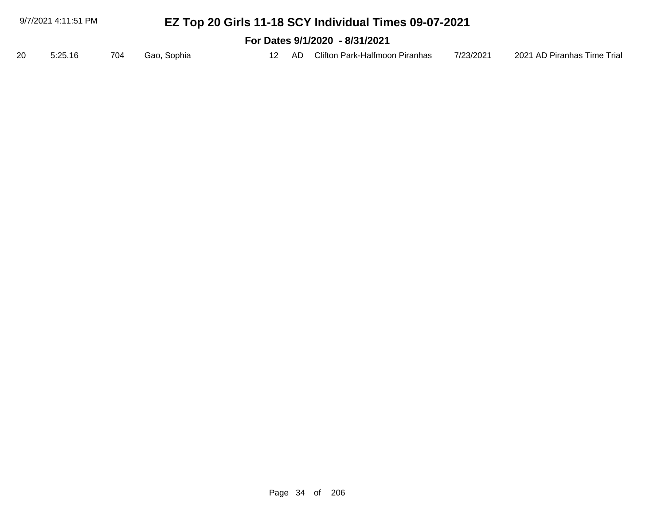|    | 9/7/2021 4:11:51 PM            |     |             |  |  |       | EZ Top 20 Girls 11-18 SCY Individual Times 09-07-2021 |           |                             |  |  |
|----|--------------------------------|-----|-------------|--|--|-------|-------------------------------------------------------|-----------|-----------------------------|--|--|
|    | For Dates 9/1/2020 - 8/31/2021 |     |             |  |  |       |                                                       |           |                             |  |  |
| 20 | 5:25.16                        | 704 | Gao, Sophia |  |  | 12 AD | Clifton Park-Halfmoon Piranhas                        | 7/23/2021 | 2021 AD Piranhas Time Trial |  |  |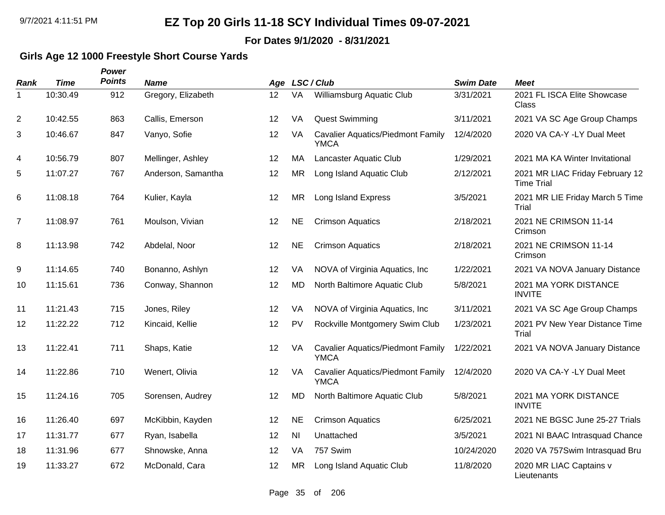#### **For Dates 9/1/2020 - 8/31/2021**

### **Girls Age 12 1000 Freestyle Short Course Yards**

| <b>Rank</b>    | <b>Time</b> | Power<br><b>Points</b> | <b>Name</b>        | Age |                | LSC / Club                                              | <b>Swim Date</b> | <b>Meet</b>                                          |
|----------------|-------------|------------------------|--------------------|-----|----------------|---------------------------------------------------------|------------------|------------------------------------------------------|
| 1              | 10:30.49    | 912                    | Gregory, Elizabeth | 12  | VA             | Williamsburg Aquatic Club                               | 3/31/2021        | 2021 FL ISCA Elite Showcase<br>Class                 |
| $\overline{c}$ | 10:42.55    | 863                    | Callis, Emerson    | 12  | VA             | <b>Quest Swimming</b>                                   | 3/11/2021        | 2021 VA SC Age Group Champs                          |
| 3              | 10:46.67    | 847                    | Vanyo, Sofie       | 12  | VA             | <b>Cavalier Aquatics/Piedmont Family</b><br><b>YMCA</b> | 12/4/2020        | 2020 VA CA-Y -LY Dual Meet                           |
| 4              | 10:56.79    | 807                    | Mellinger, Ashley  | 12  | MA             | Lancaster Aquatic Club                                  | 1/29/2021        | 2021 MA KA Winter Invitational                       |
| 5              | 11:07.27    | 767                    | Anderson, Samantha | 12  | <b>MR</b>      | Long Island Aquatic Club                                | 2/12/2021        | 2021 MR LIAC Friday February 12<br><b>Time Trial</b> |
| 6              | 11:08.18    | 764                    | Kulier, Kayla      | 12  | <b>MR</b>      | Long Island Express                                     | 3/5/2021         | 2021 MR LIE Friday March 5 Time<br>Trial             |
| $\overline{7}$ | 11:08.97    | 761                    | Moulson, Vivian    | 12  | <b>NE</b>      | <b>Crimson Aquatics</b>                                 | 2/18/2021        | 2021 NE CRIMSON 11-14<br>Crimson                     |
| 8              | 11:13.98    | 742                    | Abdelal, Noor      | 12  | <b>NE</b>      | <b>Crimson Aquatics</b>                                 | 2/18/2021        | 2021 NE CRIMSON 11-14<br>Crimson                     |
| 9              | 11:14.65    | 740                    | Bonanno, Ashlyn    | 12  | VA             | NOVA of Virginia Aquatics, Inc.                         | 1/22/2021        | 2021 VA NOVA January Distance                        |
| 10             | 11:15.61    | 736                    | Conway, Shannon    | 12  | <b>MD</b>      | North Baltimore Aquatic Club                            | 5/8/2021         | 2021 MA YORK DISTANCE<br><b>INVITE</b>               |
| 11             | 11:21.43    | 715                    | Jones, Riley       | 12  | VA             | NOVA of Virginia Aquatics, Inc.                         | 3/11/2021        | 2021 VA SC Age Group Champs                          |
| 12             | 11:22.22    | 712                    | Kincaid, Kellie    | 12  | PV             | Rockville Montgomery Swim Club                          | 1/23/2021        | 2021 PV New Year Distance Time<br>Trial              |
| 13             | 11:22.41    | 711                    | Shaps, Katie       | 12  | VA             | <b>Cavalier Aquatics/Piedmont Family</b><br><b>YMCA</b> | 1/22/2021        | 2021 VA NOVA January Distance                        |
| 14             | 11:22.86    | 710                    | Wenert, Olivia     | 12  | VA             | <b>Cavalier Aquatics/Piedmont Family</b><br><b>YMCA</b> | 12/4/2020        | 2020 VA CA-Y -LY Dual Meet                           |
| 15             | 11:24.16    | 705                    | Sorensen, Audrey   | 12  | <b>MD</b>      | North Baltimore Aquatic Club                            | 5/8/2021         | 2021 MA YORK DISTANCE<br><b>INVITE</b>               |
| 16             | 11:26.40    | 697                    | McKibbin, Kayden   | 12  | <b>NE</b>      | <b>Crimson Aquatics</b>                                 | 6/25/2021        | 2021 NE BGSC June 25-27 Trials                       |
| 17             | 11:31.77    | 677                    | Ryan, Isabella     | 12  | N <sub>l</sub> | Unattached                                              | 3/5/2021         | 2021 NI BAAC Intrasquad Chance                       |
| 18             | 11:31.96    | 677                    | Shnowske, Anna     | 12  | VA             | 757 Swim                                                | 10/24/2020       | 2020 VA 757Swim Intrasquad Bru                       |
| 19             | 11:33.27    | 672                    | McDonald, Cara     | 12  | <b>MR</b>      | Long Island Aquatic Club                                | 11/8/2020        | 2020 MR LIAC Captains v<br>Lieutenants               |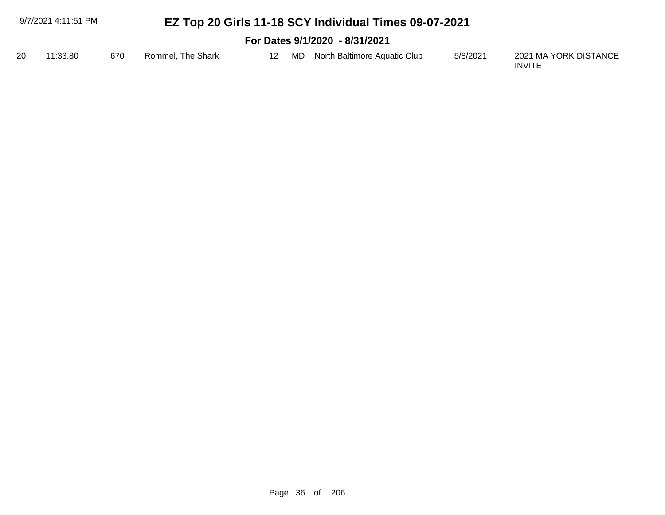| 9/7/2021 4:11:51 PM |          |     |                   |    | EZ Top 20 Girls 11-18 SCY Individual Times 09-07-2021 |          |                                        |
|---------------------|----------|-----|-------------------|----|-------------------------------------------------------|----------|----------------------------------------|
|                     |          |     |                   |    | For Dates 9/1/2020 - 8/31/2021                        |          |                                        |
| 20                  | 11:33.80 | 670 | Rommel, The Shark | 12 | MD North Baltimore Aquatic Club                       | 5/8/2021 | 2021 MA YORK DISTANCE<br><b>INVITE</b> |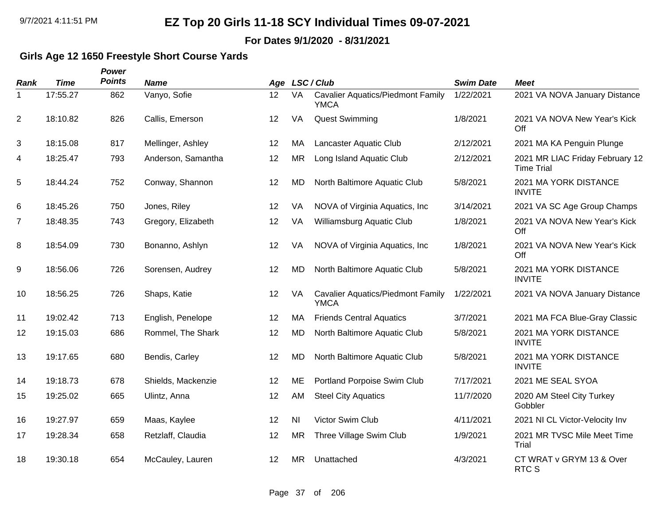**For Dates 9/1/2020 - 8/31/2021**

### **Girls Age 12 1650 Freestyle Short Course Yards**

| Rank           | <b>Time</b> | Power<br><b>Points</b> | <b>Name</b>        |    |                | Age LSC/Club                                            | <b>Swim Date</b> | <b>Meet</b>                                          |
|----------------|-------------|------------------------|--------------------|----|----------------|---------------------------------------------------------|------------------|------------------------------------------------------|
| 1              | 17:55.27    | 862                    | Vanyo, Sofie       | 12 | VA             | <b>Cavalier Aquatics/Piedmont Family</b><br><b>YMCA</b> | 1/22/2021        | 2021 VA NOVA January Distance                        |
| 2              | 18:10.82    | 826                    | Callis, Emerson    | 12 | VA             | <b>Quest Swimming</b>                                   | 1/8/2021         | 2021 VA NOVA New Year's Kick<br>Off                  |
| 3              | 18:15.08    | 817                    | Mellinger, Ashley  | 12 | МA             | Lancaster Aquatic Club                                  | 2/12/2021        | 2021 MA KA Penguin Plunge                            |
| 4              | 18:25.47    | 793                    | Anderson, Samantha | 12 | <b>MR</b>      | Long Island Aquatic Club                                | 2/12/2021        | 2021 MR LIAC Friday February 12<br><b>Time Trial</b> |
| 5              | 18:44.24    | 752                    | Conway, Shannon    | 12 | <b>MD</b>      | North Baltimore Aquatic Club                            | 5/8/2021         | 2021 MA YORK DISTANCE<br><b>INVITE</b>               |
| 6              | 18:45.26    | 750                    | Jones, Riley       | 12 | VA             | NOVA of Virginia Aquatics, Inc.                         | 3/14/2021        | 2021 VA SC Age Group Champs                          |
| $\overline{7}$ | 18:48.35    | 743                    | Gregory, Elizabeth | 12 | VA             | Williamsburg Aquatic Club                               | 1/8/2021         | 2021 VA NOVA New Year's Kick<br>Off                  |
| 8              | 18:54.09    | 730                    | Bonanno, Ashlyn    | 12 | VA             | NOVA of Virginia Aquatics, Inc.                         | 1/8/2021         | 2021 VA NOVA New Year's Kick<br>Off                  |
| 9              | 18:56.06    | 726                    | Sorensen, Audrey   | 12 | <b>MD</b>      | North Baltimore Aquatic Club                            | 5/8/2021         | 2021 MA YORK DISTANCE<br><b>INVITE</b>               |
| 10             | 18:56.25    | 726                    | Shaps, Katie       | 12 | VA             | <b>Cavalier Aquatics/Piedmont Family</b><br><b>YMCA</b> | 1/22/2021        | 2021 VA NOVA January Distance                        |
| 11             | 19:02.42    | 713                    | English, Penelope  | 12 | MA             | <b>Friends Central Aquatics</b>                         | 3/7/2021         | 2021 MA FCA Blue-Gray Classic                        |
| 12             | 19:15.03    | 686                    | Rommel, The Shark  | 12 | <b>MD</b>      | North Baltimore Aquatic Club                            | 5/8/2021         | 2021 MA YORK DISTANCE<br><b>INVITE</b>               |
| 13             | 19:17.65    | 680                    | Bendis, Carley     | 12 | <b>MD</b>      | North Baltimore Aquatic Club                            | 5/8/2021         | 2021 MA YORK DISTANCE<br><b>INVITE</b>               |
| 14             | 19:18.73    | 678                    | Shields, Mackenzie | 12 | ME             | Portland Porpoise Swim Club                             | 7/17/2021        | 2021 ME SEAL SYOA                                    |
| 15             | 19:25.02    | 665                    | Ulintz, Anna       | 12 | AM             | <b>Steel City Aquatics</b>                              | 11/7/2020        | 2020 AM Steel City Turkey<br>Gobbler                 |
| 16             | 19:27.97    | 659                    | Maas, Kaylee       | 12 | N <sub>l</sub> | Victor Swim Club                                        | 4/11/2021        | 2021 NI CL Victor-Velocity Inv                       |
| 17             | 19:28.34    | 658                    | Retzlaff, Claudia  | 12 | <b>MR</b>      | Three Village Swim Club                                 | 1/9/2021         | 2021 MR TVSC Mile Meet Time<br>Trial                 |
| 18             | 19:30.18    | 654                    | McCauley, Lauren   | 12 | <b>MR</b>      | Unattached                                              | 4/3/2021         | CT WRAT v GRYM 13 & Over<br><b>RTC S</b>             |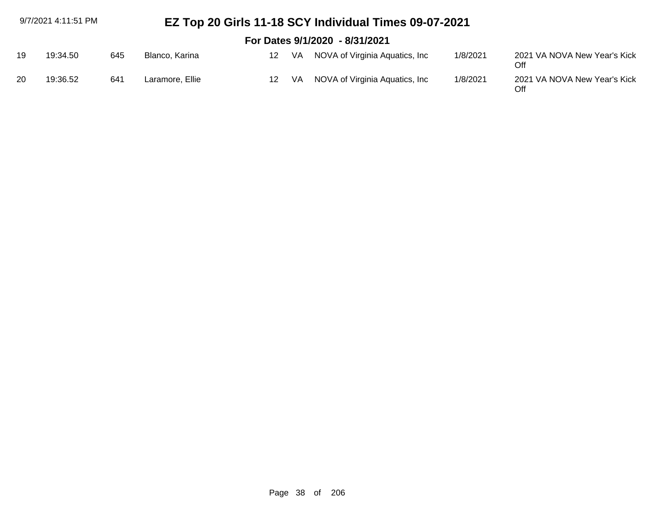| 9/7/2021 4:11:51 PM |          |     |                 |                  | EZ Top 20 Girls 11-18 SCY Individual Times 09-07-2021 |          |                                     |
|---------------------|----------|-----|-----------------|------------------|-------------------------------------------------------|----------|-------------------------------------|
|                     |          |     |                 |                  | For Dates 9/1/2020 - 8/31/2021                        |          |                                     |
| 19                  | 19:34.50 | 645 | Blanco, Karina  | 12 <sup>12</sup> | VA NOVA of Virginia Aquatics, Inc                     | 1/8/2021 | 2021 VA NOVA New Year's Kick<br>Off |
| 20                  | 19:36.52 | 641 | Laramore, Ellie | 12 <sup>12</sup> | VA NOVA of Virginia Aquatics, Inc                     | 1/8/2021 | 2021 VA NOVA New Year's Kick<br>Off |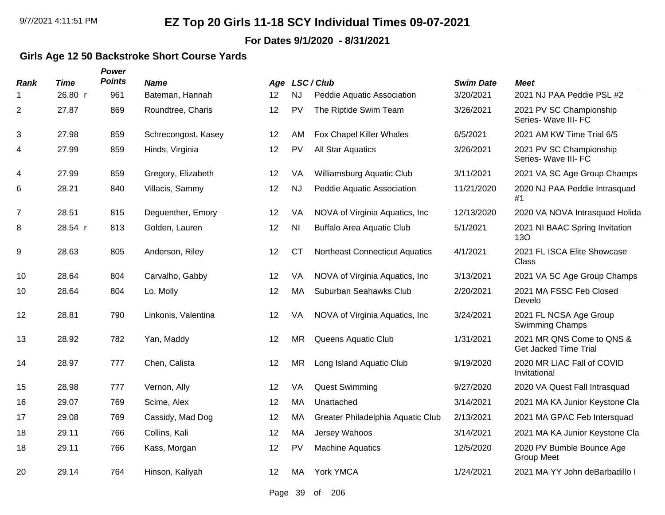**For Dates 9/1/2020 - 8/31/2021**

### **Girls Age 12 50 Backstroke Short Course Yards**

| <b>Rank</b>    | <b>Time</b> | Power<br><b>Points</b> | <b>Name</b>         |         |           | Age LSC/Club                          | <b>Swim Date</b> | <b>Meet</b>                                               |
|----------------|-------------|------------------------|---------------------|---------|-----------|---------------------------------------|------------------|-----------------------------------------------------------|
| 1              | 26.80 r     | 961                    | Bateman, Hannah     | 12      | <b>NJ</b> | Peddie Aquatic Association            | 3/20/2021        | 2021 NJ PAA Peddie PSL #2                                 |
| $\overline{c}$ | 27.87       | 869                    | Roundtree, Charis   | 12      | PV        | The Riptide Swim Team                 | 3/26/2021        | 2021 PV SC Championship<br>Series- Wave III- FC           |
| 3              | 27.98       | 859                    | Schrecongost, Kasey | 12      | AM        | Fox Chapel Killer Whales              | 6/5/2021         | 2021 AM KW Time Trial 6/5                                 |
| 4              | 27.99       | 859                    | Hinds, Virginia     | 12      | PV        | All Star Aquatics                     | 3/26/2021        | 2021 PV SC Championship<br>Series- Wave III- FC           |
| 4              | 27.99       | 859                    | Gregory, Elizabeth  | 12      | VA        | Williamsburg Aquatic Club             | 3/11/2021        | 2021 VA SC Age Group Champs                               |
| 6              | 28.21       | 840                    | Villacis, Sammy     | 12      | <b>NJ</b> | Peddie Aquatic Association            | 11/21/2020       | 2020 NJ PAA Peddie Intrasquad<br>#1                       |
| $\overline{7}$ | 28.51       | 815                    | Deguenther, Emory   | 12      | VA        | NOVA of Virginia Aquatics, Inc.       | 12/13/2020       | 2020 VA NOVA Intrasquad Holida                            |
| 8              | 28.54 r     | 813                    | Golden, Lauren      | 12      | <b>NI</b> | <b>Buffalo Area Aquatic Club</b>      | 5/1/2021         | 2021 NI BAAC Spring Invitation<br>130                     |
| 9              | 28.63       | 805                    | Anderson, Riley     | 12      | <b>CT</b> | <b>Northeast Connecticut Aquatics</b> | 4/1/2021         | 2021 FL ISCA Elite Showcase<br>Class                      |
| 10             | 28.64       | 804                    | Carvalho, Gabby     | 12      | VA        | NOVA of Virginia Aquatics, Inc.       | 3/13/2021        | 2021 VA SC Age Group Champs                               |
| 10             | 28.64       | 804                    | Lo, Molly           | 12      | <b>MA</b> | Suburban Seahawks Club                | 2/20/2021        | 2021 MA FSSC Feb Closed<br>Develo                         |
| 12             | 28.81       | 790                    | Linkonis, Valentina | 12      | VA        | NOVA of Virginia Aquatics, Inc.       | 3/24/2021        | 2021 FL NCSA Age Group<br><b>Swimming Champs</b>          |
| 13             | 28.92       | 782                    | Yan, Maddy          | 12      | <b>MR</b> | Queens Aquatic Club                   | 1/31/2021        | 2021 MR QNS Come to QNS &<br><b>Get Jacked Time Trial</b> |
| 14             | 28.97       | 777                    | Chen, Calista       | 12      | MR        | Long Island Aquatic Club              | 9/19/2020        | 2020 MR LIAC Fall of COVID<br>Invitational                |
| 15             | 28.98       | 777                    | Vernon, Ally        | 12      | VA        | <b>Quest Swimming</b>                 | 9/27/2020        | 2020 VA Quest Fall Intrasquad                             |
| 16             | 29.07       | 769                    | Scime, Alex         | 12      | MA        | Unattached                            | 3/14/2021        | 2021 MA KA Junior Keystone Cla                            |
| 17             | 29.08       | 769                    | Cassidy, Mad Dog    | 12      | MA        | Greater Philadelphia Aquatic Club     | 2/13/2021        | 2021 MA GPAC Feb Intersquad                               |
| 18             | 29.11       | 766                    | Collins, Kali       | 12      | MA        | Jersey Wahoos                         | 3/14/2021        | 2021 MA KA Junior Keystone Cla                            |
| 18             | 29.11       | 766                    | Kass, Morgan        | 12      | <b>PV</b> | <b>Machine Aquatics</b>               | 12/5/2020        | 2020 PV Bumble Bounce Age<br><b>Group Meet</b>            |
| 20             | 29.14       | 764                    | Hinson, Kaliyah     | $12 \,$ | <b>MA</b> | York YMCA                             | 1/24/2021        | 2021 MA YY John deBarbadillo I                            |

Page 39 of 206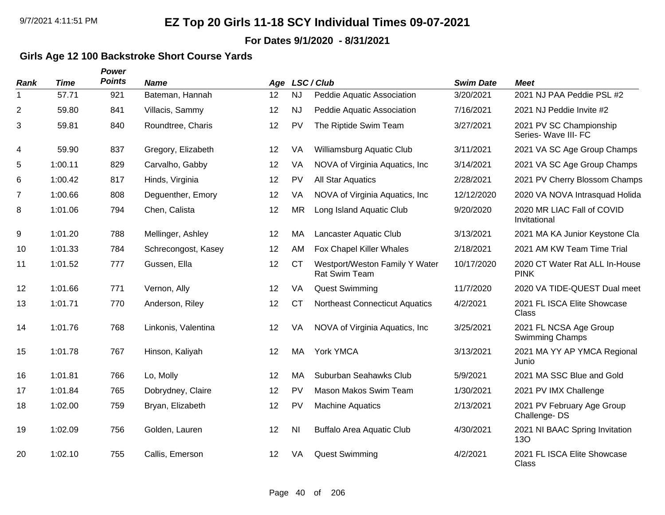**For Dates 9/1/2020 - 8/31/2021**

### **Girls Age 12 100 Backstroke Short Course Yards**

| <b>Rank</b>    | <b>Time</b> | Power<br><b>Points</b> | <b>Name</b>         | Age |                | LSC / Club                                             | <b>Swim Date</b> | <b>Meet</b>                                     |
|----------------|-------------|------------------------|---------------------|-----|----------------|--------------------------------------------------------|------------------|-------------------------------------------------|
| 1              | 57.71       | 921                    | Bateman, Hannah     | 12  | <b>NJ</b>      | Peddie Aquatic Association                             | 3/20/2021        | 2021 NJ PAA Peddie PSL #2                       |
| $\overline{2}$ | 59.80       | 841                    | Villacis, Sammy     | 12  | <b>NJ</b>      | Peddie Aquatic Association                             | 7/16/2021        | 2021 NJ Peddie Invite #2                        |
| 3              | 59.81       | 840                    | Roundtree, Charis   | 12  | <b>PV</b>      | The Riptide Swim Team                                  | 3/27/2021        | 2021 PV SC Championship<br>Series- Wave III- FC |
| 4              | 59.90       | 837                    | Gregory, Elizabeth  | 12  | VA             | Williamsburg Aquatic Club                              | 3/11/2021        | 2021 VA SC Age Group Champs                     |
| 5              | 1:00.11     | 829                    | Carvalho, Gabby     | 12  | VA             | NOVA of Virginia Aquatics, Inc.                        | 3/14/2021        | 2021 VA SC Age Group Champs                     |
| 6              | 1:00.42     | 817                    | Hinds, Virginia     | 12  | <b>PV</b>      | All Star Aquatics                                      | 2/28/2021        | 2021 PV Cherry Blossom Champs                   |
| $\overline{7}$ | 1:00.66     | 808                    | Deguenther, Emory   | 12  | VA             | NOVA of Virginia Aquatics, Inc                         | 12/12/2020       | 2020 VA NOVA Intrasquad Holida                  |
| 8              | 1:01.06     | 794                    | Chen, Calista       | 12  | <b>MR</b>      | Long Island Aquatic Club                               | 9/20/2020        | 2020 MR LIAC Fall of COVID<br>Invitational      |
| 9              | 1:01.20     | 788                    | Mellinger, Ashley   | 12  | MA             | Lancaster Aquatic Club                                 | 3/13/2021        | 2021 MA KA Junior Keystone Cla                  |
| 10             | 1:01.33     | 784                    | Schrecongost, Kasey | 12  | AM             | Fox Chapel Killer Whales                               | 2/18/2021        | 2021 AM KW Team Time Trial                      |
| 11             | 1:01.52     | 777                    | Gussen, Ella        | 12  | <b>CT</b>      | Westport/Weston Family Y Water<br><b>Rat Swim Team</b> | 10/17/2020       | 2020 CT Water Rat ALL In-House<br><b>PINK</b>   |
| 12             | 1:01.66     | 771                    | Vernon, Ally        | 12  | VA             | <b>Quest Swimming</b>                                  | 11/7/2020        | 2020 VA TIDE-QUEST Dual meet                    |
| 13             | 1:01.71     | 770                    | Anderson, Riley     | 12  | <b>CT</b>      | <b>Northeast Connecticut Aquatics</b>                  | 4/2/2021         | 2021 FL ISCA Elite Showcase<br>Class            |
| 14             | 1:01.76     | 768                    | Linkonis, Valentina | 12  | VA             | NOVA of Virginia Aquatics, Inc.                        | 3/25/2021        | 2021 FL NCSA Age Group<br>Swimming Champs       |
| 15             | 1:01.78     | 767                    | Hinson, Kaliyah     | 12  | MA             | York YMCA                                              | 3/13/2021        | 2021 MA YY AP YMCA Regional<br>Junio            |
| 16             | 1:01.81     | 766                    | Lo, Molly           | 12  | MA             | Suburban Seahawks Club                                 | 5/9/2021         | 2021 MA SSC Blue and Gold                       |
| 17             | 1:01.84     | 765                    | Dobrydney, Claire   | 12  | <b>PV</b>      | Mason Makos Swim Team                                  | 1/30/2021        | 2021 PV IMX Challenge                           |
| 18             | 1:02.00     | 759                    | Bryan, Elizabeth    | 12  | <b>PV</b>      | <b>Machine Aquatics</b>                                | 2/13/2021        | 2021 PV February Age Group<br>Challenge-DS      |
| 19             | 1:02.09     | 756                    | Golden, Lauren      | 12  | N <sub>l</sub> | <b>Buffalo Area Aquatic Club</b>                       | 4/30/2021        | 2021 NI BAAC Spring Invitation<br><b>130</b>    |
| 20             | 1:02.10     | 755                    | Callis, Emerson     | 12  | VA             | <b>Quest Swimming</b>                                  | 4/2/2021         | 2021 FL ISCA Elite Showcase<br>Class            |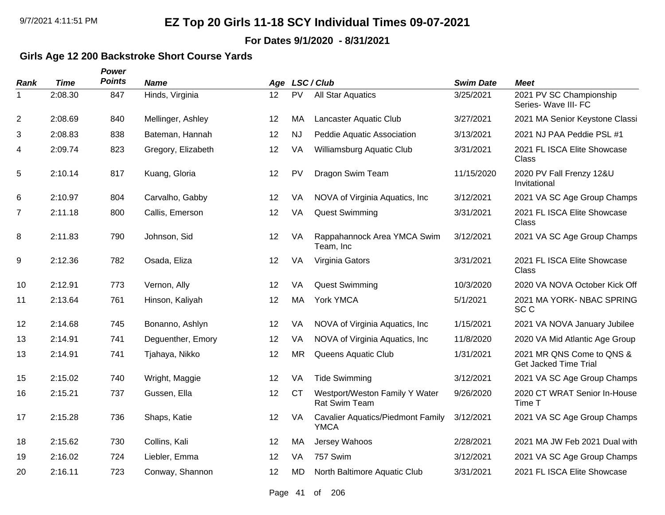**For Dates 9/1/2020 - 8/31/2021**

### **Girls Age 12 200 Backstroke Short Course Yards**

*Power*

| <b>Rank</b>    | <b>Time</b> | <b>Points</b> | <b>Name</b>        |    |           | Age LSC/Club                                            | <b>Swim Date</b> | <b>Meet</b>                                        |
|----------------|-------------|---------------|--------------------|----|-----------|---------------------------------------------------------|------------------|----------------------------------------------------|
| 1              | 2:08.30     | 847           | Hinds, Virginia    | 12 | PV        | <b>All Star Aquatics</b>                                | 3/25/2021        | 2021 PV SC Championship<br>Series- Wave III- FC    |
| $\overline{2}$ | 2:08.69     | 840           | Mellinger, Ashley  | 12 | MA        | Lancaster Aquatic Club                                  | 3/27/2021        | 2021 MA Senior Keystone Classi                     |
| 3              | 2:08.83     | 838           | Bateman, Hannah    | 12 | NJ        | Peddie Aquatic Association                              | 3/13/2021        | 2021 NJ PAA Peddie PSL #1                          |
| 4              | 2:09.74     | 823           | Gregory, Elizabeth | 12 | VA        | Williamsburg Aquatic Club                               | 3/31/2021        | 2021 FL ISCA Elite Showcase<br>Class               |
| 5              | 2:10.14     | 817           | Kuang, Gloria      | 12 | PV        | Dragon Swim Team                                        | 11/15/2020       | 2020 PV Fall Frenzy 12&U<br>Invitational           |
| 6              | 2:10.97     | 804           | Carvalho, Gabby    | 12 | VA        | NOVA of Virginia Aquatics, Inc.                         | 3/12/2021        | 2021 VA SC Age Group Champs                        |
| $\overline{7}$ | 2:11.18     | 800           | Callis, Emerson    | 12 | VA        | <b>Quest Swimming</b>                                   | 3/31/2021        | 2021 FL ISCA Elite Showcase<br>Class               |
| 8              | 2:11.83     | 790           | Johnson, Sid       | 12 | VA        | Rappahannock Area YMCA Swim<br>Team, Inc                | 3/12/2021        | 2021 VA SC Age Group Champs                        |
| 9              | 2:12.36     | 782           | Osada, Eliza       | 12 | VA        | Virginia Gators                                         | 3/31/2021        | 2021 FL ISCA Elite Showcase<br>Class               |
| 10             | 2:12.91     | 773           | Vernon, Ally       | 12 | VA        | <b>Quest Swimming</b>                                   | 10/3/2020        | 2020 VA NOVA October Kick Off                      |
| 11             | 2:13.64     | 761           | Hinson, Kaliyah    | 12 | МA        | York YMCA                                               | 5/1/2021         | 2021 MA YORK- NBAC SPRING<br>SC <sub>C</sub>       |
| 12             | 2:14.68     | 745           | Bonanno, Ashlyn    | 12 | VA        | NOVA of Virginia Aquatics, Inc.                         | 1/15/2021        | 2021 VA NOVA January Jubilee                       |
| 13             | 2:14.91     | 741           | Deguenther, Emory  | 12 | VA        | NOVA of Virginia Aquatics, Inc                          | 11/8/2020        | 2020 VA Mid Atlantic Age Group                     |
| 13             | 2:14.91     | 741           | Tjahaya, Nikko     | 12 | MR.       | Queens Aquatic Club                                     | 1/31/2021        | 2021 MR QNS Come to QNS &<br>Get Jacked Time Trial |
| 15             | 2:15.02     | 740           | Wright, Maggie     | 12 | VA        | <b>Tide Swimming</b>                                    | 3/12/2021        | 2021 VA SC Age Group Champs                        |
| 16             | 2:15.21     | 737           | Gussen, Ella       | 12 | <b>CT</b> | Westport/Weston Family Y Water<br><b>Rat Swim Team</b>  | 9/26/2020        | 2020 CT WRAT Senior In-House<br>Time T             |
| 17             | 2:15.28     | 736           | Shaps, Katie       | 12 | VA        | <b>Cavalier Aquatics/Piedmont Family</b><br><b>YMCA</b> | 3/12/2021        | 2021 VA SC Age Group Champs                        |
| 18             | 2:15.62     | 730           | Collins, Kali      | 12 | MA        | Jersey Wahoos                                           | 2/28/2021        | 2021 MA JW Feb 2021 Dual with                      |
| 19             | 2:16.02     | 724           | Liebler, Emma      | 12 | VA        | 757 Swim                                                | 3/12/2021        | 2021 VA SC Age Group Champs                        |
| 20             | 2:16.11     | 723           | Conway, Shannon    | 12 | <b>MD</b> | North Baltimore Aquatic Club                            | 3/31/2021        | 2021 FL ISCA Elite Showcase                        |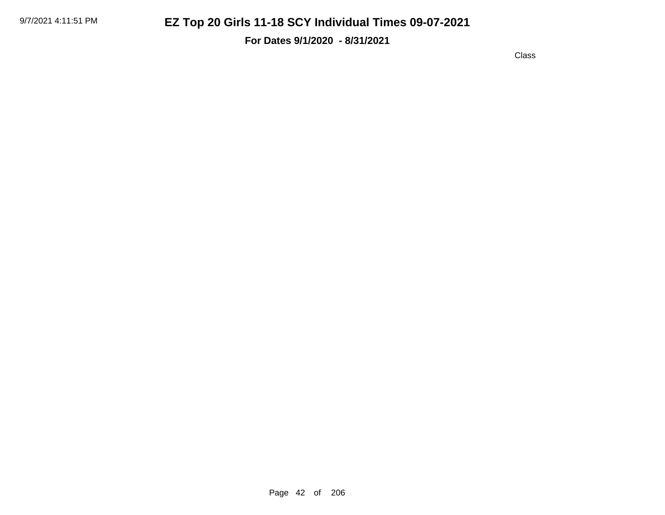**For Dates 9/1/2020 - 8/31/2021**

Class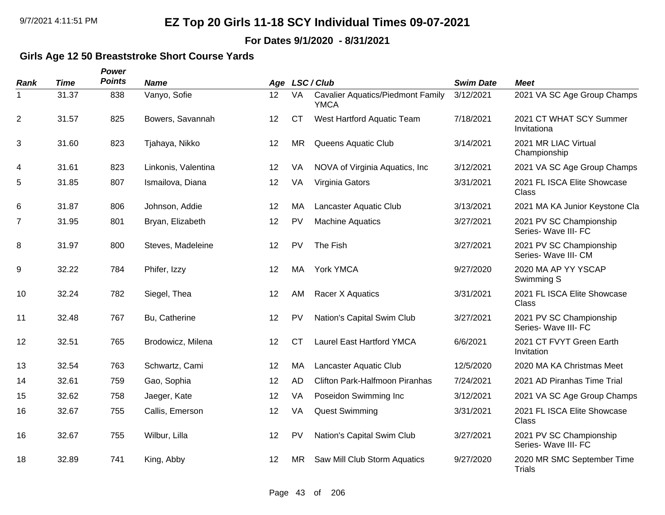**For Dates 9/1/2020 - 8/31/2021**

### **Girls Age 12 50 Breaststroke Short Course Yards**

| Rank           | <b>Time</b> | Power<br><b>Points</b> | <b>Name</b>         |    |           | Age LSC/Club                                            | <b>Swim Date</b> | <b>Meet</b>                                     |
|----------------|-------------|------------------------|---------------------|----|-----------|---------------------------------------------------------|------------------|-------------------------------------------------|
| 1              | 31.37       | 838                    | Vanyo, Sofie        | 12 | VA        | <b>Cavalier Aquatics/Piedmont Family</b><br><b>YMCA</b> | 3/12/2021        | 2021 VA SC Age Group Champs                     |
| $\overline{2}$ | 31.57       | 825                    | Bowers, Savannah    | 12 | <b>CT</b> | West Hartford Aquatic Team                              | 7/18/2021        | 2021 CT WHAT SCY Summer<br>Invitationa          |
| 3              | 31.60       | 823                    | Tjahaya, Nikko      | 12 | <b>MR</b> | Queens Aquatic Club                                     | 3/14/2021        | 2021 MR LIAC Virtual<br>Championship            |
| 4              | 31.61       | 823                    | Linkonis, Valentina | 12 | VA        | NOVA of Virginia Aquatics, Inc.                         | 3/12/2021        | 2021 VA SC Age Group Champs                     |
| 5              | 31.85       | 807                    | Ismailova, Diana    | 12 | VA        | Virginia Gators                                         | 3/31/2021        | 2021 FL ISCA Elite Showcase<br>Class            |
| 6              | 31.87       | 806                    | Johnson, Addie      | 12 | MA        | Lancaster Aquatic Club                                  | 3/13/2021        | 2021 MA KA Junior Keystone Cla                  |
| $\overline{7}$ | 31.95       | 801                    | Bryan, Elizabeth    | 12 | <b>PV</b> | <b>Machine Aquatics</b>                                 | 3/27/2021        | 2021 PV SC Championship<br>Series- Wave III- FC |
| 8              | 31.97       | 800                    | Steves, Madeleine   | 12 | PV        | The Fish                                                | 3/27/2021        | 2021 PV SC Championship<br>Series- Wave III- CM |
| 9              | 32.22       | 784                    | Phifer, Izzy        | 12 | MA        | York YMCA                                               | 9/27/2020        | 2020 MA AP YY YSCAP<br>Swimming S               |
| 10             | 32.24       | 782                    | Siegel, Thea        | 12 | AM        | Racer X Aquatics                                        | 3/31/2021        | 2021 FL ISCA Elite Showcase<br>Class            |
| 11             | 32.48       | 767                    | Bu, Catherine       | 12 | <b>PV</b> | Nation's Capital Swim Club                              | 3/27/2021        | 2021 PV SC Championship<br>Series- Wave III- FC |
| 12             | 32.51       | 765                    | Brodowicz, Milena   | 12 | <b>CT</b> | Laurel East Hartford YMCA                               | 6/6/2021         | 2021 CT FVYT Green Earth<br>Invitation          |
| 13             | 32.54       | 763                    | Schwartz, Cami      | 12 | МA        | Lancaster Aquatic Club                                  | 12/5/2020        | 2020 MA KA Christmas Meet                       |
| 14             | 32.61       | 759                    | Gao, Sophia         | 12 | <b>AD</b> | Clifton Park-Halfmoon Piranhas                          | 7/24/2021        | 2021 AD Piranhas Time Trial                     |
| 15             | 32.62       | 758                    | Jaeger, Kate        | 12 | VA        | Poseidon Swimming Inc                                   | 3/12/2021        | 2021 VA SC Age Group Champs                     |
| 16             | 32.67       | 755                    | Callis, Emerson     | 12 | VA        | <b>Quest Swimming</b>                                   | 3/31/2021        | 2021 FL ISCA Elite Showcase<br>Class            |
| 16             | 32.67       | 755                    | Wilbur, Lilla       | 12 | PV        | Nation's Capital Swim Club                              | 3/27/2021        | 2021 PV SC Championship<br>Series- Wave III- FC |
| 18             | 32.89       | 741                    | King, Abby          | 12 | <b>MR</b> | Saw Mill Club Storm Aquatics                            | 9/27/2020        | 2020 MR SMC September Time<br>Trials            |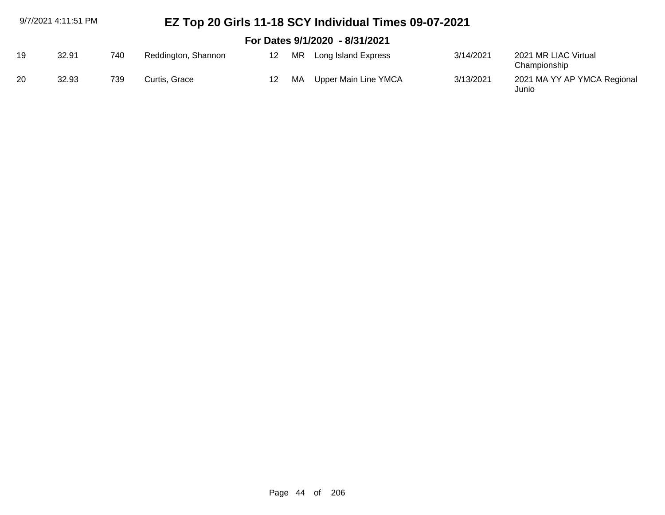| 9/7/2021 4:11:51 PM |       |     | EZ Top 20 Girls 11-18 SCY Individual Times 09-07-2021 |    |     |                                |           |                                      |  |  |  |
|---------------------|-------|-----|-------------------------------------------------------|----|-----|--------------------------------|-----------|--------------------------------------|--|--|--|
|                     |       |     |                                                       |    |     | For Dates 9/1/2020 - 8/31/2021 |           |                                      |  |  |  |
| 19                  | 32.91 | 740 | Reddington, Shannon                                   | 12 | MR. | Long Island Express            | 3/14/2021 | 2021 MR LIAC Virtual<br>Championship |  |  |  |
| 20                  | 32.93 | 739 | Curtis, Grace                                         | 12 | MA  | Upper Main Line YMCA           | 3/13/2021 | 2021 MA YY AP YMCA Regional<br>Junio |  |  |  |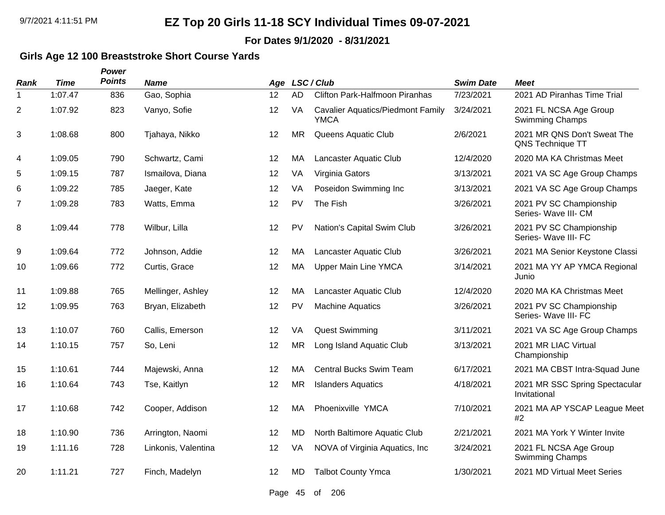**For Dates 9/1/2020 - 8/31/2021**

### **Girls Age 12 100 Breaststroke Short Course Yards**

| Rank | <b>Time</b> | Power<br><b>Points</b> | <b>Name</b>         |    |           | Age LSC/Club                                            | <b>Swim Date</b> | <b>Meet</b>                                      |
|------|-------------|------------------------|---------------------|----|-----------|---------------------------------------------------------|------------------|--------------------------------------------------|
| 1    | 1:07.47     | 836                    | Gao, Sophia         | 12 | <b>AD</b> | Clifton Park-Halfmoon Piranhas                          | 7/23/2021        | 2021 AD Piranhas Time Trial                      |
| 2    | 1:07.92     | 823                    | Vanyo, Sofie        | 12 | VA.       | <b>Cavalier Aquatics/Piedmont Family</b><br><b>YMCA</b> | 3/24/2021        | 2021 FL NCSA Age Group<br><b>Swimming Champs</b> |
| 3    | 1:08.68     | 800                    | Tjahaya, Nikko      | 12 | <b>MR</b> | Queens Aquatic Club                                     | 2/6/2021         | 2021 MR QNS Don't Sweat The<br>QNS Technique TT  |
| 4    | 1:09.05     | 790                    | Schwartz, Cami      | 12 | MA        | Lancaster Aquatic Club                                  | 12/4/2020        | 2020 MA KA Christmas Meet                        |
| 5    | 1:09.15     | 787                    | Ismailova, Diana    | 12 | VA        | Virginia Gators                                         | 3/13/2021        | 2021 VA SC Age Group Champs                      |
| 6    | 1:09.22     | 785                    | Jaeger, Kate        | 12 | VA        | Poseidon Swimming Inc                                   | 3/13/2021        | 2021 VA SC Age Group Champs                      |
| 7    | 1:09.28     | 783                    | Watts, Emma         | 12 | PV        | The Fish                                                | 3/26/2021        | 2021 PV SC Championship<br>Series- Wave III- CM  |
| 8    | 1:09.44     | 778                    | Wilbur, Lilla       | 12 | PV        | Nation's Capital Swim Club                              | 3/26/2021        | 2021 PV SC Championship<br>Series- Wave III- FC  |
| 9    | 1:09.64     | 772                    | Johnson, Addie      | 12 | MA        | Lancaster Aquatic Club                                  | 3/26/2021        | 2021 MA Senior Keystone Classi                   |
| 10   | 1:09.66     | 772                    | Curtis, Grace       | 12 | MA        | <b>Upper Main Line YMCA</b>                             | 3/14/2021        | 2021 MA YY AP YMCA Regional<br>Junio             |
| 11   | 1:09.88     | 765                    | Mellinger, Ashley   | 12 | MA        | Lancaster Aquatic Club                                  | 12/4/2020        | 2020 MA KA Christmas Meet                        |
| 12   | 1:09.95     | 763                    | Bryan, Elizabeth    | 12 | PV        | <b>Machine Aquatics</b>                                 | 3/26/2021        | 2021 PV SC Championship<br>Series- Wave III- FC  |
| 13   | 1:10.07     | 760                    | Callis, Emerson     | 12 | VA        | <b>Quest Swimming</b>                                   | 3/11/2021        | 2021 VA SC Age Group Champs                      |
| 14   | 1:10.15     | 757                    | So, Leni            | 12 | <b>MR</b> | Long Island Aquatic Club                                | 3/13/2021        | 2021 MR LIAC Virtual<br>Championship             |
| 15   | 1:10.61     | 744                    | Majewski, Anna      | 12 | MA        | <b>Central Bucks Swim Team</b>                          | 6/17/2021        | 2021 MA CBST Intra-Squad June                    |
| 16   | 1:10.64     | 743                    | Tse, Kaitlyn        | 12 | <b>MR</b> | <b>Islanders Aquatics</b>                               | 4/18/2021        | 2021 MR SSC Spring Spectacular<br>Invitational   |
| 17   | 1:10.68     | 742                    | Cooper, Addison     | 12 | MA        | Phoenixville YMCA                                       | 7/10/2021        | 2021 MA AP YSCAP League Meet<br>#2               |
| 18   | 1:10.90     | 736                    | Arrington, Naomi    | 12 | MD        | North Baltimore Aquatic Club                            | 2/21/2021        | 2021 MA York Y Winter Invite                     |
| 19   | 1:11.16     | 728                    | Linkonis, Valentina | 12 | VA        | NOVA of Virginia Aquatics, Inc.                         | 3/24/2021        | 2021 FL NCSA Age Group<br><b>Swimming Champs</b> |
| 20   | 1:11.21     | 727                    | Finch, Madelyn      | 12 | <b>MD</b> | <b>Talbot County Ymca</b>                               | 1/30/2021        | 2021 MD Virtual Meet Series                      |

Page 45 of 206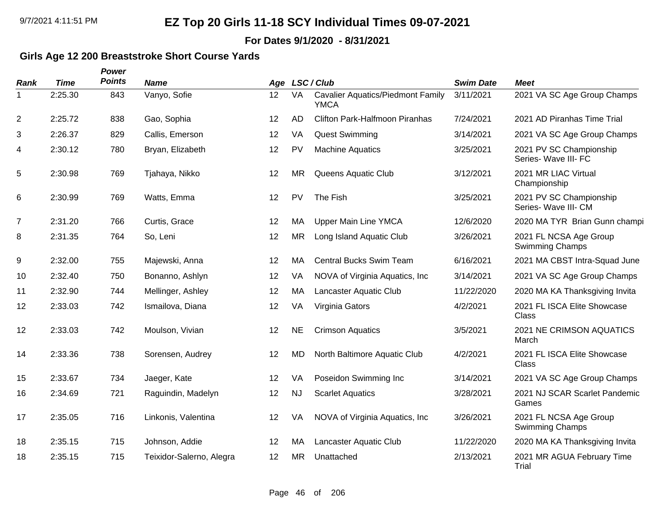**For Dates 9/1/2020 - 8/31/2021**

### **Girls Age 12 200 Breaststroke Short Course Yards**

| Rank | <b>Time</b> | Power<br><b>Points</b> | <b>Name</b>              | Age |           | LSC / Club                                              | <b>Swim Date</b> | <b>Meet</b>                                      |
|------|-------------|------------------------|--------------------------|-----|-----------|---------------------------------------------------------|------------------|--------------------------------------------------|
| 1    | 2:25.30     | 843                    | Vanyo, Sofie             | 12  | VA        | <b>Cavalier Aquatics/Piedmont Family</b><br><b>YMCA</b> | 3/11/2021        | 2021 VA SC Age Group Champs                      |
| 2    | 2:25.72     | 838                    | Gao, Sophia              | 12  | <b>AD</b> | Clifton Park-Halfmoon Piranhas                          | 7/24/2021        | 2021 AD Piranhas Time Trial                      |
| 3    | 2:26.37     | 829                    | Callis, Emerson          | 12  | VA        | <b>Quest Swimming</b>                                   | 3/14/2021        | 2021 VA SC Age Group Champs                      |
| 4    | 2:30.12     | 780                    | Bryan, Elizabeth         | 12  | PV        | <b>Machine Aquatics</b>                                 | 3/25/2021        | 2021 PV SC Championship<br>Series- Wave III- FC  |
| 5    | 2:30.98     | 769                    | Tjahaya, Nikko           | 12  | <b>MR</b> | Queens Aquatic Club                                     | 3/12/2021        | 2021 MR LIAC Virtual<br>Championship             |
| 6    | 2:30.99     | 769                    | Watts, Emma              | 12  | PV        | The Fish                                                | 3/25/2021        | 2021 PV SC Championship<br>Series- Wave III- CM  |
| 7    | 2:31.20     | 766                    | Curtis, Grace            | 12  | MA        | <b>Upper Main Line YMCA</b>                             | 12/6/2020        | 2020 MA TYR Brian Gunn champi                    |
| 8    | 2:31.35     | 764                    | So, Leni                 | 12  | <b>MR</b> | Long Island Aquatic Club                                | 3/26/2021        | 2021 FL NCSA Age Group<br><b>Swimming Champs</b> |
| 9    | 2:32.00     | 755                    | Majewski, Anna           | 12  | МA        | Central Bucks Swim Team                                 | 6/16/2021        | 2021 MA CBST Intra-Squad June                    |
| 10   | 2:32.40     | 750                    | Bonanno, Ashlyn          | 12  | VA        | NOVA of Virginia Aquatics, Inc.                         | 3/14/2021        | 2021 VA SC Age Group Champs                      |
| 11   | 2:32.90     | 744                    | Mellinger, Ashley        | 12  | MA        | Lancaster Aquatic Club                                  | 11/22/2020       | 2020 MA KA Thanksgiving Invita                   |
| 12   | 2:33.03     | 742                    | Ismailova, Diana         | 12  | VA        | Virginia Gators                                         | 4/2/2021         | 2021 FL ISCA Elite Showcase<br><b>Class</b>      |
| 12   | 2:33.03     | 742                    | Moulson, Vivian          | 12  | <b>NE</b> | <b>Crimson Aquatics</b>                                 | 3/5/2021         | 2021 NE CRIMSON AQUATICS<br>March                |
| 14   | 2:33.36     | 738                    | Sorensen, Audrey         | 12  | <b>MD</b> | North Baltimore Aquatic Club                            | 4/2/2021         | 2021 FL ISCA Elite Showcase<br>Class             |
| 15   | 2:33.67     | 734                    | Jaeger, Kate             | 12  | VA        | Poseidon Swimming Inc                                   | 3/14/2021        | 2021 VA SC Age Group Champs                      |
| 16   | 2:34.69     | 721                    | Raguindin, Madelyn       | 12  | <b>NJ</b> | <b>Scarlet Aquatics</b>                                 | 3/28/2021        | 2021 NJ SCAR Scarlet Pandemic<br>Games           |
| 17   | 2:35.05     | 716                    | Linkonis, Valentina      | 12  | VA        | NOVA of Virginia Aquatics, Inc.                         | 3/26/2021        | 2021 FL NCSA Age Group<br><b>Swimming Champs</b> |
| 18   | 2:35.15     | 715                    | Johnson, Addie           | 12  | MA        | Lancaster Aquatic Club                                  | 11/22/2020       | 2020 MA KA Thanksgiving Invita                   |
| 18   | 2:35.15     | 715                    | Teixidor-Salerno, Alegra | 12  | <b>MR</b> | Unattached                                              | 2/13/2021        | 2021 MR AGUA February Time<br>Trial              |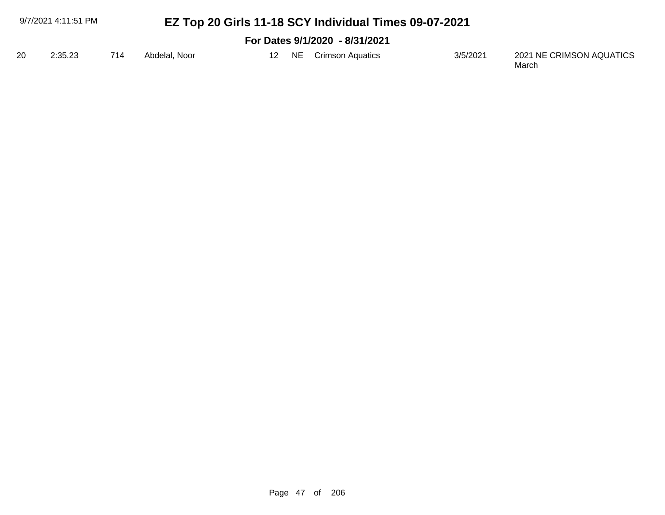| 9/7/2021 4:11:51 PM |         |     |               |    | EZ Top 20 Girls 11-18 SCY Individual Times 09-07-2021 |          |                                   |
|---------------------|---------|-----|---------------|----|-------------------------------------------------------|----------|-----------------------------------|
|                     |         |     |               |    | For Dates 9/1/2020 - 8/31/2021                        |          |                                   |
| 20                  | 2:35.23 | 714 | Abdelal, Noor | 12 | NE Crimson Aquatics                                   | 3/5/2021 | 2021 NE CRIMSON AQUATICS<br>March |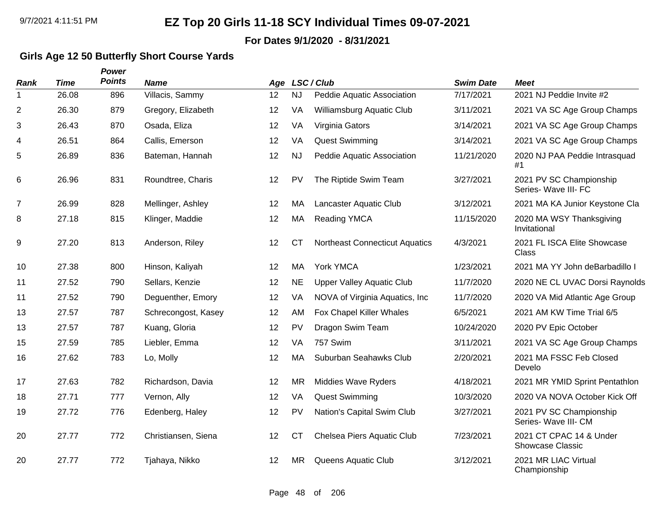#### **For Dates 9/1/2020 - 8/31/2021**

### **Girls Age 12 50 Butterfly Short Course Yards**

| Rank           | <b>Time</b> | Power<br><b>Points</b> | <b>Name</b>         | Age |           | LSC / Club                            | <b>Swim Date</b> | <b>Meet</b>                                     |
|----------------|-------------|------------------------|---------------------|-----|-----------|---------------------------------------|------------------|-------------------------------------------------|
| 1              | 26.08       | 896                    | Villacis, Sammy     | 12  | <b>NJ</b> | Peddie Aquatic Association            | 7/17/2021        | 2021 NJ Peddie Invite #2                        |
| $\overline{2}$ | 26.30       | 879                    | Gregory, Elizabeth  | 12  | VA        | Williamsburg Aquatic Club             | 3/11/2021        | 2021 VA SC Age Group Champs                     |
| 3              | 26.43       | 870                    | Osada, Eliza        | 12  | VA        | Virginia Gators                       | 3/14/2021        | 2021 VA SC Age Group Champs                     |
| 4              | 26.51       | 864                    | Callis, Emerson     | 12  | VA        | <b>Quest Swimming</b>                 | 3/14/2021        | 2021 VA SC Age Group Champs                     |
| 5              | 26.89       | 836                    | Bateman, Hannah     | 12  | <b>NJ</b> | Peddie Aquatic Association            | 11/21/2020       | 2020 NJ PAA Peddie Intrasquad<br>#1             |
| 6              | 26.96       | 831                    | Roundtree, Charis   | 12  | <b>PV</b> | The Riptide Swim Team                 | 3/27/2021        | 2021 PV SC Championship<br>Series- Wave III- FC |
| $\overline{7}$ | 26.99       | 828                    | Mellinger, Ashley   | 12  | MA        | Lancaster Aquatic Club                | 3/12/2021        | 2021 MA KA Junior Keystone Cla                  |
| 8              | 27.18       | 815                    | Klinger, Maddie     | 12  | MA        | <b>Reading YMCA</b>                   | 11/15/2020       | 2020 MA WSY Thanksgiving<br>Invitational        |
| 9              | 27.20       | 813                    | Anderson, Riley     | 12  | <b>CT</b> | <b>Northeast Connecticut Aquatics</b> | 4/3/2021         | 2021 FL ISCA Elite Showcase<br>Class            |
| 10             | 27.38       | 800                    | Hinson, Kaliyah     | 12  | MA        | York YMCA                             | 1/23/2021        | 2021 MA YY John deBarbadillo I                  |
| 11             | 27.52       | 790                    | Sellars, Kenzie     | 12  | <b>NE</b> | <b>Upper Valley Aquatic Club</b>      | 11/7/2020        | 2020 NE CL UVAC Dorsi Raynolds                  |
| 11             | 27.52       | 790                    | Deguenther, Emory   | 12  | VA        | NOVA of Virginia Aquatics, Inc.       | 11/7/2020        | 2020 VA Mid Atlantic Age Group                  |
| 13             | 27.57       | 787                    | Schrecongost, Kasey | 12  | AM        | Fox Chapel Killer Whales              | 6/5/2021         | 2021 AM KW Time Trial 6/5                       |
| 13             | 27.57       | 787                    | Kuang, Gloria       | 12  | <b>PV</b> | Dragon Swim Team                      | 10/24/2020       | 2020 PV Epic October                            |
| 15             | 27.59       | 785                    | Liebler, Emma       | 12  | VA        | 757 Swim                              | 3/11/2021        | 2021 VA SC Age Group Champs                     |
| 16             | 27.62       | 783                    | Lo, Molly           | 12  | MA        | Suburban Seahawks Club                | 2/20/2021        | 2021 MA FSSC Feb Closed<br>Develo               |
| 17             | 27.63       | 782                    | Richardson, Davia   | 12  | <b>MR</b> | Middies Wave Ryders                   | 4/18/2021        | 2021 MR YMID Sprint Pentathlon                  |
| 18             | 27.71       | 777                    | Vernon, Ally        | 12  | VA        | <b>Quest Swimming</b>                 | 10/3/2020        | 2020 VA NOVA October Kick Off                   |
| 19             | 27.72       | 776                    | Edenberg, Haley     | 12  | <b>PV</b> | Nation's Capital Swim Club            | 3/27/2021        | 2021 PV SC Championship<br>Series- Wave III- CM |
| 20             | 27.77       | 772                    | Christiansen, Siena | 12  | <b>CT</b> | Chelsea Piers Aquatic Club            | 7/23/2021        | 2021 CT CPAC 14 & Under<br>Showcase Classic     |
| 20             | 27.77       | 772                    | Tjahaya, Nikko      | 12  | <b>MR</b> | Queens Aquatic Club                   | 3/12/2021        | 2021 MR LIAC Virtual<br>Championship            |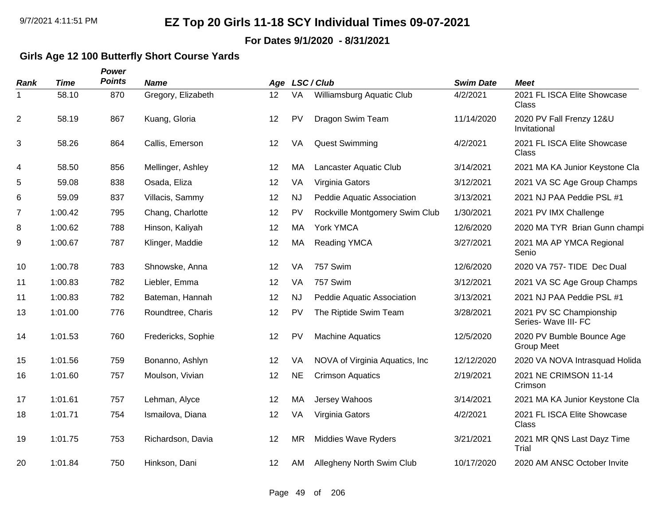**For Dates 9/1/2020 - 8/31/2021**

### **Girls Age 12 100 Butterfly Short Course Yards**

| Rank           | <b>Time</b> | Power<br><b>Points</b> | <b>Name</b>        |    |           | Age LSC/Club                    | <b>Swim Date</b> | <b>Meet</b>                                     |
|----------------|-------------|------------------------|--------------------|----|-----------|---------------------------------|------------------|-------------------------------------------------|
| 1              | 58.10       | 870                    | Gregory, Elizabeth | 12 | VA        | Williamsburg Aquatic Club       | 4/2/2021         | 2021 FL ISCA Elite Showcase<br>Class            |
| $\overline{c}$ | 58.19       | 867                    | Kuang, Gloria      | 12 | PV        | Dragon Swim Team                | 11/14/2020       | 2020 PV Fall Frenzy 12&U<br>Invitational        |
| 3              | 58.26       | 864                    | Callis, Emerson    | 12 | VA        | <b>Quest Swimming</b>           | 4/2/2021         | 2021 FL ISCA Elite Showcase<br>Class            |
| 4              | 58.50       | 856                    | Mellinger, Ashley  | 12 | MA        | Lancaster Aquatic Club          | 3/14/2021        | 2021 MA KA Junior Keystone Cla                  |
| 5              | 59.08       | 838                    | Osada, Eliza       | 12 | VA        | Virginia Gators                 | 3/12/2021        | 2021 VA SC Age Group Champs                     |
| 6              | 59.09       | 837                    | Villacis, Sammy    | 12 | <b>NJ</b> | Peddie Aquatic Association      | 3/13/2021        | 2021 NJ PAA Peddie PSL #1                       |
| 7              | 1:00.42     | 795                    | Chang, Charlotte   | 12 | PV        | Rockville Montgomery Swim Club  | 1/30/2021        | 2021 PV IMX Challenge                           |
| 8              | 1:00.62     | 788                    | Hinson, Kaliyah    | 12 | MA        | York YMCA                       | 12/6/2020        | 2020 MA TYR Brian Gunn champi                   |
| 9              | 1:00.67     | 787                    | Klinger, Maddie    | 12 | MA        | <b>Reading YMCA</b>             | 3/27/2021        | 2021 MA AP YMCA Regional<br>Senio               |
| 10             | 1:00.78     | 783                    | Shnowske, Anna     | 12 | VA        | 757 Swim                        | 12/6/2020        | 2020 VA 757- TIDE Dec Dual                      |
| 11             | 1:00.83     | 782                    | Liebler, Emma      | 12 | VA        | 757 Swim                        | 3/12/2021        | 2021 VA SC Age Group Champs                     |
| 11             | 1:00.83     | 782                    | Bateman, Hannah    | 12 | <b>NJ</b> | Peddie Aquatic Association      | 3/13/2021        | 2021 NJ PAA Peddie PSL #1                       |
| 13             | 1:01.00     | 776                    | Roundtree, Charis  | 12 | <b>PV</b> | The Riptide Swim Team           | 3/28/2021        | 2021 PV SC Championship<br>Series- Wave III- FC |
| 14             | 1:01.53     | 760                    | Fredericks, Sophie | 12 | <b>PV</b> | <b>Machine Aquatics</b>         | 12/5/2020        | 2020 PV Bumble Bounce Age<br><b>Group Meet</b>  |
| 15             | 1:01.56     | 759                    | Bonanno, Ashlyn    | 12 | VA        | NOVA of Virginia Aquatics, Inc. | 12/12/2020       | 2020 VA NOVA Intrasquad Holida                  |
| 16             | 1:01.60     | 757                    | Moulson, Vivian    | 12 | <b>NE</b> | <b>Crimson Aquatics</b>         | 2/19/2021        | 2021 NE CRIMSON 11-14<br>Crimson                |
| 17             | 1:01.61     | 757                    | Lehman, Alyce      | 12 | MA        | Jersey Wahoos                   | 3/14/2021        | 2021 MA KA Junior Keystone Cla                  |
| 18             | 1:01.71     | 754                    | Ismailova, Diana   | 12 | VA        | Virginia Gators                 | 4/2/2021         | 2021 FL ISCA Elite Showcase<br>Class            |
| 19             | 1:01.75     | 753                    | Richardson, Davia  | 12 | <b>MR</b> | Middies Wave Ryders             | 3/21/2021        | 2021 MR QNS Last Dayz Time<br>Trial             |
| 20             | 1:01.84     | 750                    | Hinkson, Dani      | 12 | AM        | Allegheny North Swim Club       | 10/17/2020       | 2020 AM ANSC October Invite                     |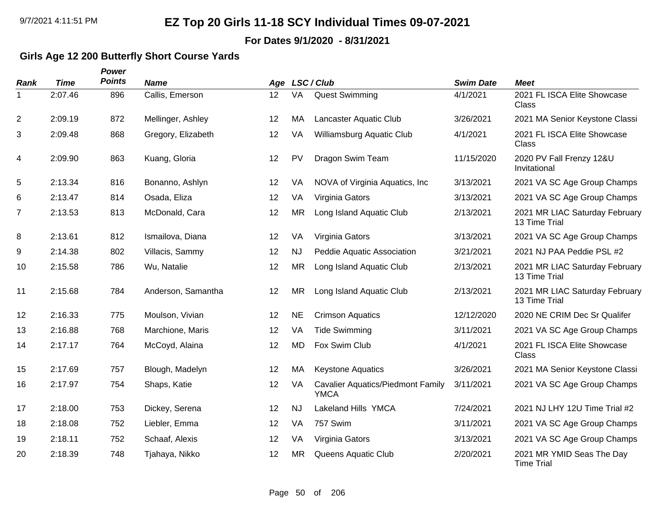#### **For Dates 9/1/2020 - 8/31/2021**

### **Girls Age 12 200 Butterfly Short Course Yards**

| <b>Rank</b>    | <b>Time</b> | Power<br><b>Points</b> | <b>Name</b>        |    |           | Age LSC/Club                                            | <b>Swim Date</b> | <b>Meet</b>                                     |
|----------------|-------------|------------------------|--------------------|----|-----------|---------------------------------------------------------|------------------|-------------------------------------------------|
| $\mathbf 1$    | 2:07.46     | 896                    | Callis, Emerson    | 12 | VA        | <b>Quest Swimming</b>                                   | 4/1/2021         | 2021 FL ISCA Elite Showcase<br>Class            |
| $\overline{2}$ | 2:09.19     | 872                    | Mellinger, Ashley  | 12 | MA        | Lancaster Aquatic Club                                  | 3/26/2021        | 2021 MA Senior Keystone Classi                  |
| 3              | 2:09.48     | 868                    | Gregory, Elizabeth | 12 | VA        | Williamsburg Aquatic Club                               | 4/1/2021         | 2021 FL ISCA Elite Showcase<br>Class            |
| 4              | 2:09.90     | 863                    | Kuang, Gloria      | 12 | PV        | Dragon Swim Team                                        | 11/15/2020       | 2020 PV Fall Frenzy 12&U<br>Invitational        |
| 5              | 2:13.34     | 816                    | Bonanno, Ashlyn    | 12 | VA        | NOVA of Virginia Aquatics, Inc.                         | 3/13/2021        | 2021 VA SC Age Group Champs                     |
| 6              | 2:13.47     | 814                    | Osada, Eliza       | 12 | VA        | Virginia Gators                                         | 3/13/2021        | 2021 VA SC Age Group Champs                     |
| 7              | 2:13.53     | 813                    | McDonald, Cara     | 12 | <b>MR</b> | Long Island Aquatic Club                                | 2/13/2021        | 2021 MR LIAC Saturday February<br>13 Time Trial |
| 8              | 2:13.61     | 812                    | Ismailova, Diana   | 12 | VA        | Virginia Gators                                         | 3/13/2021        | 2021 VA SC Age Group Champs                     |
| 9              | 2:14.38     | 802                    | Villacis, Sammy    | 12 | <b>NJ</b> | Peddie Aquatic Association                              | 3/21/2021        | 2021 NJ PAA Peddie PSL #2                       |
| 10             | 2:15.58     | 786                    | Wu, Natalie        | 12 | <b>MR</b> | Long Island Aquatic Club                                | 2/13/2021        | 2021 MR LIAC Saturday February<br>13 Time Trial |
| 11             | 2:15.68     | 784                    | Anderson, Samantha | 12 | <b>MR</b> | Long Island Aquatic Club                                | 2/13/2021        | 2021 MR LIAC Saturday February<br>13 Time Trial |
| 12             | 2:16.33     | 775                    | Moulson, Vivian    | 12 | <b>NE</b> | <b>Crimson Aquatics</b>                                 | 12/12/2020       | 2020 NE CRIM Dec Sr Qualifer                    |
| 13             | 2:16.88     | 768                    | Marchione, Maris   | 12 | VA        | <b>Tide Swimming</b>                                    | 3/11/2021        | 2021 VA SC Age Group Champs                     |
| 14             | 2:17.17     | 764                    | McCoyd, Alaina     | 12 | <b>MD</b> | Fox Swim Club                                           | 4/1/2021         | 2021 FL ISCA Elite Showcase<br>Class            |
| 15             | 2:17.69     | 757                    | Blough, Madelyn    | 12 | MA        | <b>Keystone Aquatics</b>                                | 3/26/2021        | 2021 MA Senior Keystone Classi                  |
| 16             | 2:17.97     | 754                    | Shaps, Katie       | 12 | VA        | <b>Cavalier Aquatics/Piedmont Family</b><br><b>YMCA</b> | 3/11/2021        | 2021 VA SC Age Group Champs                     |
| 17             | 2:18.00     | 753                    | Dickey, Serena     | 12 | <b>NJ</b> | Lakeland Hills YMCA                                     | 7/24/2021        | 2021 NJ LHY 12U Time Trial #2                   |
| 18             | 2:18.08     | 752                    | Liebler, Emma      | 12 | VA        | 757 Swim                                                | 3/11/2021        | 2021 VA SC Age Group Champs                     |
| 19             | 2:18.11     | 752                    | Schaaf, Alexis     | 12 | VA        | Virginia Gators                                         | 3/13/2021        | 2021 VA SC Age Group Champs                     |
| 20             | 2:18.39     | 748                    | Tjahaya, Nikko     | 12 | <b>MR</b> | Queens Aquatic Club                                     | 2/20/2021        | 2021 MR YMID Seas The Day<br><b>Time Trial</b>  |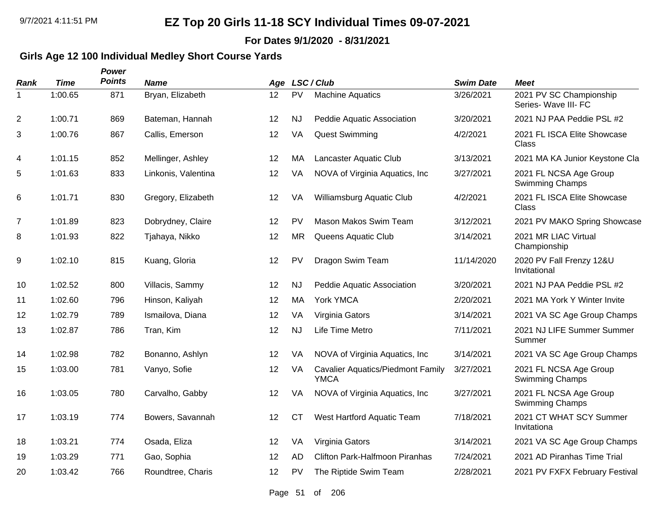**For Dates 9/1/2020 - 8/31/2021**

### **Girls Age 12 100 Individual Medley Short Course Yards**

| Rank           | <b>Time</b> | Power<br><b>Points</b> | <b>Name</b>         |    |           | Age LSC/Club                                            | <b>Swim Date</b> | <b>Meet</b>                                     |
|----------------|-------------|------------------------|---------------------|----|-----------|---------------------------------------------------------|------------------|-------------------------------------------------|
| 1              | 1:00.65     | 871                    | Bryan, Elizabeth    | 12 | PV        | <b>Machine Aquatics</b>                                 | 3/26/2021        | 2021 PV SC Championship<br>Series- Wave III- FC |
| $\overline{c}$ | 1:00.71     | 869                    | Bateman, Hannah     | 12 | <b>NJ</b> | Peddie Aquatic Association                              | 3/20/2021        | 2021 NJ PAA Peddie PSL #2                       |
| 3              | 1:00.76     | 867                    | Callis, Emerson     | 12 | VA        | <b>Quest Swimming</b>                                   | 4/2/2021         | 2021 FL ISCA Elite Showcase<br>Class            |
| 4              | 1:01.15     | 852                    | Mellinger, Ashley   | 12 | MA        | Lancaster Aquatic Club                                  | 3/13/2021        | 2021 MA KA Junior Keystone Cla                  |
| 5              | 1:01.63     | 833                    | Linkonis, Valentina | 12 | VA        | NOVA of Virginia Aquatics, Inc.                         | 3/27/2021        | 2021 FL NCSA Age Group<br>Swimming Champs       |
| 6              | 1:01.71     | 830                    | Gregory, Elizabeth  | 12 | <b>VA</b> | Williamsburg Aquatic Club                               | 4/2/2021         | 2021 FL ISCA Elite Showcase<br>Class            |
| $\overline{7}$ | 1:01.89     | 823                    | Dobrydney, Claire   | 12 | PV        | Mason Makos Swim Team                                   | 3/12/2021        | 2021 PV MAKO Spring Showcase                    |
| 8              | 1:01.93     | 822                    | Tjahaya, Nikko      | 12 | <b>MR</b> | Queens Aquatic Club                                     | 3/14/2021        | 2021 MR LIAC Virtual<br>Championship            |
| 9              | 1:02.10     | 815                    | Kuang, Gloria       | 12 | PV        | Dragon Swim Team                                        | 11/14/2020       | 2020 PV Fall Frenzy 12&U<br>Invitational        |
| 10             | 1:02.52     | 800                    | Villacis, Sammy     | 12 | <b>NJ</b> | Peddie Aquatic Association                              | 3/20/2021        | 2021 NJ PAA Peddie PSL #2                       |
| 11             | 1:02.60     | 796                    | Hinson, Kaliyah     | 12 | MA        | York YMCA                                               | 2/20/2021        | 2021 MA York Y Winter Invite                    |
| 12             | 1:02.79     | 789                    | Ismailova, Diana    | 12 | VA        | Virginia Gators                                         | 3/14/2021        | 2021 VA SC Age Group Champs                     |
| 13             | 1:02.87     | 786                    | Tran, Kim           | 12 | <b>NJ</b> | Life Time Metro                                         | 7/11/2021        | 2021 NJ LIFE Summer Summer<br>Summer            |
| 14             | 1:02.98     | 782                    | Bonanno, Ashlyn     | 12 | VA        | NOVA of Virginia Aquatics, Inc                          | 3/14/2021        | 2021 VA SC Age Group Champs                     |
| 15             | 1:03.00     | 781                    | Vanyo, Sofie        | 12 | VA        | <b>Cavalier Aquatics/Piedmont Family</b><br><b>YMCA</b> | 3/27/2021        | 2021 FL NCSA Age Group<br>Swimming Champs       |
| 16             | 1:03.05     | 780                    | Carvalho, Gabby     | 12 | VA        | NOVA of Virginia Aquatics, Inc.                         | 3/27/2021        | 2021 FL NCSA Age Group<br>Swimming Champs       |
| 17             | 1:03.19     | 774                    | Bowers, Savannah    | 12 | <b>CT</b> | West Hartford Aquatic Team                              | 7/18/2021        | 2021 CT WHAT SCY Summer<br>Invitationa          |
| 18             | 1:03.21     | 774                    | Osada, Eliza        | 12 | VA        | Virginia Gators                                         | 3/14/2021        | 2021 VA SC Age Group Champs                     |
| 19             | 1:03.29     | 771                    | Gao, Sophia         | 12 | <b>AD</b> | Clifton Park-Halfmoon Piranhas                          | 7/24/2021        | 2021 AD Piranhas Time Trial                     |
| 20             | 1:03.42     | 766                    | Roundtree, Charis   | 12 | <b>PV</b> | The Riptide Swim Team                                   | 2/28/2021        | 2021 PV FXFX February Festival                  |

Page 51 of 206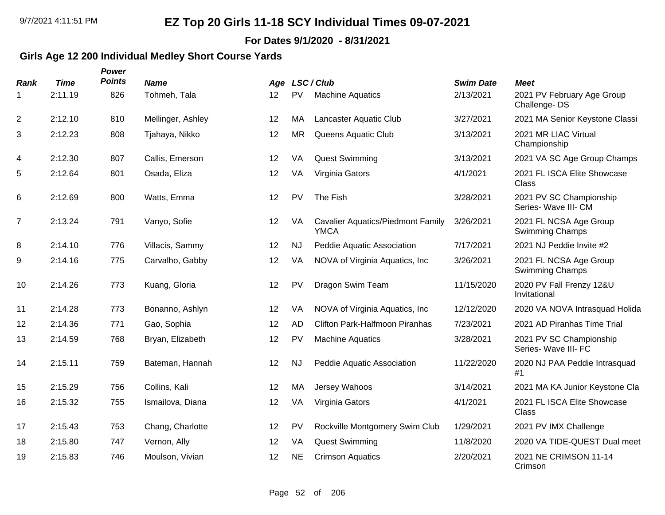**For Dates 9/1/2020 - 8/31/2021**

### **Girls Age 12 200 Individual Medley Short Course Yards**

| Rank           | <b>Time</b> | Power<br><b>Points</b> | <b>Name</b>       |    |           | Age LSC/Club                                            | <b>Swim Date</b> | <b>Meet</b>                                      |
|----------------|-------------|------------------------|-------------------|----|-----------|---------------------------------------------------------|------------------|--------------------------------------------------|
| $\mathbf 1$    | 2:11.19     | 826                    | Tohmeh, Tala      | 12 | PV        | <b>Machine Aquatics</b>                                 | 2/13/2021        | 2021 PV February Age Group<br>Challenge-DS       |
| $\overline{2}$ | 2:12.10     | 810                    | Mellinger, Ashley | 12 | MA        | Lancaster Aquatic Club                                  | 3/27/2021        | 2021 MA Senior Keystone Classi                   |
| 3              | 2:12.23     | 808                    | Tjahaya, Nikko    | 12 | <b>MR</b> | Queens Aquatic Club                                     | 3/13/2021        | 2021 MR LIAC Virtual<br>Championship             |
| 4              | 2:12.30     | 807                    | Callis, Emerson   | 12 | VA        | <b>Quest Swimming</b>                                   | 3/13/2021        | 2021 VA SC Age Group Champs                      |
| 5              | 2:12.64     | 801                    | Osada, Eliza      | 12 | VA        | Virginia Gators                                         | 4/1/2021         | 2021 FL ISCA Elite Showcase<br>Class             |
| 6              | 2:12.69     | 800                    | Watts, Emma       | 12 | PV        | The Fish                                                | 3/28/2021        | 2021 PV SC Championship<br>Series- Wave III- CM  |
| $\overline{7}$ | 2:13.24     | 791                    | Vanyo, Sofie      | 12 | VA        | <b>Cavalier Aquatics/Piedmont Family</b><br><b>YMCA</b> | 3/26/2021        | 2021 FL NCSA Age Group<br><b>Swimming Champs</b> |
| 8              | 2:14.10     | 776                    | Villacis, Sammy   | 12 | <b>NJ</b> | Peddie Aquatic Association                              | 7/17/2021        | 2021 NJ Peddie Invite #2                         |
| 9              | 2:14.16     | 775                    | Carvalho, Gabby   | 12 | VA        | NOVA of Virginia Aquatics, Inc.                         | 3/26/2021        | 2021 FL NCSA Age Group<br>Swimming Champs        |
| 10             | 2:14.26     | 773                    | Kuang, Gloria     | 12 | PV        | Dragon Swim Team                                        | 11/15/2020       | 2020 PV Fall Frenzy 12&U<br>Invitational         |
| 11             | 2:14.28     | 773                    | Bonanno, Ashlyn   | 12 | VA        | NOVA of Virginia Aquatics, Inc.                         | 12/12/2020       | 2020 VA NOVA Intrasquad Holida                   |
| 12             | 2:14.36     | 771                    | Gao, Sophia       | 12 | <b>AD</b> | <b>Clifton Park-Halfmoon Piranhas</b>                   | 7/23/2021        | 2021 AD Piranhas Time Trial                      |
| 13             | 2:14.59     | 768                    | Bryan, Elizabeth  | 12 | PV        | <b>Machine Aquatics</b>                                 | 3/28/2021        | 2021 PV SC Championship<br>Series- Wave III- FC  |
| 14             | 2:15.11     | 759                    | Bateman, Hannah   | 12 | <b>NJ</b> | Peddie Aquatic Association                              | 11/22/2020       | 2020 NJ PAA Peddie Intrasquad<br>#1              |
| 15             | 2:15.29     | 756                    | Collins, Kali     | 12 | MA        | Jersey Wahoos                                           | 3/14/2021        | 2021 MA KA Junior Keystone Cla                   |
| 16             | 2:15.32     | 755                    | Ismailova, Diana  | 12 | VA        | Virginia Gators                                         | 4/1/2021         | 2021 FL ISCA Elite Showcase<br>Class             |
| 17             | 2:15.43     | 753                    | Chang, Charlotte  | 12 | PV        | Rockville Montgomery Swim Club                          | 1/29/2021        | 2021 PV IMX Challenge                            |
| 18             | 2:15.80     | 747                    | Vernon, Ally      | 12 | VA        | <b>Quest Swimming</b>                                   | 11/8/2020        | 2020 VA TIDE-QUEST Dual meet                     |
| 19             | 2:15.83     | 746                    | Moulson, Vivian   | 12 | <b>NE</b> | <b>Crimson Aquatics</b>                                 | 2/20/2021        | 2021 NE CRIMSON 11-14<br>Crimson                 |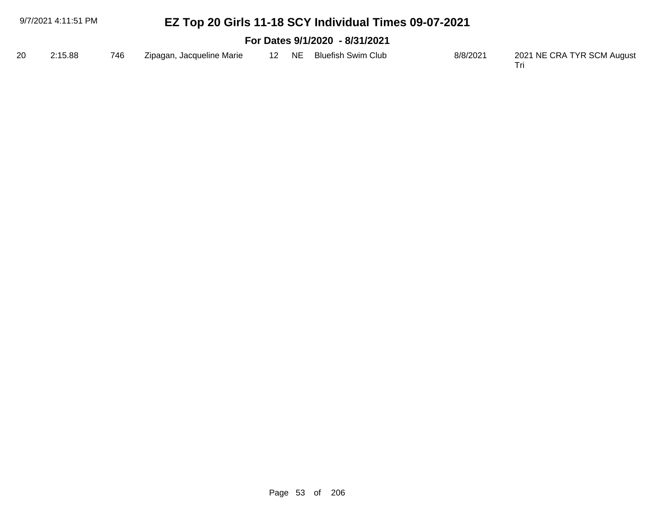| 9/7/2021 4:11:51 PM |         |     | EZ Top 20 Girls 11-18 SCY Individual Times 09-07-2021 |       |                                |          |                            |
|---------------------|---------|-----|-------------------------------------------------------|-------|--------------------------------|----------|----------------------------|
|                     |         |     |                                                       |       | For Dates 9/1/2020 - 8/31/2021 |          |                            |
| 20                  | 2:15.88 | 746 | Zipagan, Jacqueline Marie                             | 12 NE | Bluefish Swim Club             | 8/8/2021 | 2021 NE CRA TYR SCM August |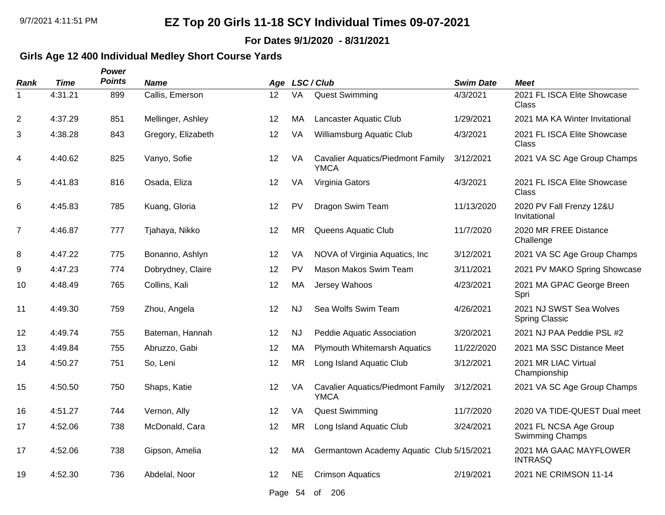**For Dates 9/1/2020 - 8/31/2021**

### **Girls Age 12 400 Individual Medley Short Course Yards**

| Rank           | <b>Time</b> | Power<br><b>Points</b> | <b>Name</b>        |         |           | Age LSC/Club                                            | <b>Swim Date</b> | <b>Meet</b>                                      |
|----------------|-------------|------------------------|--------------------|---------|-----------|---------------------------------------------------------|------------------|--------------------------------------------------|
| 1              | 4:31.21     | 899                    | Callis, Emerson    | 12      | VA        | <b>Quest Swimming</b>                                   | 4/3/2021         | 2021 FL ISCA Elite Showcase<br>Class             |
| $\overline{2}$ | 4:37.29     | 851                    | Mellinger, Ashley  | 12      | <b>MA</b> | Lancaster Aquatic Club                                  | 1/29/2021        | 2021 MA KA Winter Invitational                   |
| 3              | 4:38.28     | 843                    | Gregory, Elizabeth | 12      | VA        | Williamsburg Aquatic Club                               | 4/3/2021         | 2021 FL ISCA Elite Showcase<br>Class             |
| 4              | 4:40.62     | 825                    | Vanyo, Sofie       | 12      | VA        | <b>Cavalier Aquatics/Piedmont Family</b><br><b>YMCA</b> | 3/12/2021        | 2021 VA SC Age Group Champs                      |
| 5              | 4:41.83     | 816                    | Osada, Eliza       | 12      | VA        | Virginia Gators                                         | 4/3/2021         | 2021 FL ISCA Elite Showcase<br>Class             |
| 6              | 4:45.83     | 785                    | Kuang, Gloria      | 12      | PV        | Dragon Swim Team                                        | 11/13/2020       | 2020 PV Fall Frenzy 12&U<br>Invitational         |
| 7              | 4:46.87     | 777                    | Tjahaya, Nikko     | 12      | <b>MR</b> | Queens Aquatic Club                                     | 11/7/2020        | 2020 MR FREE Distance<br>Challenge               |
| 8              | 4:47.22     | 775                    | Bonanno, Ashlyn    | 12      | VA        | NOVA of Virginia Aquatics, Inc.                         | 3/12/2021        | 2021 VA SC Age Group Champs                      |
| 9              | 4:47.23     | 774                    | Dobrydney, Claire  | 12      | PV        | Mason Makos Swim Team                                   | 3/11/2021        | 2021 PV MAKO Spring Showcase                     |
| 10             | 4:48.49     | 765                    | Collins, Kali      | 12      | MA        | Jersey Wahoos                                           | 4/23/2021        | 2021 MA GPAC George Breen<br>Spri                |
| 11             | 4:49.30     | 759                    | Zhou, Angela       | 12      | <b>NJ</b> | Sea Wolfs Swim Team                                     | 4/26/2021        | 2021 NJ SWST Sea Wolves<br><b>Spring Classic</b> |
| 12             | 4:49.74     | 755                    | Bateman, Hannah    | 12      | <b>NJ</b> | Peddie Aquatic Association                              | 3/20/2021        | 2021 NJ PAA Peddie PSL #2                        |
| 13             | 4:49.84     | 755                    | Abruzzo, Gabi      | 12      | MA        | <b>Plymouth Whitemarsh Aquatics</b>                     | 11/22/2020       | 2021 MA SSC Distance Meet                        |
| 14             | 4:50.27     | 751                    | So, Leni           | 12      | <b>MR</b> | Long Island Aquatic Club                                | 3/12/2021        | 2021 MR LIAC Virtual<br>Championship             |
| 15             | 4:50.50     | 750                    | Shaps, Katie       | 12      | VA        | <b>Cavalier Aquatics/Piedmont Family</b><br><b>YMCA</b> | 3/12/2021        | 2021 VA SC Age Group Champs                      |
| 16             | 4:51.27     | 744                    | Vernon, Ally       | 12      | VA        | <b>Quest Swimming</b>                                   | 11/7/2020        | 2020 VA TIDE-QUEST Dual meet                     |
| 17             | 4:52.06     | 738                    | McDonald, Cara     | 12      | <b>MR</b> | Long Island Aquatic Club                                | 3/24/2021        | 2021 FL NCSA Age Group<br><b>Swimming Champs</b> |
| 17             | 4:52.06     | 738                    | Gipson, Amelia     | 12      | MA        | Germantown Academy Aquatic Club 5/15/2021               |                  | 2021 MA GAAC MAYFLOWER<br><b>INTRASQ</b>         |
| 19             | 4:52.30     | 736                    | Abdelal, Noor      | 12      | <b>NE</b> | <b>Crimson Aquatics</b>                                 | 2/19/2021        | 2021 NE CRIMSON 11-14                            |
|                |             |                        |                    | Page 54 |           | of 206                                                  |                  |                                                  |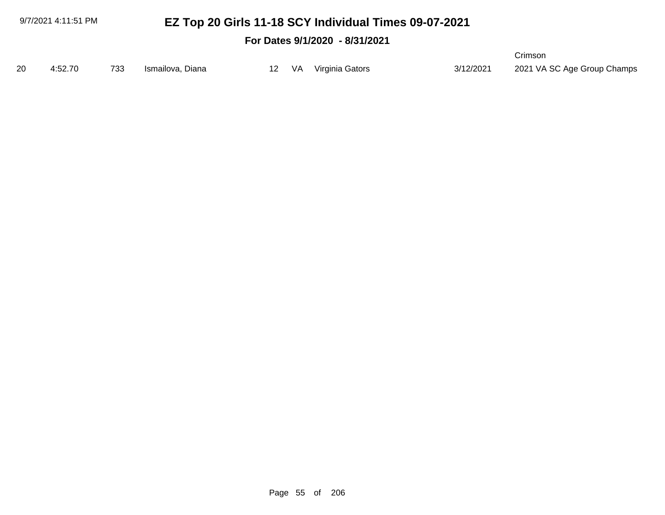| 9/7/2021 4:11:51 PM | EZ Top 20 Girls 11-18 SCY Individual Times 09-07-2021 |         |
|---------------------|-------------------------------------------------------|---------|
|                     | For Dates 9/1/2020 - 8/31/2021                        |         |
|                     |                                                       | Crimson |

| 20 4:52.70 | 733 Ismailova, Diana | 12 VA Virginia Gators | 3/12/2021 | 2021 VA SC Age Group Champs |
|------------|----------------------|-----------------------|-----------|-----------------------------|
|            |                      |                       |           |                             |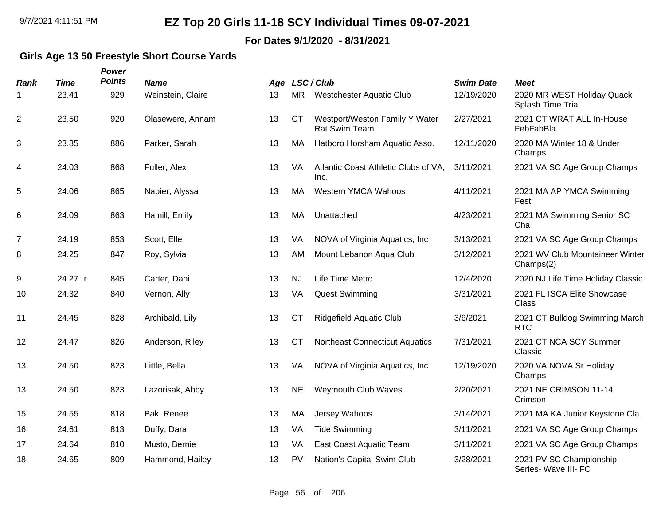#### **For Dates 9/1/2020 - 8/31/2021**

### **Girls Age 13 50 Freestyle Short Course Yards**

| <b>Rank</b>    | <b>Time</b> | Power<br><b>Points</b> | <b>Name</b>       |    |           | Age LSC/Club                                           | <b>Swim Date</b> | <b>Meet</b>                                     |
|----------------|-------------|------------------------|-------------------|----|-----------|--------------------------------------------------------|------------------|-------------------------------------------------|
| 1              | 23.41       | 929                    | Weinstein, Claire | 13 | <b>MR</b> | <b>Westchester Aquatic Club</b>                        | 12/19/2020       | 2020 MR WEST Holiday Quack<br>Splash Time Trial |
| $\overline{2}$ | 23.50       | 920                    | Olasewere, Annam  | 13 | <b>CT</b> | Westport/Weston Family Y Water<br><b>Rat Swim Team</b> | 2/27/2021        | 2021 CT WRAT ALL In-House<br>FebFabBla          |
| 3              | 23.85       | 886                    | Parker, Sarah     | 13 | MA        | Hatboro Horsham Aquatic Asso.                          | 12/11/2020       | 2020 MA Winter 18 & Under<br>Champs             |
| 4              | 24.03       | 868                    | Fuller, Alex      | 13 | VA        | Atlantic Coast Athletic Clubs of VA,<br>Inc.           | 3/11/2021        | 2021 VA SC Age Group Champs                     |
| $\sqrt{5}$     | 24.06       | 865                    | Napier, Alyssa    | 13 | MA        | Western YMCA Wahoos                                    | 4/11/2021        | 2021 MA AP YMCA Swimming<br>Festi               |
| 6              | 24.09       | 863                    | Hamill, Emily     | 13 | МA        | Unattached                                             | 4/23/2021        | 2021 MA Swimming Senior SC<br>Cha               |
| $\overline{7}$ | 24.19       | 853                    | Scott, Elle       | 13 | VA        | NOVA of Virginia Aquatics, Inc.                        | 3/13/2021        | 2021 VA SC Age Group Champs                     |
| 8              | 24.25       | 847                    | Roy, Sylvia       | 13 | AM        | Mount Lebanon Aqua Club                                | 3/12/2021        | 2021 WV Club Mountaineer Winter<br>Champs(2)    |
| 9              | 24.27 r     | 845                    | Carter, Dani      | 13 | <b>NJ</b> | Life Time Metro                                        | 12/4/2020        | 2020 NJ Life Time Holiday Classic               |
| 10             | 24.32       | 840                    | Vernon, Ally      | 13 | VA        | <b>Quest Swimming</b>                                  | 3/31/2021        | 2021 FL ISCA Elite Showcase<br>Class            |
| 11             | 24.45       | 828                    | Archibald, Lily   | 13 | <b>CT</b> | <b>Ridgefield Aquatic Club</b>                         | 3/6/2021         | 2021 CT Bulldog Swimming March<br><b>RTC</b>    |
| 12             | 24.47       | 826                    | Anderson, Riley   | 13 | <b>CT</b> | <b>Northeast Connecticut Aquatics</b>                  | 7/31/2021        | 2021 CT NCA SCY Summer<br>Classic               |
| 13             | 24.50       | 823                    | Little, Bella     | 13 | VA        | NOVA of Virginia Aquatics, Inc.                        | 12/19/2020       | 2020 VA NOVA Sr Holiday<br>Champs               |
| 13             | 24.50       | 823                    | Lazorisak, Abby   | 13 | <b>NE</b> | <b>Weymouth Club Waves</b>                             | 2/20/2021        | 2021 NE CRIMSON 11-14<br>Crimson                |
| 15             | 24.55       | 818                    | Bak, Renee        | 13 | МA        | Jersey Wahoos                                          | 3/14/2021        | 2021 MA KA Junior Keystone Cla                  |
| 16             | 24.61       | 813                    | Duffy, Dara       | 13 | VA        | <b>Tide Swimming</b>                                   | 3/11/2021        | 2021 VA SC Age Group Champs                     |
| 17             | 24.64       | 810                    | Musto, Bernie     | 13 | VA        | East Coast Aquatic Team                                | 3/11/2021        | 2021 VA SC Age Group Champs                     |
| 18             | 24.65       | 809                    | Hammond, Hailey   | 13 | PV        | Nation's Capital Swim Club                             | 3/28/2021        | 2021 PV SC Championship<br>Series- Wave III- FC |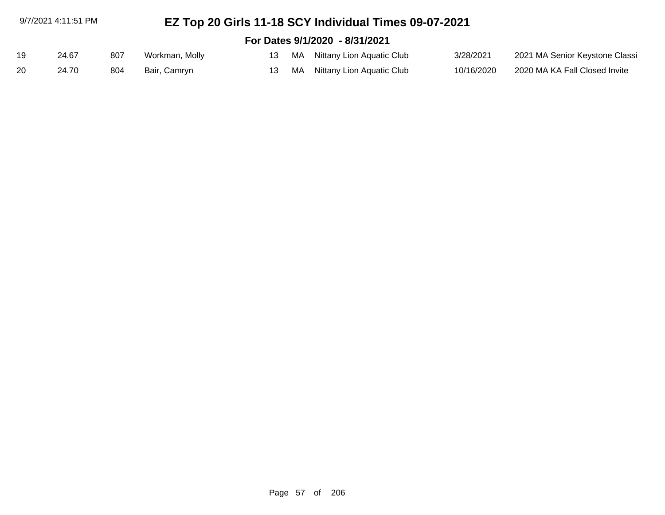|    | 9/7/2021 4:11:51 PM |     | EZ Top 20 Girls 11-18 SCY Individual Times 09-07-2021 |     |    |                                |            |                                |  |  |  |
|----|---------------------|-----|-------------------------------------------------------|-----|----|--------------------------------|------------|--------------------------------|--|--|--|
|    |                     |     |                                                       |     |    | For Dates 9/1/2020 - 8/31/2021 |            |                                |  |  |  |
| 19 | 24.67               | 807 | Workman, Molly                                        | 13. | MA | Nittany Lion Aquatic Club      | 3/28/2021  | 2021 MA Senior Keystone Classi |  |  |  |
| 20 | 24.70               | 804 | Bair, Camryn                                          | 13. | MA | Nittany Lion Aquatic Club      | 10/16/2020 | 2020 MA KA Fall Closed Invite  |  |  |  |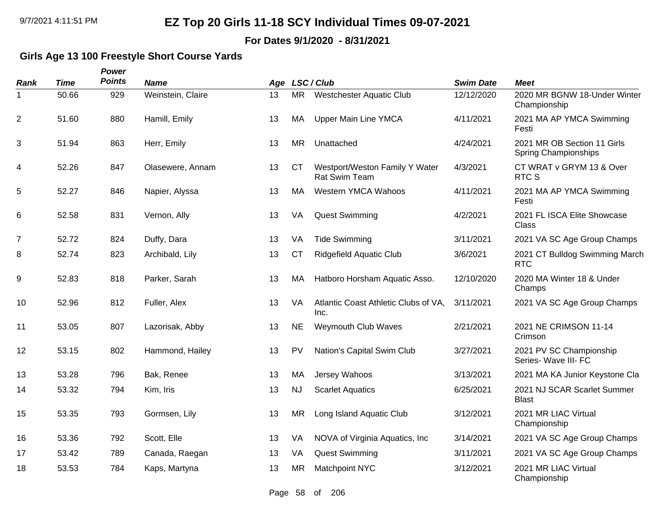**For Dates 9/1/2020 - 8/31/2021**

### **Girls Age 13 100 Freestyle Short Course Yards**

| <b>Rank</b>    | <b>Time</b> | Power<br><b>Points</b> | <b>Name</b>       |    |           | Age LSC/Club                                    | <b>Swim Date</b> | <b>Meet</b>                                         |
|----------------|-------------|------------------------|-------------------|----|-----------|-------------------------------------------------|------------------|-----------------------------------------------------|
| 1              | 50.66       | 929                    | Weinstein, Claire | 13 | <b>MR</b> | <b>Westchester Aquatic Club</b>                 | 12/12/2020       | 2020 MR BGNW 18-Under Winter<br>Championship        |
| $\overline{2}$ | 51.60       | 880                    | Hamill, Emily     | 13 | MA        | <b>Upper Main Line YMCA</b>                     | 4/11/2021        | 2021 MA AP YMCA Swimming<br>Festi                   |
| 3              | 51.94       | 863                    | Herr, Emily       | 13 | MR.       | Unattached                                      | 4/24/2021        | 2021 MR OB Section 11 Girls<br>Spring Championships |
| 4              | 52.26       | 847                    | Olasewere, Annam  | 13 | <b>CT</b> | Westport/Weston Family Y Water<br>Rat Swim Team | 4/3/2021         | CT WRAT v GRYM 13 & Over<br>RTC S                   |
| 5              | 52.27       | 846                    | Napier, Alyssa    | 13 | <b>MA</b> | <b>Western YMCA Wahoos</b>                      | 4/11/2021        | 2021 MA AP YMCA Swimming<br>Festi                   |
| 6              | 52.58       | 831                    | Vernon, Ally      | 13 | VA        | <b>Quest Swimming</b>                           | 4/2/2021         | 2021 FL ISCA Elite Showcase<br>Class                |
| $\overline{7}$ | 52.72       | 824                    | Duffy, Dara       | 13 | VA        | <b>Tide Swimming</b>                            | 3/11/2021        | 2021 VA SC Age Group Champs                         |
| 8              | 52.74       | 823                    | Archibald, Lily   | 13 | <b>CT</b> | <b>Ridgefield Aquatic Club</b>                  | 3/6/2021         | 2021 CT Bulldog Swimming March<br><b>RTC</b>        |
| 9              | 52.83       | 818                    | Parker, Sarah     | 13 | MA        | Hatboro Horsham Aquatic Asso.                   | 12/10/2020       | 2020 MA Winter 18 & Under<br>Champs                 |
| 10             | 52.96       | 812                    | Fuller, Alex      | 13 | VA        | Atlantic Coast Athletic Clubs of VA,<br>Inc.    | 3/11/2021        | 2021 VA SC Age Group Champs                         |
| 11             | 53.05       | 807                    | Lazorisak, Abby   | 13 | <b>NE</b> | Weymouth Club Waves                             | 2/21/2021        | 2021 NE CRIMSON 11-14<br>Crimson                    |
| 12             | 53.15       | 802                    | Hammond, Hailey   | 13 | <b>PV</b> | Nation's Capital Swim Club                      | 3/27/2021        | 2021 PV SC Championship<br>Series- Wave III- FC     |
| 13             | 53.28       | 796                    | Bak, Renee        | 13 | MA        | Jersey Wahoos                                   | 3/13/2021        | 2021 MA KA Junior Keystone Cla                      |
| 14             | 53.32       | 794                    | Kim, Iris         | 13 | <b>NJ</b> | <b>Scarlet Aquatics</b>                         | 6/25/2021        | 2021 NJ SCAR Scarlet Summer<br><b>Blast</b>         |
| 15             | 53.35       | 793                    | Gormsen, Lily     | 13 | <b>MR</b> | Long Island Aquatic Club                        | 3/12/2021        | 2021 MR LIAC Virtual<br>Championship                |
| 16             | 53.36       | 792                    | Scott, Elle       | 13 | VA        | NOVA of Virginia Aquatics, Inc                  | 3/14/2021        | 2021 VA SC Age Group Champs                         |
| 17             | 53.42       | 789                    | Canada, Raegan    | 13 | VA        | <b>Quest Swimming</b>                           | 3/11/2021        | 2021 VA SC Age Group Champs                         |
| 18             | 53.53       | 784                    | Kaps, Martyna     | 13 | <b>MR</b> | Matchpoint NYC                                  | 3/12/2021        | 2021 MR LIAC Virtual<br>Championship                |

Page 58 of 206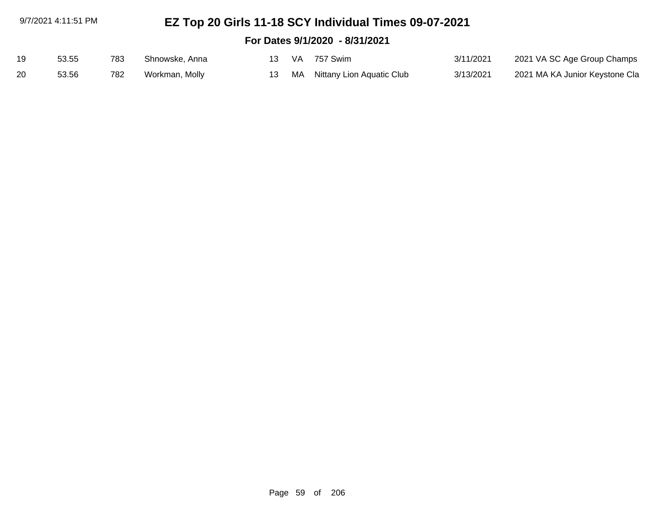9/7/2021 4:11:51 PM

#### **For Dates 9/1/2020 - 8/31/2021**

| 19 | 53.55 | 783 | Shnowske, Anna |  | 13 VA 757 Swim                  | 3/11/2021 | 2021 VA SC Age Group Champs    |
|----|-------|-----|----------------|--|---------------------------------|-----------|--------------------------------|
| 20 | 53.56 | 782 | Workman, Molly |  | 13 MA Nittany Lion Aquatic Club | 3/13/2021 | 2021 MA KA Junior Keystone Cla |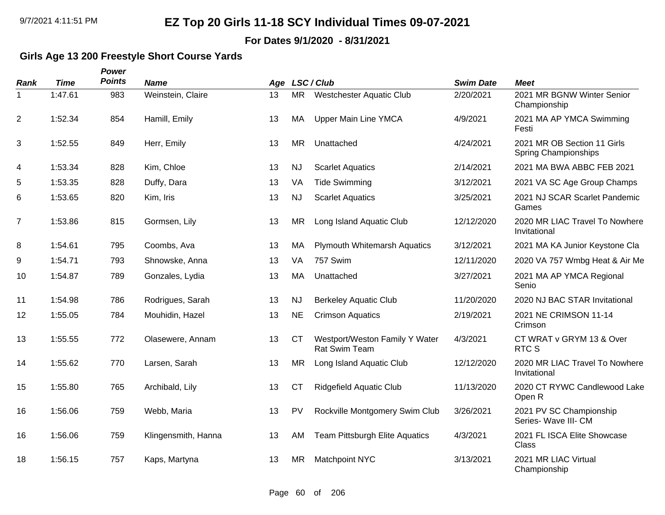#### **For Dates 9/1/2020 - 8/31/2021**

### **Girls Age 13 200 Freestyle Short Course Yards**

| <b>Rank</b>    | <b>Time</b> | Power<br><b>Points</b> | <b>Name</b>         |    |           | Age LSC/Club                                    | <b>Swim Date</b> | <b>Meet</b>                                         |
|----------------|-------------|------------------------|---------------------|----|-----------|-------------------------------------------------|------------------|-----------------------------------------------------|
| 1              | 1:47.61     | 983                    | Weinstein, Claire   | 13 | <b>MR</b> | <b>Westchester Aquatic Club</b>                 | 2/20/2021        | 2021 MR BGNW Winter Senior<br>Championship          |
| $\overline{c}$ | 1:52.34     | 854                    | Hamill, Emily       | 13 | MA        | <b>Upper Main Line YMCA</b>                     | 4/9/2021         | 2021 MA AP YMCA Swimming<br>Festi                   |
| 3              | 1:52.55     | 849                    | Herr, Emily         | 13 | <b>MR</b> | Unattached                                      | 4/24/2021        | 2021 MR OB Section 11 Girls<br>Spring Championships |
| 4              | 1:53.34     | 828                    | Kim, Chloe          | 13 | <b>NJ</b> | <b>Scarlet Aquatics</b>                         | 2/14/2021        | 2021 MA BWA ABBC FEB 2021                           |
| 5              | 1:53.35     | 828                    | Duffy, Dara         | 13 | VA        | <b>Tide Swimming</b>                            | 3/12/2021        | 2021 VA SC Age Group Champs                         |
| 6              | 1:53.65     | 820                    | Kim, Iris           | 13 | <b>NJ</b> | <b>Scarlet Aquatics</b>                         | 3/25/2021        | 2021 NJ SCAR Scarlet Pandemic<br>Games              |
| $\overline{7}$ | 1:53.86     | 815                    | Gormsen, Lily       | 13 | <b>MR</b> | Long Island Aquatic Club                        | 12/12/2020       | 2020 MR LIAC Travel To Nowhere<br>Invitational      |
| 8              | 1:54.61     | 795                    | Coombs, Ava         | 13 | MA        | <b>Plymouth Whitemarsh Aquatics</b>             | 3/12/2021        | 2021 MA KA Junior Keystone Cla                      |
| 9              | 1:54.71     | 793                    | Shnowske, Anna      | 13 | VA        | 757 Swim                                        | 12/11/2020       | 2020 VA 757 Wmbg Heat & Air Me                      |
| 10             | 1:54.87     | 789                    | Gonzales, Lydia     | 13 | <b>MA</b> | Unattached                                      | 3/27/2021        | 2021 MA AP YMCA Regional<br>Senio                   |
| 11             | 1:54.98     | 786                    | Rodrigues, Sarah    | 13 | <b>NJ</b> | <b>Berkeley Aquatic Club</b>                    | 11/20/2020       | 2020 NJ BAC STAR Invitational                       |
| 12             | 1:55.05     | 784                    | Mouhidin, Hazel     | 13 | <b>NE</b> | <b>Crimson Aquatics</b>                         | 2/19/2021        | 2021 NE CRIMSON 11-14<br>Crimson                    |
| 13             | 1:55.55     | 772                    | Olasewere, Annam    | 13 | <b>CT</b> | Westport/Weston Family Y Water<br>Rat Swim Team | 4/3/2021         | CT WRAT v GRYM 13 & Over<br><b>RTC S</b>            |
| 14             | 1:55.62     | 770                    | Larsen, Sarah       | 13 | <b>MR</b> | Long Island Aquatic Club                        | 12/12/2020       | 2020 MR LIAC Travel To Nowhere<br>Invitational      |
| 15             | 1:55.80     | 765                    | Archibald, Lily     | 13 | <b>CT</b> | <b>Ridgefield Aquatic Club</b>                  | 11/13/2020       | 2020 CT RYWC Candlewood Lake<br>Open R              |
| 16             | 1:56.06     | 759                    | Webb, Maria         | 13 | <b>PV</b> | Rockville Montgomery Swim Club                  | 3/26/2021        | 2021 PV SC Championship<br>Series- Wave III- CM     |
| 16             | 1:56.06     | 759                    | Klingensmith, Hanna | 13 | <b>AM</b> | Team Pittsburgh Elite Aquatics                  | 4/3/2021         | 2021 FL ISCA Elite Showcase<br>Class                |
| 18             | 1:56.15     | 757                    | Kaps, Martyna       | 13 | MR        | Matchpoint NYC                                  | 3/13/2021        | 2021 MR LIAC Virtual<br>Championship                |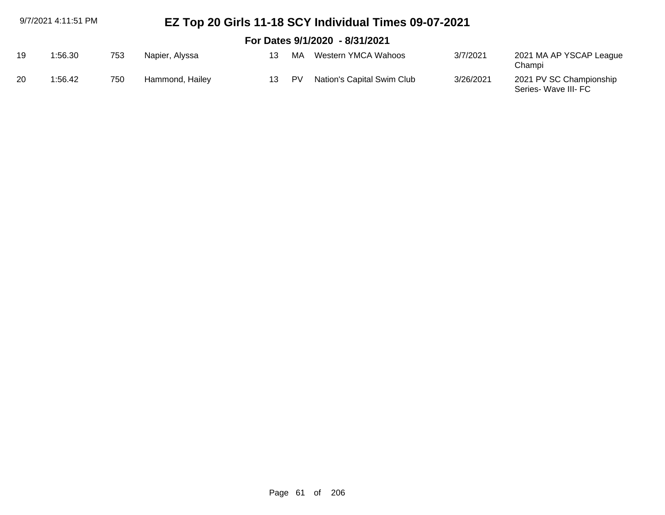| 9/7/2021 4:11:51 PM            |         |     | EZ Top 20 Girls 11-18 SCY Individual Times 09-07-2021 |    |           |                            |           |                                                 |  |  |  |  |
|--------------------------------|---------|-----|-------------------------------------------------------|----|-----------|----------------------------|-----------|-------------------------------------------------|--|--|--|--|
| For Dates 9/1/2020 - 8/31/2021 |         |     |                                                       |    |           |                            |           |                                                 |  |  |  |  |
| 19                             | 1:56.30 | 753 | Napier, Alyssa                                        | 13 | MA        | Western YMCA Wahoos        | 3/7/2021  | 2021 MA AP YSCAP League<br>Champi               |  |  |  |  |
| 20                             | 1:56.42 | 750 | Hammond, Hailey                                       | 13 | <b>PV</b> | Nation's Capital Swim Club | 3/26/2021 | 2021 PV SC Championship<br>Series- Wave III- FC |  |  |  |  |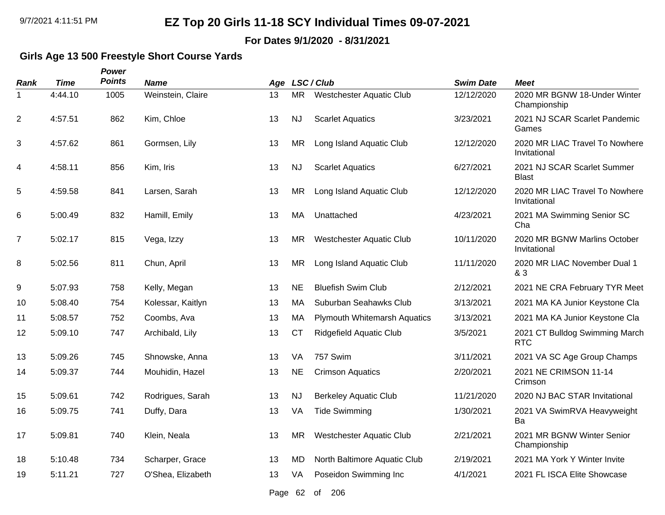**For Dates 9/1/2020 - 8/31/2021**

### **Girls Age 13 500 Freestyle Short Course Yards**

| <b>Rank</b>    | <b>Time</b> | Power<br><b>Points</b> | <b>Name</b>       | Age |           | LSC / Club                          | <b>Swim Date</b> | <b>Meet</b>                                    |
|----------------|-------------|------------------------|-------------------|-----|-----------|-------------------------------------|------------------|------------------------------------------------|
| 1              | 4:44.10     | 1005                   | Weinstein, Claire | 13  | <b>MR</b> | <b>Westchester Aquatic Club</b>     | 12/12/2020       | 2020 MR BGNW 18-Under Winter<br>Championship   |
| $\overline{2}$ | 4:57.51     | 862                    | Kim, Chloe        | 13  | <b>NJ</b> | <b>Scarlet Aquatics</b>             | 3/23/2021        | 2021 NJ SCAR Scarlet Pandemic<br>Games         |
| 3              | 4:57.62     | 861                    | Gormsen, Lily     | 13  | <b>MR</b> | Long Island Aquatic Club            | 12/12/2020       | 2020 MR LIAC Travel To Nowhere<br>Invitational |
| 4              | 4:58.11     | 856                    | Kim, Iris         | 13  | NJ        | <b>Scarlet Aquatics</b>             | 6/27/2021        | 2021 NJ SCAR Scarlet Summer<br><b>Blast</b>    |
| 5              | 4:59.58     | 841                    | Larsen, Sarah     | 13  | <b>MR</b> | Long Island Aquatic Club            | 12/12/2020       | 2020 MR LIAC Travel To Nowhere<br>Invitational |
| 6              | 5:00.49     | 832                    | Hamill, Emily     | 13  | МA        | Unattached                          | 4/23/2021        | 2021 MA Swimming Senior SC<br>Cha              |
| $\overline{7}$ | 5:02.17     | 815                    | Vega, Izzy        | 13  | <b>MR</b> | Westchester Aquatic Club            | 10/11/2020       | 2020 MR BGNW Marlins October<br>Invitational   |
| 8              | 5:02.56     | 811                    | Chun, April       | 13  | <b>MR</b> | Long Island Aquatic Club            | 11/11/2020       | 2020 MR LIAC November Dual 1<br>& 3            |
| 9              | 5:07.93     | 758                    | Kelly, Megan      | 13  | <b>NE</b> | <b>Bluefish Swim Club</b>           | 2/12/2021        | 2021 NE CRA February TYR Meet                  |
| 10             | 5:08.40     | 754                    | Kolessar, Kaitlyn | 13  | MA        | Suburban Seahawks Club              | 3/13/2021        | 2021 MA KA Junior Keystone Cla                 |
| 11             | 5:08.57     | 752                    | Coombs, Ava       | 13  | MA        | <b>Plymouth Whitemarsh Aquatics</b> | 3/13/2021        | 2021 MA KA Junior Keystone Cla                 |
| 12             | 5:09.10     | 747                    | Archibald, Lily   | 13  | <b>CT</b> | <b>Ridgefield Aquatic Club</b>      | 3/5/2021         | 2021 CT Bulldog Swimming March<br><b>RTC</b>   |
| 13             | 5:09.26     | 745                    | Shnowske, Anna    | 13  | VA        | 757 Swim                            | 3/11/2021        | 2021 VA SC Age Group Champs                    |
| 14             | 5:09.37     | 744                    | Mouhidin, Hazel   | 13  | <b>NE</b> | <b>Crimson Aquatics</b>             | 2/20/2021        | 2021 NE CRIMSON 11-14<br>Crimson               |
| 15             | 5:09.61     | 742                    | Rodrigues, Sarah  | 13  | <b>NJ</b> | <b>Berkeley Aquatic Club</b>        | 11/21/2020       | 2020 NJ BAC STAR Invitational                  |
| 16             | 5:09.75     | 741                    | Duffy, Dara       | 13  | VA        | <b>Tide Swimming</b>                | 1/30/2021        | 2021 VA SwimRVA Heavyweight<br>Ba              |
| 17             | 5:09.81     | 740                    | Klein, Neala      | 13  | <b>MR</b> | Westchester Aquatic Club            | 2/21/2021        | 2021 MR BGNW Winter Senior<br>Championship     |
| 18             | 5:10.48     | 734                    | Scharper, Grace   | 13  | <b>MD</b> | North Baltimore Aquatic Club        | 2/19/2021        | 2021 MA York Y Winter Invite                   |
| 19             | 5:11.21     | 727                    | O'Shea, Elizabeth | 13  | VA        | Poseidon Swimming Inc               | 4/1/2021         | 2021 FL ISCA Elite Showcase                    |
|                |             |                        |                   |     | Page 62   | of<br>206                           |                  |                                                |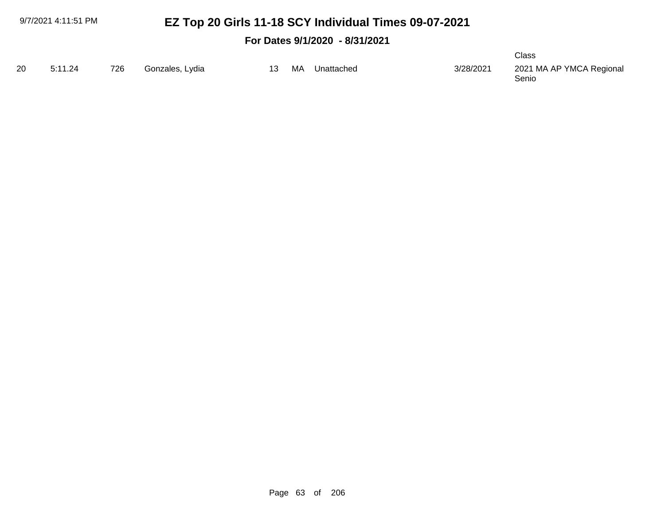| 20 | 5:11.24 | 726 | Gonzales, Lydia |  | 13 MA Unattached | 3/28/2021 | 2021 MA AP YMCA Regional |
|----|---------|-----|-----------------|--|------------------|-----------|--------------------------|
|    |         |     |                 |  |                  |           | Senio                    |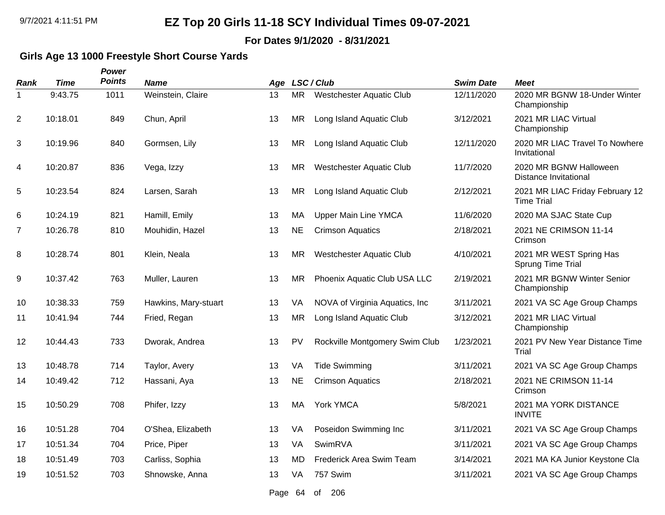**For Dates 9/1/2020 - 8/31/2021**

### **Girls Age 13 1000 Freestyle Short Course Yards**

| Rank           | <b>Time</b> | Power<br><b>Points</b> | <b>Name</b>          |    |           | Age LSC/Club                    | <b>Swim Date</b> | <b>Meet</b>                                          |
|----------------|-------------|------------------------|----------------------|----|-----------|---------------------------------|------------------|------------------------------------------------------|
| -1             | 9:43.75     | 1011                   | Weinstein, Claire    | 13 | <b>MR</b> | <b>Westchester Aquatic Club</b> | 12/11/2020       | 2020 MR BGNW 18-Under Winter<br>Championship         |
| $\overline{2}$ | 10:18.01    | 849                    | Chun, April          | 13 | <b>MR</b> | Long Island Aquatic Club        | 3/12/2021        | 2021 MR LIAC Virtual<br>Championship                 |
| 3              | 10:19.96    | 840                    | Gormsen, Lily        | 13 | <b>MR</b> | Long Island Aquatic Club        | 12/11/2020       | 2020 MR LIAC Travel To Nowhere<br>Invitational       |
| 4              | 10:20.87    | 836                    | Vega, Izzy           | 13 | <b>MR</b> | <b>Westchester Aquatic Club</b> | 11/7/2020        | 2020 MR BGNW Halloween<br>Distance Invitational      |
| $\,$ 5 $\,$    | 10:23.54    | 824                    | Larsen, Sarah        | 13 | <b>MR</b> | Long Island Aquatic Club        | 2/12/2021        | 2021 MR LIAC Friday February 12<br><b>Time Trial</b> |
| 6              | 10:24.19    | 821                    | Hamill, Emily        | 13 | MA        | <b>Upper Main Line YMCA</b>     | 11/6/2020        | 2020 MA SJAC State Cup                               |
| 7              | 10:26.78    | 810                    | Mouhidin, Hazel      | 13 | <b>NE</b> | <b>Crimson Aquatics</b>         | 2/18/2021        | 2021 NE CRIMSON 11-14<br>Crimson                     |
| 8              | 10:28.74    | 801                    | Klein, Neala         | 13 | <b>MR</b> | <b>Westchester Aquatic Club</b> | 4/10/2021        | 2021 MR WEST Spring Has<br>Sprung Time Trial         |
| 9              | 10:37.42    | 763                    | Muller, Lauren       | 13 | <b>MR</b> | Phoenix Aquatic Club USA LLC    | 2/19/2021        | 2021 MR BGNW Winter Senior<br>Championship           |
| 10             | 10:38.33    | 759                    | Hawkins, Mary-stuart | 13 | VA        | NOVA of Virginia Aquatics, Inc. | 3/11/2021        | 2021 VA SC Age Group Champs                          |
| 11             | 10:41.94    | 744                    | Fried, Regan         | 13 | <b>MR</b> | Long Island Aquatic Club        | 3/12/2021        | 2021 MR LIAC Virtual<br>Championship                 |
| 12             | 10:44.43    | 733                    | Dworak, Andrea       | 13 | PV        | Rockville Montgomery Swim Club  | 1/23/2021        | 2021 PV New Year Distance Time<br>Trial              |
| 13             | 10:48.78    | 714                    | Taylor, Avery        | 13 | VA        | <b>Tide Swimming</b>            | 3/11/2021        | 2021 VA SC Age Group Champs                          |
| 14             | 10:49.42    | 712                    | Hassani, Aya         | 13 | <b>NE</b> | <b>Crimson Aquatics</b>         | 2/18/2021        | 2021 NE CRIMSON 11-14<br>Crimson                     |
| 15             | 10:50.29    | 708                    | Phifer, Izzy         | 13 | <b>MA</b> | York YMCA                       | 5/8/2021         | 2021 MA YORK DISTANCE<br><b>INVITE</b>               |
| 16             | 10:51.28    | 704                    | O'Shea, Elizabeth    | 13 | VA        | Poseidon Swimming Inc           | 3/11/2021        | 2021 VA SC Age Group Champs                          |
| 17             | 10:51.34    | 704                    | Price, Piper         | 13 | VA        | SwimRVA                         | 3/11/2021        | 2021 VA SC Age Group Champs                          |
| 18             | 10:51.49    | 703                    | Carliss, Sophia      | 13 | <b>MD</b> | Frederick Area Swim Team        | 3/14/2021        | 2021 MA KA Junior Keystone Cla                       |
| 19             | 10:51.52    | 703                    | Shnowske, Anna       | 13 | VA        | 757 Swim                        | 3/11/2021        | 2021 VA SC Age Group Champs                          |

Page 64 of 206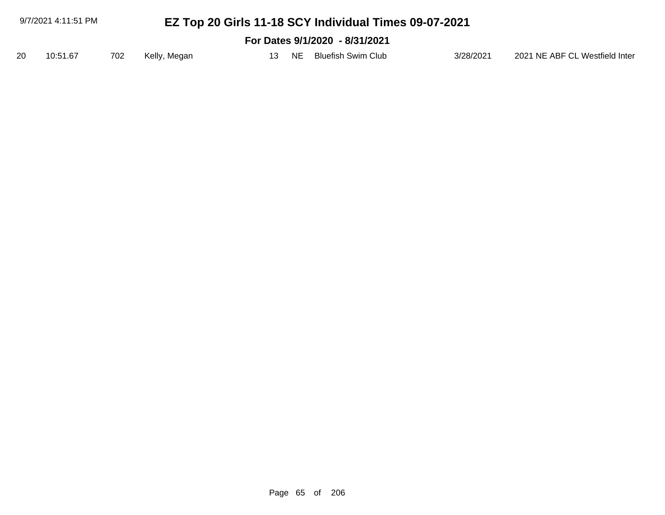| 9/7/2021 4:11:51 PM<br>EZ Top 20 Girls 11-18 SCY Individual Times 09-07-2021 |                                |     |              |  |     |  |                       |           |                                |  |
|------------------------------------------------------------------------------|--------------------------------|-----|--------------|--|-----|--|-----------------------|-----------|--------------------------------|--|
|                                                                              | For Dates 9/1/2020 - 8/31/2021 |     |              |  |     |  |                       |           |                                |  |
| 20                                                                           | 10:51.67                       | 702 | Kelly, Megan |  | 13. |  | NE Bluefish Swim Club | 3/28/2021 | 2021 NE ABF CL Westfield Inter |  |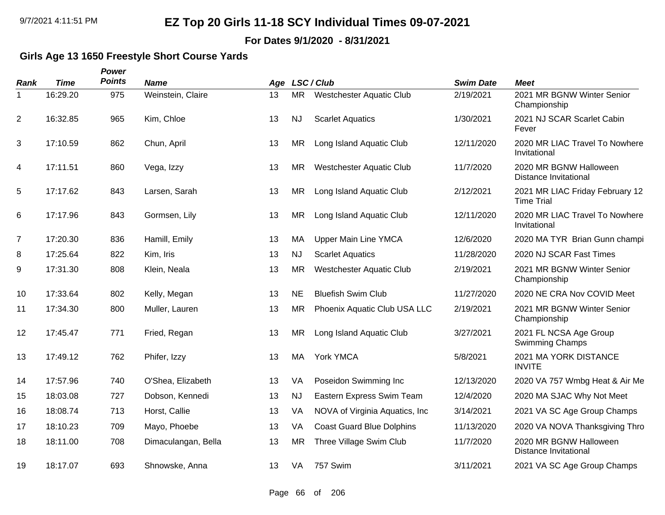**For Dates 9/1/2020 - 8/31/2021**

### **Girls Age 13 1650 Freestyle Short Course Yards**

| Rank        | <b>Time</b> | Power<br><b>Points</b> | <b>Name</b>         |    |           | Age LSC/Club                     | <b>Swim Date</b> | <b>Meet</b>                                            |
|-------------|-------------|------------------------|---------------------|----|-----------|----------------------------------|------------------|--------------------------------------------------------|
| $\mathbf 1$ | 16:29.20    | 975                    | Weinstein, Claire   | 13 | <b>MR</b> | <b>Westchester Aquatic Club</b>  | 2/19/2021        | 2021 MR BGNW Winter Senior<br>Championship             |
| 2           | 16:32.85    | 965                    | Kim, Chloe          | 13 | <b>NJ</b> | <b>Scarlet Aquatics</b>          | 1/30/2021        | 2021 NJ SCAR Scarlet Cabin<br>Fever                    |
| 3           | 17:10.59    | 862                    | Chun, April         | 13 | MR        | Long Island Aquatic Club         | 12/11/2020       | 2020 MR LIAC Travel To Nowhere<br>Invitational         |
| 4           | 17:11.51    | 860                    | Vega, Izzy          | 13 | <b>MR</b> | <b>Westchester Aquatic Club</b>  | 11/7/2020        | 2020 MR BGNW Halloween<br><b>Distance Invitational</b> |
| 5           | 17:17.62    | 843                    | Larsen, Sarah       | 13 | <b>MR</b> | Long Island Aquatic Club         | 2/12/2021        | 2021 MR LIAC Friday February 12<br><b>Time Trial</b>   |
| 6           | 17:17.96    | 843                    | Gormsen, Lily       | 13 | <b>MR</b> | Long Island Aquatic Club         | 12/11/2020       | 2020 MR LIAC Travel To Nowhere<br>Invitational         |
| 7           | 17:20.30    | 836                    | Hamill, Emily       | 13 | MA        | <b>Upper Main Line YMCA</b>      | 12/6/2020        | 2020 MA TYR Brian Gunn champi                          |
| 8           | 17:25.64    | 822                    | Kim, Iris           | 13 | <b>NJ</b> | <b>Scarlet Aquatics</b>          | 11/28/2020       | 2020 NJ SCAR Fast Times                                |
| 9           | 17:31.30    | 808                    | Klein, Neala        | 13 | <b>MR</b> | Westchester Aquatic Club         | 2/19/2021        | 2021 MR BGNW Winter Senior<br>Championship             |
| 10          | 17:33.64    | 802                    | Kelly, Megan        | 13 | <b>NE</b> | <b>Bluefish Swim Club</b>        | 11/27/2020       | 2020 NE CRA Nov COVID Meet                             |
| 11          | 17:34.30    | 800                    | Muller, Lauren      | 13 | <b>MR</b> | Phoenix Aquatic Club USA LLC     | 2/19/2021        | 2021 MR BGNW Winter Senior<br>Championship             |
| 12          | 17:45.47    | 771                    | Fried, Regan        | 13 | <b>MR</b> | Long Island Aquatic Club         | 3/27/2021        | 2021 FL NCSA Age Group<br><b>Swimming Champs</b>       |
| 13          | 17:49.12    | 762                    | Phifer, Izzy        | 13 | MA        | York YMCA                        | 5/8/2021         | 2021 MA YORK DISTANCE<br><b>INVITE</b>                 |
| 14          | 17:57.96    | 740                    | O'Shea, Elizabeth   | 13 | VA        | Poseidon Swimming Inc            | 12/13/2020       | 2020 VA 757 Wmbg Heat & Air Me                         |
| 15          | 18:03.08    | 727                    | Dobson, Kennedi     | 13 | <b>NJ</b> | Eastern Express Swim Team        | 12/4/2020        | 2020 MA SJAC Why Not Meet                              |
| 16          | 18:08.74    | 713                    | Horst, Callie       | 13 | VA        | NOVA of Virginia Aquatics, Inc   | 3/14/2021        | 2021 VA SC Age Group Champs                            |
| 17          | 18:10.23    | 709                    | Mayo, Phoebe        | 13 | VA        | <b>Coast Guard Blue Dolphins</b> | 11/13/2020       | 2020 VA NOVA Thanksgiving Thro                         |
| 18          | 18:11.00    | 708                    | Dimaculangan, Bella | 13 | <b>MR</b> | Three Village Swim Club          | 11/7/2020        | 2020 MR BGNW Halloween<br><b>Distance Invitational</b> |
| 19          | 18:17.07    | 693                    | Shnowske, Anna      | 13 | VA        | 757 Swim                         | 3/11/2021        | 2021 VA SC Age Group Champs                            |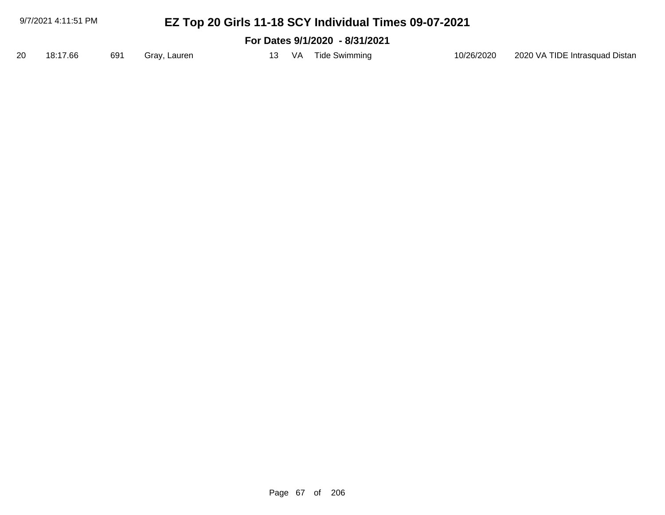| 9/7/2021 4:11:51 PM<br>EZ Top 20 Girls 11-18 SCY Individual Times 09-07-2021 |                                |     |              |  |  |                     |            |                                |  |  |
|------------------------------------------------------------------------------|--------------------------------|-----|--------------|--|--|---------------------|------------|--------------------------------|--|--|
|                                                                              | For Dates 9/1/2020 - 8/31/2021 |     |              |  |  |                     |            |                                |  |  |
| 20                                                                           | 18:17.66                       | 691 | Gray, Lauren |  |  | 13 VA Tide Swimming | 10/26/2020 | 2020 VA TIDE Intrasquad Distan |  |  |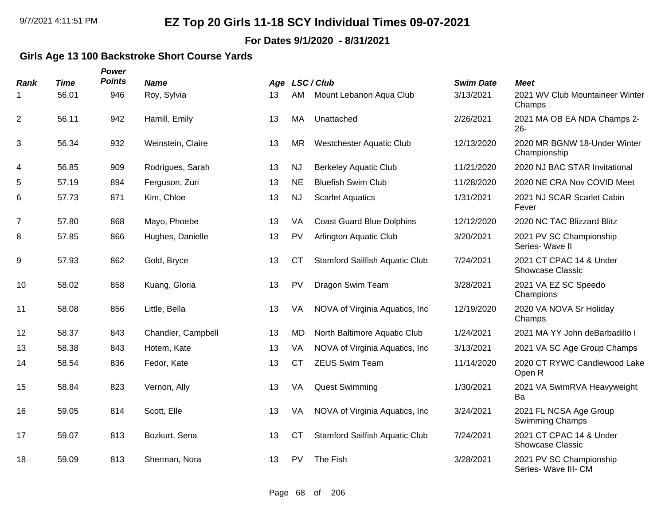**For Dates 9/1/2020 - 8/31/2021**

### **Girls Age 13 100 Backstroke Short Course Yards**

| <b>Rank</b>    | <b>Time</b> | Power<br><b>Points</b> | <b>Name</b>        |    |           | Age LSC/Club                          | <b>Swim Date</b> | <b>Meet</b>                                        |
|----------------|-------------|------------------------|--------------------|----|-----------|---------------------------------------|------------------|----------------------------------------------------|
| 1              | 56.01       | 946                    | Roy, Sylvia        | 13 | AM        | Mount Lebanon Aqua Club               | 3/13/2021        | 2021 WV Club Mountaineer Winter<br>Champs          |
| $\overline{2}$ | 56.11       | 942                    | Hamill, Emily      | 13 | MA        | Unattached                            | 2/26/2021        | 2021 MA OB EA NDA Champs 2-<br>$26 -$              |
| 3              | 56.34       | 932                    | Weinstein, Claire  | 13 | <b>MR</b> | <b>Westchester Aquatic Club</b>       | 12/13/2020       | 2020 MR BGNW 18-Under Winter<br>Championship       |
| 4              | 56.85       | 909                    | Rodrigues, Sarah   | 13 | <b>NJ</b> | <b>Berkeley Aquatic Club</b>          | 11/21/2020       | 2020 NJ BAC STAR Invitational                      |
| 5              | 57.19       | 894                    | Ferguson, Zuri     | 13 | <b>NE</b> | <b>Bluefish Swim Club</b>             | 11/28/2020       | 2020 NE CRA Nov COVID Meet                         |
| 6              | 57.73       | 871                    | Kim, Chloe         | 13 | <b>NJ</b> | <b>Scarlet Aquatics</b>               | 1/31/2021        | 2021 NJ SCAR Scarlet Cabin<br>Fever                |
| 7              | 57.80       | 868                    | Mayo, Phoebe       | 13 | VA        | <b>Coast Guard Blue Dolphins</b>      | 12/12/2020       | 2020 NC TAC Blizzard Blitz                         |
| 8              | 57.85       | 866                    | Hughes, Danielle   | 13 | PV        | Arlington Aquatic Club                | 3/20/2021        | 2021 PV SC Championship<br>Series- Wave II         |
| 9              | 57.93       | 862                    | Gold, Bryce        | 13 | <b>CT</b> | <b>Stamford Sailfish Aquatic Club</b> | 7/24/2021        | 2021 CT CPAC 14 & Under<br><b>Showcase Classic</b> |
| 10             | 58.02       | 858                    | Kuang, Gloria      | 13 | <b>PV</b> | Dragon Swim Team                      | 3/28/2021        | 2021 VA EZ SC Speedo<br>Champions                  |
| 11             | 58.08       | 856                    | Little, Bella      | 13 | VA        | NOVA of Virginia Aquatics, Inc.       | 12/19/2020       | 2020 VA NOVA Sr Holiday<br>Champs                  |
| 12             | 58.37       | 843                    | Chandler, Campbell | 13 | <b>MD</b> | North Baltimore Aquatic Club          | 1/24/2021        | 2021 MA YY John deBarbadillo I                     |
| 13             | 58.38       | 843                    | Hotem, Kate        | 13 | VA        | NOVA of Virginia Aquatics, Inc.       | 3/13/2021        | 2021 VA SC Age Group Champs                        |
| 14             | 58.54       | 836                    | Fedor, Kate        | 13 | <b>CT</b> | <b>ZEUS Swim Team</b>                 | 11/14/2020       | 2020 CT RYWC Candlewood Lake<br>Open R             |
| 15             | 58.84       | 823                    | Vernon, Ally       | 13 | VA        | <b>Quest Swimming</b>                 | 1/30/2021        | 2021 VA SwimRVA Heavyweight<br>Ba                  |
| 16             | 59.05       | 814                    | Scott, Elle        | 13 | VA        | NOVA of Virginia Aquatics, Inc.       | 3/24/2021        | 2021 FL NCSA Age Group<br>Swimming Champs          |
| 17             | 59.07       | 813                    | Bozkurt, Sena      | 13 | <b>CT</b> | <b>Stamford Sailfish Aquatic Club</b> | 7/24/2021        | 2021 CT CPAC 14 & Under<br><b>Showcase Classic</b> |
| 18             | 59.09       | 813                    | Sherman, Nora      | 13 | <b>PV</b> | The Fish                              | 3/28/2021        | 2021 PV SC Championship<br>Series- Wave III- CM    |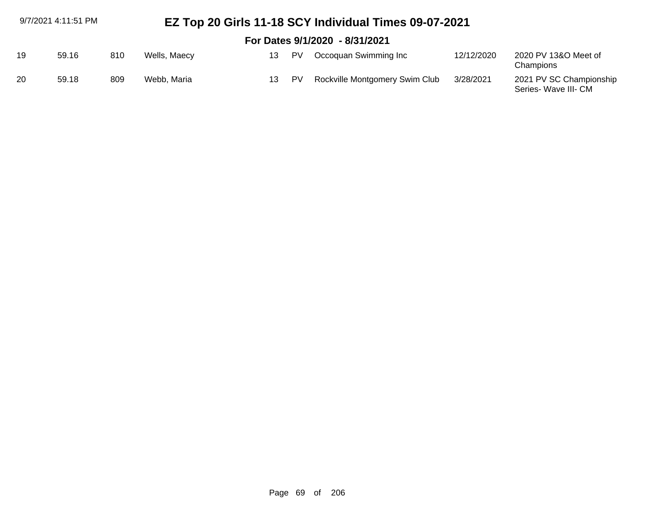| 9/7/2021 4:11:51 PM |                                |     | EZ Top 20 Girls 11-18 SCY Individual Times 09-07-2021 |    |           |                                |            |                                                 |  |  |  |  |
|---------------------|--------------------------------|-----|-------------------------------------------------------|----|-----------|--------------------------------|------------|-------------------------------------------------|--|--|--|--|
|                     | For Dates 9/1/2020 - 8/31/2021 |     |                                                       |    |           |                                |            |                                                 |  |  |  |  |
| 19                  | 59.16                          | 810 | Wells, Maecy                                          | 13 | <b>PV</b> | Occoquan Swimming Inc          | 12/12/2020 | 2020 PV 13&O Meet of<br>Champions               |  |  |  |  |
| 20                  | 59.18                          | 809 | Webb, Maria                                           | 13 | PV        | Rockville Montgomery Swim Club | 3/28/2021  | 2021 PV SC Championship<br>Series- Wave III- CM |  |  |  |  |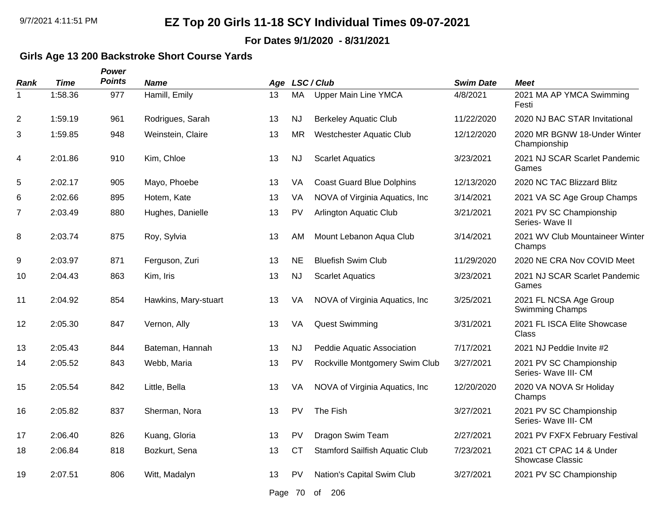**For Dates 9/1/2020 - 8/31/2021**

### **Girls Age 13 200 Backstroke Short Course Yards**

| <b>Rank</b>    | <b>Time</b> | Power<br><b>Points</b> | <b>Name</b>          | Age     |           | LSC / Club                            | <b>Swim Date</b> | Meet                                             |
|----------------|-------------|------------------------|----------------------|---------|-----------|---------------------------------------|------------------|--------------------------------------------------|
| 1              | 1:58.36     | 977                    | Hamill, Emily        | 13      | MA        | <b>Upper Main Line YMCA</b>           | 4/8/2021         | 2021 MA AP YMCA Swimming<br>Festi                |
| $\overline{2}$ | 1:59.19     | 961                    | Rodrigues, Sarah     | 13      | <b>NJ</b> | <b>Berkeley Aquatic Club</b>          | 11/22/2020       | 2020 NJ BAC STAR Invitational                    |
| 3              | 1:59.85     | 948                    | Weinstein, Claire    | 13      | MR        | Westchester Aquatic Club              | 12/12/2020       | 2020 MR BGNW 18-Under Winter<br>Championship     |
| 4              | 2:01.86     | 910                    | Kim, Chloe           | 13      | <b>NJ</b> | <b>Scarlet Aquatics</b>               | 3/23/2021        | 2021 NJ SCAR Scarlet Pandemic<br>Games           |
| 5              | 2:02.17     | 905                    | Mayo, Phoebe         | 13      | VA        | <b>Coast Guard Blue Dolphins</b>      | 12/13/2020       | 2020 NC TAC Blizzard Blitz                       |
| 6              | 2:02.66     | 895                    | Hotem, Kate          | 13      | VA.       | NOVA of Virginia Aquatics, Inc.       | 3/14/2021        | 2021 VA SC Age Group Champs                      |
| 7              | 2:03.49     | 880                    | Hughes, Danielle     | 13      | PV        | <b>Arlington Aquatic Club</b>         | 3/21/2021        | 2021 PV SC Championship<br>Series- Wave II       |
| 8              | 2:03.74     | 875                    | Roy, Sylvia          | 13      | AM        | Mount Lebanon Aqua Club               | 3/14/2021        | 2021 WV Club Mountaineer Winter<br>Champs        |
| 9              | 2:03.97     | 871                    | Ferguson, Zuri       | 13      | <b>NE</b> | <b>Bluefish Swim Club</b>             | 11/29/2020       | 2020 NE CRA Nov COVID Meet                       |
| 10             | 2:04.43     | 863                    | Kim, Iris            | 13      | NJ        | <b>Scarlet Aquatics</b>               | 3/23/2021        | 2021 NJ SCAR Scarlet Pandemic<br>Games           |
| 11             | 2:04.92     | 854                    | Hawkins, Mary-stuart | 13      | VA        | NOVA of Virginia Aquatics, Inc.       | 3/25/2021        | 2021 FL NCSA Age Group<br><b>Swimming Champs</b> |
| $12 \,$        | 2:05.30     | 847                    | Vernon, Ally         | 13      | VA        | <b>Quest Swimming</b>                 | 3/31/2021        | 2021 FL ISCA Elite Showcase<br>Class             |
| 13             | 2:05.43     | 844                    | Bateman, Hannah      | 13      | <b>NJ</b> | Peddie Aquatic Association            | 7/17/2021        | 2021 NJ Peddie Invite #2                         |
| 14             | 2:05.52     | 843                    | Webb, Maria          | 13      | PV        | Rockville Montgomery Swim Club        | 3/27/2021        | 2021 PV SC Championship<br>Series- Wave III- CM  |
| 15             | 2:05.54     | 842                    | Little, Bella        | 13      | VA        | NOVA of Virginia Aquatics, Inc.       | 12/20/2020       | 2020 VA NOVA Sr Holiday<br>Champs                |
| 16             | 2:05.82     | 837                    | Sherman, Nora        | 13      | <b>PV</b> | The Fish                              | 3/27/2021        | 2021 PV SC Championship<br>Series- Wave III- CM  |
| 17             | 2:06.40     | 826                    | Kuang, Gloria        | 13      | PV        | Dragon Swim Team                      | 2/27/2021        | 2021 PV FXFX February Festival                   |
| 18             | 2:06.84     | 818                    | Bozkurt, Sena        | 13      | <b>CT</b> | <b>Stamford Sailfish Aquatic Club</b> | 7/23/2021        | 2021 CT CPAC 14 & Under<br>Showcase Classic      |
| 19             | 2:07.51     | 806                    | Witt, Madalyn        | 13      | <b>PV</b> | Nation's Capital Swim Club            | 3/27/2021        | 2021 PV SC Championship                          |
|                |             |                        |                      | Page 70 |           | of 206                                |                  |                                                  |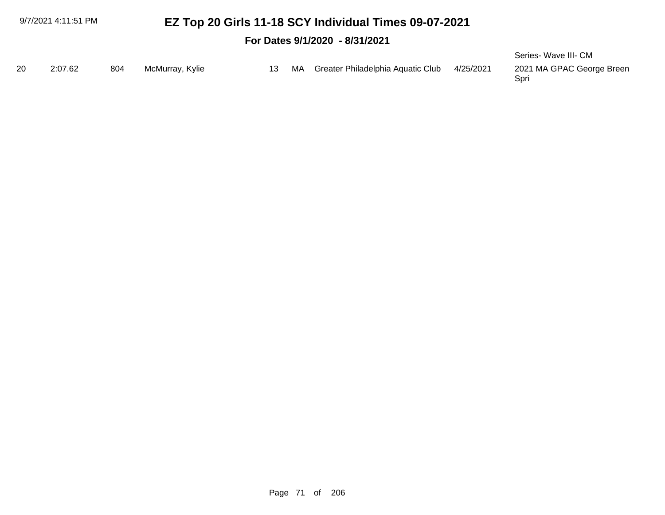| 9/7/2021 4:11:51 PM            |     | EZ Top 20 Girls 11-18 SCY Individual Times 09-07-2021 |     |     |                                   |           |                           |  |  |  |  |
|--------------------------------|-----|-------------------------------------------------------|-----|-----|-----------------------------------|-----------|---------------------------|--|--|--|--|
| For Dates 9/1/2020 - 8/31/2021 |     |                                                       |     |     |                                   |           |                           |  |  |  |  |
|                                |     |                                                       |     |     |                                   |           | Series- Wave III- CM      |  |  |  |  |
| -20<br>2:07.62                 | 804 | McMurray, Kylie                                       | 13. | MA. | Greater Philadelphia Aquatic Club | 4/25/2021 | 2021 MA GPAC George Breen |  |  |  |  |

Spri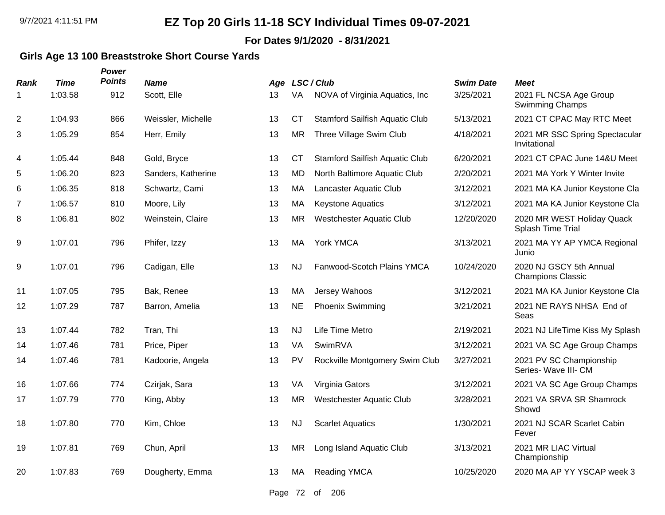**For Dates 9/1/2020 - 8/31/2021**

### **Girls Age 13 100 Breaststroke Short Course Yards**

| Rank           | <b>Time</b> | Power<br><b>Points</b> | <b>Name</b>        |    |           | Age LSC/Club                          | <b>Swim Date</b> | <b>Meet</b>                                         |
|----------------|-------------|------------------------|--------------------|----|-----------|---------------------------------------|------------------|-----------------------------------------------------|
|                | 1:03.58     | 912                    | Scott, Elle        | 13 | VA        | NOVA of Virginia Aquatics, Inc.       | 3/25/2021        | 2021 FL NCSA Age Group<br><b>Swimming Champs</b>    |
| $\overline{c}$ | 1:04.93     | 866                    | Weissler, Michelle | 13 | <b>CT</b> | <b>Stamford Sailfish Aquatic Club</b> | 5/13/2021        | 2021 CT CPAC May RTC Meet                           |
| 3              | 1:05.29     | 854                    | Herr, Emily        | 13 | <b>MR</b> | Three Village Swim Club               | 4/18/2021        | 2021 MR SSC Spring Spectacular<br>Invitational      |
| 4              | 1:05.44     | 848                    | Gold, Bryce        | 13 | <b>CT</b> | <b>Stamford Sailfish Aquatic Club</b> | 6/20/2021        | 2021 CT CPAC June 14&U Meet                         |
| $\,$ 5 $\,$    | 1:06.20     | 823                    | Sanders, Katherine | 13 | MD        | North Baltimore Aquatic Club          | 2/20/2021        | 2021 MA York Y Winter Invite                        |
| 6              | 1:06.35     | 818                    | Schwartz, Cami     | 13 | MA        | Lancaster Aquatic Club                | 3/12/2021        | 2021 MA KA Junior Keystone Cla                      |
| 7              | 1:06.57     | 810                    | Moore, Lily        | 13 | MA        | <b>Keystone Aquatics</b>              | 3/12/2021        | 2021 MA KA Junior Keystone Cla                      |
| 8              | 1:06.81     | 802                    | Weinstein, Claire  | 13 | <b>MR</b> | Westchester Aquatic Club              | 12/20/2020       | 2020 MR WEST Holiday Quack<br>Splash Time Trial     |
| 9              | 1:07.01     | 796                    | Phifer, Izzy       | 13 | MA        | York YMCA                             | 3/13/2021        | 2021 MA YY AP YMCA Regional<br>Junio                |
| 9              | 1:07.01     | 796                    | Cadigan, Elle      | 13 | <b>NJ</b> | Fanwood-Scotch Plains YMCA            | 10/24/2020       | 2020 NJ GSCY 5th Annual<br><b>Champions Classic</b> |
| 11             | 1:07.05     | 795                    | Bak, Renee         | 13 | MA        | Jersey Wahoos                         | 3/12/2021        | 2021 MA KA Junior Keystone Cla                      |
| 12             | 1:07.29     | 787                    | Barron, Amelia     | 13 | <b>NE</b> | <b>Phoenix Swimming</b>               | 3/21/2021        | 2021 NE RAYS NHSA End of<br>Seas                    |
| 13             | 1:07.44     | 782                    | Tran, Thi          | 13 | <b>NJ</b> | Life Time Metro                       | 2/19/2021        | 2021 NJ LifeTime Kiss My Splash                     |
| 14             | 1:07.46     | 781                    | Price, Piper       | 13 | VA        | SwimRVA                               | 3/12/2021        | 2021 VA SC Age Group Champs                         |
| 14             | 1:07.46     | 781                    | Kadoorie, Angela   | 13 | <b>PV</b> | Rockville Montgomery Swim Club        | 3/27/2021        | 2021 PV SC Championship<br>Series- Wave III- CM     |
| 16             | 1:07.66     | 774                    | Czirjak, Sara      | 13 | VA        | Virginia Gators                       | 3/12/2021        | 2021 VA SC Age Group Champs                         |
| 17             | 1:07.79     | 770                    | King, Abby         | 13 | <b>MR</b> | Westchester Aquatic Club              | 3/28/2021        | 2021 VA SRVA SR Shamrock<br>Showd                   |
| 18             | 1:07.80     | 770                    | Kim, Chloe         | 13 | NJ        | <b>Scarlet Aquatics</b>               | 1/30/2021        | 2021 NJ SCAR Scarlet Cabin<br>Fever                 |
| 19             | 1:07.81     | 769                    | Chun, April        | 13 | <b>MR</b> | Long Island Aquatic Club              | 3/13/2021        | 2021 MR LIAC Virtual<br>Championship                |
| 20             | 1:07.83     | 769                    | Dougherty, Emma    | 13 | МA        | <b>Reading YMCA</b>                   | 10/25/2020       | 2020 MA AP YY YSCAP week 3                          |

Page 72 of 206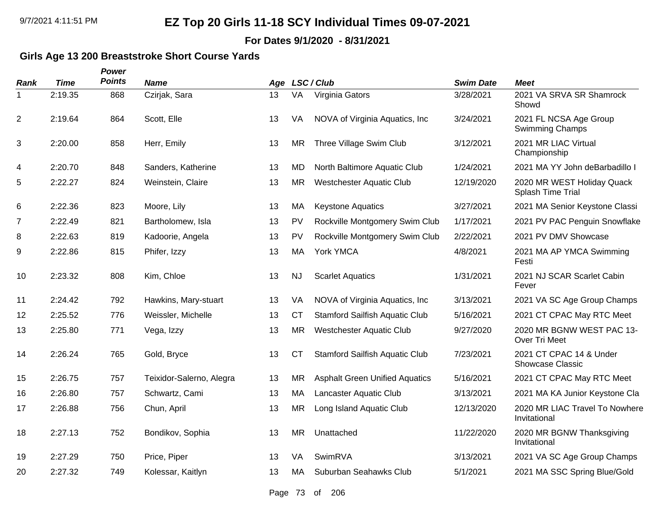**For Dates 9/1/2020 - 8/31/2021**

#### **Girls Age 13 200 Breaststroke Short Course Yards**

| Rank           | <b>Time</b> | Power<br><b>Points</b> | <b>Name</b>              |    |           | Age LSC/Club                          | <b>Swim Date</b> | <b>Meet</b>                                     |
|----------------|-------------|------------------------|--------------------------|----|-----------|---------------------------------------|------------------|-------------------------------------------------|
| 1              | 2:19.35     | 868                    | Czirjak, Sara            | 13 | VA        | Virginia Gators                       | 3/28/2021        | 2021 VA SRVA SR Shamrock<br>Showd               |
| $\overline{2}$ | 2:19.64     | 864                    | Scott, Elle              | 13 | VA        | NOVA of Virginia Aquatics, Inc.       | 3/24/2021        | 2021 FL NCSA Age Group<br>Swimming Champs       |
| 3              | 2:20.00     | 858                    | Herr, Emily              | 13 | <b>MR</b> | Three Village Swim Club               | 3/12/2021        | 2021 MR LIAC Virtual<br>Championship            |
| 4              | 2:20.70     | 848                    | Sanders, Katherine       | 13 | <b>MD</b> | North Baltimore Aquatic Club          | 1/24/2021        | 2021 MA YY John deBarbadillo I                  |
| 5              | 2:22.27     | 824                    | Weinstein, Claire        | 13 | <b>MR</b> | <b>Westchester Aquatic Club</b>       | 12/19/2020       | 2020 MR WEST Holiday Quack<br>Splash Time Trial |
| 6              | 2:22.36     | 823                    | Moore, Lily              | 13 | МA        | <b>Keystone Aquatics</b>              | 3/27/2021        | 2021 MA Senior Keystone Classi                  |
| 7              | 2:22.49     | 821                    | Bartholomew, Isla        | 13 | PV        | Rockville Montgomery Swim Club        | 1/17/2021        | 2021 PV PAC Penguin Snowflake                   |
| 8              | 2:22.63     | 819                    | Kadoorie, Angela         | 13 | PV        | Rockville Montgomery Swim Club        | 2/22/2021        | 2021 PV DMV Showcase                            |
| 9              | 2:22.86     | 815                    | Phifer, Izzy             | 13 | MA        | York YMCA                             | 4/8/2021         | 2021 MA AP YMCA Swimming<br>Festi               |
| 10             | 2:23.32     | 808                    | Kim, Chloe               | 13 | <b>NJ</b> | <b>Scarlet Aquatics</b>               | 1/31/2021        | 2021 NJ SCAR Scarlet Cabin<br>Fever             |
| 11             | 2:24.42     | 792                    | Hawkins, Mary-stuart     | 13 | VA        | NOVA of Virginia Aquatics, Inc.       | 3/13/2021        | 2021 VA SC Age Group Champs                     |
| 12             | 2:25.52     | 776                    | Weissler, Michelle       | 13 | <b>CT</b> | Stamford Sailfish Aquatic Club        | 5/16/2021        | 2021 CT CPAC May RTC Meet                       |
| 13             | 2:25.80     | 771                    | Vega, Izzy               | 13 | <b>MR</b> | <b>Westchester Aquatic Club</b>       | 9/27/2020        | 2020 MR BGNW WEST PAC 13-<br>Over Tri Meet      |
| 14             | 2:26.24     | 765                    | Gold, Bryce              | 13 | <b>CT</b> | Stamford Sailfish Aquatic Club        | 7/23/2021        | 2021 CT CPAC 14 & Under<br>Showcase Classic     |
| 15             | 2:26.75     | 757                    | Teixidor-Salerno, Alegra | 13 | <b>MR</b> | <b>Asphalt Green Unified Aquatics</b> | 5/16/2021        | 2021 CT CPAC May RTC Meet                       |
| 16             | 2:26.80     | 757                    | Schwartz, Cami           | 13 | MA        | Lancaster Aquatic Club                | 3/13/2021        | 2021 MA KA Junior Keystone Cla                  |
| 17             | 2:26.88     | 756                    | Chun, April              | 13 | <b>MR</b> | Long Island Aquatic Club              | 12/13/2020       | 2020 MR LIAC Travel To Nowhere<br>Invitational  |
| 18             | 2:27.13     | 752                    | Bondikov, Sophia         | 13 | <b>MR</b> | Unattached                            | 11/22/2020       | 2020 MR BGNW Thanksgiving<br>Invitational       |
| 19             | 2:27.29     | 750                    | Price, Piper             | 13 | VA        | SwimRVA                               | 3/13/2021        | 2021 VA SC Age Group Champs                     |
| 20             | 2:27.32     | 749                    | Kolessar, Kaitlyn        | 13 | MA        | Suburban Seahawks Club                | 5/1/2021         | 2021 MA SSC Spring Blue/Gold                    |

Page 73 of 206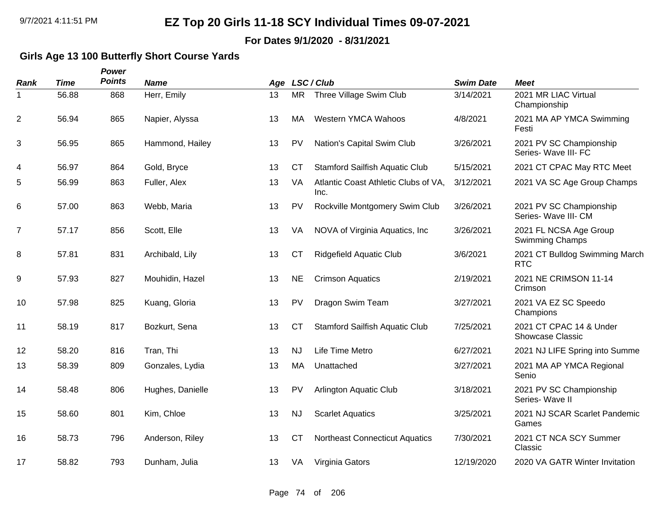**For Dates 9/1/2020 - 8/31/2021**

#### **Girls Age 13 100 Butterfly Short Course Yards**

| Rank           | <b>Time</b> | Power<br><b>Points</b> | <b>Name</b>      | Age |           | LSC / Club                                   | <b>Swim Date</b> | <b>Meet</b>                                     |
|----------------|-------------|------------------------|------------------|-----|-----------|----------------------------------------------|------------------|-------------------------------------------------|
| 1              | 56.88       | 868                    | Herr, Emily      | 13  | <b>MR</b> | Three Village Swim Club                      | 3/14/2021        | 2021 MR LIAC Virtual<br>Championship            |
| $\overline{2}$ | 56.94       | 865                    | Napier, Alyssa   | 13  | MA        | Western YMCA Wahoos                          | 4/8/2021         | 2021 MA AP YMCA Swimming<br>Festi               |
| 3              | 56.95       | 865                    | Hammond, Hailey  | 13  | PV        | Nation's Capital Swim Club                   | 3/26/2021        | 2021 PV SC Championship<br>Series- Wave III- FC |
| 4              | 56.97       | 864                    | Gold, Bryce      | 13  | <b>CT</b> | <b>Stamford Sailfish Aquatic Club</b>        | 5/15/2021        | 2021 CT CPAC May RTC Meet                       |
| 5              | 56.99       | 863                    | Fuller, Alex     | 13  | VA        | Atlantic Coast Athletic Clubs of VA,<br>Inc. | 3/12/2021        | 2021 VA SC Age Group Champs                     |
| 6              | 57.00       | 863                    | Webb, Maria      | 13  | <b>PV</b> | Rockville Montgomery Swim Club               | 3/26/2021        | 2021 PV SC Championship<br>Series- Wave III- CM |
| 7              | 57.17       | 856                    | Scott, Elle      | 13  | VA        | NOVA of Virginia Aquatics, Inc.              | 3/26/2021        | 2021 FL NCSA Age Group<br>Swimming Champs       |
| 8              | 57.81       | 831                    | Archibald, Lily  | 13  | <b>CT</b> | <b>Ridgefield Aquatic Club</b>               | 3/6/2021         | 2021 CT Bulldog Swimming March<br><b>RTC</b>    |
| 9              | 57.93       | 827                    | Mouhidin, Hazel  | 13  | <b>NE</b> | <b>Crimson Aquatics</b>                      | 2/19/2021        | 2021 NE CRIMSON 11-14<br>Crimson                |
| 10             | 57.98       | 825                    | Kuang, Gloria    | 13  | PV        | Dragon Swim Team                             | 3/27/2021        | 2021 VA EZ SC Speedo<br>Champions               |
| 11             | 58.19       | 817                    | Bozkurt, Sena    | 13  | <b>CT</b> | Stamford Sailfish Aquatic Club               | 7/25/2021        | 2021 CT CPAC 14 & Under<br>Showcase Classic     |
| 12             | 58.20       | 816                    | Tran, Thi        | 13  | <b>NJ</b> | Life Time Metro                              | 6/27/2021        | 2021 NJ LIFE Spring into Summe                  |
| 13             | 58.39       | 809                    | Gonzales, Lydia  | 13  | MA        | Unattached                                   | 3/27/2021        | 2021 MA AP YMCA Regional<br>Senio               |
| 14             | 58.48       | 806                    | Hughes, Danielle | 13  | <b>PV</b> | Arlington Aquatic Club                       | 3/18/2021        | 2021 PV SC Championship<br>Series- Wave II      |
| 15             | 58.60       | 801                    | Kim, Chloe       | 13  | <b>NJ</b> | <b>Scarlet Aquatics</b>                      | 3/25/2021        | 2021 NJ SCAR Scarlet Pandemic<br>Games          |
| 16             | 58.73       | 796                    | Anderson, Riley  | 13  | <b>CT</b> | <b>Northeast Connecticut Aquatics</b>        | 7/30/2021        | 2021 CT NCA SCY Summer<br>Classic               |
| 17             | 58.82       | 793                    | Dunham, Julia    | 13  | VA        | Virginia Gators                              | 12/19/2020       | 2020 VA GATR Winter Invitation                  |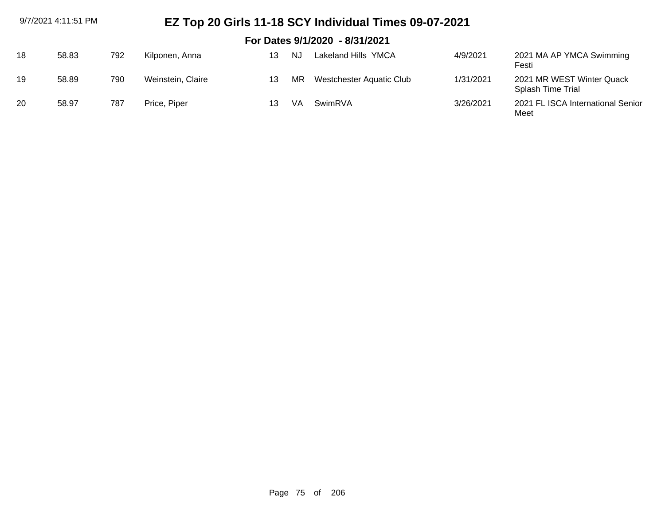| 9/7/2021 4:11:51 PM |       |     |                   |    | EZ Top 20 Girls 11-18 SCY Individual Times 09-07-2021 |                                 |           |                                                |  |  |
|---------------------|-------|-----|-------------------|----|-------------------------------------------------------|---------------------------------|-----------|------------------------------------------------|--|--|
|                     |       |     |                   |    |                                                       |                                 |           |                                                |  |  |
| 18                  | 58.83 | 792 | Kilponen, Anna    | 13 | NJ                                                    | Lakeland Hills YMCA             | 4/9/2021  | 2021 MA AP YMCA Swimming<br>Festi              |  |  |
| 19                  | 58.89 | 790 | Weinstein, Claire |    | MR.                                                   | <b>Westchester Aquatic Club</b> | 1/31/2021 | 2021 MR WEST Winter Quack<br>Splash Time Trial |  |  |
| 20                  | 58.97 | 787 | Price, Piper      | 13 | VA                                                    | SwimRVA                         | 3/26/2021 | 2021 FL ISCA International Senior<br>Meet      |  |  |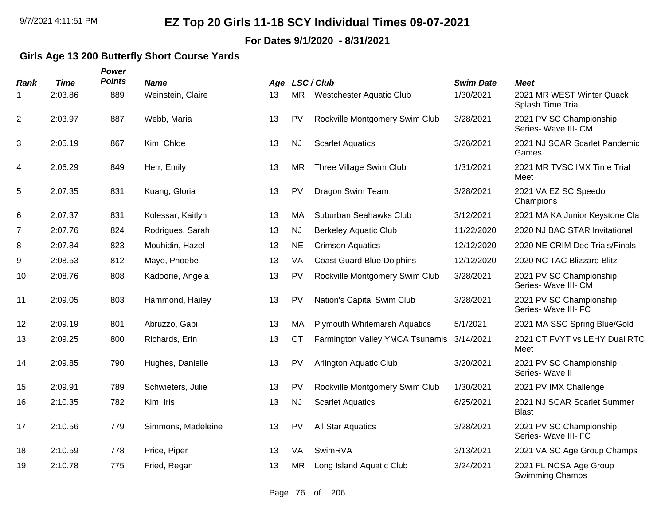**For Dates 9/1/2020 - 8/31/2021**

#### **Girls Age 13 200 Butterfly Short Course Yards**

| <b>Rank</b>    | <b>Time</b> | <b>Power</b><br><b>Points</b> | <b>Name</b>        |    |           | Age LSC/Club                        | <b>Swim Date</b> | <b>Meet</b>                                      |
|----------------|-------------|-------------------------------|--------------------|----|-----------|-------------------------------------|------------------|--------------------------------------------------|
| 1              | 2:03.86     | 889                           | Weinstein, Claire  | 13 | <b>MR</b> | <b>Westchester Aquatic Club</b>     | 1/30/2021        | 2021 MR WEST Winter Quack<br>Splash Time Trial   |
| $\overline{c}$ | 2:03.97     | 887                           | Webb, Maria        | 13 | PV        | Rockville Montgomery Swim Club      | 3/28/2021        | 2021 PV SC Championship<br>Series- Wave III- CM  |
| 3              | 2:05.19     | 867                           | Kim, Chloe         | 13 | <b>NJ</b> | <b>Scarlet Aquatics</b>             | 3/26/2021        | 2021 NJ SCAR Scarlet Pandemic<br>Games           |
| 4              | 2:06.29     | 849                           | Herr, Emily        | 13 | <b>MR</b> | Three Village Swim Club             | 1/31/2021        | 2021 MR TVSC IMX Time Trial<br>Meet              |
| 5              | 2:07.35     | 831                           | Kuang, Gloria      | 13 | <b>PV</b> | Dragon Swim Team                    | 3/28/2021        | 2021 VA EZ SC Speedo<br>Champions                |
| 6              | 2:07.37     | 831                           | Kolessar, Kaitlyn  | 13 | MA        | Suburban Seahawks Club              | 3/12/2021        | 2021 MA KA Junior Keystone Cla                   |
| 7              | 2:07.76     | 824                           | Rodrigues, Sarah   | 13 | <b>NJ</b> | <b>Berkeley Aquatic Club</b>        | 11/22/2020       | 2020 NJ BAC STAR Invitational                    |
| 8              | 2:07.84     | 823                           | Mouhidin, Hazel    | 13 | <b>NE</b> | <b>Crimson Aquatics</b>             | 12/12/2020       | 2020 NE CRIM Dec Trials/Finals                   |
| 9              | 2:08.53     | 812                           | Mayo, Phoebe       | 13 | VA        | <b>Coast Guard Blue Dolphins</b>    | 12/12/2020       | 2020 NC TAC Blizzard Blitz                       |
| 10             | 2:08.76     | 808                           | Kadoorie, Angela   | 13 | <b>PV</b> | Rockville Montgomery Swim Club      | 3/28/2021        | 2021 PV SC Championship<br>Series- Wave III- CM  |
| 11             | 2:09.05     | 803                           | Hammond, Hailey    | 13 | <b>PV</b> | Nation's Capital Swim Club          | 3/28/2021        | 2021 PV SC Championship<br>Series- Wave III- FC  |
| 12             | 2:09.19     | 801                           | Abruzzo, Gabi      | 13 | MA        | <b>Plymouth Whitemarsh Aquatics</b> | 5/1/2021         | 2021 MA SSC Spring Blue/Gold                     |
| 13             | 2:09.25     | 800                           | Richards, Erin     | 13 | <b>CT</b> | Farmington Valley YMCA Tsunamis     | 3/14/2021        | 2021 CT FVYT vs LEHY Dual RTC<br>Meet            |
| 14             | 2:09.85     | 790                           | Hughes, Danielle   | 13 | PV        | Arlington Aquatic Club              | 3/20/2021        | 2021 PV SC Championship<br>Series-Wave II        |
| 15             | 2:09.91     | 789                           | Schwieters, Julie  | 13 | PV        | Rockville Montgomery Swim Club      | 1/30/2021        | 2021 PV IMX Challenge                            |
| 16             | 2:10.35     | 782                           | Kim, Iris          | 13 | <b>NJ</b> | <b>Scarlet Aquatics</b>             | 6/25/2021        | 2021 NJ SCAR Scarlet Summer<br><b>Blast</b>      |
| 17             | 2:10.56     | 779                           | Simmons, Madeleine | 13 | <b>PV</b> | All Star Aquatics                   | 3/28/2021        | 2021 PV SC Championship<br>Series- Wave III- FC  |
| 18             | 2:10.59     | 778                           | Price, Piper       | 13 | VA        | SwimRVA                             | 3/13/2021        | 2021 VA SC Age Group Champs                      |
| 19             | 2:10.78     | 775                           | Fried, Regan       | 13 | <b>MR</b> | Long Island Aquatic Club            | 3/24/2021        | 2021 FL NCSA Age Group<br><b>Swimming Champs</b> |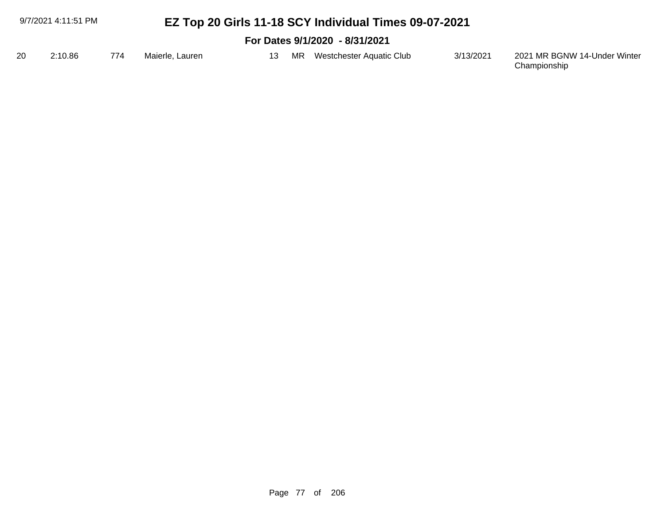|    | 9/7/2021 4:11:51 PM |     |                 |    | EZ Top 20 Girls 11-18 SCY Individual Times 09-07-2021 |           |                                              |
|----|---------------------|-----|-----------------|----|-------------------------------------------------------|-----------|----------------------------------------------|
|    |                     |     |                 |    | For Dates 9/1/2020 - 8/31/2021                        |           |                                              |
| 20 | 2:10.86             | 774 | Maierle, Lauren | 13 | MR Westchester Aquatic Club                           | 3/13/2021 | 2021 MR BGNW 14-Under Winter<br>Championship |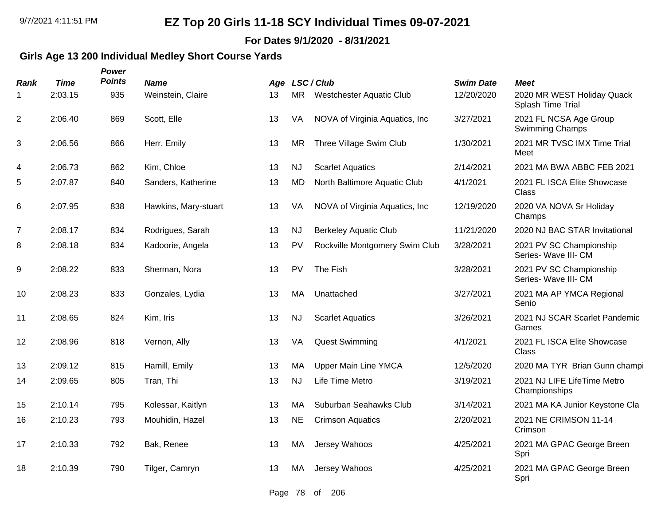**For Dates 9/1/2020 - 8/31/2021**

### **Girls Age 13 200 Individual Medley Short Course Yards**

| <b>Rank</b>    | <b>Time</b> | Power<br><b>Points</b> | <b>Name</b>          |    |           | Age LSC/Club                    | <b>Swim Date</b> | <b>Meet</b>                                      |
|----------------|-------------|------------------------|----------------------|----|-----------|---------------------------------|------------------|--------------------------------------------------|
| -1             | 2:03.15     | 935                    | Weinstein, Claire    | 13 | <b>MR</b> | <b>Westchester Aquatic Club</b> | 12/20/2020       | 2020 MR WEST Holiday Quack<br>Splash Time Trial  |
| $\overline{2}$ | 2:06.40     | 869                    | Scott, Elle          | 13 | VA        | NOVA of Virginia Aquatics, Inc  | 3/27/2021        | 2021 FL NCSA Age Group<br><b>Swimming Champs</b> |
| 3              | 2:06.56     | 866                    | Herr, Emily          | 13 | <b>MR</b> | Three Village Swim Club         | 1/30/2021        | 2021 MR TVSC IMX Time Trial<br>Meet              |
| 4              | 2:06.73     | 862                    | Kim, Chloe           | 13 | <b>NJ</b> | <b>Scarlet Aquatics</b>         | 2/14/2021        | 2021 MA BWA ABBC FEB 2021                        |
| 5              | 2:07.87     | 840                    | Sanders, Katherine   | 13 | <b>MD</b> | North Baltimore Aquatic Club    | 4/1/2021         | 2021 FL ISCA Elite Showcase<br>Class             |
| 6              | 2:07.95     | 838                    | Hawkins, Mary-stuart | 13 | VA        | NOVA of Virginia Aquatics, Inc  | 12/19/2020       | 2020 VA NOVA Sr Holiday<br>Champs                |
| $\overline{7}$ | 2:08.17     | 834                    | Rodrigues, Sarah     | 13 | <b>NJ</b> | <b>Berkeley Aquatic Club</b>    | 11/21/2020       | 2020 NJ BAC STAR Invitational                    |
| 8              | 2:08.18     | 834                    | Kadoorie, Angela     | 13 | PV        | Rockville Montgomery Swim Club  | 3/28/2021        | 2021 PV SC Championship<br>Series- Wave III- CM  |
| 9              | 2:08.22     | 833                    | Sherman, Nora        | 13 | <b>PV</b> | The Fish                        | 3/28/2021        | 2021 PV SC Championship<br>Series- Wave III- CM  |
| 10             | 2:08.23     | 833                    | Gonzales, Lydia      | 13 | MA        | Unattached                      | 3/27/2021        | 2021 MA AP YMCA Regional<br>Senio                |
| 11             | 2:08.65     | 824                    | Kim, Iris            | 13 | <b>NJ</b> | <b>Scarlet Aquatics</b>         | 3/26/2021        | 2021 NJ SCAR Scarlet Pandemic<br>Games           |
| 12             | 2:08.96     | 818                    | Vernon, Ally         | 13 | VA        | <b>Quest Swimming</b>           | 4/1/2021         | 2021 FL ISCA Elite Showcase<br>Class             |
| 13             | 2:09.12     | 815                    | Hamill, Emily        | 13 | МA        | <b>Upper Main Line YMCA</b>     | 12/5/2020        | 2020 MA TYR Brian Gunn champi                    |
| 14             | 2:09.65     | 805                    | Tran, Thi            | 13 | <b>NJ</b> | Life Time Metro                 | 3/19/2021        | 2021 NJ LIFE LifeTime Metro<br>Championships     |
| 15             | 2:10.14     | 795                    | Kolessar, Kaitlyn    | 13 | МA        | Suburban Seahawks Club          | 3/14/2021        | 2021 MA KA Junior Keystone Cla                   |
| 16             | 2:10.23     | 793                    | Mouhidin, Hazel      | 13 | <b>NE</b> | <b>Crimson Aquatics</b>         | 2/20/2021        | 2021 NE CRIMSON 11-14<br>Crimson                 |
| 17             | 2:10.33     | 792                    | Bak, Renee           | 13 | MA        | Jersey Wahoos                   | 4/25/2021        | 2021 MA GPAC George Breen<br>Spri                |
| 18             | 2:10.39     | 790                    | Tilger, Camryn       | 13 | МA        | Jersey Wahoos                   | 4/25/2021        | 2021 MA GPAC George Breen<br>Spri                |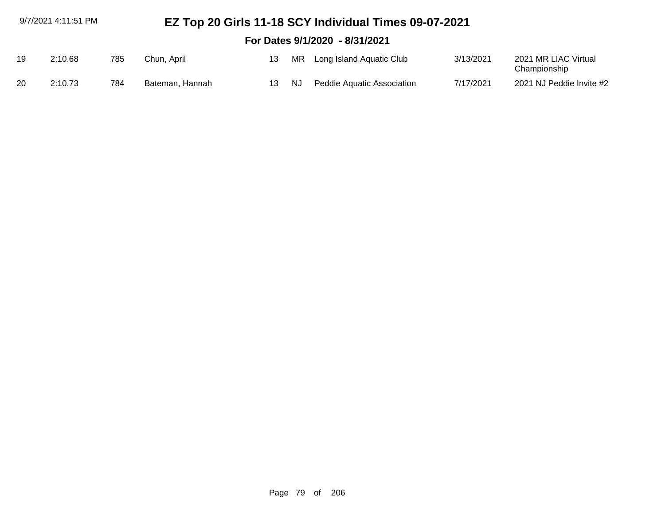|                                | 9/7/2021 4:11:51 PM |     |                 | EZ Top 20 Girls 11-18 SCY Individual Times 09-07-2021 |     |                             |           |                                      |  |  |  |
|--------------------------------|---------------------|-----|-----------------|-------------------------------------------------------|-----|-----------------------------|-----------|--------------------------------------|--|--|--|
| For Dates 9/1/2020 - 8/31/2021 |                     |     |                 |                                                       |     |                             |           |                                      |  |  |  |
| 19                             | 2:10.68             | 785 | Chun, April     | 13                                                    |     | MR Long Island Aquatic Club | 3/13/2021 | 2021 MR LIAC Virtual<br>Championship |  |  |  |
| 20                             | 2:10.73             | 784 | Bateman, Hannah | 13                                                    | NJ. | Peddie Aquatic Association  | 7/17/2021 | 2021 NJ Peddie Invite #2             |  |  |  |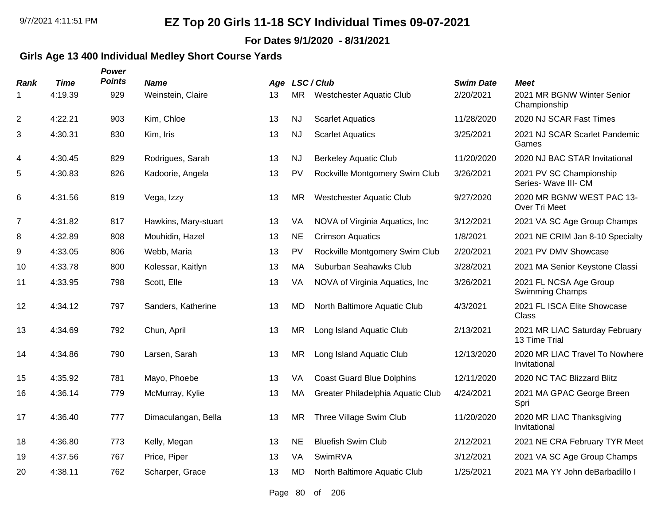**For Dates 9/1/2020 - 8/31/2021**

### **Girls Age 13 400 Individual Medley Short Course Yards**

| <b>Rank</b>    | <b>Time</b> | Power<br><b>Points</b> | <b>Name</b>          |    |           | Age LSC/Club                      | <b>Swim Date</b> | <b>Meet</b>                                     |
|----------------|-------------|------------------------|----------------------|----|-----------|-----------------------------------|------------------|-------------------------------------------------|
| 1              | 4:19.39     | 929                    | Weinstein, Claire    | 13 | <b>MR</b> | <b>Westchester Aquatic Club</b>   | 2/20/2021        | 2021 MR BGNW Winter Senior<br>Championship      |
| $\overline{c}$ | 4:22.21     | 903                    | Kim, Chloe           | 13 | <b>NJ</b> | <b>Scarlet Aquatics</b>           | 11/28/2020       | 2020 NJ SCAR Fast Times                         |
| 3              | 4:30.31     | 830                    | Kim, Iris            | 13 | <b>NJ</b> | <b>Scarlet Aquatics</b>           | 3/25/2021        | 2021 NJ SCAR Scarlet Pandemic<br>Games          |
| 4              | 4:30.45     | 829                    | Rodrigues, Sarah     | 13 | <b>NJ</b> | <b>Berkeley Aquatic Club</b>      | 11/20/2020       | 2020 NJ BAC STAR Invitational                   |
| 5              | 4:30.83     | 826                    | Kadoorie, Angela     | 13 | PV        | Rockville Montgomery Swim Club    | 3/26/2021        | 2021 PV SC Championship<br>Series- Wave III- CM |
| 6              | 4:31.56     | 819                    | Vega, Izzy           | 13 | <b>MR</b> | <b>Westchester Aquatic Club</b>   | 9/27/2020        | 2020 MR BGNW WEST PAC 13-<br>Over Tri Meet      |
| $\overline{7}$ | 4:31.82     | 817                    | Hawkins, Mary-stuart | 13 | VA        | NOVA of Virginia Aquatics, Inc.   | 3/12/2021        | 2021 VA SC Age Group Champs                     |
| 8              | 4:32.89     | 808                    | Mouhidin, Hazel      | 13 | <b>NE</b> | <b>Crimson Aquatics</b>           | 1/8/2021         | 2021 NE CRIM Jan 8-10 Specialty                 |
| 9              | 4:33.05     | 806                    | Webb, Maria          | 13 | PV        | Rockville Montgomery Swim Club    | 2/20/2021        | 2021 PV DMV Showcase                            |
| 10             | 4:33.78     | 800                    | Kolessar, Kaitlyn    | 13 | MA        | Suburban Seahawks Club            | 3/28/2021        | 2021 MA Senior Keystone Classi                  |
| 11             | 4:33.95     | 798                    | Scott, Elle          | 13 | VA        | NOVA of Virginia Aquatics, Inc.   | 3/26/2021        | 2021 FL NCSA Age Group<br>Swimming Champs       |
| 12             | 4:34.12     | 797                    | Sanders, Katherine   | 13 | <b>MD</b> | North Baltimore Aquatic Club      | 4/3/2021         | 2021 FL ISCA Elite Showcase<br>Class            |
| 13             | 4:34.69     | 792                    | Chun, April          | 13 | <b>MR</b> | Long Island Aquatic Club          | 2/13/2021        | 2021 MR LIAC Saturday February<br>13 Time Trial |
| 14             | 4:34.86     | 790                    | Larsen, Sarah        | 13 | <b>MR</b> | Long Island Aquatic Club          | 12/13/2020       | 2020 MR LIAC Travel To Nowhere<br>Invitational  |
| 15             | 4:35.92     | 781                    | Mayo, Phoebe         | 13 | <b>VA</b> | <b>Coast Guard Blue Dolphins</b>  | 12/11/2020       | 2020 NC TAC Blizzard Blitz                      |
| 16             | 4:36.14     | 779                    | McMurray, Kylie      | 13 | MA        | Greater Philadelphia Aquatic Club | 4/24/2021        | 2021 MA GPAC George Breen<br>Spri               |
| 17             | 4:36.40     | 777                    | Dimaculangan, Bella  | 13 | <b>MR</b> | Three Village Swim Club           | 11/20/2020       | 2020 MR LIAC Thanksgiving<br>Invitational       |
| 18             | 4:36.80     | 773                    | Kelly, Megan         | 13 | <b>NE</b> | <b>Bluefish Swim Club</b>         | 2/12/2021        | 2021 NE CRA February TYR Meet                   |
| 19             | 4:37.56     | 767                    | Price, Piper         | 13 | <b>VA</b> | SwimRVA                           | 3/12/2021        | 2021 VA SC Age Group Champs                     |
| 20             | 4:38.11     | 762                    | Scharper, Grace      | 13 | <b>MD</b> | North Baltimore Aquatic Club      | 1/25/2021        | 2021 MA YY John deBarbadillo I                  |

Page 80 of 206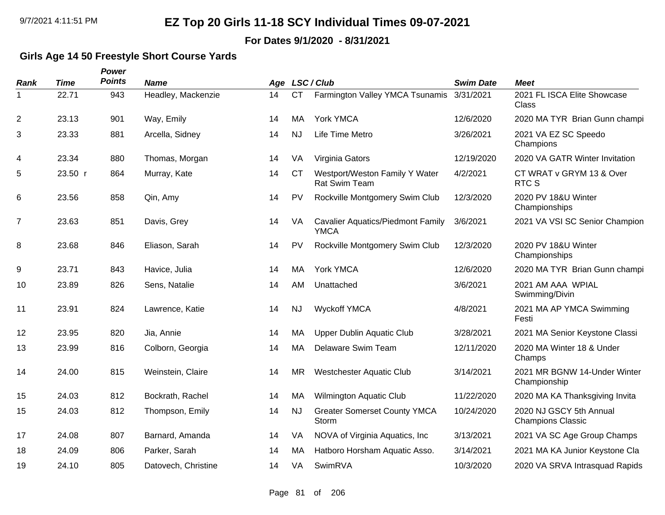#### **For Dates 9/1/2020 - 8/31/2021**

#### **Girls Age 14 50 Freestyle Short Course Yards**

| <b>Rank</b>    | <b>Time</b> | Power<br><b>Points</b> | <b>Name</b>         |    |           | Age LSC/Club                                            | <b>Swim Date</b> | <b>Meet</b>                                         |
|----------------|-------------|------------------------|---------------------|----|-----------|---------------------------------------------------------|------------------|-----------------------------------------------------|
| 1              | 22.71       | 943                    | Headley, Mackenzie  | 14 | <b>CT</b> | Farmington Valley YMCA Tsunamis                         | 3/31/2021        | 2021 FL ISCA Elite Showcase<br>Class                |
| $\overline{2}$ | 23.13       | 901                    | Way, Emily          | 14 | MA        | York YMCA                                               | 12/6/2020        | 2020 MA TYR Brian Gunn champi                       |
| 3              | 23.33       | 881                    | Arcella, Sidney     | 14 | <b>NJ</b> | Life Time Metro                                         | 3/26/2021        | 2021 VA EZ SC Speedo<br>Champions                   |
| 4              | 23.34       | 880                    | Thomas, Morgan      | 14 | VA        | Virginia Gators                                         | 12/19/2020       | 2020 VA GATR Winter Invitation                      |
| 5              | 23.50 r     | 864                    | Murray, Kate        | 14 | <b>CT</b> | Westport/Weston Family Y Water<br>Rat Swim Team         | 4/2/2021         | CT WRAT v GRYM 13 & Over<br>RTC S                   |
| 6              | 23.56       | 858                    | Qin, Amy            | 14 | PV        | Rockville Montgomery Swim Club                          | 12/3/2020        | 2020 PV 18&U Winter<br>Championships                |
| $\overline{7}$ | 23.63       | 851                    | Davis, Grey         | 14 | VA        | <b>Cavalier Aquatics/Piedmont Family</b><br><b>YMCA</b> | 3/6/2021         | 2021 VA VSI SC Senior Champion                      |
| 8              | 23.68       | 846                    | Eliason, Sarah      | 14 | PV        | Rockville Montgomery Swim Club                          | 12/3/2020        | 2020 PV 18&U Winter<br>Championships                |
| 9              | 23.71       | 843                    | Havice, Julia       | 14 | MA        | York YMCA                                               | 12/6/2020        | 2020 MA TYR Brian Gunn champi                       |
| 10             | 23.89       | 826                    | Sens, Natalie       | 14 | AM        | Unattached                                              | 3/6/2021         | 2021 AM AAA WPIAL<br>Swimming/Divin                 |
| 11             | 23.91       | 824                    | Lawrence, Katie     | 14 | <b>NJ</b> | <b>Wyckoff YMCA</b>                                     | 4/8/2021         | 2021 MA AP YMCA Swimming<br>Festi                   |
| 12             | 23.95       | 820                    | Jia, Annie          | 14 | МA        | <b>Upper Dublin Aquatic Club</b>                        | 3/28/2021        | 2021 MA Senior Keystone Classi                      |
| 13             | 23.99       | 816                    | Colborn, Georgia    | 14 | MA        | Delaware Swim Team                                      | 12/11/2020       | 2020 MA Winter 18 & Under<br>Champs                 |
| 14             | 24.00       | 815                    | Weinstein, Claire   | 14 | <b>MR</b> | <b>Westchester Aquatic Club</b>                         | 3/14/2021        | 2021 MR BGNW 14-Under Winter<br>Championship        |
| 15             | 24.03       | 812                    | Bockrath, Rachel    | 14 | MA        | Wilmington Aquatic Club                                 | 11/22/2020       | 2020 MA KA Thanksgiving Invita                      |
| 15             | 24.03       | 812                    | Thompson, Emily     | 14 | <b>NJ</b> | <b>Greater Somerset County YMCA</b><br>Storm            | 10/24/2020       | 2020 NJ GSCY 5th Annual<br><b>Champions Classic</b> |
| 17             | 24.08       | 807                    | Barnard, Amanda     | 14 | VA        | NOVA of Virginia Aquatics, Inc.                         | 3/13/2021        | 2021 VA SC Age Group Champs                         |
| 18             | 24.09       | 806                    | Parker, Sarah       | 14 | МA        | Hatboro Horsham Aquatic Asso.                           | 3/14/2021        | 2021 MA KA Junior Keystone Cla                      |
| 19             | 24.10       | 805                    | Datovech, Christine | 14 | VA        | SwimRVA                                                 | 10/3/2020        | 2020 VA SRVA Intrasquad Rapids                      |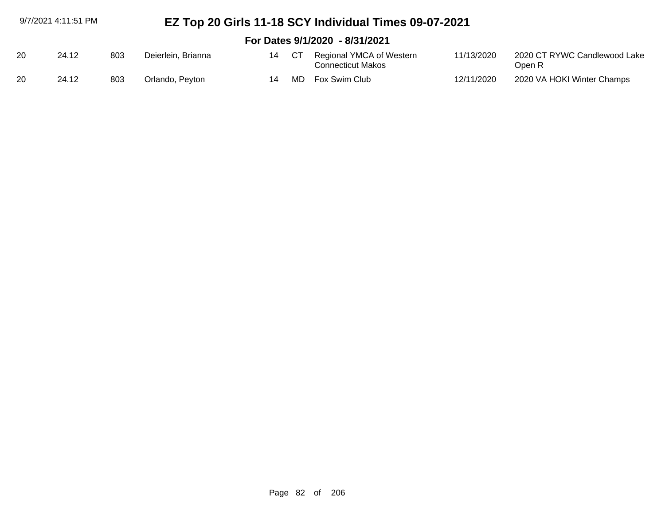|    | 9/7/2021 4:11:51 PM |     |                    |    |      | EZ Top 20 Girls 11-18 SCY Individual Times 09-07-2021 |            |                                        |
|----|---------------------|-----|--------------------|----|------|-------------------------------------------------------|------------|----------------------------------------|
|    |                     |     |                    |    |      | For Dates 9/1/2020 - 8/31/2021                        |            |                                        |
| 20 | 24.12               | 803 | Deierlein, Brianna | 14 | - CT | Regional YMCA of Western<br><b>Connecticut Makos</b>  | 11/13/2020 | 2020 CT RYWC Candlewood Lake<br>Open R |
| 20 | 24.12               | 803 | Orlando, Peyton    | 14 | MD.  | Fox Swim Club                                         | 12/11/2020 | 2020 VA HOKI Winter Champs             |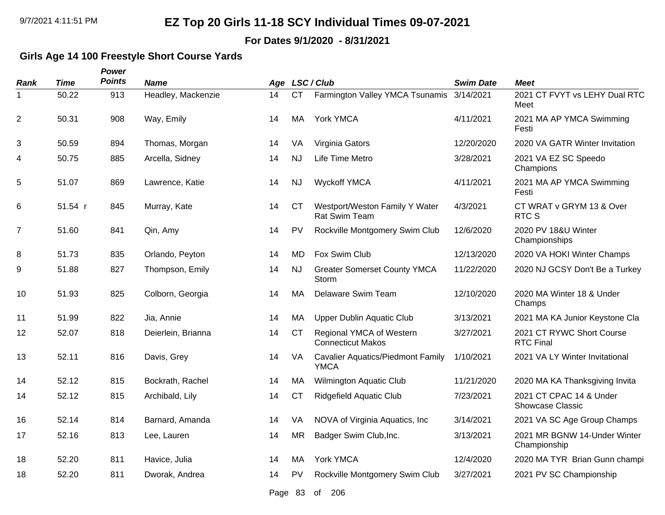**For Dates 9/1/2020 - 8/31/2021**

#### **Girls Age 14 100 Freestyle Short Course Yards**

| <b>Rank</b>    | <b>Time</b> | Power<br><b>Points</b> | <b>Name</b>        |    |           | Age LSC/Club                                            | <b>Swim Date</b> | <b>Meet</b>                                        |
|----------------|-------------|------------------------|--------------------|----|-----------|---------------------------------------------------------|------------------|----------------------------------------------------|
| 1              | 50.22       | 913                    | Headley, Mackenzie | 14 | <b>CT</b> | Farmington Valley YMCA Tsunamis 3/14/2021               |                  | 2021 CT FVYT vs LEHY Dual RTC<br>Meet              |
| $\overline{2}$ | 50.31       | 908                    | Way, Emily         | 14 | МA        | York YMCA                                               | 4/11/2021        | 2021 MA AP YMCA Swimming<br>Festi                  |
| 3              | 50.59       | 894                    | Thomas, Morgan     | 14 | VA        | Virginia Gators                                         | 12/20/2020       | 2020 VA GATR Winter Invitation                     |
| 4              | 50.75       | 885                    | Arcella, Sidney    | 14 | <b>NJ</b> | Life Time Metro                                         | 3/28/2021        | 2021 VA EZ SC Speedo<br>Champions                  |
| 5              | 51.07       | 869                    | Lawrence, Katie    | 14 | <b>NJ</b> | <b>Wyckoff YMCA</b>                                     | 4/11/2021        | 2021 MA AP YMCA Swimming<br>Festi                  |
| 6              | 51.54 r     | 845                    | Murray, Kate       | 14 | <b>CT</b> | Westport/Weston Family Y Water<br><b>Rat Swim Team</b>  | 4/3/2021         | CT WRAT v GRYM 13 & Over<br>RTC S                  |
| $\overline{7}$ | 51.60       | 841                    | Qin, Amy           | 14 | PV        | Rockville Montgomery Swim Club                          | 12/6/2020        | 2020 PV 18&U Winter<br>Championships               |
| 8              | 51.73       | 835                    | Orlando, Peyton    | 14 | MD        | Fox Swim Club                                           | 12/13/2020       | 2020 VA HOKI Winter Champs                         |
| 9              | 51.88       | 827                    | Thompson, Emily    | 14 | <b>NJ</b> | <b>Greater Somerset County YMCA</b><br>Storm            | 11/22/2020       | 2020 NJ GCSY Don't Be a Turkey                     |
| 10             | 51.93       | 825                    | Colborn, Georgia   | 14 | MA        | Delaware Swim Team                                      | 12/10/2020       | 2020 MA Winter 18 & Under<br>Champs                |
| 11             | 51.99       | 822                    | Jia, Annie         | 14 | MA        | <b>Upper Dublin Aquatic Club</b>                        | 3/13/2021        | 2021 MA KA Junior Keystone Cla                     |
| 12             | 52.07       | 818                    | Deierlein, Brianna | 14 | <b>CT</b> | Regional YMCA of Western<br><b>Connecticut Makos</b>    | 3/27/2021        | 2021 CT RYWC Short Course<br><b>RTC Final</b>      |
| 13             | 52.11       | 816                    | Davis, Grey        | 14 | VA        | <b>Cavalier Aquatics/Piedmont Family</b><br><b>YMCA</b> | 1/10/2021        | 2021 VA LY Winter Invitational                     |
| 14             | 52.12       | 815                    | Bockrath, Rachel   | 14 | MA        | <b>Wilmington Aquatic Club</b>                          | 11/21/2020       | 2020 MA KA Thanksgiving Invita                     |
| 14             | 52.12       | 815                    | Archibald, Lily    | 14 | <b>CT</b> | <b>Ridgefield Aquatic Club</b>                          | 7/23/2021        | 2021 CT CPAC 14 & Under<br><b>Showcase Classic</b> |
| 16             | 52.14       | 814                    | Barnard, Amanda    | 14 | VA        | NOVA of Virginia Aquatics, Inc.                         | 3/14/2021        | 2021 VA SC Age Group Champs                        |
| 17             | 52.16       | 813                    | Lee, Lauren        | 14 | <b>MR</b> | Badger Swim Club, Inc.                                  | 3/13/2021        | 2021 MR BGNW 14-Under Winter<br>Championship       |
| 18             | 52.20       | 811                    | Havice, Julia      | 14 | МA        | York YMCA                                               | 12/4/2020        | 2020 MA TYR Brian Gunn champi                      |
| 18             | 52.20       | 811                    | Dworak, Andrea     | 14 | <b>PV</b> | Rockville Montgomery Swim Club                          | 3/27/2021        | 2021 PV SC Championship                            |
|                |             |                        |                    |    |           |                                                         |                  |                                                    |

Page 83 of 206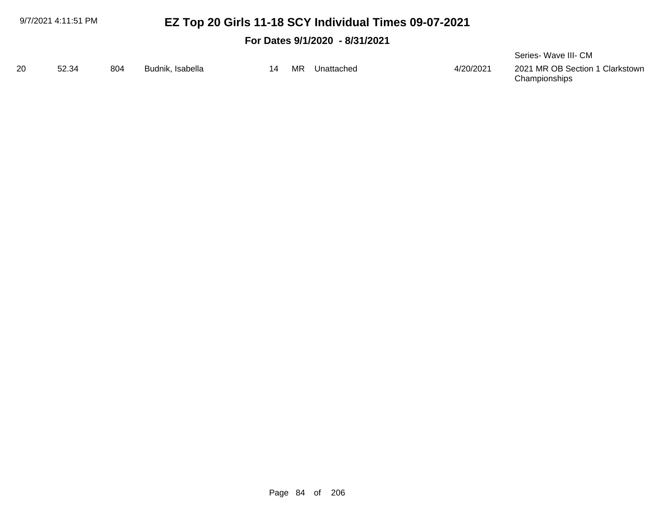#### **For Dates 9/1/2020 - 8/31/2021**

Series- Wave III- CM

| - 20 | 52.34 | 804 | Budnik, Isabella | 14 | MR | Unattached | 4/20/2021 | 2021 MR OB Section 1 Clarkstown |
|------|-------|-----|------------------|----|----|------------|-----------|---------------------------------|
|      |       |     |                  |    |    |            |           | Championships                   |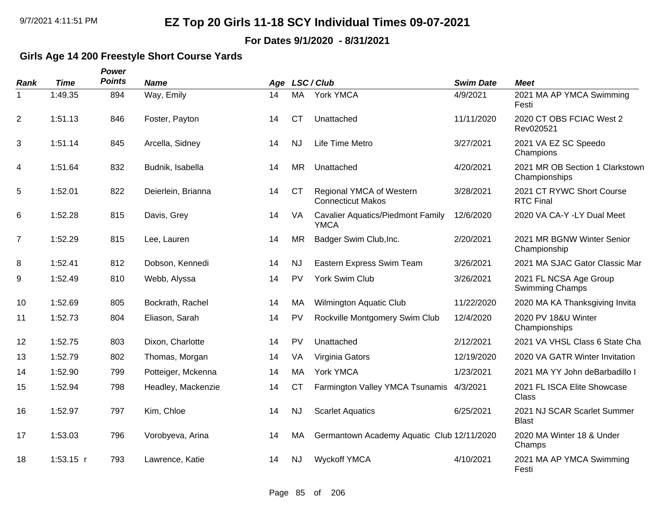**For Dates 9/1/2020 - 8/31/2021**

#### **Girls Age 14 200 Freestyle Short Course Yards**

| <b>Rank</b>    | <b>Time</b> | Power<br><b>Points</b> | <b>Name</b>        | Age |           | LSC / Club                                              | <b>Swim Date</b> | <b>Meet</b>                                      |
|----------------|-------------|------------------------|--------------------|-----|-----------|---------------------------------------------------------|------------------|--------------------------------------------------|
| 1              | 1:49.35     | 894                    | Way, Emily         | 14  | MA        | York YMCA                                               | 4/9/2021         | 2021 MA AP YMCA Swimming<br>Festi                |
| 2              | 1:51.13     | 846                    | Foster, Payton     | 14  | <b>CT</b> | Unattached                                              | 11/11/2020       | 2020 CT OBS FCIAC West 2<br>Rev020521            |
| 3              | 1:51.14     | 845                    | Arcella, Sidney    | 14  | <b>NJ</b> | Life Time Metro                                         | 3/27/2021        | 2021 VA EZ SC Speedo<br>Champions                |
| 4              | 1:51.64     | 832                    | Budnik, Isabella   | 14  | <b>MR</b> | Unattached                                              | 4/20/2021        | 2021 MR OB Section 1 Clarkstown<br>Championships |
| 5              | 1:52.01     | 822                    | Deierlein, Brianna | 14  | <b>CT</b> | Regional YMCA of Western<br><b>Connecticut Makos</b>    | 3/28/2021        | 2021 CT RYWC Short Course<br><b>RTC Final</b>    |
| 6              | 1:52.28     | 815                    | Davis, Grey        | 14  | VA.       | <b>Cavalier Aquatics/Piedmont Family</b><br><b>YMCA</b> | 12/6/2020        | 2020 VA CA-Y -LY Dual Meet                       |
| $\overline{7}$ | 1:52.29     | 815                    | Lee, Lauren        | 14  | <b>MR</b> | Badger Swim Club, Inc.                                  | 2/20/2021        | 2021 MR BGNW Winter Senior<br>Championship       |
| 8              | 1:52.41     | 812                    | Dobson, Kennedi    | 14  | <b>NJ</b> | Eastern Express Swim Team                               | 3/26/2021        | 2021 MA SJAC Gator Classic Mar                   |
| 9              | 1:52.49     | 810                    | Webb, Alyssa       | 14  | <b>PV</b> | York Swim Club                                          | 3/26/2021        | 2021 FL NCSA Age Group<br><b>Swimming Champs</b> |
| 10             | 1:52.69     | 805                    | Bockrath, Rachel   | 14  | MA        | Wilmington Aquatic Club                                 | 11/22/2020       | 2020 MA KA Thanksgiving Invita                   |
| 11             | 1:52.73     | 804                    | Eliason, Sarah     | 14  | <b>PV</b> | Rockville Montgomery Swim Club                          | 12/4/2020        | 2020 PV 18&U Winter<br>Championships             |
| 12             | 1:52.75     | 803                    | Dixon, Charlotte   | 14  | PV        | Unattached                                              | 2/12/2021        | 2021 VA VHSL Class 6 State Cha                   |
| 13             | 1:52.79     | 802                    | Thomas, Morgan     | 14  | VA        | Virginia Gators                                         | 12/19/2020       | 2020 VA GATR Winter Invitation                   |
| 14             | 1:52.90     | 799                    | Potteiger, Mckenna | 14  | MA        | York YMCA                                               | 1/23/2021        | 2021 MA YY John deBarbadillo I                   |
| 15             | 1:52.94     | 798                    | Headley, Mackenzie | 14  | <b>CT</b> | Farmington Valley YMCA Tsunamis 4/3/2021                |                  | 2021 FL ISCA Elite Showcase<br>Class             |
| 16             | 1:52.97     | 797                    | Kim, Chloe         | 14  | <b>NJ</b> | <b>Scarlet Aquatics</b>                                 | 6/25/2021        | 2021 NJ SCAR Scarlet Summer<br><b>Blast</b>      |
| 17             | 1:53.03     | 796                    | Vorobyeva, Arina   | 14  | MA        | Germantown Academy Aquatic Club 12/11/2020              |                  | 2020 MA Winter 18 & Under<br>Champs              |
| 18             | $1:53.15$ r | 793                    | Lawrence, Katie    | 14  | <b>NJ</b> | <b>Wyckoff YMCA</b>                                     | 4/10/2021        | 2021 MA AP YMCA Swimming<br>Festi                |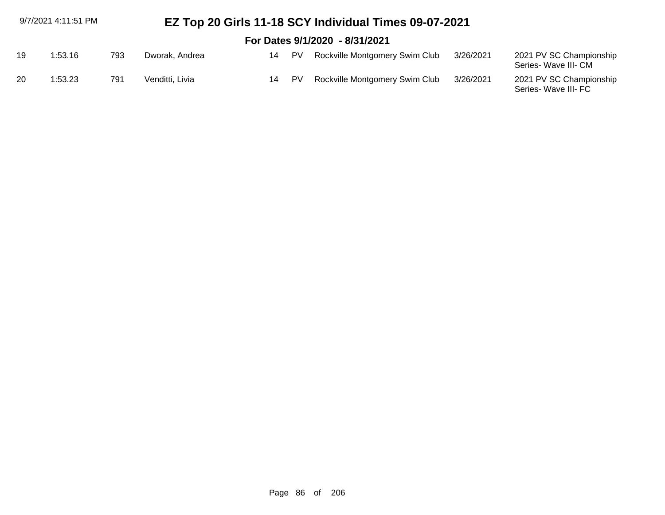| 9/7/2021 4:11:51 PM |         |     |                 |    | EZ Top 20 Girls 11-18 SCY Individual Times 09-07-2021 |                                |           |                                                 |  |  |  |
|---------------------|---------|-----|-----------------|----|-------------------------------------------------------|--------------------------------|-----------|-------------------------------------------------|--|--|--|
|                     |         |     |                 |    |                                                       | For Dates 9/1/2020 - 8/31/2021 |           |                                                 |  |  |  |
| 19                  | :53.16  | 793 | Dworak, Andrea  | 14 | <b>PV</b>                                             | Rockville Montgomery Swim Club | 3/26/2021 | 2021 PV SC Championship<br>Series- Wave III- CM |  |  |  |
| 20                  | 1:53.23 | 791 | Venditti, Livia | 14 | PV                                                    | Rockville Montgomery Swim Club | 3/26/2021 | 2021 PV SC Championship<br>Series- Wave III- FC |  |  |  |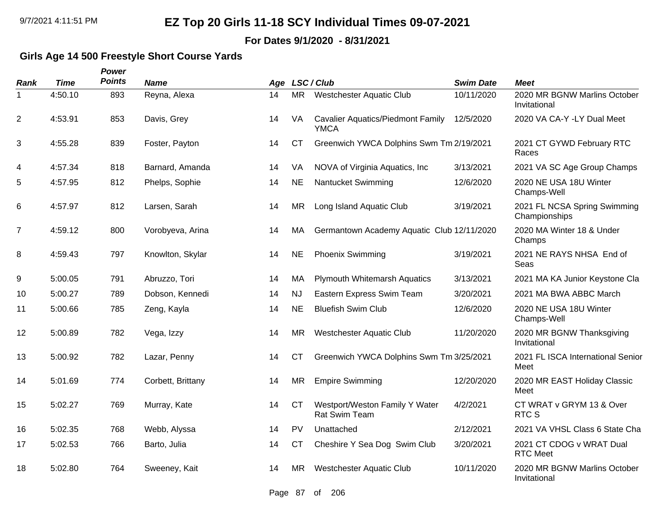**For Dates 9/1/2020 - 8/31/2021**

#### **Girls Age 14 500 Freestyle Short Course Yards**

| Rank           | Time    | Power<br><b>Points</b> | <b>Name</b>       |    |           | Age LSC/Club                                            | <b>Swim Date</b> | <b>Meet</b>                                   |
|----------------|---------|------------------------|-------------------|----|-----------|---------------------------------------------------------|------------------|-----------------------------------------------|
| 1              | 4:50.10 | 893                    | Reyna, Alexa      | 14 | <b>MR</b> | <b>Westchester Aquatic Club</b>                         | 10/11/2020       | 2020 MR BGNW Marlins October<br>Invitational  |
| $\overline{2}$ | 4:53.91 | 853                    | Davis, Grey       | 14 | VA        | <b>Cavalier Aquatics/Piedmont Family</b><br><b>YMCA</b> | 12/5/2020        | 2020 VA CA-Y -LY Dual Meet                    |
| 3              | 4:55.28 | 839                    | Foster, Payton    | 14 | СT        | Greenwich YWCA Dolphins Swm Tm 2/19/2021                |                  | 2021 CT GYWD February RTC<br>Races            |
| 4              | 4:57.34 | 818                    | Barnard, Amanda   | 14 | VA        | NOVA of Virginia Aquatics, Inc                          | 3/13/2021        | 2021 VA SC Age Group Champs                   |
| 5              | 4:57.95 | 812                    | Phelps, Sophie    | 14 | <b>NE</b> | <b>Nantucket Swimming</b>                               | 12/6/2020        | 2020 NE USA 18U Winter<br>Champs-Well         |
| 6              | 4:57.97 | 812                    | Larsen, Sarah     | 14 | <b>MR</b> | Long Island Aquatic Club                                | 3/19/2021        | 2021 FL NCSA Spring Swimming<br>Championships |
| $\overline{7}$ | 4:59.12 | 800                    | Vorobyeva, Arina  | 14 | МA        | Germantown Academy Aquatic Club 12/11/2020              |                  | 2020 MA Winter 18 & Under<br>Champs           |
| 8              | 4:59.43 | 797                    | Knowlton, Skylar  | 14 | <b>NE</b> | <b>Phoenix Swimming</b>                                 | 3/19/2021        | 2021 NE RAYS NHSA End of<br>Seas              |
| 9              | 5:00.05 | 791                    | Abruzzo, Tori     | 14 | MA        | <b>Plymouth Whitemarsh Aquatics</b>                     | 3/13/2021        | 2021 MA KA Junior Keystone Cla                |
| 10             | 5:00.27 | 789                    | Dobson, Kennedi   | 14 | <b>NJ</b> | Eastern Express Swim Team                               | 3/20/2021        | 2021 MA BWA ABBC March                        |
| 11             | 5:00.66 | 785                    | Zeng, Kayla       | 14 | <b>NE</b> | <b>Bluefish Swim Club</b>                               | 12/6/2020        | 2020 NE USA 18U Winter<br>Champs-Well         |
| 12             | 5:00.89 | 782                    | Vega, Izzy        | 14 | <b>MR</b> | <b>Westchester Aquatic Club</b>                         | 11/20/2020       | 2020 MR BGNW Thanksgiving<br>Invitational     |
| 13             | 5:00.92 | 782                    | Lazar, Penny      | 14 | <b>CT</b> | Greenwich YWCA Dolphins Swm Tm 3/25/2021                |                  | 2021 FL ISCA International Senior<br>Meet     |
| 14             | 5:01.69 | 774                    | Corbett, Brittany | 14 | <b>MR</b> | <b>Empire Swimming</b>                                  | 12/20/2020       | 2020 MR EAST Holiday Classic<br>Meet          |
| 15             | 5:02.27 | 769                    | Murray, Kate      | 14 | <b>CT</b> | Westport/Weston Family Y Water<br><b>Rat Swim Team</b>  | 4/2/2021         | CT WRAT v GRYM 13 & Over<br>RTC S             |
| 16             | 5:02.35 | 768                    | Webb, Alyssa      | 14 | PV        | Unattached                                              | 2/12/2021        | 2021 VA VHSL Class 6 State Cha                |
| 17             | 5:02.53 | 766                    | Barto, Julia      | 14 | <b>CT</b> | Cheshire Y Sea Dog Swim Club                            | 3/20/2021        | 2021 CT CDOG v WRAT Dual<br><b>RTC Meet</b>   |
| 18             | 5:02.80 | 764                    | Sweeney, Kait     | 14 | MR        | <b>Westchester Aquatic Club</b>                         | 10/11/2020       | 2020 MR BGNW Marlins October<br>Invitational  |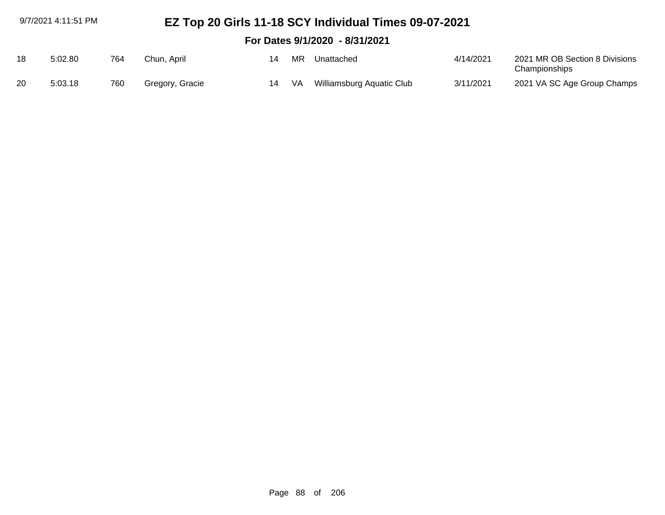|    | 9/7/2021 4:11:51 PM            |     |                 |    | EZ Top 20 Girls 11-18 SCY Individual Times 09-07-2021 |                           |           |                                                 |  |  |  |  |
|----|--------------------------------|-----|-----------------|----|-------------------------------------------------------|---------------------------|-----------|-------------------------------------------------|--|--|--|--|
|    | For Dates 9/1/2020 - 8/31/2021 |     |                 |    |                                                       |                           |           |                                                 |  |  |  |  |
| 18 | 5:02.80                        | 764 | Chun, April     | 14 | MR                                                    | Unattached                | 4/14/2021 | 2021 MR OB Section 8 Divisions<br>Championships |  |  |  |  |
| 20 | 5:03.18                        | 760 | Gregory, Gracie | 14 | VA.                                                   | Williamsburg Aquatic Club | 3/11/2021 | 2021 VA SC Age Group Champs                     |  |  |  |  |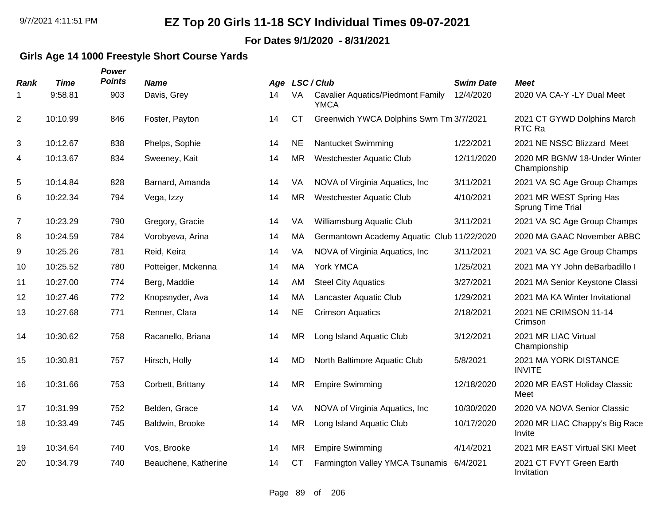**For Dates 9/1/2020 - 8/31/2021**

### **Girls Age 14 1000 Freestyle Short Course Yards**

| <b>Rank</b>    | <b>Time</b> | Power<br><b>Points</b> | <b>Name</b>          |    |           | Age LSC/Club                                            | <b>Swim Date</b> | <b>Meet</b>                                  |
|----------------|-------------|------------------------|----------------------|----|-----------|---------------------------------------------------------|------------------|----------------------------------------------|
| 1              | 9:58.81     | 903                    | Davis, Grey          | 14 | <b>VA</b> | <b>Cavalier Aquatics/Piedmont Family</b><br><b>YMCA</b> | 12/4/2020        | 2020 VA CA-Y -LY Dual Meet                   |
| $\overline{2}$ | 10:10.99    | 846                    | Foster, Payton       | 14 | <b>CT</b> | Greenwich YWCA Dolphins Swm Tm 3/7/2021                 |                  | 2021 CT GYWD Dolphins March<br>RTC Ra        |
| 3              | 10:12.67    | 838                    | Phelps, Sophie       | 14 | <b>NE</b> | Nantucket Swimming                                      | 1/22/2021        | 2021 NE NSSC Blizzard Meet                   |
| 4              | 10:13.67    | 834                    | Sweeney, Kait        | 14 | <b>MR</b> | <b>Westchester Aquatic Club</b>                         | 12/11/2020       | 2020 MR BGNW 18-Under Winter<br>Championship |
| 5              | 10:14.84    | 828                    | Barnard, Amanda      | 14 | VA        | NOVA of Virginia Aquatics, Inc.                         | 3/11/2021        | 2021 VA SC Age Group Champs                  |
| 6              | 10:22.34    | 794                    | Vega, Izzy           | 14 | <b>MR</b> | <b>Westchester Aquatic Club</b>                         | 4/10/2021        | 2021 MR WEST Spring Has<br>Sprung Time Trial |
| $\overline{7}$ | 10:23.29    | 790                    | Gregory, Gracie      | 14 | VA        | Williamsburg Aquatic Club                               | 3/11/2021        | 2021 VA SC Age Group Champs                  |
| 8              | 10:24.59    | 784                    | Vorobyeva, Arina     | 14 | MA        | Germantown Academy Aquatic Club 11/22/2020              |                  | 2020 MA GAAC November ABBC                   |
| 9              | 10:25.26    | 781                    | Reid, Keira          | 14 | VA        | NOVA of Virginia Aquatics, Inc.                         | 3/11/2021        | 2021 VA SC Age Group Champs                  |
| 10             | 10:25.52    | 780                    | Potteiger, Mckenna   | 14 | MA        | York YMCA                                               | 1/25/2021        | 2021 MA YY John deBarbadillo I               |
| 11             | 10:27.00    | 774                    | Berg, Maddie         | 14 | AM        | <b>Steel City Aquatics</b>                              | 3/27/2021        | 2021 MA Senior Keystone Classi               |
| 12             | 10:27.46    | 772                    | Knopsnyder, Ava      | 14 | MA        | Lancaster Aquatic Club                                  | 1/29/2021        | 2021 MA KA Winter Invitational               |
| 13             | 10:27.68    | 771                    | Renner, Clara        | 14 | <b>NE</b> | <b>Crimson Aquatics</b>                                 | 2/18/2021        | 2021 NE CRIMSON 11-14<br>Crimson             |
| 14             | 10:30.62    | 758                    | Racanello, Briana    | 14 | <b>MR</b> | Long Island Aquatic Club                                | 3/12/2021        | 2021 MR LIAC Virtual<br>Championship         |
| 15             | 10:30.81    | 757                    | Hirsch, Holly        | 14 | <b>MD</b> | North Baltimore Aquatic Club                            | 5/8/2021         | 2021 MA YORK DISTANCE<br><b>INVITE</b>       |
| 16             | 10:31.66    | 753                    | Corbett, Brittany    | 14 | <b>MR</b> | <b>Empire Swimming</b>                                  | 12/18/2020       | 2020 MR EAST Holiday Classic<br>Meet         |
| 17             | 10:31.99    | 752                    | Belden, Grace        | 14 | VA        | NOVA of Virginia Aquatics, Inc.                         | 10/30/2020       | 2020 VA NOVA Senior Classic                  |
| 18             | 10:33.49    | 745                    | Baldwin, Brooke      | 14 | <b>MR</b> | Long Island Aquatic Club                                | 10/17/2020       | 2020 MR LIAC Chappy's Big Race<br>Invite     |
| 19             | 10:34.64    | 740                    | Vos, Brooke          | 14 | <b>MR</b> | <b>Empire Swimming</b>                                  | 4/14/2021        | 2021 MR EAST Virtual SKI Meet                |
| 20             | 10:34.79    | 740                    | Beauchene, Katherine | 14 | <b>CT</b> | Farmington Valley YMCA Tsunamis 6/4/2021                |                  | 2021 CT FVYT Green Earth<br>Invitation       |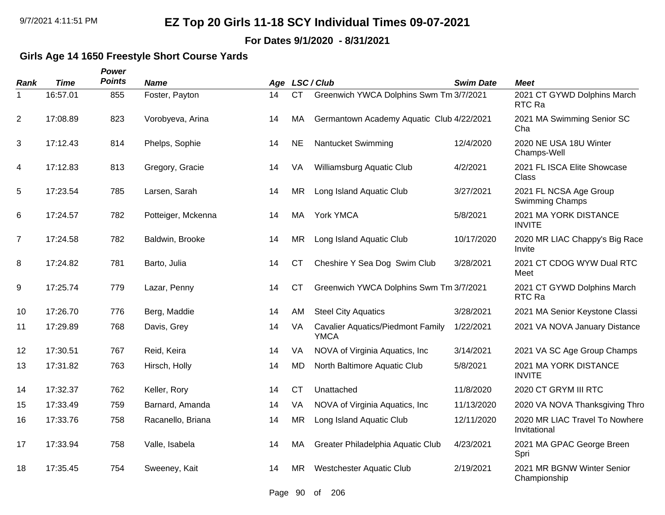**For Dates 9/1/2020 - 8/31/2021**

#### **Girls Age 14 1650 Freestyle Short Course Yards**

| Rank           | <b>Time</b> | Power<br><b>Points</b> | <b>Name</b>        |    |           | Age LSC/Club                                            | <b>Swim Date</b> | <b>Meet</b>                                    |
|----------------|-------------|------------------------|--------------------|----|-----------|---------------------------------------------------------|------------------|------------------------------------------------|
| 1              | 16:57.01    | 855                    | Foster, Payton     | 14 | <b>CT</b> | Greenwich YWCA Dolphins Swm Tm 3/7/2021                 |                  | 2021 CT GYWD Dolphins March<br>RTC Ra          |
| $\overline{2}$ | 17:08.89    | 823                    | Vorobyeva, Arina   | 14 | МA        | Germantown Academy Aquatic Club 4/22/2021               |                  | 2021 MA Swimming Senior SC<br>Cha              |
| 3              | 17:12.43    | 814                    | Phelps, Sophie     | 14 | <b>NE</b> | <b>Nantucket Swimming</b>                               | 12/4/2020        | 2020 NE USA 18U Winter<br>Champs-Well          |
| 4              | 17:12.83    | 813                    | Gregory, Gracie    | 14 | VA        | Williamsburg Aquatic Club                               | 4/2/2021         | 2021 FL ISCA Elite Showcase<br>Class           |
| 5              | 17:23.54    | 785                    | Larsen, Sarah      | 14 | <b>MR</b> | Long Island Aquatic Club                                | 3/27/2021        | 2021 FL NCSA Age Group<br>Swimming Champs      |
| 6              | 17:24.57    | 782                    | Potteiger, Mckenna | 14 | <b>MA</b> | York YMCA                                               | 5/8/2021         | 2021 MA YORK DISTANCE<br><b>INVITE</b>         |
| $\overline{7}$ | 17:24.58    | 782                    | Baldwin, Brooke    | 14 | <b>MR</b> | Long Island Aquatic Club                                | 10/17/2020       | 2020 MR LIAC Chappy's Big Race<br>Invite       |
| 8              | 17:24.82    | 781                    | Barto, Julia       | 14 | <b>CT</b> | Cheshire Y Sea Dog Swim Club                            | 3/28/2021        | 2021 CT CDOG WYW Dual RTC<br>Meet              |
| 9              | 17:25.74    | 779                    | Lazar, Penny       | 14 | <b>CT</b> | Greenwich YWCA Dolphins Swm Tm 3/7/2021                 |                  | 2021 CT GYWD Dolphins March<br>RTC Ra          |
| 10             | 17:26.70    | 776                    | Berg, Maddie       | 14 | AM.       | <b>Steel City Aquatics</b>                              | 3/28/2021        | 2021 MA Senior Keystone Classi                 |
| 11             | 17:29.89    | 768                    | Davis, Grey        | 14 | VA        | <b>Cavalier Aquatics/Piedmont Family</b><br><b>YMCA</b> | 1/22/2021        | 2021 VA NOVA January Distance                  |
| 12             | 17:30.51    | 767                    | Reid, Keira        | 14 | VA        | NOVA of Virginia Aquatics, Inc.                         | 3/14/2021        | 2021 VA SC Age Group Champs                    |
| 13             | 17:31.82    | 763                    | Hirsch, Holly      | 14 | MD        | North Baltimore Aquatic Club                            | 5/8/2021         | 2021 MA YORK DISTANCE<br><b>INVITE</b>         |
| 14             | 17:32.37    | 762                    | Keller, Rory       | 14 | <b>CT</b> | Unattached                                              | 11/8/2020        | 2020 CT GRYM III RTC                           |
| 15             | 17:33.49    | 759                    | Barnard, Amanda    | 14 | VA        | NOVA of Virginia Aquatics, Inc.                         | 11/13/2020       | 2020 VA NOVA Thanksgiving Thro                 |
| 16             | 17:33.76    | 758                    | Racanello, Briana  | 14 | <b>MR</b> | Long Island Aquatic Club                                | 12/11/2020       | 2020 MR LIAC Travel To Nowhere<br>Invitational |
| 17             | 17:33.94    | 758                    | Valle, Isabela     | 14 | MA        | Greater Philadelphia Aquatic Club                       | 4/23/2021        | 2021 MA GPAC George Breen<br>Spri              |
| 18             | 17:35.45    | 754                    | Sweeney, Kait      | 14 | MR        | <b>Westchester Aquatic Club</b>                         | 2/19/2021        | 2021 MR BGNW Winter Senior<br>Championship     |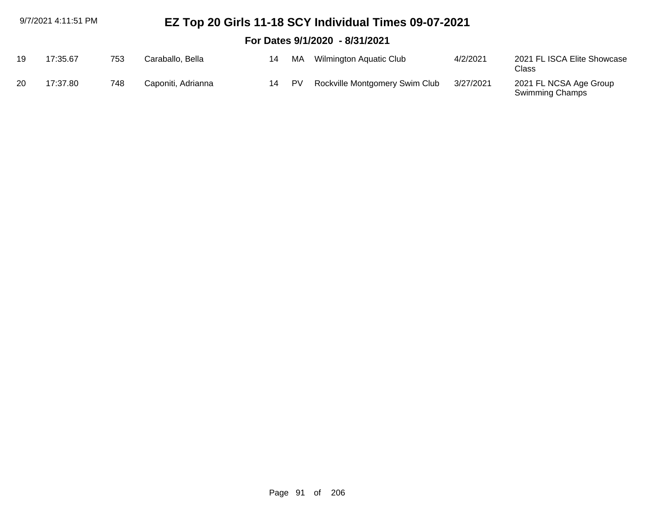| 9/7/2021 4:11:51 PM |          |     | EZ Top 20 Girls 11-18 SCY Individual Times 09-07-2021 |    |           |                                |           |                                                  |  |  |  |  |
|---------------------|----------|-----|-------------------------------------------------------|----|-----------|--------------------------------|-----------|--------------------------------------------------|--|--|--|--|
|                     |          |     |                                                       |    |           | For Dates 9/1/2020 - 8/31/2021 |           |                                                  |  |  |  |  |
| 19                  | 17:35.67 | 753 | Caraballo, Bella                                      | 14 | MA        | Wilmington Aquatic Club        | 4/2/2021  | 2021 FL ISCA Elite Showcase<br>Class             |  |  |  |  |
| 20                  | 17:37.80 | 748 | Caponiti, Adrianna                                    | 14 | <b>PV</b> | Rockville Montgomery Swim Club | 3/27/2021 | 2021 FL NCSA Age Group<br><b>Swimming Champs</b> |  |  |  |  |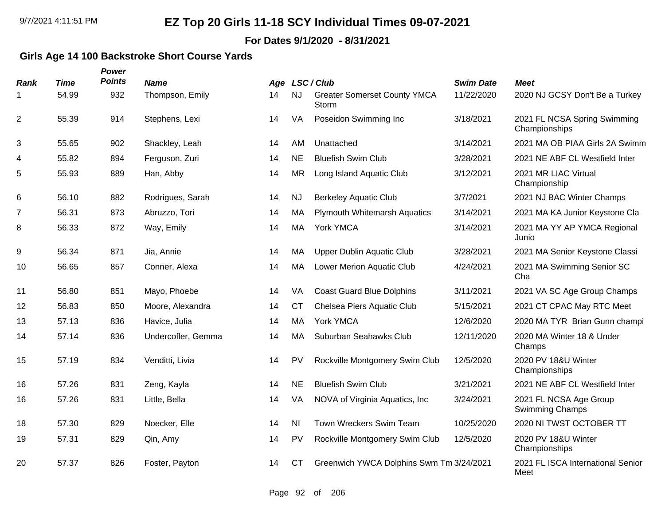**For Dates 9/1/2020 - 8/31/2021**

#### **Girls Age 14 100 Backstroke Short Course Yards**

| <b>Rank</b>    | <b>Time</b> | Power<br><b>Points</b> | <b>Name</b>        |    |                | Age LSC/Club                                 | <b>Swim Date</b> | <b>Meet</b>                                      |
|----------------|-------------|------------------------|--------------------|----|----------------|----------------------------------------------|------------------|--------------------------------------------------|
| 1              | 54.99       | 932                    | Thompson, Emily    | 14 | <b>NJ</b>      | <b>Greater Somerset County YMCA</b><br>Storm | 11/22/2020       | 2020 NJ GCSY Don't Be a Turkey                   |
| $\overline{2}$ | 55.39       | 914                    | Stephens, Lexi     | 14 | VA             | Poseidon Swimming Inc                        | 3/18/2021        | 2021 FL NCSA Spring Swimming<br>Championships    |
| 3              | 55.65       | 902                    | Shackley, Leah     | 14 | AM             | Unattached                                   | 3/14/2021        | 2021 MA OB PIAA Girls 2A Swimm                   |
| 4              | 55.82       | 894                    | Ferguson, Zuri     | 14 | <b>NE</b>      | <b>Bluefish Swim Club</b>                    | 3/28/2021        | 2021 NE ABF CL Westfield Inter                   |
| 5              | 55.93       | 889                    | Han, Abby          | 14 | <b>MR</b>      | Long Island Aquatic Club                     | 3/12/2021        | 2021 MR LIAC Virtual<br>Championship             |
| 6              | 56.10       | 882                    | Rodrigues, Sarah   | 14 | <b>NJ</b>      | <b>Berkeley Aquatic Club</b>                 | 3/7/2021         | 2021 NJ BAC Winter Champs                        |
| $\overline{7}$ | 56.31       | 873                    | Abruzzo, Tori      | 14 | MA             | <b>Plymouth Whitemarsh Aquatics</b>          | 3/14/2021        | 2021 MA KA Junior Keystone Cla                   |
| 8              | 56.33       | 872                    | Way, Emily         | 14 | MA             | York YMCA                                    | 3/14/2021        | 2021 MA YY AP YMCA Regional<br>Junio             |
| 9              | 56.34       | 871                    | Jia, Annie         | 14 | MA             | <b>Upper Dublin Aquatic Club</b>             | 3/28/2021        | 2021 MA Senior Keystone Classi                   |
| 10             | 56.65       | 857                    | Conner, Alexa      | 14 | MA             | Lower Merion Aquatic Club                    | 4/24/2021        | 2021 MA Swimming Senior SC<br>Cha                |
| 11             | 56.80       | 851                    | Mayo, Phoebe       | 14 | VA             | <b>Coast Guard Blue Dolphins</b>             | 3/11/2021        | 2021 VA SC Age Group Champs                      |
| 12             | 56.83       | 850                    | Moore, Alexandra   | 14 | <b>CT</b>      | Chelsea Piers Aquatic Club                   | 5/15/2021        | 2021 CT CPAC May RTC Meet                        |
| 13             | 57.13       | 836                    | Havice, Julia      | 14 | MA             | York YMCA                                    | 12/6/2020        | 2020 MA TYR Brian Gunn champi                    |
| 14             | 57.14       | 836                    | Undercofler, Gemma | 14 | MA             | Suburban Seahawks Club                       | 12/11/2020       | 2020 MA Winter 18 & Under<br>Champs              |
| 15             | 57.19       | 834                    | Venditti, Livia    | 14 | <b>PV</b>      | Rockville Montgomery Swim Club               | 12/5/2020        | 2020 PV 18&U Winter<br>Championships             |
| 16             | 57.26       | 831                    | Zeng, Kayla        | 14 | <b>NE</b>      | <b>Bluefish Swim Club</b>                    | 3/21/2021        | 2021 NE ABF CL Westfield Inter                   |
| 16             | 57.26       | 831                    | Little, Bella      | 14 | VA             | NOVA of Virginia Aquatics, Inc.              | 3/24/2021        | 2021 FL NCSA Age Group<br><b>Swimming Champs</b> |
| 18             | 57.30       | 829                    | Noecker, Elle      | 14 | N <sub>l</sub> | Town Wreckers Swim Team                      | 10/25/2020       | 2020 NI TWST OCTOBER TT                          |
| 19             | 57.31       | 829                    | Qin, Amy           | 14 | <b>PV</b>      | Rockville Montgomery Swim Club               | 12/5/2020        | 2020 PV 18&U Winter<br>Championships             |
| 20             | 57.37       | 826                    | Foster, Payton     | 14 | <b>CT</b>      | Greenwich YWCA Dolphins Swm Tm 3/24/2021     |                  | 2021 FL ISCA International Senior<br>Meet        |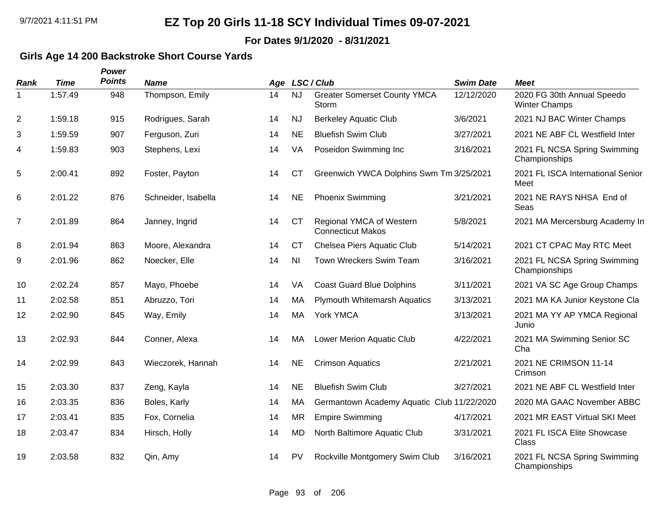**For Dates 9/1/2020 - 8/31/2021**

#### **Girls Age 14 200 Backstroke Short Course Yards**

| Rank           | <b>Time</b> | Power<br><b>Points</b> | <b>Name</b>         |    |                | Age LSC/Club                                         | <b>Swim Date</b> | <b>Meet</b>                                        |
|----------------|-------------|------------------------|---------------------|----|----------------|------------------------------------------------------|------------------|----------------------------------------------------|
| 1              | 1:57.49     | 948                    | Thompson, Emily     | 14 | <b>NJ</b>      | <b>Greater Somerset County YMCA</b><br>Storm         | 12/12/2020       | 2020 FG 30th Annual Speedo<br><b>Winter Champs</b> |
| 2              | 1:59.18     | 915                    | Rodrigues, Sarah    | 14 | <b>NJ</b>      | <b>Berkeley Aquatic Club</b>                         | 3/6/2021         | 2021 NJ BAC Winter Champs                          |
| 3              | 1:59.59     | 907                    | Ferguson, Zuri      | 14 | <b>NE</b>      | <b>Bluefish Swim Club</b>                            | 3/27/2021        | 2021 NE ABF CL Westfield Inter                     |
| 4              | 1:59.83     | 903                    | Stephens, Lexi      | 14 | VA             | Poseidon Swimming Inc                                | 3/16/2021        | 2021 FL NCSA Spring Swimming<br>Championships      |
| 5              | 2:00.41     | 892                    | Foster, Payton      | 14 | <b>CT</b>      | Greenwich YWCA Dolphins Swm Tm 3/25/2021             |                  | 2021 FL ISCA International Senior<br>Meet          |
| 6              | 2:01.22     | 876                    | Schneider, Isabella | 14 | <b>NE</b>      | <b>Phoenix Swimming</b>                              | 3/21/2021        | 2021 NE RAYS NHSA End of<br>Seas                   |
| $\overline{7}$ | 2:01.89     | 864                    | Janney, Ingrid      | 14 | <b>CT</b>      | Regional YMCA of Western<br><b>Connecticut Makos</b> | 5/8/2021         | 2021 MA Mercersburg Academy In                     |
| 8              | 2:01.94     | 863                    | Moore, Alexandra    | 14 | <b>CT</b>      | Chelsea Piers Aquatic Club                           | 5/14/2021        | 2021 CT CPAC May RTC Meet                          |
| 9              | 2:01.96     | 862                    | Noecker, Elle       | 14 | N <sub>l</sub> | Town Wreckers Swim Team                              | 3/16/2021        | 2021 FL NCSA Spring Swimming<br>Championships      |
| 10             | 2:02.24     | 857                    | Mayo, Phoebe        | 14 | VA             | <b>Coast Guard Blue Dolphins</b>                     | 3/11/2021        | 2021 VA SC Age Group Champs                        |
| 11             | 2:02.58     | 851                    | Abruzzo, Tori       | 14 | MA             | <b>Plymouth Whitemarsh Aquatics</b>                  | 3/13/2021        | 2021 MA KA Junior Keystone Cla                     |
| 12             | 2:02.90     | 845                    | Way, Emily          | 14 | MA             | York YMCA                                            | 3/13/2021        | 2021 MA YY AP YMCA Regional<br>Junio               |
| 13             | 2:02.93     | 844                    | Conner, Alexa       | 14 | MA             | Lower Merion Aquatic Club                            | 4/22/2021        | 2021 MA Swimming Senior SC<br>Cha                  |
| 14             | 2:02.99     | 843                    | Wieczorek, Hannah   | 14 | <b>NE</b>      | <b>Crimson Aquatics</b>                              | 2/21/2021        | 2021 NE CRIMSON 11-14<br>Crimson                   |
| 15             | 2:03.30     | 837                    | Zeng, Kayla         | 14 | <b>NE</b>      | <b>Bluefish Swim Club</b>                            | 3/27/2021        | 2021 NE ABF CL Westfield Inter                     |
| 16             | 2:03.35     | 836                    | Boles, Karly        | 14 | MA             | Germantown Academy Aquatic Club 11/22/2020           |                  | 2020 MA GAAC November ABBC                         |
| 17             | 2:03.41     | 835                    | Fox, Cornelia       | 14 | <b>MR</b>      | <b>Empire Swimming</b>                               | 4/17/2021        | 2021 MR EAST Virtual SKI Meet                      |
| 18             | 2:03.47     | 834                    | Hirsch, Holly       | 14 | <b>MD</b>      | North Baltimore Aquatic Club                         | 3/31/2021        | 2021 FL ISCA Elite Showcase<br>Class               |
| 19             | 2:03.58     | 832                    | Qin, Amy            | 14 | <b>PV</b>      | Rockville Montgomery Swim Club                       | 3/16/2021        | 2021 FL NCSA Spring Swimming<br>Championships      |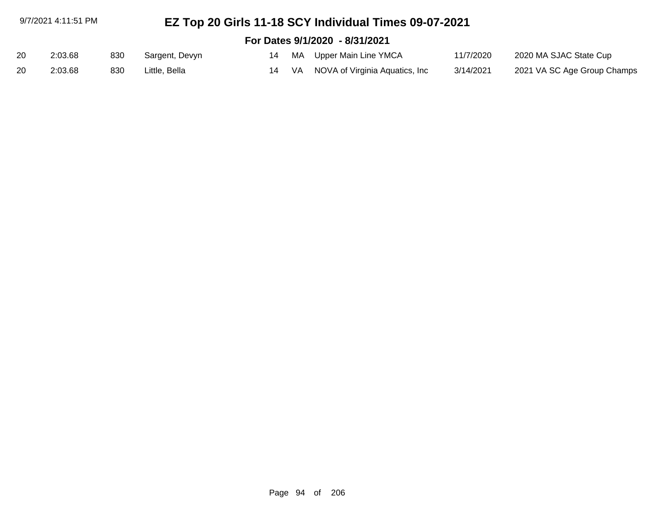|    | 9/7/2021 4:11:51 PM            |     |                |  |     | EZ Top 20 Girls 11-18 SCY Individual Times 09-07-2021 |           |                             |  |  |
|----|--------------------------------|-----|----------------|--|-----|-------------------------------------------------------|-----------|-----------------------------|--|--|
|    | For Dates 9/1/2020 - 8/31/2021 |     |                |  |     |                                                       |           |                             |  |  |
| 20 | 2:03.68                        | 830 | Sargent, Devyn |  |     | 14 MA Upper Main Line YMCA                            | 11/7/2020 | 2020 MA SJAC State Cup      |  |  |
| 20 | 2:03.68                        | 830 | Little, Bella  |  | VA. | NOVA of Virginia Aquatics, Inc                        | 3/14/2021 | 2021 VA SC Age Group Champs |  |  |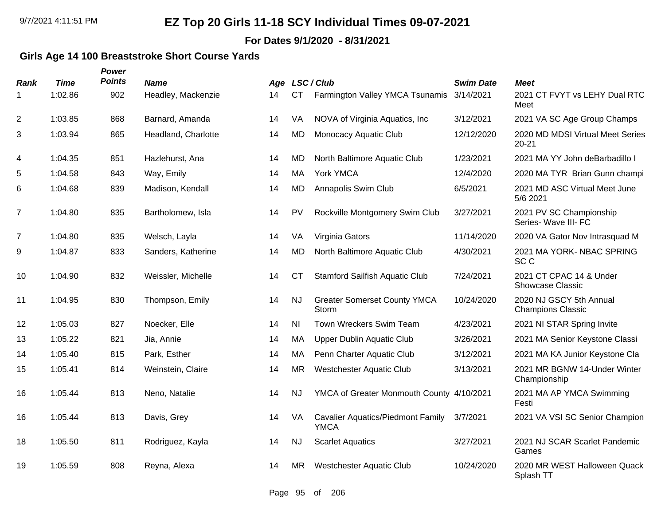**For Dates 9/1/2020 - 8/31/2021**

#### **Girls Age 14 100 Breaststroke Short Course Yards**

| Rank           | <b>Time</b> | Power<br><b>Points</b> | <b>Name</b>         | Age |                | LSC / Club                                              | <b>Swim Date</b> | <b>Meet</b>                                         |
|----------------|-------------|------------------------|---------------------|-----|----------------|---------------------------------------------------------|------------------|-----------------------------------------------------|
| 1              | 1:02.86     | 902                    | Headley, Mackenzie  | 14  | <b>CT</b>      | Farmington Valley YMCA Tsunamis                         | 3/14/2021        | 2021 CT FVYT vs LEHY Dual RTC<br>Meet               |
| $\overline{c}$ | 1:03.85     | 868                    | Barnard, Amanda     | 14  | <b>VA</b>      | NOVA of Virginia Aquatics, Inc                          | 3/12/2021        | 2021 VA SC Age Group Champs                         |
| 3              | 1:03.94     | 865                    | Headland, Charlotte | 14  | <b>MD</b>      | Monocacy Aquatic Club                                   | 12/12/2020       | 2020 MD MDSI Virtual Meet Series<br>$20 - 21$       |
| 4              | 1:04.35     | 851                    | Hazlehurst, Ana     | 14  | <b>MD</b>      | North Baltimore Aquatic Club                            | 1/23/2021        | 2021 MA YY John deBarbadillo I                      |
| 5              | 1:04.58     | 843                    | Way, Emily          | 14  | MA             | York YMCA                                               | 12/4/2020        | 2020 MA TYR Brian Gunn champi                       |
| 6              | 1:04.68     | 839                    | Madison, Kendall    | 14  | <b>MD</b>      | Annapolis Swim Club                                     | 6/5/2021         | 2021 MD ASC Virtual Meet June<br>5/6 2021           |
| $\overline{7}$ | 1:04.80     | 835                    | Bartholomew, Isla   | 14  | PV             | Rockville Montgomery Swim Club                          | 3/27/2021        | 2021 PV SC Championship<br>Series- Wave III- FC     |
| 7              | 1:04.80     | 835                    | Welsch, Layla       | 14  | VA             | Virginia Gators                                         | 11/14/2020       | 2020 VA Gator Nov Intrasquad M                      |
| 9              | 1:04.87     | 833                    | Sanders, Katherine  | 14  | <b>MD</b>      | North Baltimore Aquatic Club                            | 4/30/2021        | 2021 MA YORK- NBAC SPRING<br>SC <sub>C</sub>        |
| 10             | 1:04.90     | 832                    | Weissler, Michelle  | 14  | <b>CT</b>      | <b>Stamford Sailfish Aquatic Club</b>                   | 7/24/2021        | 2021 CT CPAC 14 & Under<br><b>Showcase Classic</b>  |
| 11             | 1:04.95     | 830                    | Thompson, Emily     | 14  | <b>NJ</b>      | <b>Greater Somerset County YMCA</b><br>Storm            | 10/24/2020       | 2020 NJ GSCY 5th Annual<br><b>Champions Classic</b> |
| 12             | 1:05.03     | 827                    | Noecker, Elle       | 14  | N <sub>l</sub> | Town Wreckers Swim Team                                 | 4/23/2021        | 2021 NI STAR Spring Invite                          |
| 13             | 1:05.22     | 821                    | Jia, Annie          | 14  | MA             | <b>Upper Dublin Aquatic Club</b>                        | 3/26/2021        | 2021 MA Senior Keystone Classi                      |
| 14             | 1:05.40     | 815                    | Park, Esther        | 14  | MA             | Penn Charter Aquatic Club                               | 3/12/2021        | 2021 MA KA Junior Keystone Cla                      |
| 15             | 1:05.41     | 814                    | Weinstein, Claire   | 14  | <b>MR</b>      | Westchester Aquatic Club                                | 3/13/2021        | 2021 MR BGNW 14-Under Winter<br>Championship        |
| 16             | 1:05.44     | 813                    | Neno, Natalie       | 14  | <b>NJ</b>      | YMCA of Greater Monmouth County 4/10/2021               |                  | 2021 MA AP YMCA Swimming<br>Festi                   |
| 16             | 1:05.44     | 813                    | Davis, Grey         | 14  | VA             | <b>Cavalier Aquatics/Piedmont Family</b><br><b>YMCA</b> | 3/7/2021         | 2021 VA VSI SC Senior Champion                      |
| 18             | 1:05.50     | 811                    | Rodriguez, Kayla    | 14  | <b>NJ</b>      | <b>Scarlet Aquatics</b>                                 | 3/27/2021        | 2021 NJ SCAR Scarlet Pandemic<br>Games              |
| 19             | 1:05.59     | 808                    | Reyna, Alexa        | 14  | <b>MR</b>      | <b>Westchester Aquatic Club</b>                         | 10/24/2020       | 2020 MR WEST Halloween Quack<br>Splash TT           |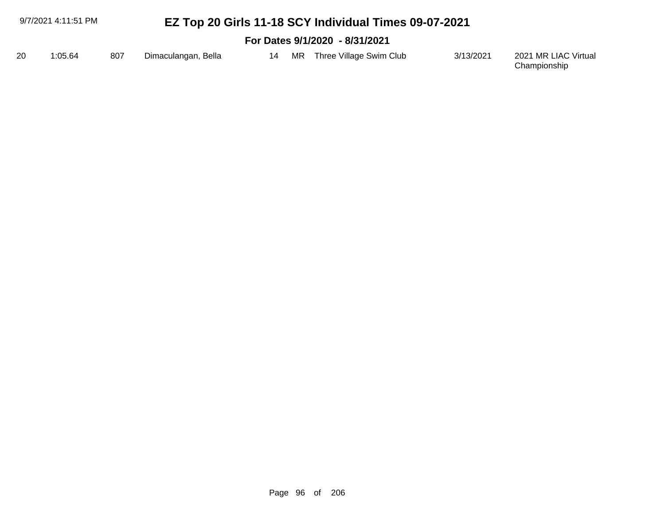| 9/7/2021 4:11:51 PM            |         |     |                     |  | EZ Top 20 Girls 11-18 SCY Individual Times 09-07-2021 |                         |           |                                      |  |  |  |
|--------------------------------|---------|-----|---------------------|--|-------------------------------------------------------|-------------------------|-----------|--------------------------------------|--|--|--|
| For Dates 9/1/2020 - 8/31/2021 |         |     |                     |  |                                                       |                         |           |                                      |  |  |  |
| 20                             | 1:05.64 | 807 | Dimaculangan, Bella |  | 14 MR                                                 | Three Village Swim Club | 3/13/2021 | 2021 MR LIAC Virtual<br>Championship |  |  |  |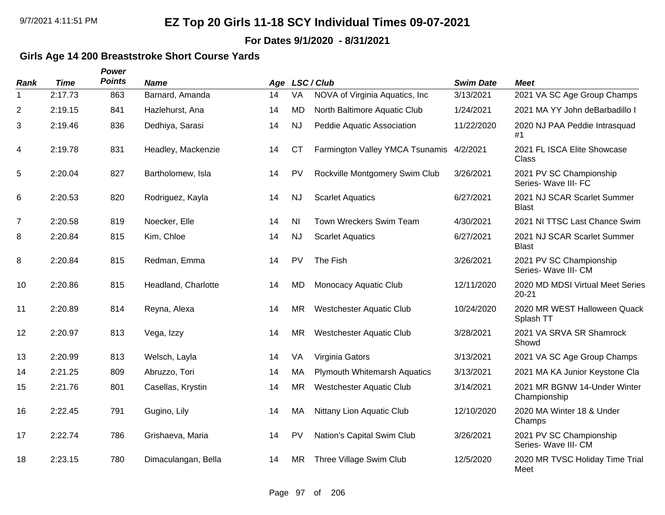**For Dates 9/1/2020 - 8/31/2021**

#### **Girls Age 14 200 Breaststroke Short Course Yards**

| <b>Rank</b>    | <b>Time</b> | Power<br><b>Points</b> | <b>Name</b>         | Age |           | LSC / Club                               | <b>Swim Date</b> | <b>Meet</b>                                     |
|----------------|-------------|------------------------|---------------------|-----|-----------|------------------------------------------|------------------|-------------------------------------------------|
| $\mathbf 1$    | 2:17.73     | 863                    | Barnard, Amanda     | 14  | VA        | NOVA of Virginia Aquatics, Inc.          | 3/13/2021        | 2021 VA SC Age Group Champs                     |
| $\overline{c}$ | 2:19.15     | 841                    | Hazlehurst, Ana     | 14  | MD        | North Baltimore Aquatic Club             | 1/24/2021        | 2021 MA YY John deBarbadillo I                  |
| 3              | 2:19.46     | 836                    | Dedhiya, Sarasi     | 14  | <b>NJ</b> | Peddie Aquatic Association               | 11/22/2020       | 2020 NJ PAA Peddie Intrasquad<br>#1             |
| 4              | 2:19.78     | 831                    | Headley, Mackenzie  | 14  | <b>CT</b> | Farmington Valley YMCA Tsunamis 4/2/2021 |                  | 2021 FL ISCA Elite Showcase<br>Class            |
| 5              | 2:20.04     | 827                    | Bartholomew, Isla   | 14  | PV        | Rockville Montgomery Swim Club           | 3/26/2021        | 2021 PV SC Championship<br>Series- Wave III- FC |
| 6              | 2:20.53     | 820                    | Rodriguez, Kayla    | 14  | <b>NJ</b> | <b>Scarlet Aquatics</b>                  | 6/27/2021        | 2021 NJ SCAR Scarlet Summer<br><b>Blast</b>     |
| $\overline{7}$ | 2:20.58     | 819                    | Noecker, Elle       | 14  | <b>NI</b> | Town Wreckers Swim Team                  | 4/30/2021        | 2021 NI TTSC Last Chance Swim                   |
| 8              | 2:20.84     | 815                    | Kim, Chloe          | 14  | <b>NJ</b> | <b>Scarlet Aquatics</b>                  | 6/27/2021        | 2021 NJ SCAR Scarlet Summer<br><b>Blast</b>     |
| 8              | 2:20.84     | 815                    | Redman, Emma        | 14  | PV        | The Fish                                 | 3/26/2021        | 2021 PV SC Championship<br>Series- Wave III- CM |
| 10             | 2:20.86     | 815                    | Headland, Charlotte | 14  | <b>MD</b> | Monocacy Aquatic Club                    | 12/11/2020       | 2020 MD MDSI Virtual Meet Series<br>$20 - 21$   |
| 11             | 2:20.89     | 814                    | Reyna, Alexa        | 14  | <b>MR</b> | <b>Westchester Aquatic Club</b>          | 10/24/2020       | 2020 MR WEST Halloween Quack<br>Splash TT       |
| 12             | 2:20.97     | 813                    | Vega, Izzy          | 14  | ΜR        | <b>Westchester Aquatic Club</b>          | 3/28/2021        | 2021 VA SRVA SR Shamrock<br>Showd               |
| 13             | 2:20.99     | 813                    | Welsch, Layla       | 14  | VA        | Virginia Gators                          | 3/13/2021        | 2021 VA SC Age Group Champs                     |
| 14             | 2:21.25     | 809                    | Abruzzo, Tori       | 14  | MA        | <b>Plymouth Whitemarsh Aquatics</b>      | 3/13/2021        | 2021 MA KA Junior Keystone Cla                  |
| 15             | 2:21.76     | 801                    | Casellas, Krystin   | 14  | <b>MR</b> | <b>Westchester Aquatic Club</b>          | 3/14/2021        | 2021 MR BGNW 14-Under Winter<br>Championship    |
| 16             | 2:22.45     | 791                    | Gugino, Lily        | 14  | MA        | Nittany Lion Aquatic Club                | 12/10/2020       | 2020 MA Winter 18 & Under<br>Champs             |
| 17             | 2:22.74     | 786                    | Grishaeva, Maria    | 14  | PV        | Nation's Capital Swim Club               | 3/26/2021        | 2021 PV SC Championship<br>Series- Wave III- CM |
| 18             | 2:23.15     | 780                    | Dimaculangan, Bella | 14  | ΜR        | Three Village Swim Club                  | 12/5/2020        | 2020 MR TVSC Holiday Time Trial<br>Meet         |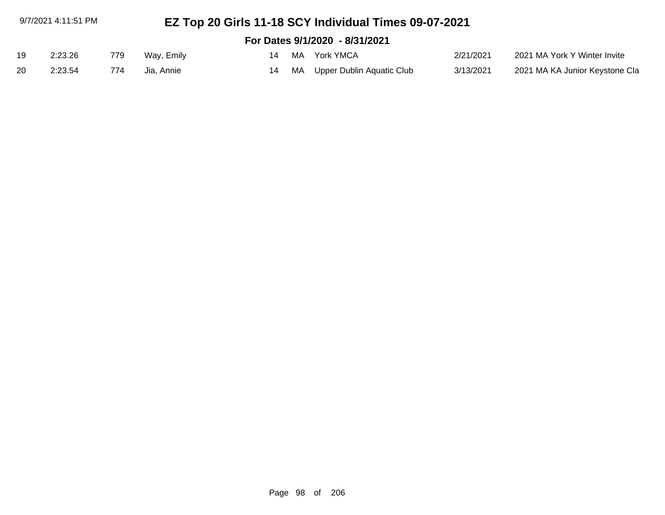| 9/7/2021 4:11:51 PM |         |     |            |    | EZ Top 20 Girls 11-18 SCY Individual Times 09-07-2021 |           |                                |
|---------------------|---------|-----|------------|----|-------------------------------------------------------|-----------|--------------------------------|
|                     |         |     |            |    | For Dates 9/1/2020 - 8/31/2021                        |           |                                |
| 19                  | 2:23.26 | 779 | Way, Emily | 14 | MA York YMCA                                          | 2/21/2021 | 2021 MA York Y Winter Invite   |
| -20                 | 2:23.54 | 774 | Jia. Annie | 14 | MA Upper Dublin Aquatic Club                          | 3/13/2021 | 2021 MA KA Junior Keystone Cla |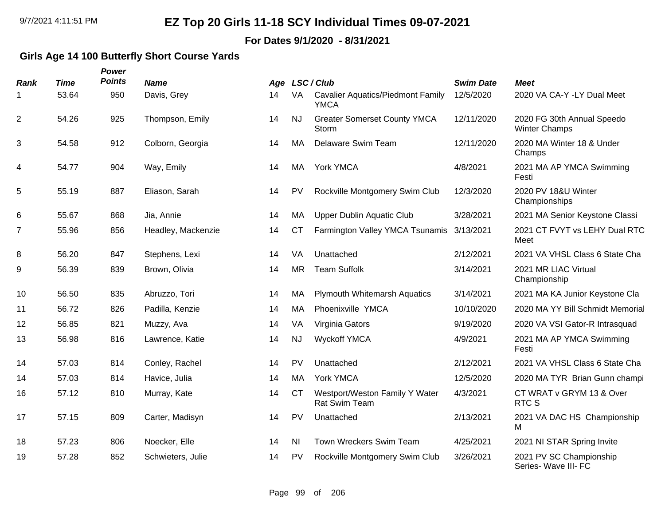**For Dates 9/1/2020 - 8/31/2021**

#### **Girls Age 14 100 Butterfly Short Course Yards**

| Rank           | <b>Time</b> | Power<br><b>Points</b> | <b>Name</b>        |    |           | Age LSC/Club                                            | <b>Swim Date</b> | <b>Meet</b>                                        |
|----------------|-------------|------------------------|--------------------|----|-----------|---------------------------------------------------------|------------------|----------------------------------------------------|
| 1              | 53.64       | 950                    | Davis, Grey        | 14 | VA        | <b>Cavalier Aquatics/Piedmont Family</b><br><b>YMCA</b> | 12/5/2020        | 2020 VA CA-Y -LY Dual Meet                         |
| $\overline{2}$ | 54.26       | 925                    | Thompson, Emily    | 14 | <b>NJ</b> | <b>Greater Somerset County YMCA</b><br>Storm            | 12/11/2020       | 2020 FG 30th Annual Speedo<br><b>Winter Champs</b> |
| 3              | 54.58       | 912                    | Colborn, Georgia   | 14 | MA        | Delaware Swim Team                                      | 12/11/2020       | 2020 MA Winter 18 & Under<br>Champs                |
| 4              | 54.77       | 904                    | Way, Emily         | 14 | MA        | York YMCA                                               | 4/8/2021         | 2021 MA AP YMCA Swimming<br>Festi                  |
| 5              | 55.19       | 887                    | Eliason, Sarah     | 14 | <b>PV</b> | Rockville Montgomery Swim Club                          | 12/3/2020        | 2020 PV 18&U Winter<br>Championships               |
| 6              | 55.67       | 868                    | Jia, Annie         | 14 | МA        | <b>Upper Dublin Aquatic Club</b>                        | 3/28/2021        | 2021 MA Senior Keystone Classi                     |
| 7              | 55.96       | 856                    | Headley, Mackenzie | 14 | <b>CT</b> | Farmington Valley YMCA Tsunamis 3/13/2021               |                  | 2021 CT FVYT vs LEHY Dual RTC<br>Meet              |
| 8              | 56.20       | 847                    | Stephens, Lexi     | 14 | VA        | Unattached                                              | 2/12/2021        | 2021 VA VHSL Class 6 State Cha                     |
| 9              | 56.39       | 839                    | Brown, Olivia      | 14 | <b>MR</b> | <b>Team Suffolk</b>                                     | 3/14/2021        | 2021 MR LIAC Virtual<br>Championship               |
| 10             | 56.50       | 835                    | Abruzzo, Tori      | 14 | МA        | <b>Plymouth Whitemarsh Aquatics</b>                     | 3/14/2021        | 2021 MA KA Junior Keystone Cla                     |
| 11             | 56.72       | 826                    | Padilla, Kenzie    | 14 | МA        | Phoenixville YMCA                                       | 10/10/2020       | 2020 MA YY Bill Schmidt Memorial                   |
| 12             | 56.85       | 821                    | Muzzy, Ava         | 14 | VA        | Virginia Gators                                         | 9/19/2020        | 2020 VA VSI Gator-R Intrasquad                     |
| 13             | 56.98       | 816                    | Lawrence, Katie    | 14 | <b>NJ</b> | <b>Wyckoff YMCA</b>                                     | 4/9/2021         | 2021 MA AP YMCA Swimming<br>Festi                  |
| 14             | 57.03       | 814                    | Conley, Rachel     | 14 | <b>PV</b> | Unattached                                              | 2/12/2021        | 2021 VA VHSL Class 6 State Cha                     |
| 14             | 57.03       | 814                    | Havice, Julia      | 14 | MA        | York YMCA                                               | 12/5/2020        | 2020 MA TYR Brian Gunn champi                      |
| 16             | 57.12       | 810                    | Murray, Kate       | 14 | <b>CT</b> | Westport/Weston Family Y Water<br>Rat Swim Team         | 4/3/2021         | CT WRAT v GRYM 13 & Over<br><b>RTCS</b>            |
| 17             | 57.15       | 809                    | Carter, Madisyn    | 14 | <b>PV</b> | Unattached                                              | 2/13/2021        | 2021 VA DAC HS Championship<br>M                   |
| 18             | 57.23       | 806                    | Noecker, Elle      | 14 | NI        | <b>Town Wreckers Swim Team</b>                          | 4/25/2021        | 2021 NI STAR Spring Invite                         |
| 19             | 57.28       | 852                    | Schwieters, Julie  | 14 | <b>PV</b> | Rockville Montgomery Swim Club                          | 3/26/2021        | 2021 PV SC Championship<br>Series- Wave III- FC    |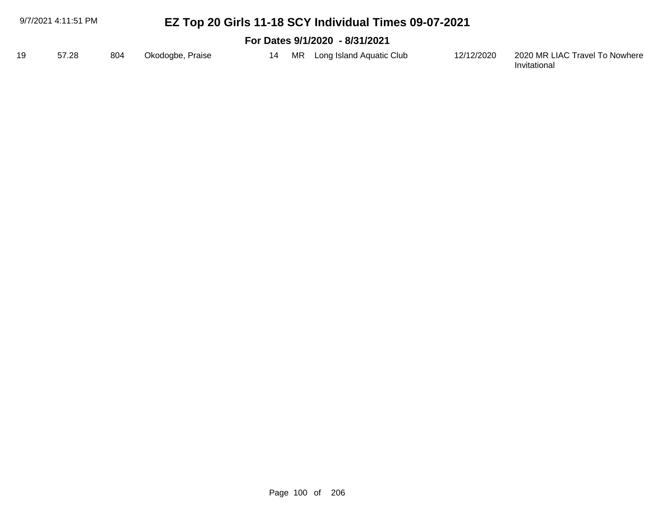| 9/7/2021 4:11:51 PM |                                |     | EZ Top 20 Girls 11-18 SCY Individual Times 09-07-2021 |  |  |                             |            |                                                |  |  |  |
|---------------------|--------------------------------|-----|-------------------------------------------------------|--|--|-----------------------------|------------|------------------------------------------------|--|--|--|
|                     | For Dates 9/1/2020 - 8/31/2021 |     |                                                       |  |  |                             |            |                                                |  |  |  |
| 19                  | 57.28                          | 804 | Okodogbe, Praise                                      |  |  | MR Long Island Aquatic Club | 12/12/2020 | 2020 MR LIAC Travel To Nowhere<br>Invitational |  |  |  |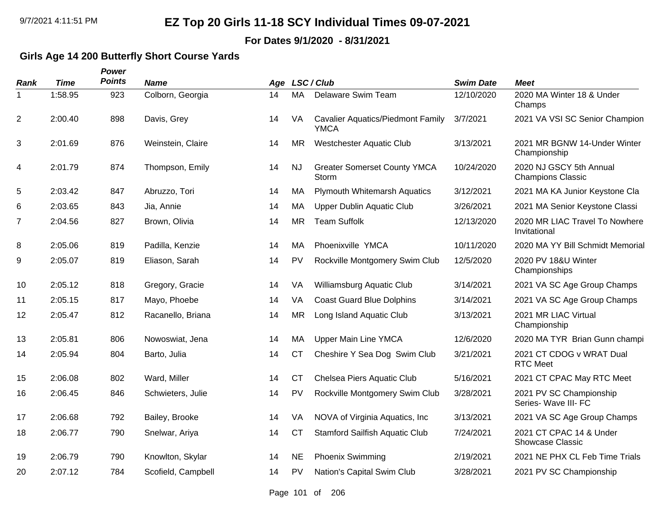**For Dates 9/1/2020 - 8/31/2021**

#### **Girls Age 14 200 Butterfly Short Course Yards**

| Rank           | <b>Time</b> | Power<br><b>Points</b> | <b>Name</b>        |    |           | Age LSC/Club                                            | <b>Swim Date</b> | <b>Meet</b>                                         |
|----------------|-------------|------------------------|--------------------|----|-----------|---------------------------------------------------------|------------------|-----------------------------------------------------|
| 1              | 1:58.95     | 923                    | Colborn, Georgia   | 14 | MA        | Delaware Swim Team                                      | 12/10/2020       | 2020 MA Winter 18 & Under<br>Champs                 |
| $\overline{c}$ | 2:00.40     | 898                    | Davis, Grey        | 14 | VA        | <b>Cavalier Aquatics/Piedmont Family</b><br><b>YMCA</b> | 3/7/2021         | 2021 VA VSI SC Senior Champion                      |
| 3              | 2:01.69     | 876                    | Weinstein, Claire  | 14 | <b>MR</b> | <b>Westchester Aquatic Club</b>                         | 3/13/2021        | 2021 MR BGNW 14-Under Winter<br>Championship        |
| 4              | 2:01.79     | 874                    | Thompson, Emily    | 14 | <b>NJ</b> | <b>Greater Somerset County YMCA</b><br>Storm            | 10/24/2020       | 2020 NJ GSCY 5th Annual<br><b>Champions Classic</b> |
| 5              | 2:03.42     | 847                    | Abruzzo, Tori      | 14 | MA        | Plymouth Whitemarsh Aquatics                            | 3/12/2021        | 2021 MA KA Junior Keystone Cla                      |
| 6              | 2:03.65     | 843                    | Jia, Annie         | 14 | MA        | <b>Upper Dublin Aquatic Club</b>                        | 3/26/2021        | 2021 MA Senior Keystone Classi                      |
| $\overline{7}$ | 2:04.56     | 827                    | Brown, Olivia      | 14 | <b>MR</b> | <b>Team Suffolk</b>                                     | 12/13/2020       | 2020 MR LIAC Travel To Nowhere<br>Invitational      |
| 8              | 2:05.06     | 819                    | Padilla, Kenzie    | 14 | МA        | Phoenixville YMCA                                       | 10/11/2020       | 2020 MA YY Bill Schmidt Memorial                    |
| 9              | 2:05.07     | 819                    | Eliason, Sarah     | 14 | PV        | Rockville Montgomery Swim Club                          | 12/5/2020        | 2020 PV 18&U Winter<br>Championships                |
| 10             | 2:05.12     | 818                    | Gregory, Gracie    | 14 | VA        | Williamsburg Aquatic Club                               | 3/14/2021        | 2021 VA SC Age Group Champs                         |
| 11             | 2:05.15     | 817                    | Mayo, Phoebe       | 14 | <b>VA</b> | <b>Coast Guard Blue Dolphins</b>                        | 3/14/2021        | 2021 VA SC Age Group Champs                         |
| 12             | 2:05.47     | 812                    | Racanello, Briana  | 14 | <b>MR</b> | Long Island Aquatic Club                                | 3/13/2021        | 2021 MR LIAC Virtual<br>Championship                |
| 13             | 2:05.81     | 806                    | Nowoswiat, Jena    | 14 | MA        | <b>Upper Main Line YMCA</b>                             | 12/6/2020        | 2020 MA TYR Brian Gunn champi                       |
| 14             | 2:05.94     | 804                    | Barto, Julia       | 14 | <b>CT</b> | Cheshire Y Sea Dog Swim Club                            | 3/21/2021        | 2021 CT CDOG v WRAT Dual<br><b>RTC Meet</b>         |
| 15             | 2:06.08     | 802                    | Ward, Miller       | 14 | <b>CT</b> | Chelsea Piers Aquatic Club                              | 5/16/2021        | 2021 CT CPAC May RTC Meet                           |
| 16             | 2:06.45     | 846                    | Schwieters, Julie  | 14 | PV        | Rockville Montgomery Swim Club                          | 3/28/2021        | 2021 PV SC Championship<br>Series- Wave III- FC     |
| 17             | 2:06.68     | 792                    | Bailey, Brooke     | 14 | VA        | NOVA of Virginia Aquatics, Inc.                         | 3/13/2021        | 2021 VA SC Age Group Champs                         |
| 18             | 2:06.77     | 790                    | Snelwar, Ariya     | 14 | <b>CT</b> | Stamford Sailfish Aquatic Club                          | 7/24/2021        | 2021 CT CPAC 14 & Under<br><b>Showcase Classic</b>  |
| 19             | 2:06.79     | 790                    | Knowlton, Skylar   | 14 | <b>NE</b> | <b>Phoenix Swimming</b>                                 | 2/19/2021        | 2021 NE PHX CL Feb Time Trials                      |
| 20             | 2:07.12     | 784                    | Scofield, Campbell | 14 | <b>PV</b> | Nation's Capital Swim Club                              | 3/28/2021        | 2021 PV SC Championship                             |

Page 101 of 206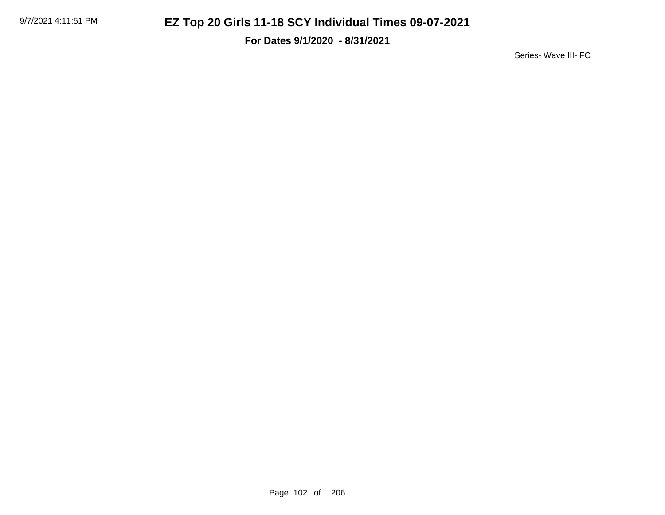**For Dates 9/1/2020 - 8/31/2021**

Series- Wave III- FC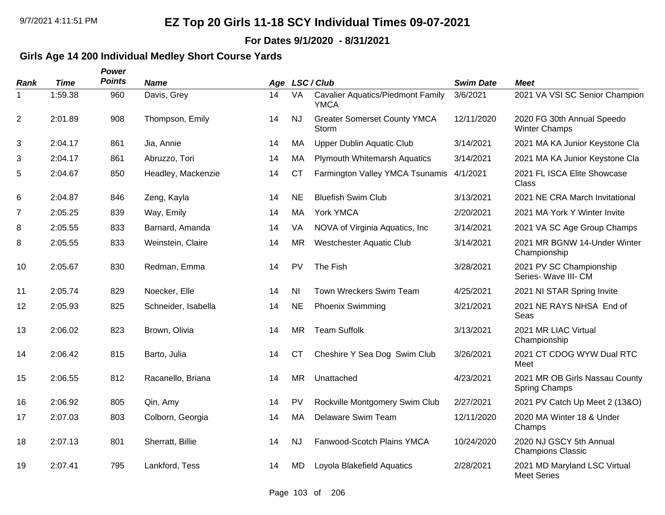**For Dates 9/1/2020 - 8/31/2021**

### **Girls Age 14 200 Individual Medley Short Course Yards**

| Rank           | <b>Time</b> | Power<br><b>Points</b> | <b>Name</b>         |    |                | Age LSC/Club                                            | <b>Swim Date</b> | <b>Meet</b>                                            |
|----------------|-------------|------------------------|---------------------|----|----------------|---------------------------------------------------------|------------------|--------------------------------------------------------|
| 1              | 1:59.38     | 960                    | Davis, Grey         | 14 | <b>VA</b>      | <b>Cavalier Aquatics/Piedmont Family</b><br><b>YMCA</b> | 3/6/2021         | 2021 VA VSI SC Senior Champion                         |
| $\overline{c}$ | 2:01.89     | 908                    | Thompson, Emily     | 14 | <b>NJ</b>      | <b>Greater Somerset County YMCA</b><br>Storm            | 12/11/2020       | 2020 FG 30th Annual Speedo<br><b>Winter Champs</b>     |
| 3              | 2:04.17     | 861                    | Jia, Annie          | 14 | MA             | <b>Upper Dublin Aquatic Club</b>                        | 3/14/2021        | 2021 MA KA Junior Keystone Cla                         |
| 3              | 2:04.17     | 861                    | Abruzzo, Tori       | 14 | MA             | <b>Plymouth Whitemarsh Aquatics</b>                     | 3/14/2021        | 2021 MA KA Junior Keystone Cla                         |
| 5              | 2:04.67     | 850                    | Headley, Mackenzie  | 14 | <b>CT</b>      | Farmington Valley YMCA Tsunamis                         | 4/1/2021         | 2021 FL ISCA Elite Showcase<br>Class                   |
| 6              | 2:04.87     | 846                    | Zeng, Kayla         | 14 | <b>NE</b>      | <b>Bluefish Swim Club</b>                               | 3/13/2021        | 2021 NE CRA March Invitational                         |
| 7              | 2:05.25     | 839                    | Way, Emily          | 14 | MA             | York YMCA                                               | 2/20/2021        | 2021 MA York Y Winter Invite                           |
| 8              | 2:05.55     | 833                    | Barnard, Amanda     | 14 | <b>VA</b>      | NOVA of Virginia Aquatics, Inc.                         | 3/14/2021        | 2021 VA SC Age Group Champs                            |
| 8              | 2:05.55     | 833                    | Weinstein, Claire   | 14 | <b>MR</b>      | <b>Westchester Aquatic Club</b>                         | 3/14/2021        | 2021 MR BGNW 14-Under Winter<br>Championship           |
| 10             | 2:05.67     | 830                    | Redman, Emma        | 14 | <b>PV</b>      | The Fish                                                | 3/28/2021        | 2021 PV SC Championship<br>Series- Wave III- CM        |
| 11             | 2:05.74     | 829                    | Noecker, Elle       | 14 | N <sub>l</sub> | Town Wreckers Swim Team                                 | 4/25/2021        | 2021 NI STAR Spring Invite                             |
| 12             | 2:05.93     | 825                    | Schneider, Isabella | 14 | <b>NE</b>      | <b>Phoenix Swimming</b>                                 | 3/21/2021        | 2021 NE RAYS NHSA End of<br>Seas                       |
| 13             | 2:06.02     | 823                    | Brown, Olivia       | 14 | <b>MR</b>      | <b>Team Suffolk</b>                                     | 3/13/2021        | 2021 MR LIAC Virtual<br>Championship                   |
| 14             | 2:06.42     | 815                    | Barto, Julia        | 14 | <b>CT</b>      | Cheshire Y Sea Dog Swim Club                            | 3/26/2021        | 2021 CT CDOG WYW Dual RTC<br>Meet                      |
| 15             | 2:06.55     | 812                    | Racanello, Briana   | 14 | <b>MR</b>      | Unattached                                              | 4/23/2021        | 2021 MR OB Girls Nassau County<br><b>Spring Champs</b> |
| 16             | 2:06.92     | 805                    | Qin, Amy            | 14 | <b>PV</b>      | Rockville Montgomery Swim Club                          | 2/27/2021        | 2021 PV Catch Up Meet 2 (13&O)                         |
| 17             | 2:07.03     | 803                    | Colborn, Georgia    | 14 | МA             | Delaware Swim Team                                      | 12/11/2020       | 2020 MA Winter 18 & Under<br>Champs                    |
| 18             | 2:07.13     | 801                    | Sherratt, Billie    | 14 | <b>NJ</b>      | Fanwood-Scotch Plains YMCA                              | 10/24/2020       | 2020 NJ GSCY 5th Annual<br><b>Champions Classic</b>    |
| 19             | 2:07.41     | 795                    | Lankford, Tess      | 14 | MD             | Loyola Blakefield Aquatics                              | 2/28/2021        | 2021 MD Maryland LSC Virtual<br><b>Meet Series</b>     |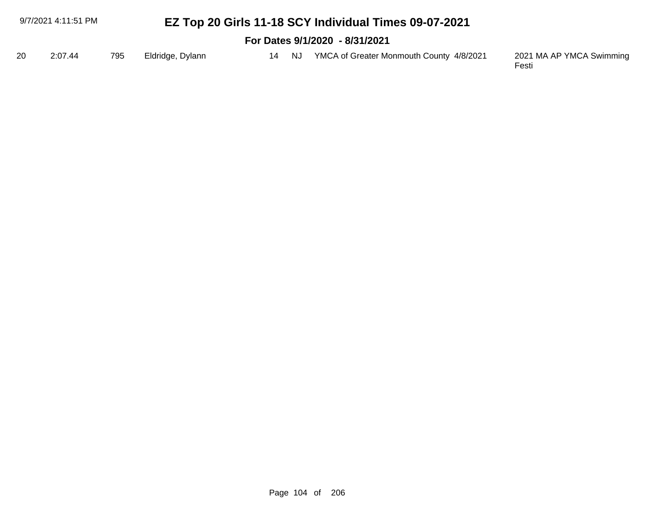| 9/7/2021 4:11:51 PM |         |     |                  |       | EZ Top 20 Girls 11-18 SCY Individual Times 09-07-2021 |                                   |
|---------------------|---------|-----|------------------|-------|-------------------------------------------------------|-----------------------------------|
|                     |         |     |                  |       | For Dates 9/1/2020 - 8/31/2021                        |                                   |
| 20                  | 2:07.44 | 795 | Eldridge, Dylann | 14 NJ | YMCA of Greater Monmouth County 4/8/2021              | 2021 MA AP YMCA Swimming<br>Festi |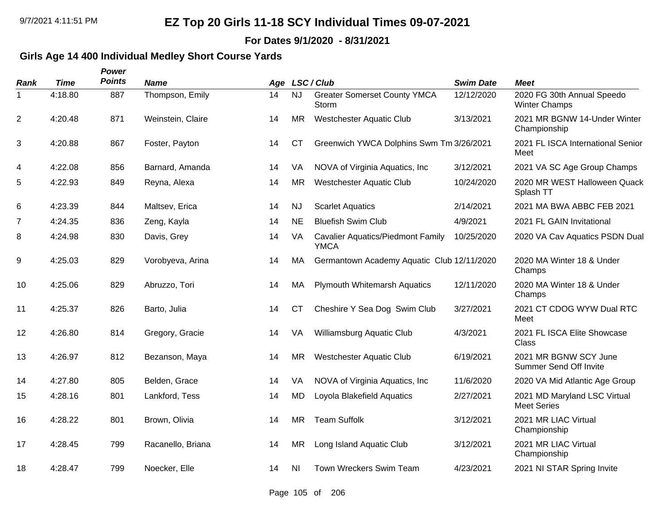**For Dates 9/1/2020 - 8/31/2021**

### **Girls Age 14 400 Individual Medley Short Course Yards**

| Rank           | <b>Time</b> | Power<br><b>Points</b> | <b>Name</b>       |    |           | Age LSC/Club                                            | <b>Swim Date</b> | <b>Meet</b>                                        |
|----------------|-------------|------------------------|-------------------|----|-----------|---------------------------------------------------------|------------------|----------------------------------------------------|
| 1              | 4:18.80     | 887                    | Thompson, Emily   | 14 | <b>NJ</b> | <b>Greater Somerset County YMCA</b><br>Storm            | 12/12/2020       | 2020 FG 30th Annual Speedo<br><b>Winter Champs</b> |
| $\overline{2}$ | 4:20.48     | 871                    | Weinstein, Claire | 14 | <b>MR</b> | <b>Westchester Aquatic Club</b>                         | 3/13/2021        | 2021 MR BGNW 14-Under Winter<br>Championship       |
| 3              | 4:20.88     | 867                    | Foster, Payton    | 14 | <b>CT</b> | Greenwich YWCA Dolphins Swm Tm 3/26/2021                |                  | 2021 FL ISCA International Senior<br>Meet          |
| 4              | 4:22.08     | 856                    | Barnard, Amanda   | 14 | VA        | NOVA of Virginia Aquatics, Inc.                         | 3/12/2021        | 2021 VA SC Age Group Champs                        |
| 5              | 4:22.93     | 849                    | Reyna, Alexa      | 14 | <b>MR</b> | Westchester Aquatic Club                                | 10/24/2020       | 2020 MR WEST Halloween Quack<br>Splash TT          |
| 6              | 4:23.39     | 844                    | Maltsev, Erica    | 14 | <b>NJ</b> | <b>Scarlet Aquatics</b>                                 | 2/14/2021        | 2021 MA BWA ABBC FEB 2021                          |
| $\overline{7}$ | 4:24.35     | 836                    | Zeng, Kayla       | 14 | <b>NE</b> | <b>Bluefish Swim Club</b>                               | 4/9/2021         | 2021 FL GAIN Invitational                          |
| 8              | 4:24.98     | 830                    | Davis, Grey       | 14 | VA        | <b>Cavalier Aquatics/Piedmont Family</b><br><b>YMCA</b> | 10/25/2020       | 2020 VA Cav Aquatics PSDN Dual                     |
| 9              | 4:25.03     | 829                    | Vorobyeva, Arina  | 14 | MA        | Germantown Academy Aquatic Club 12/11/2020              |                  | 2020 MA Winter 18 & Under<br>Champs                |
| 10             | 4:25.06     | 829                    | Abruzzo, Tori     | 14 | MA        | <b>Plymouth Whitemarsh Aquatics</b>                     | 12/11/2020       | 2020 MA Winter 18 & Under<br>Champs                |
| 11             | 4:25.37     | 826                    | Barto, Julia      | 14 | <b>CT</b> | Cheshire Y Sea Dog Swim Club                            | 3/27/2021        | 2021 CT CDOG WYW Dual RTC<br>Meet                  |
| 12             | 4:26.80     | 814                    | Gregory, Gracie   | 14 | VA        | Williamsburg Aquatic Club                               | 4/3/2021         | 2021 FL ISCA Elite Showcase<br>Class               |
| 13             | 4:26.97     | 812                    | Bezanson, Maya    | 14 | <b>MR</b> | <b>Westchester Aquatic Club</b>                         | 6/19/2021        | 2021 MR BGNW SCY June<br>Summer Send Off Invite    |
| 14             | 4:27.80     | 805                    | Belden, Grace     | 14 | VA        | NOVA of Virginia Aquatics, Inc.                         | 11/6/2020        | 2020 VA Mid Atlantic Age Group                     |
| 15             | 4:28.16     | 801                    | Lankford, Tess    | 14 | <b>MD</b> | Loyola Blakefield Aquatics                              | 2/27/2021        | 2021 MD Maryland LSC Virtual<br><b>Meet Series</b> |
| 16             | 4:28.22     | 801                    | Brown, Olivia     | 14 | <b>MR</b> | <b>Team Suffolk</b>                                     | 3/12/2021        | 2021 MR LIAC Virtual<br>Championship               |
| 17             | 4:28.45     | 799                    | Racanello, Briana | 14 | <b>MR</b> | Long Island Aquatic Club                                | 3/12/2021        | 2021 MR LIAC Virtual<br>Championship               |
| 18             | 4:28.47     | 799                    | Noecker, Elle     | 14 | <b>NI</b> | Town Wreckers Swim Team                                 | 4/23/2021        | 2021 NI STAR Spring Invite                         |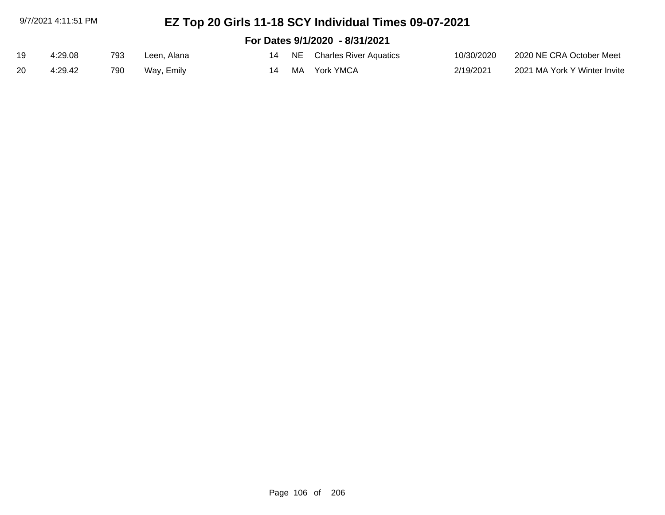| 9/7/2021 4:11:51 PM |         |     | EZ Top 20 Girls 11-18 SCY Individual Times 09-07-2021 |    |    |                                |            |                              |  |  |  |
|---------------------|---------|-----|-------------------------------------------------------|----|----|--------------------------------|------------|------------------------------|--|--|--|
|                     |         |     |                                                       |    |    | For Dates 9/1/2020 - 8/31/2021 |            |                              |  |  |  |
| 19                  | 4:29.08 | 793 | Leen, Alana                                           | 14 |    | NE Charles River Aquatics      | 10/30/2020 | 2020 NE CRA October Meet     |  |  |  |
| 20                  | 4:29.42 | 790 | Way, Emily                                            | 14 | MA | York YMCA                      | 2/19/2021  | 2021 MA York Y Winter Invite |  |  |  |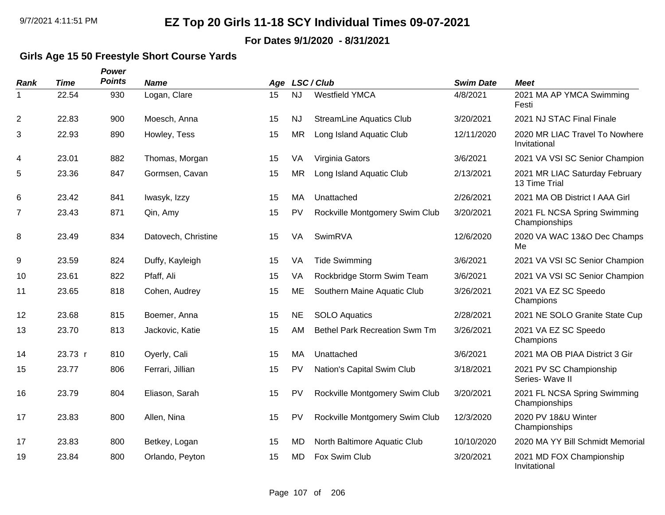#### **For Dates 9/1/2020 - 8/31/2021**

#### **Girls Age 15 50 Freestyle Short Course Yards**

| Rank           | <b>Time</b> | Power<br><b>Points</b> | <b>Name</b>         | Age |           | LSC / Club                           | <b>Swim Date</b> | <b>Meet</b>                                     |
|----------------|-------------|------------------------|---------------------|-----|-----------|--------------------------------------|------------------|-------------------------------------------------|
| 1              | 22.54       | 930                    | Logan, Clare        | 15  | <b>NJ</b> | <b>Westfield YMCA</b>                | 4/8/2021         | 2021 MA AP YMCA Swimming<br>Festi               |
| 2              | 22.83       | 900                    | Moesch, Anna        | 15  | <b>NJ</b> | <b>StreamLine Aquatics Club</b>      | 3/20/2021        | 2021 NJ STAC Final Finale                       |
| 3              | 22.93       | 890                    | Howley, Tess        | 15  | <b>MR</b> | Long Island Aquatic Club             | 12/11/2020       | 2020 MR LIAC Travel To Nowhere<br>Invitational  |
| 4              | 23.01       | 882                    | Thomas, Morgan      | 15  | VA        | Virginia Gators                      | 3/6/2021         | 2021 VA VSI SC Senior Champion                  |
| 5              | 23.36       | 847                    | Gormsen, Cavan      | 15  | <b>MR</b> | Long Island Aquatic Club             | 2/13/2021        | 2021 MR LIAC Saturday February<br>13 Time Trial |
| 6              | 23.42       | 841                    | Iwasyk, Izzy        | 15  | MA        | Unattached                           | 2/26/2021        | 2021 MA OB District I AAA Girl                  |
| $\overline{7}$ | 23.43       | 871                    | Qin, Amy            | 15  | <b>PV</b> | Rockville Montgomery Swim Club       | 3/20/2021        | 2021 FL NCSA Spring Swimming<br>Championships   |
| 8              | 23.49       | 834                    | Datovech, Christine | 15  | <b>VA</b> | SwimRVA                              | 12/6/2020        | 2020 VA WAC 13&O Dec Champs<br>Me               |
| 9              | 23.59       | 824                    | Duffy, Kayleigh     | 15  | VA        | <b>Tide Swimming</b>                 | 3/6/2021         | 2021 VA VSI SC Senior Champion                  |
| 10             | 23.61       | 822                    | Pfaff, Ali          | 15  | VA        | Rockbridge Storm Swim Team           | 3/6/2021         | 2021 VA VSI SC Senior Champion                  |
| 11             | 23.65       | 818                    | Cohen, Audrey       | 15  | ME        | Southern Maine Aquatic Club          | 3/26/2021        | 2021 VA EZ SC Speedo<br>Champions               |
| 12             | 23.68       | 815                    | Boemer, Anna        | 15  | <b>NE</b> | <b>SOLO Aquatics</b>                 | 2/28/2021        | 2021 NE SOLO Granite State Cup                  |
| 13             | 23.70       | 813                    | Jackovic, Katie     | 15  | AM        | <b>Bethel Park Recreation Swm Tm</b> | 3/26/2021        | 2021 VA EZ SC Speedo<br>Champions               |
| 14             | 23.73 r     | 810                    | Oyerly, Cali        | 15  | MA        | Unattached                           | 3/6/2021         | 2021 MA OB PIAA District 3 Gir                  |
| 15             | 23.77       | 806                    | Ferrari, Jillian    | 15  | <b>PV</b> | Nation's Capital Swim Club           | 3/18/2021        | 2021 PV SC Championship<br>Series- Wave II      |
| 16             | 23.79       | 804                    | Eliason, Sarah      | 15  | PV        | Rockville Montgomery Swim Club       | 3/20/2021        | 2021 FL NCSA Spring Swimming<br>Championships   |
| 17             | 23.83       | 800                    | Allen, Nina         | 15  | PV        | Rockville Montgomery Swim Club       | 12/3/2020        | 2020 PV 18&U Winter<br>Championships            |
| 17             | 23.83       | 800                    | Betkey, Logan       | 15  | <b>MD</b> | North Baltimore Aquatic Club         | 10/10/2020       | 2020 MA YY Bill Schmidt Memorial                |
| 19             | 23.84       | 800                    | Orlando, Peyton     | 15  | <b>MD</b> | Fox Swim Club                        | 3/20/2021        | 2021 MD FOX Championship<br>Invitational        |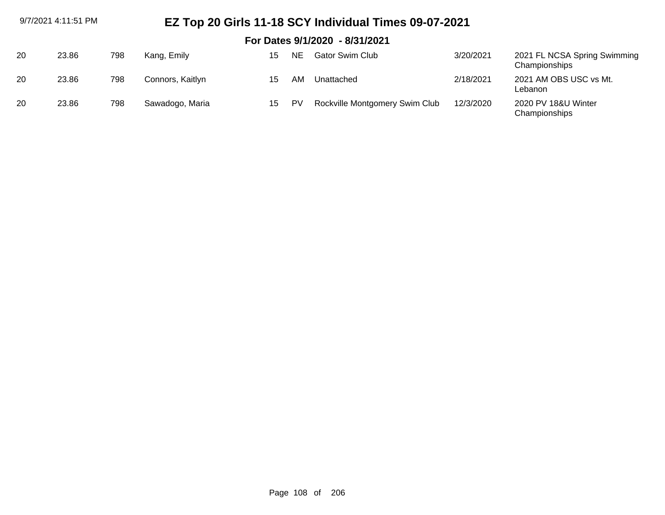| 9/7/2021 4:11:51 PM            |       |     | EZ Top 20 Girls 11-18 SCY Individual Times 09-07-2021 |    |           |                                |           |                                               |  |  |  |  |  |
|--------------------------------|-------|-----|-------------------------------------------------------|----|-----------|--------------------------------|-----------|-----------------------------------------------|--|--|--|--|--|
| For Dates 9/1/2020 - 8/31/2021 |       |     |                                                       |    |           |                                |           |                                               |  |  |  |  |  |
| 20                             | 23.86 | 798 | Kang, Emily                                           | 15 | <b>NE</b> | <b>Gator Swim Club</b>         | 3/20/2021 | 2021 FL NCSA Spring Swimming<br>Championships |  |  |  |  |  |
| 20                             | 23.86 | 798 | Connors, Kaitlyn                                      | 15 | ΑM        | Unattached                     | 2/18/2021 | 2021 AM OBS USC vs Mt.<br>Lebanon             |  |  |  |  |  |
| 20                             | 23.86 | 798 | Sawadogo, Maria                                       | 15 | PV        | Rockville Montgomery Swim Club | 12/3/2020 | 2020 PV 18&U Winter<br>Championships          |  |  |  |  |  |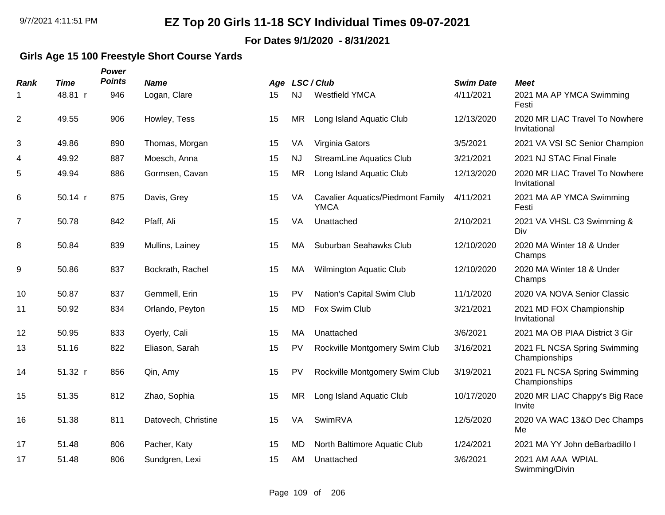#### **For Dates 9/1/2020 - 8/31/2021**

### **Girls Age 15 100 Freestyle Short Course Yards**

| <b>Rank</b>    | <b>Time</b> | Power<br><b>Points</b> | <b>Name</b>         |           |           | LSC / Club                                              | <b>Swim Date</b> | <b>Meet</b>                                    |
|----------------|-------------|------------------------|---------------------|-----------|-----------|---------------------------------------------------------|------------------|------------------------------------------------|
| 1              | 48.81 r     | 946                    | Logan, Clare        | Age<br>15 | <b>NJ</b> | <b>Westfield YMCA</b>                                   | 4/11/2021        | 2021 MA AP YMCA Swimming<br>Festi              |
| 2              | 49.55       | 906                    | Howley, Tess        | 15        | MR        | Long Island Aquatic Club                                | 12/13/2020       | 2020 MR LIAC Travel To Nowhere<br>Invitational |
| 3              | 49.86       | 890                    | Thomas, Morgan      | 15        | VA        | Virginia Gators                                         | 3/5/2021         | 2021 VA VSI SC Senior Champion                 |
| 4              | 49.92       | 887                    | Moesch, Anna        | 15        | <b>NJ</b> | <b>StreamLine Aquatics Club</b>                         | 3/21/2021        | 2021 NJ STAC Final Finale                      |
| 5              | 49.94       | 886                    | Gormsen, Cavan      | 15        | <b>MR</b> | Long Island Aquatic Club                                | 12/13/2020       | 2020 MR LIAC Travel To Nowhere<br>Invitational |
| 6              | 50.14 r     | 875                    | Davis, Grey         | 15        | VA        | <b>Cavalier Aquatics/Piedmont Family</b><br><b>YMCA</b> | 4/11/2021        | 2021 MA AP YMCA Swimming<br>Festi              |
| $\overline{7}$ | 50.78       | 842                    | Pfaff, Ali          | 15        | VA        | Unattached                                              | 2/10/2021        | 2021 VA VHSL C3 Swimming &<br>Div              |
| 8              | 50.84       | 839                    | Mullins, Lainey     | 15        | МA        | Suburban Seahawks Club                                  | 12/10/2020       | 2020 MA Winter 18 & Under<br>Champs            |
| 9              | 50.86       | 837                    | Bockrath, Rachel    | 15        | МA        | <b>Wilmington Aquatic Club</b>                          | 12/10/2020       | 2020 MA Winter 18 & Under<br>Champs            |
| 10             | 50.87       | 837                    | Gemmell, Erin       | 15        | <b>PV</b> | Nation's Capital Swim Club                              | 11/1/2020        | 2020 VA NOVA Senior Classic                    |
| 11             | 50.92       | 834                    | Orlando, Peyton     | 15        | <b>MD</b> | Fox Swim Club                                           | 3/21/2021        | 2021 MD FOX Championship<br>Invitational       |
| 12             | 50.95       | 833                    | Oyerly, Cali        | 15        | MA        | Unattached                                              | 3/6/2021         | 2021 MA OB PIAA District 3 Gir                 |
| 13             | 51.16       | 822                    | Eliason, Sarah      | 15        | PV        | Rockville Montgomery Swim Club                          | 3/16/2021        | 2021 FL NCSA Spring Swimming<br>Championships  |
| 14             | 51.32 r     | 856                    | Qin, Amy            | 15        | <b>PV</b> | Rockville Montgomery Swim Club                          | 3/19/2021        | 2021 FL NCSA Spring Swimming<br>Championships  |
| 15             | 51.35       | 812                    | Zhao, Sophia        | 15        | <b>MR</b> | Long Island Aquatic Club                                | 10/17/2020       | 2020 MR LIAC Chappy's Big Race<br>Invite       |
| 16             | 51.38       | 811                    | Datovech, Christine | 15        | VA        | SwimRVA                                                 | 12/5/2020        | 2020 VA WAC 13&O Dec Champs<br>Me              |
| 17             | 51.48       | 806                    | Pacher, Katy        | 15        | MD        | North Baltimore Aquatic Club                            | 1/24/2021        | 2021 MA YY John deBarbadillo I                 |
| 17             | 51.48       | 806                    | Sundgren, Lexi      | 15        | AM        | Unattached                                              | 3/6/2021         | 2021 AM AAA WPIAL<br>Swimming/Divin            |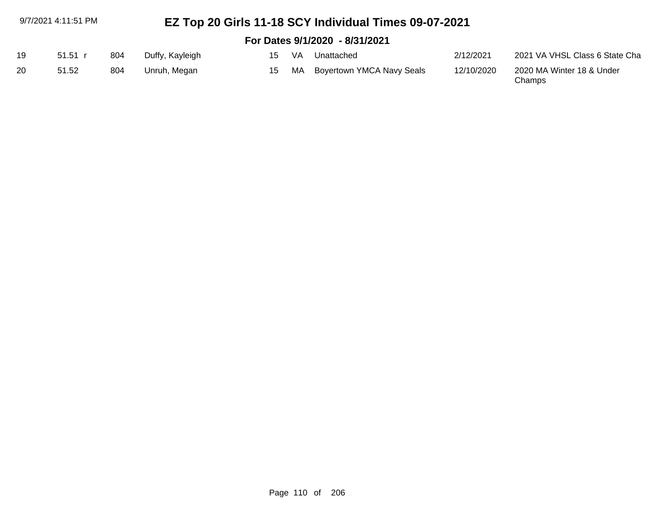|     | 9/7/2021 4:11:51 PM            |     | EZ Top 20 Girls 11-18 SCY Individual Times 09-07-2021 |    |     |                           |            |                                |  |  |  |
|-----|--------------------------------|-----|-------------------------------------------------------|----|-----|---------------------------|------------|--------------------------------|--|--|--|
|     | For Dates 9/1/2020 - 8/31/2021 |     |                                                       |    |     |                           |            |                                |  |  |  |
| 19  | $51.51$ r                      | 804 | Duffy, Kayleigh                                       | 15 | VA. | Unattached                | 2/12/2021  | 2021 VA VHSL Class 6 State Cha |  |  |  |
| -20 | 51.52                          | 804 | Unruh, Megan                                          | 15 | MA  | Boyertown YMCA Navy Seals | 12/10/2020 | 2020 MA Winter 18 & Under      |  |  |  |

Champs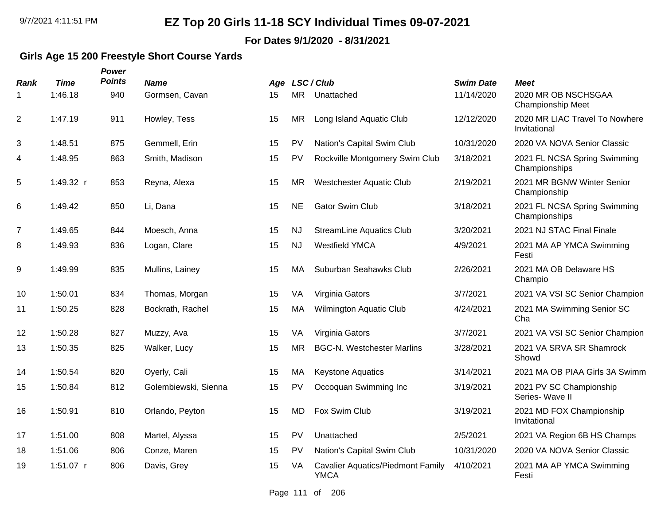**For Dates 9/1/2020 - 8/31/2021**

### **Girls Age 15 200 Freestyle Short Course Yards**

| Rank           | <b>Time</b> | Power<br><b>Points</b> | <b>Name</b>          |    |           | Age LSC/Club                                            | <b>Swim Date</b> | <b>Meet</b>                                     |
|----------------|-------------|------------------------|----------------------|----|-----------|---------------------------------------------------------|------------------|-------------------------------------------------|
| 1              | 1:46.18     | 940                    | Gormsen, Cavan       | 15 | <b>MR</b> | Unattached                                              | 11/14/2020       | 2020 MR OB NSCHSGAA<br><b>Championship Meet</b> |
| $\overline{2}$ | 1:47.19     | 911                    | Howley, Tess         | 15 | <b>MR</b> | Long Island Aquatic Club                                | 12/12/2020       | 2020 MR LIAC Travel To Nowhere<br>Invitational  |
| 3              | 1:48.51     | 875                    | Gemmell, Erin        | 15 | <b>PV</b> | Nation's Capital Swim Club                              | 10/31/2020       | 2020 VA NOVA Senior Classic                     |
| 4              | 1:48.95     | 863                    | Smith, Madison       | 15 | PV        | Rockville Montgomery Swim Club                          | 3/18/2021        | 2021 FL NCSA Spring Swimming<br>Championships   |
| 5              | 1:49.32 r   | 853                    | Reyna, Alexa         | 15 | <b>MR</b> | <b>Westchester Aquatic Club</b>                         | 2/19/2021        | 2021 MR BGNW Winter Senior<br>Championship      |
| 6              | 1:49.42     | 850                    | Li, Dana             | 15 | <b>NE</b> | <b>Gator Swim Club</b>                                  | 3/18/2021        | 2021 FL NCSA Spring Swimming<br>Championships   |
| $\overline{7}$ | 1:49.65     | 844                    | Moesch, Anna         | 15 | <b>NJ</b> | <b>StreamLine Aquatics Club</b>                         | 3/20/2021        | 2021 NJ STAC Final Finale                       |
| 8              | 1:49.93     | 836                    | Logan, Clare         | 15 | NJ        | <b>Westfield YMCA</b>                                   | 4/9/2021         | 2021 MA AP YMCA Swimming<br>Festi               |
| 9              | 1:49.99     | 835                    | Mullins, Lainey      | 15 | MA        | Suburban Seahawks Club                                  | 2/26/2021        | 2021 MA OB Delaware HS<br>Champio               |
| 10             | 1:50.01     | 834                    | Thomas, Morgan       | 15 | VA        | Virginia Gators                                         | 3/7/2021         | 2021 VA VSI SC Senior Champion                  |
| 11             | 1:50.25     | 828                    | Bockrath, Rachel     | 15 | MA        | Wilmington Aquatic Club                                 | 4/24/2021        | 2021 MA Swimming Senior SC<br>Cha               |
| 12             | 1:50.28     | 827                    | Muzzy, Ava           | 15 | VA        | Virginia Gators                                         | 3/7/2021         | 2021 VA VSI SC Senior Champion                  |
| 13             | 1:50.35     | 825                    | Walker, Lucy         | 15 | MR        | <b>BGC-N. Westchester Marlins</b>                       | 3/28/2021        | 2021 VA SRVA SR Shamrock<br>Showd               |
| 14             | 1:50.54     | 820                    | Oyerly, Cali         | 15 | MA        | <b>Keystone Aquatics</b>                                | 3/14/2021        | 2021 MA OB PIAA Girls 3A Swimm                  |
| 15             | 1:50.84     | 812                    | Golembiewski, Sienna | 15 | PV        | Occoquan Swimming Inc                                   | 3/19/2021        | 2021 PV SC Championship<br>Series-Wave II       |
| 16             | 1:50.91     | 810                    | Orlando, Peyton      | 15 | <b>MD</b> | Fox Swim Club                                           | 3/19/2021        | 2021 MD FOX Championship<br>Invitational        |
| 17             | 1:51.00     | 808                    | Martel, Alyssa       | 15 | <b>PV</b> | Unattached                                              | 2/5/2021         | 2021 VA Region 6B HS Champs                     |
| 18             | 1:51.06     | 806                    | Conze, Maren         | 15 | PV        | Nation's Capital Swim Club                              | 10/31/2020       | 2020 VA NOVA Senior Classic                     |
| 19             | 1:51.07 r   | 806                    | Davis, Grey          | 15 | VA        | <b>Cavalier Aquatics/Piedmont Family</b><br><b>YMCA</b> | 4/10/2021        | 2021 MA AP YMCA Swimming<br>Festi               |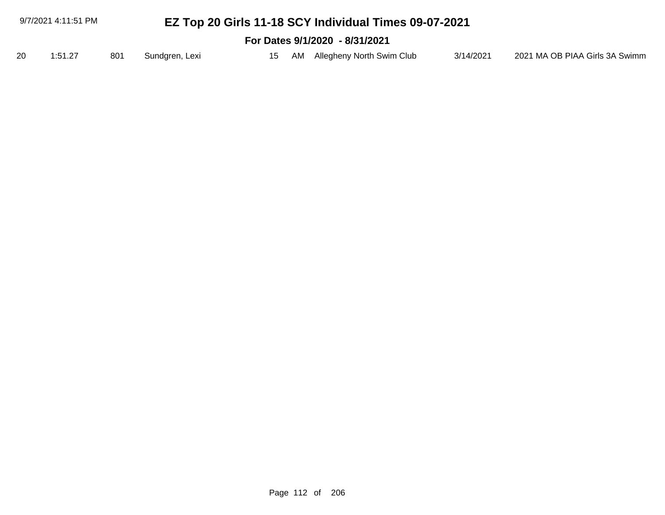|    | 9/7/2021 4:11:51 PM            |     |                |    |  | EZ Top 20 Girls 11-18 SCY Individual Times 09-07-2021 |           |                                |  |  |
|----|--------------------------------|-----|----------------|----|--|-------------------------------------------------------|-----------|--------------------------------|--|--|
|    | For Dates 9/1/2020 - 8/31/2021 |     |                |    |  |                                                       |           |                                |  |  |
| 20 | 1:51.27                        | 801 | Sundgren, Lexi | 15 |  | AM Allegheny North Swim Club                          | 3/14/2021 | 2021 MA OB PIAA Girls 3A Swimm |  |  |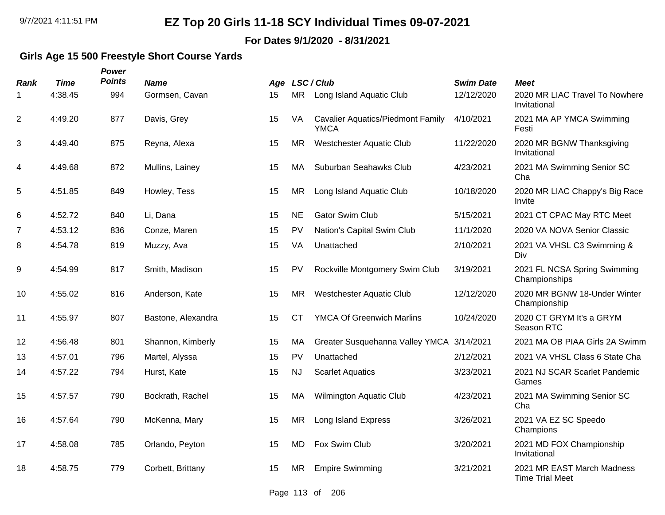**For Dates 9/1/2020 - 8/31/2021**

### **Girls Age 15 500 Freestyle Short Course Yards**

|                | Time    | Power<br><b>Points</b> | <b>Name</b>        |    |           | Age LSC/Club                                            | <b>Swim Date</b> | <b>Meet</b>                                          |
|----------------|---------|------------------------|--------------------|----|-----------|---------------------------------------------------------|------------------|------------------------------------------------------|
| Rank<br>1      | 4:38.45 | 994                    | Gormsen, Cavan     | 15 | <b>MR</b> | Long Island Aquatic Club                                | 12/12/2020       | 2020 MR LIAC Travel To Nowhere<br>Invitational       |
| $\overline{c}$ | 4:49.20 | 877                    | Davis, Grey        | 15 | VA        | <b>Cavalier Aquatics/Piedmont Family</b><br><b>YMCA</b> | 4/10/2021        | 2021 MA AP YMCA Swimming<br>Festi                    |
| 3              | 4:49.40 | 875                    | Reyna, Alexa       | 15 | <b>MR</b> | <b>Westchester Aquatic Club</b>                         | 11/22/2020       | 2020 MR BGNW Thanksgiving<br>Invitational            |
| 4              | 4:49.68 | 872                    | Mullins, Lainey    | 15 | MA        | Suburban Seahawks Club                                  | 4/23/2021        | 2021 MA Swimming Senior SC<br>Cha                    |
| 5              | 4:51.85 | 849                    | Howley, Tess       | 15 | <b>MR</b> | Long Island Aquatic Club                                | 10/18/2020       | 2020 MR LIAC Chappy's Big Race<br>Invite             |
| 6              | 4:52.72 | 840                    | Li, Dana           | 15 | <b>NE</b> | <b>Gator Swim Club</b>                                  | 5/15/2021        | 2021 CT CPAC May RTC Meet                            |
| 7              | 4:53.12 | 836                    | Conze, Maren       | 15 | <b>PV</b> | Nation's Capital Swim Club                              | 11/1/2020        | 2020 VA NOVA Senior Classic                          |
| 8              | 4:54.78 | 819                    | Muzzy, Ava         | 15 | VA        | Unattached                                              | 2/10/2021        | 2021 VA VHSL C3 Swimming &<br>Div                    |
| 9              | 4:54.99 | 817                    | Smith, Madison     | 15 | <b>PV</b> | Rockville Montgomery Swim Club                          | 3/19/2021        | 2021 FL NCSA Spring Swimming<br>Championships        |
| 10             | 4:55.02 | 816                    | Anderson, Kate     | 15 | <b>MR</b> | <b>Westchester Aquatic Club</b>                         | 12/12/2020       | 2020 MR BGNW 18-Under Winter<br>Championship         |
| 11             | 4:55.97 | 807                    | Bastone, Alexandra | 15 | <b>CT</b> | <b>YMCA Of Greenwich Marlins</b>                        | 10/24/2020       | 2020 CT GRYM It's a GRYM<br>Season RTC               |
| 12             | 4:56.48 | 801                    | Shannon, Kimberly  | 15 | МA        | Greater Susquehanna Valley YMCA 3/14/2021               |                  | 2021 MA OB PIAA Girls 2A Swimm                       |
| 13             | 4:57.01 | 796                    | Martel, Alyssa     | 15 | PV        | Unattached                                              | 2/12/2021        | 2021 VA VHSL Class 6 State Cha                       |
| 14             | 4:57.22 | 794                    | Hurst, Kate        | 15 | <b>NJ</b> | <b>Scarlet Aquatics</b>                                 | 3/23/2021        | 2021 NJ SCAR Scarlet Pandemic<br>Games               |
| 15             | 4:57.57 | 790                    | Bockrath, Rachel   | 15 | MA        | Wilmington Aquatic Club                                 | 4/23/2021        | 2021 MA Swimming Senior SC<br>Cha                    |
| 16             | 4:57.64 | 790                    | McKenna, Mary      | 15 | <b>MR</b> | Long Island Express                                     | 3/26/2021        | 2021 VA EZ SC Speedo<br>Champions                    |
| 17             | 4:58.08 | 785                    | Orlando, Peyton    | 15 | <b>MD</b> | Fox Swim Club                                           | 3/20/2021        | 2021 MD FOX Championship<br>Invitational             |
| 18             | 4:58.75 | 779                    | Corbett, Brittany  | 15 | MR        | <b>Empire Swimming</b>                                  | 3/21/2021        | 2021 MR EAST March Madness<br><b>Time Trial Meet</b> |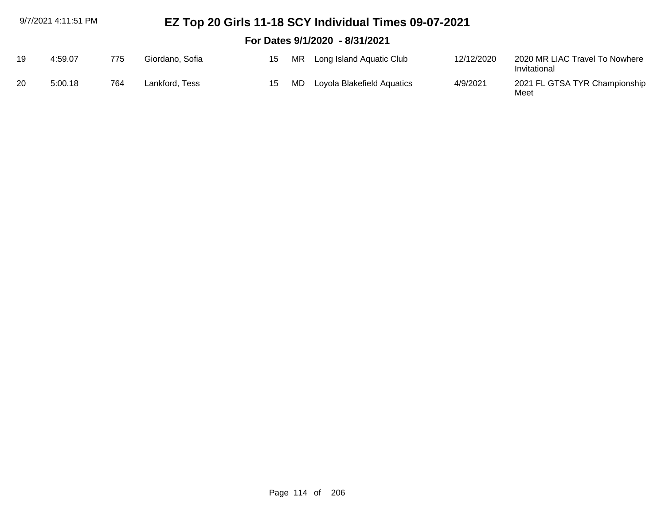| 9/7/2021 4:11:51 PM |                                |     | EZ Top 20 Girls 11-18 SCY Individual Times 09-07-2021 |    |     |                            |            |                                                |  |  |  |
|---------------------|--------------------------------|-----|-------------------------------------------------------|----|-----|----------------------------|------------|------------------------------------------------|--|--|--|
|                     | For Dates 9/1/2020 - 8/31/2021 |     |                                                       |    |     |                            |            |                                                |  |  |  |
| 19                  | 4:59.07                        | 775 | Giordano, Sofia                                       | 15 | MR. | Long Island Aquatic Club   | 12/12/2020 | 2020 MR LIAC Travel To Nowhere<br>Invitational |  |  |  |
| 20                  | 5:00.18                        | 764 | Lankford, Tess                                        | 15 | MD. | Loyola Blakefield Aquatics | 4/9/2021   | 2021 FL GTSA TYR Championship<br>Meet          |  |  |  |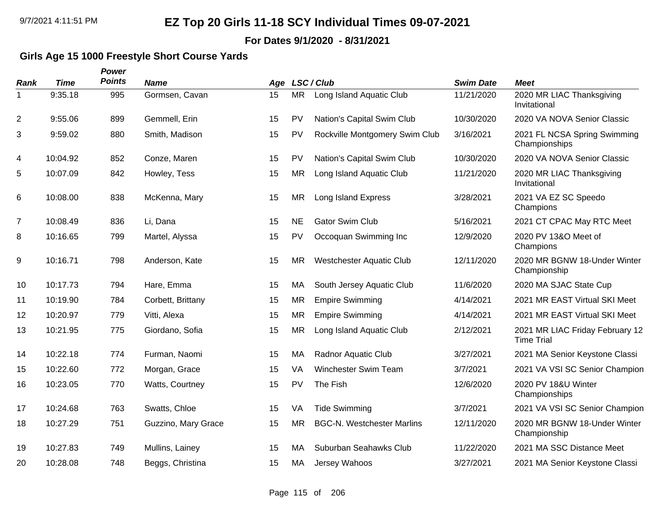#### **For Dates 9/1/2020 - 8/31/2021**

### **Girls Age 15 1000 Freestyle Short Course Yards**

| Rank           | <b>Time</b> | Power<br><b>Points</b> | <b>Name</b>         |    |           | Age LSC/Club                      | <b>Swim Date</b> | <b>Meet</b>                                          |
|----------------|-------------|------------------------|---------------------|----|-----------|-----------------------------------|------------------|------------------------------------------------------|
| 1              | 9:35.18     | 995                    | Gormsen, Cavan      | 15 | <b>MR</b> | Long Island Aquatic Club          | 11/21/2020       | 2020 MR LIAC Thanksgiving<br>Invitational            |
| 2              | 9:55.06     | 899                    | Gemmell, Erin       | 15 | PV        | Nation's Capital Swim Club        | 10/30/2020       | 2020 VA NOVA Senior Classic                          |
| 3              | 9:59.02     | 880                    | Smith, Madison      | 15 | PV        | Rockville Montgomery Swim Club    | 3/16/2021        | 2021 FL NCSA Spring Swimming<br>Championships        |
| 4              | 10:04.92    | 852                    | Conze, Maren        | 15 | PV        | Nation's Capital Swim Club        | 10/30/2020       | 2020 VA NOVA Senior Classic                          |
| 5              | 10:07.09    | 842                    | Howley, Tess        | 15 | <b>MR</b> | Long Island Aquatic Club          | 11/21/2020       | 2020 MR LIAC Thanksgiving<br>Invitational            |
| 6              | 10:08.00    | 838                    | McKenna, Mary       | 15 | <b>MR</b> | Long Island Express               | 3/28/2021        | 2021 VA EZ SC Speedo<br>Champions                    |
| $\overline{7}$ | 10:08.49    | 836                    | Li, Dana            | 15 | <b>NE</b> | <b>Gator Swim Club</b>            | 5/16/2021        | 2021 CT CPAC May RTC Meet                            |
| 8              | 10:16.65    | 799                    | Martel, Alyssa      | 15 | PV        | Occoquan Swimming Inc             | 12/9/2020        | 2020 PV 13&O Meet of<br>Champions                    |
| 9              | 10:16.71    | 798                    | Anderson, Kate      | 15 | <b>MR</b> | <b>Westchester Aquatic Club</b>   | 12/11/2020       | 2020 MR BGNW 18-Under Winter<br>Championship         |
| 10             | 10:17.73    | 794                    | Hare, Emma          | 15 | MA        | South Jersey Aquatic Club         | 11/6/2020        | 2020 MA SJAC State Cup                               |
| 11             | 10:19.90    | 784                    | Corbett, Brittany   | 15 | <b>MR</b> | <b>Empire Swimming</b>            | 4/14/2021        | 2021 MR EAST Virtual SKI Meet                        |
| 12             | 10:20.97    | 779                    | Vitti, Alexa        | 15 | <b>MR</b> | <b>Empire Swimming</b>            | 4/14/2021        | 2021 MR EAST Virtual SKI Meet                        |
| 13             | 10:21.95    | 775                    | Giordano, Sofia     | 15 | <b>MR</b> | Long Island Aquatic Club          | 2/12/2021        | 2021 MR LIAC Friday February 12<br><b>Time Trial</b> |
| 14             | 10:22.18    | 774                    | Furman, Naomi       | 15 | MA        | <b>Radnor Aquatic Club</b>        | 3/27/2021        | 2021 MA Senior Keystone Classi                       |
| 15             | 10:22.60    | 772                    | Morgan, Grace       | 15 | VA        | Winchester Swim Team              | 3/7/2021         | 2021 VA VSI SC Senior Champion                       |
| 16             | 10:23.05    | 770                    | Watts, Courtney     | 15 | PV        | The Fish                          | 12/6/2020        | 2020 PV 18&U Winter<br>Championships                 |
| 17             | 10:24.68    | 763                    | Swatts, Chloe       | 15 | VA        | <b>Tide Swimming</b>              | 3/7/2021         | 2021 VA VSI SC Senior Champion                       |
| 18             | 10:27.29    | 751                    | Guzzino, Mary Grace | 15 | <b>MR</b> | <b>BGC-N. Westchester Marlins</b> | 12/11/2020       | 2020 MR BGNW 18-Under Winter<br>Championship         |
| 19             | 10:27.83    | 749                    | Mullins, Lainey     | 15 | MA        | Suburban Seahawks Club            | 11/22/2020       | 2021 MA SSC Distance Meet                            |
| 20             | 10:28.08    | 748                    | Beggs, Christina    | 15 | MA        | Jersey Wahoos                     | 3/27/2021        | 2021 MA Senior Keystone Classi                       |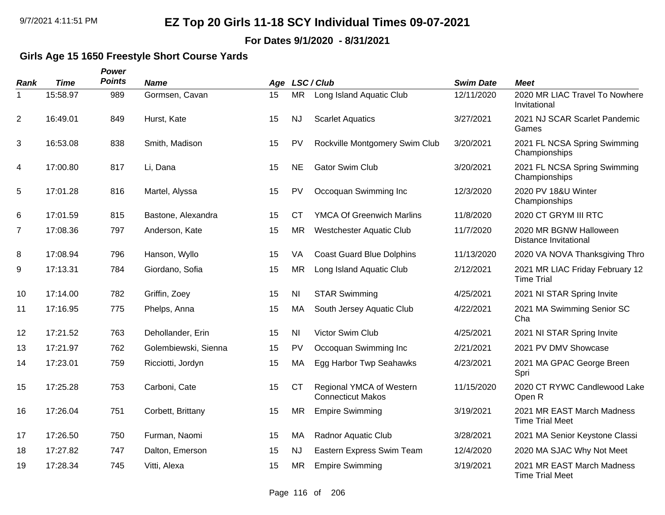**For Dates 9/1/2020 - 8/31/2021**

### **Girls Age 15 1650 Freestyle Short Course Yards**

| <b>Rank</b>    | <b>Time</b> | Power<br><b>Points</b> | <b>Name</b>          | Age |           | LSC / Club                                           | <b>Swim Date</b> | <b>Meet</b>                                          |
|----------------|-------------|------------------------|----------------------|-----|-----------|------------------------------------------------------|------------------|------------------------------------------------------|
| 1              | 15:58.97    | 989                    | Gormsen, Cavan       | 15  | <b>MR</b> | Long Island Aquatic Club                             | 12/11/2020       | 2020 MR LIAC Travel To Nowhere<br>Invitational       |
| $\overline{2}$ | 16:49.01    | 849                    | Hurst, Kate          | 15  | <b>NJ</b> | <b>Scarlet Aquatics</b>                              | 3/27/2021        | 2021 NJ SCAR Scarlet Pandemic<br>Games               |
| 3              | 16:53.08    | 838                    | Smith, Madison       | 15  | <b>PV</b> | Rockville Montgomery Swim Club                       | 3/20/2021        | 2021 FL NCSA Spring Swimming<br>Championships        |
| 4              | 17:00.80    | 817                    | Li, Dana             | 15  | <b>NE</b> | <b>Gator Swim Club</b>                               | 3/20/2021        | 2021 FL NCSA Spring Swimming<br>Championships        |
| 5              | 17:01.28    | 816                    | Martel, Alyssa       | 15  | <b>PV</b> | Occoquan Swimming Inc                                | 12/3/2020        | 2020 PV 18&U Winter<br>Championships                 |
| 6              | 17:01.59    | 815                    | Bastone, Alexandra   | 15  | <b>CT</b> | <b>YMCA Of Greenwich Marlins</b>                     | 11/8/2020        | 2020 CT GRYM III RTC                                 |
| 7              | 17:08.36    | 797                    | Anderson, Kate       | 15  | <b>MR</b> | <b>Westchester Aquatic Club</b>                      | 11/7/2020        | 2020 MR BGNW Halloween<br>Distance Invitational      |
| 8              | 17:08.94    | 796                    | Hanson, Wyllo        | 15  | VA        | <b>Coast Guard Blue Dolphins</b>                     | 11/13/2020       | 2020 VA NOVA Thanksgiving Thro                       |
| 9              | 17:13.31    | 784                    | Giordano, Sofia      | 15  | <b>MR</b> | Long Island Aquatic Club                             | 2/12/2021        | 2021 MR LIAC Friday February 12<br><b>Time Trial</b> |
| 10             | 17:14.00    | 782                    | Griffin, Zoey        | 15  | <b>NI</b> | <b>STAR Swimming</b>                                 | 4/25/2021        | 2021 NI STAR Spring Invite                           |
| 11             | 17:16.95    | 775                    | Phelps, Anna         | 15  | MA        | South Jersey Aquatic Club                            | 4/22/2021        | 2021 MA Swimming Senior SC<br>Cha                    |
| 12             | 17:21.52    | 763                    | Dehollander, Erin    | 15  | <b>NI</b> | Victor Swim Club                                     | 4/25/2021        | 2021 NI STAR Spring Invite                           |
| 13             | 17:21.97    | 762                    | Golembiewski, Sienna | 15  | <b>PV</b> | Occoquan Swimming Inc                                | 2/21/2021        | 2021 PV DMV Showcase                                 |
| 14             | 17:23.01    | 759                    | Ricciotti, Jordyn    | 15  | МA        | Egg Harbor Twp Seahawks                              | 4/23/2021        | 2021 MA GPAC George Breen<br>Spri                    |
| 15             | 17:25.28    | 753                    | Carboni, Cate        | 15  | <b>CT</b> | Regional YMCA of Western<br><b>Connecticut Makos</b> | 11/15/2020       | 2020 CT RYWC Candlewood Lake<br>Open R               |
| 16             | 17:26.04    | 751                    | Corbett, Brittany    | 15  | <b>MR</b> | <b>Empire Swimming</b>                               | 3/19/2021        | 2021 MR EAST March Madness<br><b>Time Trial Meet</b> |
| 17             | 17:26.50    | 750                    | Furman, Naomi        | 15  | МA        | <b>Radnor Aquatic Club</b>                           | 3/28/2021        | 2021 MA Senior Keystone Classi                       |
| 18             | 17:27.82    | 747                    | Dalton, Emerson      | 15  | <b>NJ</b> | Eastern Express Swim Team                            | 12/4/2020        | 2020 MA SJAC Why Not Meet                            |
| 19             | 17:28.34    | 745                    | Vitti, Alexa         | 15  | <b>MR</b> | <b>Empire Swimming</b>                               | 3/19/2021        | 2021 MR EAST March Madness<br><b>Time Trial Meet</b> |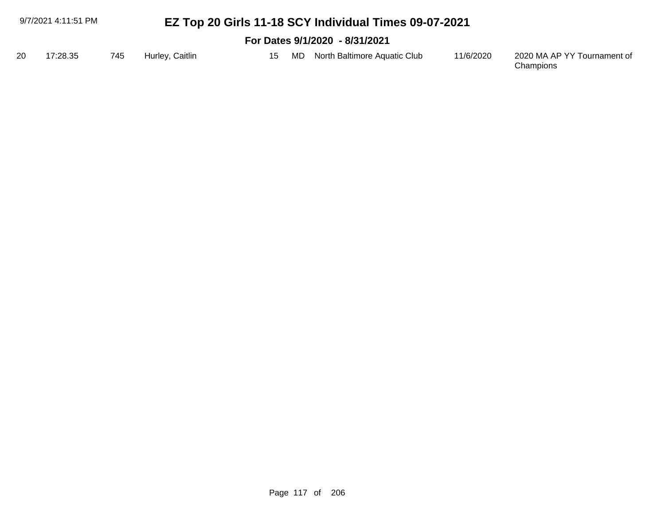|    | 9/7/2021 4:11:51 PM |     |                 |    |    | EZ Top 20 Girls 11-18 SCY Individual Times 09-07-2021 |           |                                          |  |  |  |  |
|----|---------------------|-----|-----------------|----|----|-------------------------------------------------------|-----------|------------------------------------------|--|--|--|--|
|    |                     |     |                 |    |    | For Dates 9/1/2020 - 8/31/2021                        |           |                                          |  |  |  |  |
| 20 | 17:28.35            | 745 | Hurley, Caitlin | 15 | MD | North Baltimore Aquatic Club                          | 11/6/2020 | 2020 MA AP YY Tournament of<br>Champions |  |  |  |  |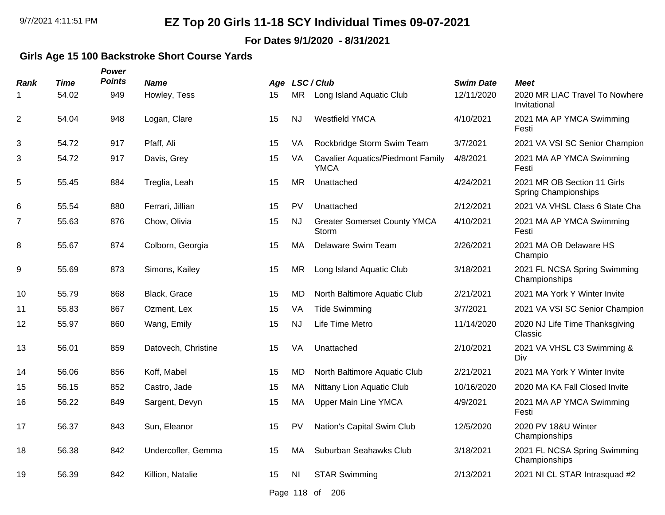**For Dates 9/1/2020 - 8/31/2021**

### **Girls Age 15 100 Backstroke Short Course Yards**

*Power*

| <b>Rank</b>    | <b>Time</b> | <b>Points</b> | <b>Name</b>         | Age |             | LSC / Club                                              | <b>Swim Date</b> | <b>Meet</b>                                                |
|----------------|-------------|---------------|---------------------|-----|-------------|---------------------------------------------------------|------------------|------------------------------------------------------------|
|                | 54.02       | 949           | Howley, Tess        | 15  | <b>MR</b>   | Long Island Aquatic Club                                | 12/11/2020       | 2020 MR LIAC Travel To Nowhere<br>Invitational             |
| $\overline{2}$ | 54.04       | 948           | Logan, Clare        | 15  | <b>NJ</b>   | <b>Westfield YMCA</b>                                   | 4/10/2021        | 2021 MA AP YMCA Swimming<br>Festi                          |
| 3              | 54.72       | 917           | Pfaff, Ali          | 15  | VA          | Rockbridge Storm Swim Team                              | 3/7/2021         | 2021 VA VSI SC Senior Champion                             |
| 3              | 54.72       | 917           | Davis, Grey         | 15  | VA          | <b>Cavalier Aquatics/Piedmont Family</b><br><b>YMCA</b> | 4/8/2021         | 2021 MA AP YMCA Swimming<br>Festi                          |
| 5              | 55.45       | 884           | Treglia, Leah       | 15  | <b>MR</b>   | Unattached                                              | 4/24/2021        | 2021 MR OB Section 11 Girls<br><b>Spring Championships</b> |
| 6              | 55.54       | 880           | Ferrari, Jillian    | 15  | PV          | Unattached                                              | 2/12/2021        | 2021 VA VHSL Class 6 State Cha                             |
| $\overline{7}$ | 55.63       | 876           | Chow, Olivia        | 15  | <b>NJ</b>   | <b>Greater Somerset County YMCA</b><br>Storm            | 4/10/2021        | 2021 MA AP YMCA Swimming<br>Festi                          |
| 8              | 55.67       | 874           | Colborn, Georgia    | 15  | <b>MA</b>   | Delaware Swim Team                                      | 2/26/2021        | 2021 MA OB Delaware HS<br>Champio                          |
| 9              | 55.69       | 873           | Simons, Kailey      | 15  | <b>MR</b>   | Long Island Aquatic Club                                | 3/18/2021        | 2021 FL NCSA Spring Swimming<br>Championships              |
| 10             | 55.79       | 868           | Black, Grace        | 15  | <b>MD</b>   | North Baltimore Aquatic Club                            | 2/21/2021        | 2021 MA York Y Winter Invite                               |
| 11             | 55.83       | 867           | Ozment, Lex         | 15  | VA          | <b>Tide Swimming</b>                                    | 3/7/2021         | 2021 VA VSI SC Senior Champion                             |
| 12             | 55.97       | 860           | Wang, Emily         | 15  | <b>NJ</b>   | Life Time Metro                                         | 11/14/2020       | 2020 NJ Life Time Thanksgiving<br>Classic                  |
| 13             | 56.01       | 859           | Datovech, Christine | 15  | VA          | Unattached                                              | 2/10/2021        | 2021 VA VHSL C3 Swimming &<br>Div                          |
| 14             | 56.06       | 856           | Koff, Mabel         | 15  | <b>MD</b>   | North Baltimore Aquatic Club                            | 2/21/2021        | 2021 MA York Y Winter Invite                               |
| 15             | 56.15       | 852           | Castro, Jade        | 15  | MA          | Nittany Lion Aquatic Club                               | 10/16/2020       | 2020 MA KA Fall Closed Invite                              |
| 16             | 56.22       | 849           | Sargent, Devyn      | 15  | MA          | <b>Upper Main Line YMCA</b>                             | 4/9/2021         | 2021 MA AP YMCA Swimming<br>Festi                          |
| 17             | 56.37       | 843           | Sun, Eleanor        | 15  | PV          | Nation's Capital Swim Club                              | 12/5/2020        | 2020 PV 18&U Winter<br>Championships                       |
| 18             | 56.38       | 842           | Undercofler, Gemma  | 15  | MA          | Suburban Seahawks Club                                  | 3/18/2021        | 2021 FL NCSA Spring Swimming<br>Championships              |
| 19             | 56.39       | 842           | Killion, Natalie    | 15  | ΝI          | <b>STAR Swimming</b>                                    | 2/13/2021        | 2021 NI CL STAR Intrasquad #2                              |
|                |             |               |                     |     | Page 118 of | 206                                                     |                  |                                                            |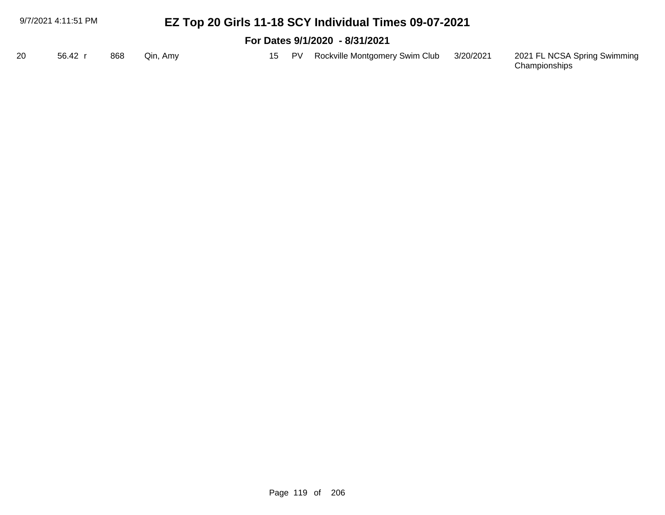| 9/7/2021 4:11:51 PM |           |     |          |  | EZ Top 20 Girls 11-18 SCY Individual Times 09-07-2021 |           |                                               |  |  |  |  |  |
|---------------------|-----------|-----|----------|--|-------------------------------------------------------|-----------|-----------------------------------------------|--|--|--|--|--|
|                     |           |     |          |  | For Dates 9/1/2020 - 8/31/2021                        |           |                                               |  |  |  |  |  |
| 20                  | 56.42 $r$ | 868 | Qin. Amv |  | 15 PV Rockville Montgomery Swim Club                  | 3/20/2021 | 2021 FL NCSA Spring Swimming<br>Championships |  |  |  |  |  |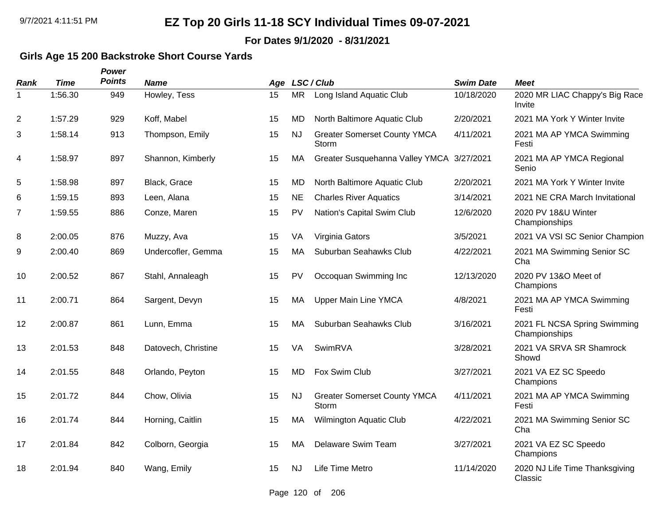**For Dates 9/1/2020 - 8/31/2021**

### **Girls Age 15 200 Backstroke Short Course Yards**

*Power*

| <b>Rank</b>    | <b>Time</b> | <b>Points</b> | <b>Name</b>         |    |           | Age LSC/Club                                 | <b>Swim Date</b> | <b>Meet</b>                                   |
|----------------|-------------|---------------|---------------------|----|-----------|----------------------------------------------|------------------|-----------------------------------------------|
|                | 1:56.30     | 949           | Howley, Tess        | 15 | <b>MR</b> | Long Island Aquatic Club                     | 10/18/2020       | 2020 MR LIAC Chappy's Big Race<br>Invite      |
| $\overline{2}$ | 1:57.29     | 929           | Koff, Mabel         | 15 | <b>MD</b> | North Baltimore Aquatic Club                 | 2/20/2021        | 2021 MA York Y Winter Invite                  |
| 3              | 1:58.14     | 913           | Thompson, Emily     | 15 | <b>NJ</b> | <b>Greater Somerset County YMCA</b><br>Storm | 4/11/2021        | 2021 MA AP YMCA Swimming<br>Festi             |
| 4              | 1:58.97     | 897           | Shannon, Kimberly   | 15 | MA        | Greater Susquehanna Valley YMCA 3/27/2021    |                  | 2021 MA AP YMCA Regional<br>Senio             |
| 5              | 1:58.98     | 897           | Black, Grace        | 15 | <b>MD</b> | North Baltimore Aquatic Club                 | 2/20/2021        | 2021 MA York Y Winter Invite                  |
| 6              | 1:59.15     | 893           | Leen, Alana         | 15 | <b>NE</b> | <b>Charles River Aquatics</b>                | 3/14/2021        | 2021 NE CRA March Invitational                |
| $\overline{7}$ | 1:59.55     | 886           | Conze, Maren        | 15 | <b>PV</b> | Nation's Capital Swim Club                   | 12/6/2020        | 2020 PV 18&U Winter<br>Championships          |
| 8              | 2:00.05     | 876           | Muzzy, Ava          | 15 | VA        | Virginia Gators                              | 3/5/2021         | 2021 VA VSI SC Senior Champion                |
| 9              | 2:00.40     | 869           | Undercofler, Gemma  | 15 | MA        | Suburban Seahawks Club                       | 4/22/2021        | 2021 MA Swimming Senior SC<br>Cha             |
| 10             | 2:00.52     | 867           | Stahl, Annaleagh    | 15 | PV        | Occoquan Swimming Inc                        | 12/13/2020       | 2020 PV 13&O Meet of<br>Champions             |
| 11             | 2:00.71     | 864           | Sargent, Devyn      | 15 | MA        | <b>Upper Main Line YMCA</b>                  | 4/8/2021         | 2021 MA AP YMCA Swimming<br>Festi             |
| 12             | 2:00.87     | 861           | Lunn, Emma          | 15 | MA        | Suburban Seahawks Club                       | 3/16/2021        | 2021 FL NCSA Spring Swimming<br>Championships |
| 13             | 2:01.53     | 848           | Datovech, Christine | 15 | <b>VA</b> | SwimRVA                                      | 3/28/2021        | 2021 VA SRVA SR Shamrock<br>Showd             |
| 14             | 2:01.55     | 848           | Orlando, Peyton     | 15 | MD        | Fox Swim Club                                | 3/27/2021        | 2021 VA EZ SC Speedo<br>Champions             |
| 15             | 2:01.72     | 844           | Chow, Olivia        | 15 | <b>NJ</b> | <b>Greater Somerset County YMCA</b><br>Storm | 4/11/2021        | 2021 MA AP YMCA Swimming<br>Festi             |
| 16             | 2:01.74     | 844           | Horning, Caitlin    | 15 | MA        | <b>Wilmington Aquatic Club</b>               | 4/22/2021        | 2021 MA Swimming Senior SC<br>Cha             |
| 17             | 2:01.84     | 842           | Colborn, Georgia    | 15 | MA        | Delaware Swim Team                           | 3/27/2021        | 2021 VA EZ SC Speedo<br>Champions             |
| 18             | 2:01.94     | 840           | Wang, Emily         | 15 | <b>NJ</b> | Life Time Metro                              | 11/14/2020       | 2020 NJ Life Time Thanksgiving<br>Classic     |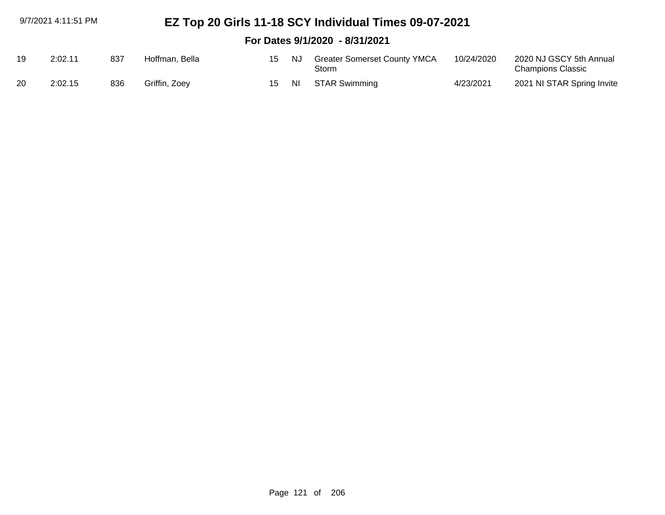|    | 9/7/2021 4:11:51 PM            |     |                |    |     | EZ Top 20 Girls 11-18 SCY Individual Times 09-07-2021 |            |                                                     |  |  |  |  |  |
|----|--------------------------------|-----|----------------|----|-----|-------------------------------------------------------|------------|-----------------------------------------------------|--|--|--|--|--|
|    | For Dates 9/1/2020 - 8/31/2021 |     |                |    |     |                                                       |            |                                                     |  |  |  |  |  |
| 19 | 2:02.11                        | 837 | Hoffman, Bella | 15 | NJ. | <b>Greater Somerset County YMCA</b><br>Storm          | 10/24/2020 | 2020 NJ GSCY 5th Annual<br><b>Champions Classic</b> |  |  |  |  |  |
| 20 | 2:02.15                        | 836 | Griffin, Zoey  | 15 | -NI | <b>STAR Swimming</b>                                  | 4/23/2021  | 2021 NI STAR Spring Invite                          |  |  |  |  |  |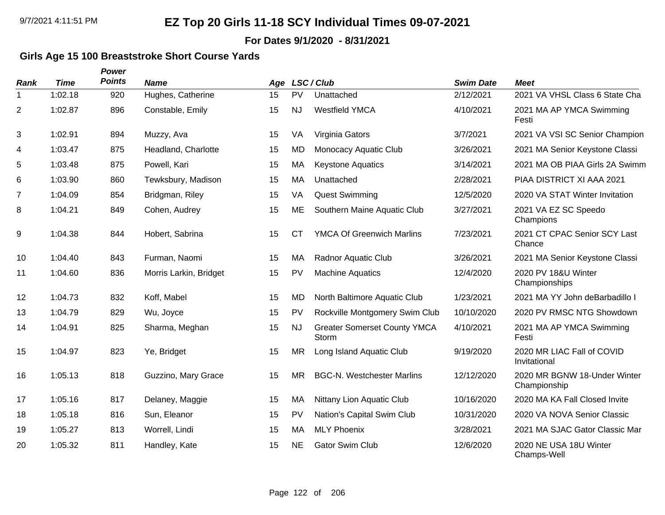#### **For Dates 9/1/2020 - 8/31/2021**

### **Girls Age 15 100 Breaststroke Short Course Yards**

| Rank           | <b>Time</b> | Power<br><b>Points</b> | <b>Name</b>            | Age |           | LSC / Club                                   | <b>Swim Date</b> | <b>Meet</b>                                  |
|----------------|-------------|------------------------|------------------------|-----|-----------|----------------------------------------------|------------------|----------------------------------------------|
|                | 1:02.18     | 920                    | Hughes, Catherine      | 15  | PV        | Unattached                                   | 2/12/2021        | 2021 VA VHSL Class 6 State Cha               |
| $\overline{2}$ | 1:02.87     | 896                    | Constable, Emily       | 15  | <b>NJ</b> | <b>Westfield YMCA</b>                        | 4/10/2021        | 2021 MA AP YMCA Swimming<br>Festi            |
| 3              | 1:02.91     | 894                    | Muzzy, Ava             | 15  | VA        | Virginia Gators                              | 3/7/2021         | 2021 VA VSI SC Senior Champion               |
| 4              | 1:03.47     | 875                    | Headland, Charlotte    | 15  | <b>MD</b> | Monocacy Aquatic Club                        | 3/26/2021        | 2021 MA Senior Keystone Classi               |
| 5              | 1:03.48     | 875                    | Powell, Kari           | 15  | MA        | <b>Keystone Aquatics</b>                     | 3/14/2021        | 2021 MA OB PIAA Girls 2A Swimm               |
| 6              | 1:03.90     | 860                    | Tewksbury, Madison     | 15  | MA        | Unattached                                   | 2/28/2021        | PIAA DISTRICT XI AAA 2021                    |
| $\overline{7}$ | 1:04.09     | 854                    | Bridgman, Riley        | 15  | VA        | <b>Quest Swimming</b>                        | 12/5/2020        | 2020 VA STAT Winter Invitation               |
| 8              | 1:04.21     | 849                    | Cohen, Audrey          | 15  | ME        | Southern Maine Aquatic Club                  | 3/27/2021        | 2021 VA EZ SC Speedo<br>Champions            |
| 9              | 1:04.38     | 844                    | Hobert, Sabrina        | 15  | <b>CT</b> | <b>YMCA Of Greenwich Marlins</b>             | 7/23/2021        | 2021 CT CPAC Senior SCY Last<br>Chance       |
| 10             | 1:04.40     | 843                    | Furman, Naomi          | 15  | MA        | <b>Radnor Aquatic Club</b>                   | 3/26/2021        | 2021 MA Senior Keystone Classi               |
| 11             | 1:04.60     | 836                    | Morris Larkin, Bridget | 15  | <b>PV</b> | <b>Machine Aquatics</b>                      | 12/4/2020        | 2020 PV 18&U Winter<br>Championships         |
| 12             | 1:04.73     | 832                    | Koff, Mabel            | 15  | <b>MD</b> | North Baltimore Aquatic Club                 | 1/23/2021        | 2021 MA YY John deBarbadillo I               |
| 13             | 1:04.79     | 829                    | Wu, Joyce              | 15  | PV        | Rockville Montgomery Swim Club               | 10/10/2020       | 2020 PV RMSC NTG Showdown                    |
| 14             | 1:04.91     | 825                    | Sharma, Meghan         | 15  | <b>NJ</b> | <b>Greater Somerset County YMCA</b><br>Storm | 4/10/2021        | 2021 MA AP YMCA Swimming<br>Festi            |
| 15             | 1:04.97     | 823                    | Ye, Bridget            | 15  | <b>MR</b> | Long Island Aquatic Club                     | 9/19/2020        | 2020 MR LIAC Fall of COVID<br>Invitational   |
| 16             | 1:05.13     | 818                    | Guzzino, Mary Grace    | 15  | <b>MR</b> | <b>BGC-N. Westchester Marlins</b>            | 12/12/2020       | 2020 MR BGNW 18-Under Winter<br>Championship |
| 17             | 1:05.16     | 817                    | Delaney, Maggie        | 15  | MA        | Nittany Lion Aquatic Club                    | 10/16/2020       | 2020 MA KA Fall Closed Invite                |
| 18             | 1:05.18     | 816                    | Sun, Eleanor           | 15  | <b>PV</b> | Nation's Capital Swim Club                   | 10/31/2020       | 2020 VA NOVA Senior Classic                  |
| 19             | 1:05.27     | 813                    | Worrell, Lindi         | 15  | MA        | <b>MLY Phoenix</b>                           | 3/28/2021        | 2021 MA SJAC Gator Classic Mar               |
| 20             | 1:05.32     | 811                    | Handley, Kate          | 15  | <b>NE</b> | <b>Gator Swim Club</b>                       | 12/6/2020        | 2020 NE USA 18U Winter<br>Champs-Well        |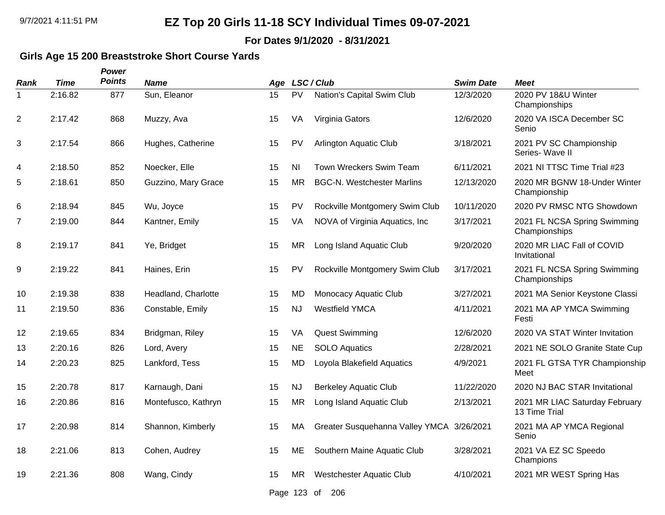**For Dates 9/1/2020 - 8/31/2021**

### **Girls Age 15 200 Breaststroke Short Course Yards**

| <b>Rank</b>    | <b>Time</b> | Power<br><b>Points</b> | <b>Name</b>         |    |           | Age LSC/Club                              | <b>Swim Date</b> | <b>Meet</b>                                     |
|----------------|-------------|------------------------|---------------------|----|-----------|-------------------------------------------|------------------|-------------------------------------------------|
| 1              | 2:16.82     | 877                    | Sun, Eleanor        | 15 | PV        | Nation's Capital Swim Club                | 12/3/2020        | 2020 PV 18&U Winter<br>Championships            |
| 2              | 2:17.42     | 868                    | Muzzy, Ava          | 15 | VA        | Virginia Gators                           | 12/6/2020        | 2020 VA ISCA December SC<br>Senio               |
| 3              | 2:17.54     | 866                    | Hughes, Catherine   | 15 | PV        | Arlington Aquatic Club                    | 3/18/2021        | 2021 PV SC Championship<br>Series- Wave II      |
| 4              | 2:18.50     | 852                    | Noecker, Elle       | 15 | <b>NI</b> | <b>Town Wreckers Swim Team</b>            | 6/11/2021        | 2021 NI TTSC Time Trial #23                     |
| 5              | 2:18.61     | 850                    | Guzzino, Mary Grace | 15 | <b>MR</b> | <b>BGC-N. Westchester Marlins</b>         | 12/13/2020       | 2020 MR BGNW 18-Under Winter<br>Championship    |
| 6              | 2:18.94     | 845                    | Wu, Joyce           | 15 | <b>PV</b> | Rockville Montgomery Swim Club            | 10/11/2020       | 2020 PV RMSC NTG Showdown                       |
| $\overline{7}$ | 2:19.00     | 844                    | Kantner, Emily      | 15 | VA        | NOVA of Virginia Aquatics, Inc.           | 3/17/2021        | 2021 FL NCSA Spring Swimming<br>Championships   |
| 8              | 2:19.17     | 841                    | Ye, Bridget         | 15 | <b>MR</b> | Long Island Aquatic Club                  | 9/20/2020        | 2020 MR LIAC Fall of COVID<br>Invitational      |
| 9              | 2:19.22     | 841                    | Haines, Erin        | 15 | PV        | Rockville Montgomery Swim Club            | 3/17/2021        | 2021 FL NCSA Spring Swimming<br>Championships   |
| 10             | 2:19.38     | 838                    | Headland, Charlotte | 15 | <b>MD</b> | Monocacy Aquatic Club                     | 3/27/2021        | 2021 MA Senior Keystone Classi                  |
| 11             | 2:19.50     | 836                    | Constable, Emily    | 15 | <b>NJ</b> | <b>Westfield YMCA</b>                     | 4/11/2021        | 2021 MA AP YMCA Swimming<br>Festi               |
| 12             | 2:19.65     | 834                    | Bridgman, Riley     | 15 | VA        | <b>Quest Swimming</b>                     | 12/6/2020        | 2020 VA STAT Winter Invitation                  |
| 13             | 2:20.16     | 826                    | Lord, Avery         | 15 | <b>NE</b> | <b>SOLO Aquatics</b>                      | 2/28/2021        | 2021 NE SOLO Granite State Cup                  |
| 14             | 2:20.23     | 825                    | Lankford, Tess      | 15 | <b>MD</b> | Loyola Blakefield Aquatics                | 4/9/2021         | 2021 FL GTSA TYR Championship<br>Meet           |
| 15             | 2:20.78     | 817                    | Karnaugh, Dani      | 15 | <b>NJ</b> | <b>Berkeley Aquatic Club</b>              | 11/22/2020       | 2020 NJ BAC STAR Invitational                   |
| 16             | 2:20.86     | 816                    | Montefusco, Kathryn | 15 | <b>MR</b> | Long Island Aquatic Club                  | 2/13/2021        | 2021 MR LIAC Saturday February<br>13 Time Trial |
| 17             | 2:20.98     | 814                    | Shannon, Kimberly   | 15 | MA        | Greater Susquehanna Valley YMCA 3/26/2021 |                  | 2021 MA AP YMCA Regional<br>Senio               |
| 18             | 2:21.06     | 813                    | Cohen, Audrey       | 15 | ME        | Southern Maine Aquatic Club               | 3/28/2021        | 2021 VA EZ SC Speedo<br>Champions               |
| 19             | 2:21.36     | 808                    | Wang, Cindy         | 15 | MR.       | Westchester Aquatic Club                  | 4/10/2021        | 2021 MR WEST Spring Has                         |
|                |             |                        |                     |    |           | Page 123 of 206                           |                  |                                                 |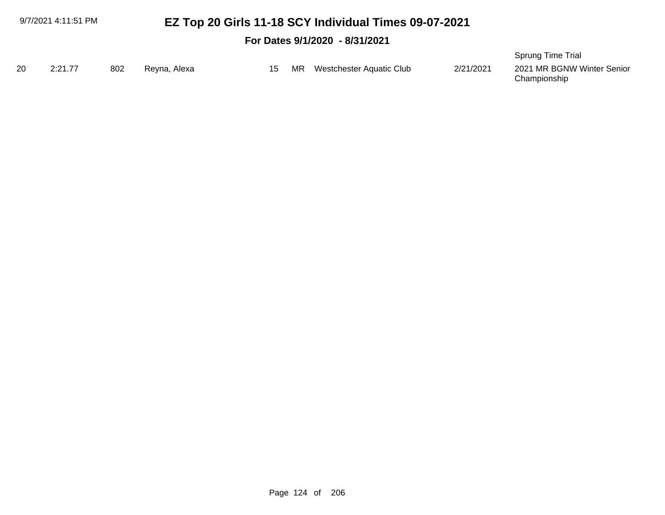#### **For Dates 9/1/2020 - 8/31/2021**

|    |         |     |              |  |                             |           | Sprung Time Trial                          |
|----|---------|-----|--------------|--|-----------------------------|-----------|--------------------------------------------|
| 20 | 2:21.77 | 802 | Reyna, Alexa |  | MR Westchester Aquatic Club | 2/21/2021 | 2021 MR BGNW Winter Senior<br>Championship |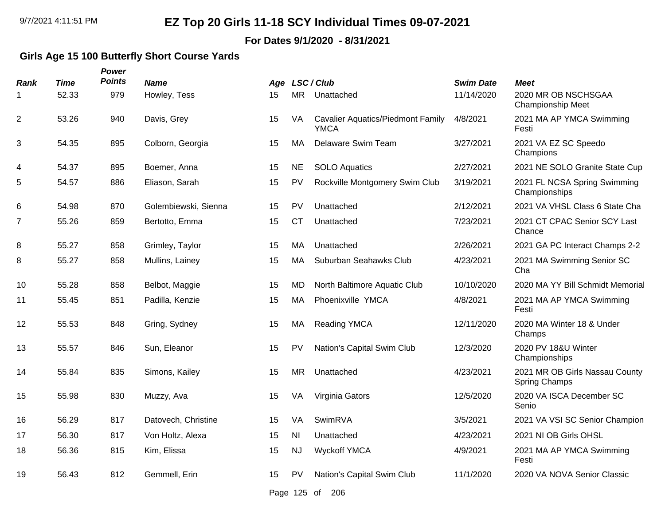**For Dates 9/1/2020 - 8/31/2021**

### **Girls Age 15 100 Butterfly Short Course Yards**

| <b>Rank</b>    | <b>Time</b> | Power<br><b>Points</b> | <b>Name</b>          |    |                | Age LSC/Club                                            | <b>Swim Date</b> | <b>Meet</b>                                            |
|----------------|-------------|------------------------|----------------------|----|----------------|---------------------------------------------------------|------------------|--------------------------------------------------------|
| 1              | 52.33       | 979                    | Howley, Tess         | 15 |                | MR Unattached                                           | 11/14/2020       | 2020 MR OB NSCHSGAA<br><b>Championship Meet</b>        |
| 2              | 53.26       | 940                    | Davis, Grey          | 15 | VA.            | <b>Cavalier Aquatics/Piedmont Family</b><br><b>YMCA</b> | 4/8/2021         | 2021 MA AP YMCA Swimming<br>Festi                      |
| 3              | 54.35       | 895                    | Colborn, Georgia     | 15 | MA             | Delaware Swim Team                                      | 3/27/2021        | 2021 VA EZ SC Speedo<br>Champions                      |
| 4              | 54.37       | 895                    | Boemer, Anna         | 15 | <b>NE</b>      | <b>SOLO Aquatics</b>                                    | 2/27/2021        | 2021 NE SOLO Granite State Cup                         |
| 5              | 54.57       | 886                    | Eliason, Sarah       | 15 | <b>PV</b>      | Rockville Montgomery Swim Club                          | 3/19/2021        | 2021 FL NCSA Spring Swimming<br>Championships          |
| 6              | 54.98       | 870                    | Golembiewski, Sienna | 15 | <b>PV</b>      | Unattached                                              | 2/12/2021        | 2021 VA VHSL Class 6 State Cha                         |
| $\overline{7}$ | 55.26       | 859                    | Bertotto, Emma       | 15 | <b>CT</b>      | Unattached                                              | 7/23/2021        | 2021 CT CPAC Senior SCY Last<br>Chance                 |
| 8              | 55.27       | 858                    | Grimley, Taylor      | 15 | МA             | Unattached                                              | 2/26/2021        | 2021 GA PC Interact Champs 2-2                         |
| 8              | 55.27       | 858                    | Mullins, Lainey      | 15 | МA             | Suburban Seahawks Club                                  | 4/23/2021        | 2021 MA Swimming Senior SC<br>Cha                      |
| 10             | 55.28       | 858                    | Belbot, Maggie       | 15 | <b>MD</b>      | North Baltimore Aquatic Club                            | 10/10/2020       | 2020 MA YY Bill Schmidt Memorial                       |
| 11             | 55.45       | 851                    | Padilla, Kenzie      | 15 | MA             | Phoenixville YMCA                                       | 4/8/2021         | 2021 MA AP YMCA Swimming<br>Festi                      |
| 12             | 55.53       | 848                    | Gring, Sydney        | 15 | МA             | <b>Reading YMCA</b>                                     | 12/11/2020       | 2020 MA Winter 18 & Under<br>Champs                    |
| 13             | 55.57       | 846                    | Sun, Eleanor         | 15 | <b>PV</b>      | Nation's Capital Swim Club                              | 12/3/2020        | 2020 PV 18&U Winter<br>Championships                   |
| 14             | 55.84       | 835                    | Simons, Kailey       | 15 | <b>MR</b>      | Unattached                                              | 4/23/2021        | 2021 MR OB Girls Nassau County<br><b>Spring Champs</b> |
| 15             | 55.98       | 830                    | Muzzy, Ava           | 15 | VA             | Virginia Gators                                         | 12/5/2020        | 2020 VA ISCA December SC<br>Senio                      |
| 16             | 56.29       | 817                    | Datovech, Christine  | 15 | <b>VA</b>      | SwimRVA                                                 | 3/5/2021         | 2021 VA VSI SC Senior Champion                         |
| 17             | 56.30       | 817                    | Von Holtz, Alexa     | 15 | N <sub>l</sub> | Unattached                                              | 4/23/2021        | 2021 NI OB Girls OHSL                                  |
| 18             | 56.36       | 815                    | Kim, Elissa          | 15 | <b>NJ</b>      | <b>Wyckoff YMCA</b>                                     | 4/9/2021         | 2021 MA AP YMCA Swimming<br>Festi                      |
| 19             | 56.43       | 812                    | Gemmell, Erin        | 15 | PV             | Nation's Capital Swim Club                              | 11/1/2020        | 2020 VA NOVA Senior Classic                            |
|                |             |                        |                      |    | Page 125 of    | 206                                                     |                  |                                                        |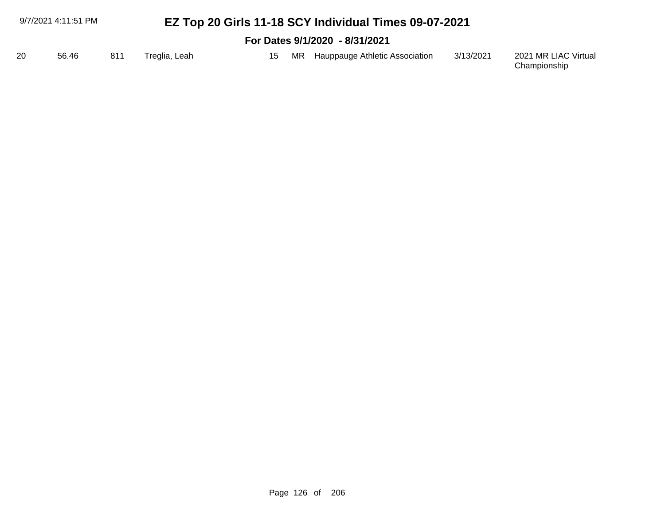| 9/7/2021 4:11:51 PM |       |     | EZ Top 20 Girls 11-18 SCY Individual Times 09-07-2021 |    |  |                                   |           |                                      |  |  |
|---------------------|-------|-----|-------------------------------------------------------|----|--|-----------------------------------|-----------|--------------------------------------|--|--|
|                     |       |     |                                                       |    |  | For Dates 9/1/2020 - 8/31/2021    |           |                                      |  |  |
| 20                  | 56.46 | 811 | Treglia, Leah                                         | 15 |  | MR Hauppauge Athletic Association | 3/13/2021 | 2021 MR LIAC Virtual<br>Championship |  |  |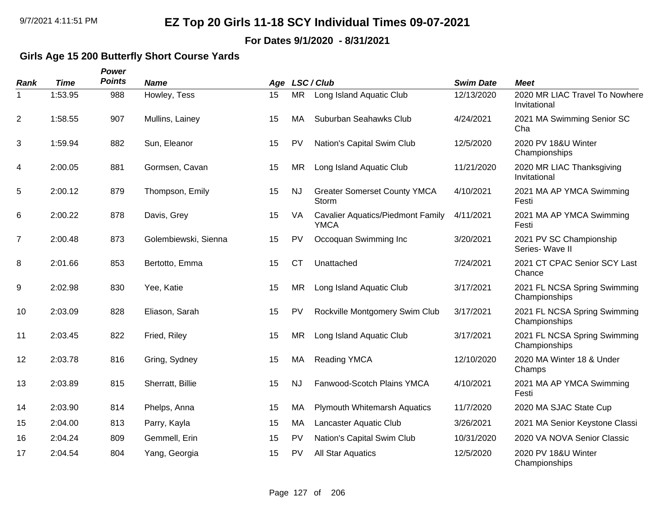**For Dates 9/1/2020 - 8/31/2021**

### **Girls Age 15 200 Butterfly Short Course Yards**

| <b>Rank</b>    | <b>Time</b> | Power<br><b>Points</b> | <b>Name</b>          | Age |           | LSC / Club                                              | <b>Swim Date</b> | <b>Meet</b>                                    |
|----------------|-------------|------------------------|----------------------|-----|-----------|---------------------------------------------------------|------------------|------------------------------------------------|
| 1              | 1:53.95     | 988                    | Howley, Tess         | 15  | <b>MR</b> | Long Island Aquatic Club                                | 12/13/2020       | 2020 MR LIAC Travel To Nowhere<br>Invitational |
| $\overline{2}$ | 1:58.55     | 907                    | Mullins, Lainey      | 15  | MA        | Suburban Seahawks Club                                  | 4/24/2021        | 2021 MA Swimming Senior SC<br>Cha              |
| 3              | 1:59.94     | 882                    | Sun, Eleanor         | 15  | PV        | Nation's Capital Swim Club                              | 12/5/2020        | 2020 PV 18&U Winter<br>Championships           |
| 4              | 2:00.05     | 881                    | Gormsen, Cavan       | 15  | <b>MR</b> | Long Island Aquatic Club                                | 11/21/2020       | 2020 MR LIAC Thanksgiving<br>Invitational      |
| 5              | 2:00.12     | 879                    | Thompson, Emily      | 15  | <b>NJ</b> | <b>Greater Somerset County YMCA</b><br>Storm            | 4/10/2021        | 2021 MA AP YMCA Swimming<br>Festi              |
| 6              | 2:00.22     | 878                    | Davis, Grey          | 15  | VA        | <b>Cavalier Aquatics/Piedmont Family</b><br><b>YMCA</b> | 4/11/2021        | 2021 MA AP YMCA Swimming<br>Festi              |
| 7              | 2:00.48     | 873                    | Golembiewski, Sienna | 15  | PV        | Occoquan Swimming Inc                                   | 3/20/2021        | 2021 PV SC Championship<br>Series- Wave II     |
| 8              | 2:01.66     | 853                    | Bertotto, Emma       | 15  | <b>CT</b> | Unattached                                              | 7/24/2021        | 2021 CT CPAC Senior SCY Last<br>Chance         |
| 9              | 2:02.98     | 830                    | Yee, Katie           | 15  | <b>MR</b> | Long Island Aquatic Club                                | 3/17/2021        | 2021 FL NCSA Spring Swimming<br>Championships  |
| 10             | 2:03.09     | 828                    | Eliason, Sarah       | 15  | PV        | Rockville Montgomery Swim Club                          | 3/17/2021        | 2021 FL NCSA Spring Swimming<br>Championships  |
| 11             | 2:03.45     | 822                    | Fried, Riley         | 15  | <b>MR</b> | Long Island Aquatic Club                                | 3/17/2021        | 2021 FL NCSA Spring Swimming<br>Championships  |
| 12             | 2:03.78     | 816                    | Gring, Sydney        | 15  | MA        | <b>Reading YMCA</b>                                     | 12/10/2020       | 2020 MA Winter 18 & Under<br>Champs            |
| 13             | 2:03.89     | 815                    | Sherratt, Billie     | 15  | <b>NJ</b> | Fanwood-Scotch Plains YMCA                              | 4/10/2021        | 2021 MA AP YMCA Swimming<br>Festi              |
| 14             | 2:03.90     | 814                    | Phelps, Anna         | 15  | MA        | <b>Plymouth Whitemarsh Aquatics</b>                     | 11/7/2020        | 2020 MA SJAC State Cup                         |
| 15             | 2:04.00     | 813                    | Parry, Kayla         | 15  | MA        | Lancaster Aquatic Club                                  | 3/26/2021        | 2021 MA Senior Keystone Classi                 |
| 16             | 2:04.24     | 809                    | Gemmell, Erin        | 15  | <b>PV</b> | Nation's Capital Swim Club                              | 10/31/2020       | 2020 VA NOVA Senior Classic                    |
| 17             | 2:04.54     | 804                    | Yang, Georgia        | 15  | PV        | All Star Aquatics                                       | 12/5/2020        | 2020 PV 18&U Winter<br>Championships           |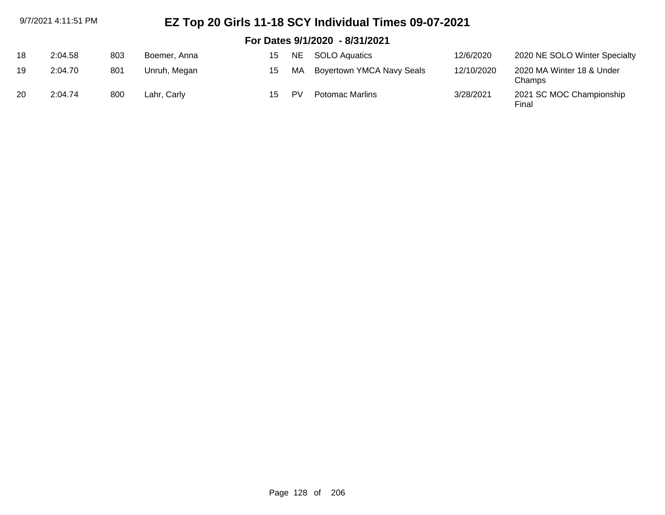| 9/7/2021 4:11:51 PM |         |     | EZ Top 20 Girls 11-18 SCY Individual Times 09-07-2021 |    |     |                                |            |                                     |
|---------------------|---------|-----|-------------------------------------------------------|----|-----|--------------------------------|------------|-------------------------------------|
|                     |         |     |                                                       |    |     | For Dates 9/1/2020 - 8/31/2021 |            |                                     |
| 18                  | 2:04.58 | 803 | Boemer, Anna                                          | 15 | NE. | <b>SOLO Aquatics</b>           | 12/6/2020  | 2020 NE SOLO Winter Specialty       |
| 19                  | 2:04.70 | 801 | Unruh, Megan                                          | 15 | МA  | Boyertown YMCA Navy Seals      | 12/10/2020 | 2020 MA Winter 18 & Under<br>Champs |
| 20                  | 2:04.74 | 800 | Lahr, Carly                                           | 15 | PV. | <b>Potomac Marlins</b>         | 3/28/2021  | 2021 SC MOC Championship<br>Final   |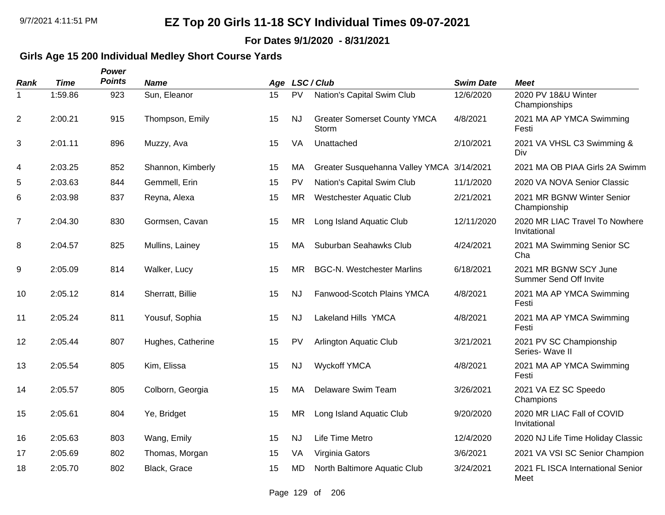**For Dates 9/1/2020 - 8/31/2021**

### **Girls Age 15 200 Individual Medley Short Course Yards**

| <b>Rank</b>    | <b>Time</b> | Power<br><b>Points</b> | <b>Name</b>       |    |           | Age LSC/Club                                 | <b>Swim Date</b> | <b>Meet</b>                                     |
|----------------|-------------|------------------------|-------------------|----|-----------|----------------------------------------------|------------------|-------------------------------------------------|
| 1              | 1:59.86     | 923                    | Sun, Eleanor      | 15 | PV        | Nation's Capital Swim Club                   | 12/6/2020        | 2020 PV 18&U Winter<br>Championships            |
| $\overline{2}$ | 2:00.21     | 915                    | Thompson, Emily   | 15 | <b>NJ</b> | <b>Greater Somerset County YMCA</b><br>Storm | 4/8/2021         | 2021 MA AP YMCA Swimming<br>Festi               |
| 3              | 2:01.11     | 896                    | Muzzy, Ava        | 15 | VA        | Unattached                                   | 2/10/2021        | 2021 VA VHSL C3 Swimming &<br>Div               |
| 4              | 2:03.25     | 852                    | Shannon, Kimberly | 15 | MA        | Greater Susquehanna Valley YMCA 3/14/2021    |                  | 2021 MA OB PIAA Girls 2A Swimm                  |
| 5              | 2:03.63     | 844                    | Gemmell, Erin     | 15 | PV        | Nation's Capital Swim Club                   | 11/1/2020        | 2020 VA NOVA Senior Classic                     |
| 6              | 2:03.98     | 837                    | Reyna, Alexa      | 15 | <b>MR</b> | <b>Westchester Aquatic Club</b>              | 2/21/2021        | 2021 MR BGNW Winter Senior<br>Championship      |
| $\overline{7}$ | 2:04.30     | 830                    | Gormsen, Cavan    | 15 | <b>MR</b> | Long Island Aquatic Club                     | 12/11/2020       | 2020 MR LIAC Travel To Nowhere<br>Invitational  |
| 8              | 2:04.57     | 825                    | Mullins, Lainey   | 15 | MA        | Suburban Seahawks Club                       | 4/24/2021        | 2021 MA Swimming Senior SC<br>Cha               |
| 9              | 2:05.09     | 814                    | Walker, Lucy      | 15 | <b>MR</b> | <b>BGC-N. Westchester Marlins</b>            | 6/18/2021        | 2021 MR BGNW SCY June<br>Summer Send Off Invite |
| 10             | 2:05.12     | 814                    | Sherratt, Billie  | 15 | <b>NJ</b> | Fanwood-Scotch Plains YMCA                   | 4/8/2021         | 2021 MA AP YMCA Swimming<br>Festi               |
| 11             | 2:05.24     | 811                    | Yousuf, Sophia    | 15 | <b>NJ</b> | Lakeland Hills YMCA                          | 4/8/2021         | 2021 MA AP YMCA Swimming<br>Festi               |
| 12             | 2:05.44     | 807                    | Hughes, Catherine | 15 | PV        | Arlington Aquatic Club                       | 3/21/2021        | 2021 PV SC Championship<br>Series- Wave II      |
| 13             | 2:05.54     | 805                    | Kim, Elissa       | 15 | <b>NJ</b> | <b>Wyckoff YMCA</b>                          | 4/8/2021         | 2021 MA AP YMCA Swimming<br>Festi               |
| 14             | 2:05.57     | 805                    | Colborn, Georgia  | 15 | MA        | Delaware Swim Team                           | 3/26/2021        | 2021 VA EZ SC Speedo<br>Champions               |
| 15             | 2:05.61     | 804                    | Ye, Bridget       | 15 | <b>MR</b> | Long Island Aquatic Club                     | 9/20/2020        | 2020 MR LIAC Fall of COVID<br>Invitational      |
| 16             | 2:05.63     | 803                    | Wang, Emily       | 15 | <b>NJ</b> | Life Time Metro                              | 12/4/2020        | 2020 NJ Life Time Holiday Classic               |
| 17             | 2:05.69     | 802                    | Thomas, Morgan    | 15 | VA        | Virginia Gators                              | 3/6/2021         | 2021 VA VSI SC Senior Champion                  |
| 18             | 2:05.70     | 802                    | Black, Grace      | 15 | <b>MD</b> | North Baltimore Aquatic Club                 | 3/24/2021        | 2021 FL ISCA International Senior<br>Meet       |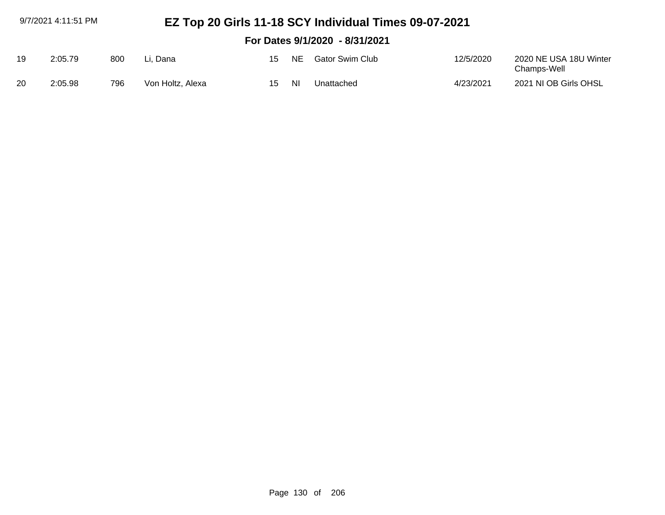|    | 9/7/2021 4:11:51 PM            |     |                  |     |      | EZ Top 20 Girls 11-18 SCY Individual Times 09-07-2021 |           |                                       |  |  |  |  |
|----|--------------------------------|-----|------------------|-----|------|-------------------------------------------------------|-----------|---------------------------------------|--|--|--|--|
|    | For Dates 9/1/2020 - 8/31/2021 |     |                  |     |      |                                                       |           |                                       |  |  |  |  |
| 19 | 2:05.79                        | 800 | Li. Dana         | 15  | NE . | <b>Gator Swim Club</b>                                | 12/5/2020 | 2020 NE USA 18U Winter<br>Champs-Well |  |  |  |  |
| 20 | 2:05.98                        | 796 | Von Holtz, Alexa | 15. | -NI  | Unattached                                            | 4/23/2021 | 2021 NI OB Girls OHSL                 |  |  |  |  |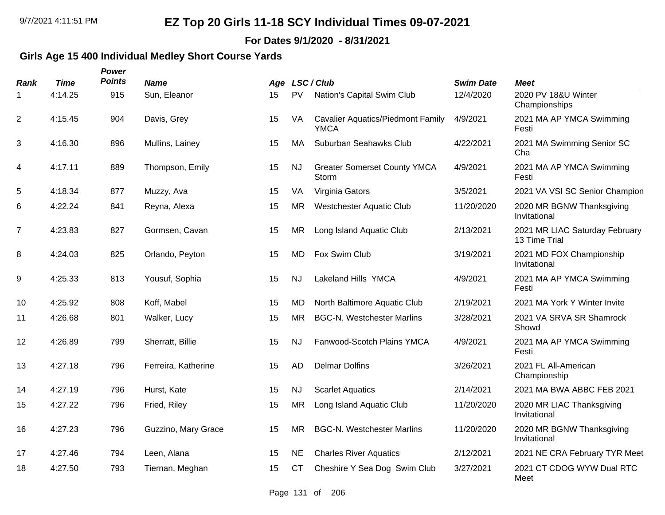**For Dates 9/1/2020 - 8/31/2021**

### **Girls Age 15 400 Individual Medley Short Course Yards**

| <b>Rank</b>    | Time    | Power<br><b>Points</b> | <b>Name</b>         |    |           | Age LSC/Club                                            | <b>Swim Date</b> | <b>Meet</b>                                     |
|----------------|---------|------------------------|---------------------|----|-----------|---------------------------------------------------------|------------------|-------------------------------------------------|
| 1              | 4:14.25 | 915                    | Sun, Eleanor        | 15 | PV        | Nation's Capital Swim Club                              | 12/4/2020        | 2020 PV 18&U Winter<br>Championships            |
| $\overline{c}$ | 4:15.45 | 904                    | Davis, Grey         | 15 | VA        | <b>Cavalier Aquatics/Piedmont Family</b><br><b>YMCA</b> | 4/9/2021         | 2021 MA AP YMCA Swimming<br>Festi               |
| 3              | 4:16.30 | 896                    | Mullins, Lainey     | 15 | МA        | Suburban Seahawks Club                                  | 4/22/2021        | 2021 MA Swimming Senior SC<br>Cha               |
| 4              | 4:17.11 | 889                    | Thompson, Emily     | 15 | <b>NJ</b> | <b>Greater Somerset County YMCA</b><br>Storm            | 4/9/2021         | 2021 MA AP YMCA Swimming<br>Festi               |
| 5              | 4:18.34 | 877                    | Muzzy, Ava          | 15 | VA        | Virginia Gators                                         | 3/5/2021         | 2021 VA VSI SC Senior Champion                  |
| 6              | 4:22.24 | 841                    | Reyna, Alexa        | 15 | <b>MR</b> | <b>Westchester Aquatic Club</b>                         | 11/20/2020       | 2020 MR BGNW Thanksgiving<br>Invitational       |
| $\overline{7}$ | 4:23.83 | 827                    | Gormsen, Cavan      | 15 | <b>MR</b> | Long Island Aquatic Club                                | 2/13/2021        | 2021 MR LIAC Saturday February<br>13 Time Trial |
| 8              | 4:24.03 | 825                    | Orlando, Peyton     | 15 | MD        | Fox Swim Club                                           | 3/19/2021        | 2021 MD FOX Championship<br>Invitational        |
| 9              | 4:25.33 | 813                    | Yousuf, Sophia      | 15 | <b>NJ</b> | Lakeland Hills YMCA                                     | 4/9/2021         | 2021 MA AP YMCA Swimming<br>Festi               |
| 10             | 4:25.92 | 808                    | Koff, Mabel         | 15 | <b>MD</b> | North Baltimore Aquatic Club                            | 2/19/2021        | 2021 MA York Y Winter Invite                    |
| 11             | 4:26.68 | 801                    | Walker, Lucy        | 15 | <b>MR</b> | <b>BGC-N. Westchester Marlins</b>                       | 3/28/2021        | 2021 VA SRVA SR Shamrock<br>Showd               |
| 12             | 4:26.89 | 799                    | Sherratt, Billie    | 15 | <b>NJ</b> | Fanwood-Scotch Plains YMCA                              | 4/9/2021         | 2021 MA AP YMCA Swimming<br>Festi               |
| 13             | 4:27.18 | 796                    | Ferreira, Katherine | 15 | <b>AD</b> | <b>Delmar Dolfins</b>                                   | 3/26/2021        | 2021 FL All-American<br>Championship            |
| 14             | 4:27.19 | 796                    | Hurst, Kate         | 15 | <b>NJ</b> | <b>Scarlet Aquatics</b>                                 | 2/14/2021        | 2021 MA BWA ABBC FEB 2021                       |
| 15             | 4:27.22 | 796                    | Fried, Riley        | 15 | <b>MR</b> | Long Island Aquatic Club                                | 11/20/2020       | 2020 MR LIAC Thanksgiving<br>Invitational       |
| 16             | 4:27.23 | 796                    | Guzzino, Mary Grace | 15 | <b>MR</b> | <b>BGC-N. Westchester Marlins</b>                       | 11/20/2020       | 2020 MR BGNW Thanksgiving<br>Invitational       |
| 17             | 4:27.46 | 794                    | Leen, Alana         | 15 | <b>NE</b> | <b>Charles River Aquatics</b>                           | 2/12/2021        | 2021 NE CRA February TYR Meet                   |
| 18             | 4:27.50 | 793                    | Tiernan, Meghan     | 15 | <b>CT</b> | Cheshire Y Sea Dog Swim Club                            | 3/27/2021        | 2021 CT CDOG WYW Dual RTC<br>Meet               |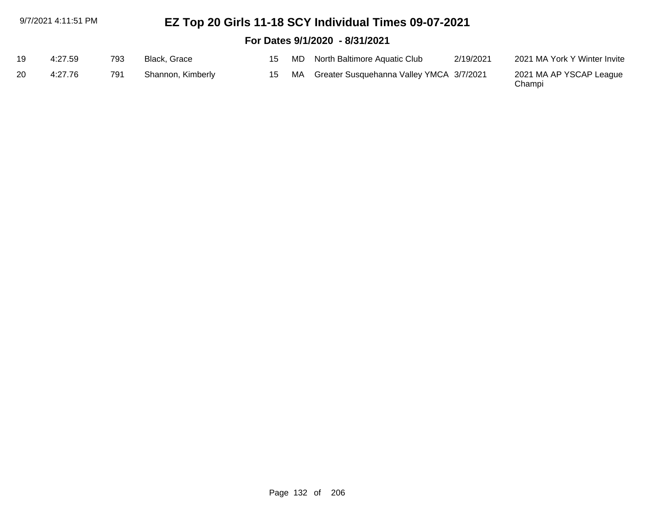|     | 9/7/2021 4:11:51 PM            |     |                   |  |  | EZ Top 20 Girls 11-18 SCY Individual Times 09-07-2021 |           |                              |  |  |  |
|-----|--------------------------------|-----|-------------------|--|--|-------------------------------------------------------|-----------|------------------------------|--|--|--|
|     | For Dates 9/1/2020 - 8/31/2021 |     |                   |  |  |                                                       |           |                              |  |  |  |
| 19  | 4:27.59                        | 793 | Black, Grace      |  |  | 15 MD North Baltimore Aquatic Club                    | 2/19/2021 | 2021 MA York Y Winter Invite |  |  |  |
| -20 | 4:27.76                        | 791 | Shannon, Kimberly |  |  | 15 MA Greater Susquehanna Valley YMCA 3/7/2021        |           | 2021 MA AP YSCAP League      |  |  |  |

Champi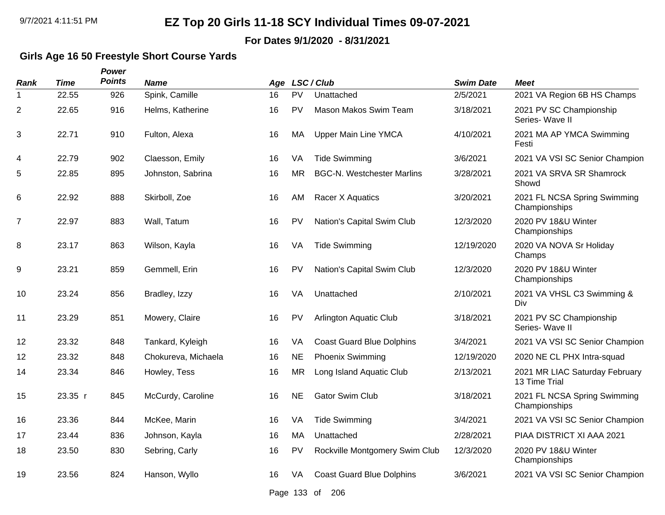#### **For Dates 9/1/2020 - 8/31/2021**

### **Girls Age 16 50 Freestyle Short Course Yards**

| <b>Rank</b>    | <b>Time</b> | Power<br><b>Points</b> | <b>Name</b>         | Age |             | LSC / Club                        | <b>Swim Date</b> | <b>Meet</b>                                     |
|----------------|-------------|------------------------|---------------------|-----|-------------|-----------------------------------|------------------|-------------------------------------------------|
| 1              | 22.55       | 926                    | Spink, Camille      | 16  | PV          | Unattached                        | 2/5/2021         | 2021 VA Region 6B HS Champs                     |
| $\overline{c}$ | 22.65       | 916                    | Helms, Katherine    | 16  | <b>PV</b>   | Mason Makos Swim Team             | 3/18/2021        | 2021 PV SC Championship<br>Series- Wave II      |
| 3              | 22.71       | 910                    | Fulton, Alexa       | 16  | МA          | <b>Upper Main Line YMCA</b>       | 4/10/2021        | 2021 MA AP YMCA Swimming<br>Festi               |
| 4              | 22.79       | 902                    | Claesson, Emily     | 16  | VA          | <b>Tide Swimming</b>              | 3/6/2021         | 2021 VA VSI SC Senior Champion                  |
| 5              | 22.85       | 895                    | Johnston, Sabrina   | 16  | <b>MR</b>   | <b>BGC-N. Westchester Marlins</b> | 3/28/2021        | 2021 VA SRVA SR Shamrock<br>Showd               |
| 6              | 22.92       | 888                    | Skirboll, Zoe       | 16  | AM          | Racer X Aquatics                  | 3/20/2021        | 2021 FL NCSA Spring Swimming<br>Championships   |
| $\overline{7}$ | 22.97       | 883                    | Wall, Tatum         | 16  | PV          | Nation's Capital Swim Club        | 12/3/2020        | 2020 PV 18&U Winter<br>Championships            |
| 8              | 23.17       | 863                    | Wilson, Kayla       | 16  | VA          | <b>Tide Swimming</b>              | 12/19/2020       | 2020 VA NOVA Sr Holiday<br>Champs               |
| 9              | 23.21       | 859                    | Gemmell, Erin       | 16  | PV          | Nation's Capital Swim Club        | 12/3/2020        | 2020 PV 18&U Winter<br>Championships            |
| 10             | 23.24       | 856                    | Bradley, Izzy       | 16  | <b>VA</b>   | Unattached                        | 2/10/2021        | 2021 VA VHSL C3 Swimming &<br>Div               |
| 11             | 23.29       | 851                    | Mowery, Claire      | 16  | PV          | Arlington Aquatic Club            | 3/18/2021        | 2021 PV SC Championship<br>Series- Wave II      |
| 12             | 23.32       | 848                    | Tankard, Kyleigh    | 16  | VA          | <b>Coast Guard Blue Dolphins</b>  | 3/4/2021         | 2021 VA VSI SC Senior Champion                  |
| 12             | 23.32       | 848                    | Chokureva, Michaela | 16  | <b>NE</b>   | <b>Phoenix Swimming</b>           | 12/19/2020       | 2020 NE CL PHX Intra-squad                      |
| 14             | 23.34       | 846                    | Howley, Tess        | 16  | <b>MR</b>   | Long Island Aquatic Club          | 2/13/2021        | 2021 MR LIAC Saturday February<br>13 Time Trial |
| 15             | 23.35 r     | 845                    | McCurdy, Caroline   | 16  | <b>NE</b>   | <b>Gator Swim Club</b>            | 3/18/2021        | 2021 FL NCSA Spring Swimming<br>Championships   |
| 16             | 23.36       | 844                    | McKee, Marin        | 16  | VA          | <b>Tide Swimming</b>              | 3/4/2021         | 2021 VA VSI SC Senior Champion                  |
| 17             | 23.44       | 836                    | Johnson, Kayla      | 16  | MA          | Unattached                        | 2/28/2021        | PIAA DISTRICT XI AAA 2021                       |
| 18             | 23.50       | 830                    | Sebring, Carly      | 16  | <b>PV</b>   | Rockville Montgomery Swim Club    | 12/3/2020        | 2020 PV 18&U Winter<br>Championships            |
| 19             | 23.56       | 824                    | Hanson, Wyllo       | 16  | VA          | <b>Coast Guard Blue Dolphins</b>  | 3/6/2021         | 2021 VA VSI SC Senior Champion                  |
|                |             |                        |                     |     | Page 133 of | 206                               |                  |                                                 |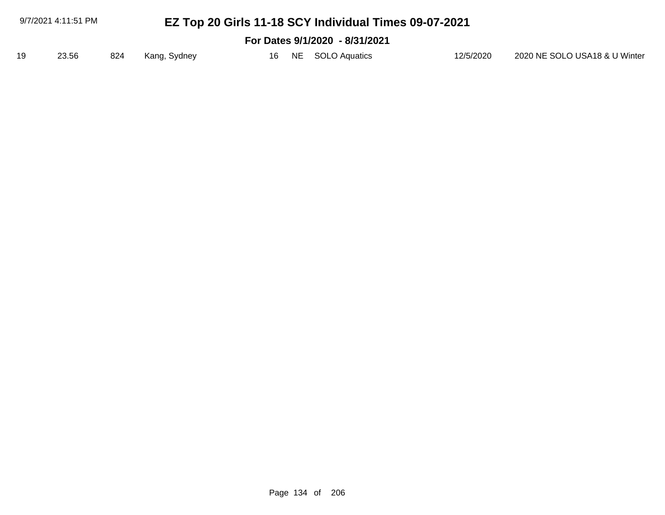| 9/7/2021 4:11:51 PM<br>EZ Top 20 Girls 11-18 SCY Individual Times 09-07-2021 |                                |     |              |     |  |                  |           |                               |  |  |
|------------------------------------------------------------------------------|--------------------------------|-----|--------------|-----|--|------------------|-----------|-------------------------------|--|--|
|                                                                              | For Dates 9/1/2020 - 8/31/2021 |     |              |     |  |                  |           |                               |  |  |
|                                                                              | 23.56                          | 824 | Kang, Sydney | 16. |  | NE SOLO Aquatics | 12/5/2020 | 2020 NE SOLO USA18 & U Winter |  |  |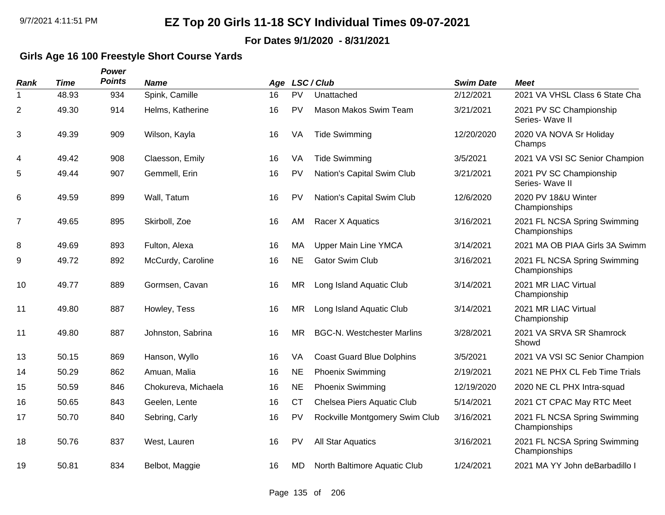#### **For Dates 9/1/2020 - 8/31/2021**

### **Girls Age 16 100 Freestyle Short Course Yards**

| <b>Rank</b>    | <b>Time</b> | Power<br><b>Points</b> | <b>Name</b>         | Age |           | LSC / Club                        | <b>Swim Date</b> | <b>Meet</b>                                   |
|----------------|-------------|------------------------|---------------------|-----|-----------|-----------------------------------|------------------|-----------------------------------------------|
| 1              | 48.93       | 934                    | Spink, Camille      | 16  | PV        | Unattached                        | 2/12/2021        | 2021 VA VHSL Class 6 State Cha                |
| $\overline{2}$ | 49.30       | 914                    | Helms, Katherine    | 16  | PV        | Mason Makos Swim Team             | 3/21/2021        | 2021 PV SC Championship<br>Series- Wave II    |
| 3              | 49.39       | 909                    | Wilson, Kayla       | 16  | VA        | <b>Tide Swimming</b>              | 12/20/2020       | 2020 VA NOVA Sr Holiday<br>Champs             |
| 4              | 49.42       | 908                    | Claesson, Emily     | 16  | VA        | <b>Tide Swimming</b>              | 3/5/2021         | 2021 VA VSI SC Senior Champion                |
| 5              | 49.44       | 907                    | Gemmell, Erin       | 16  | PV        | Nation's Capital Swim Club        | 3/21/2021        | 2021 PV SC Championship<br>Series- Wave II    |
| 6              | 49.59       | 899                    | Wall, Tatum         | 16  | <b>PV</b> | Nation's Capital Swim Club        | 12/6/2020        | 2020 PV 18&U Winter<br>Championships          |
| $\overline{7}$ | 49.65       | 895                    | Skirboll, Zoe       | 16  | AM        | Racer X Aquatics                  | 3/16/2021        | 2021 FL NCSA Spring Swimming<br>Championships |
| 8              | 49.69       | 893                    | Fulton, Alexa       | 16  | МA        | <b>Upper Main Line YMCA</b>       | 3/14/2021        | 2021 MA OB PIAA Girls 3A Swimm                |
| 9              | 49.72       | 892                    | McCurdy, Caroline   | 16  | <b>NE</b> | <b>Gator Swim Club</b>            | 3/16/2021        | 2021 FL NCSA Spring Swimming<br>Championships |
| 10             | 49.77       | 889                    | Gormsen, Cavan      | 16  | <b>MR</b> | Long Island Aquatic Club          | 3/14/2021        | 2021 MR LIAC Virtual<br>Championship          |
| 11             | 49.80       | 887                    | Howley, Tess        | 16  | <b>MR</b> | Long Island Aquatic Club          | 3/14/2021        | 2021 MR LIAC Virtual<br>Championship          |
| 11             | 49.80       | 887                    | Johnston, Sabrina   | 16  | <b>MR</b> | <b>BGC-N. Westchester Marlins</b> | 3/28/2021        | 2021 VA SRVA SR Shamrock<br>Showd             |
| 13             | 50.15       | 869                    | Hanson, Wyllo       | 16  | VA        | <b>Coast Guard Blue Dolphins</b>  | 3/5/2021         | 2021 VA VSI SC Senior Champion                |
| 14             | 50.29       | 862                    | Amuan, Malia        | 16  | <b>NE</b> | <b>Phoenix Swimming</b>           | 2/19/2021        | 2021 NE PHX CL Feb Time Trials                |
| 15             | 50.59       | 846                    | Chokureva, Michaela | 16  | <b>NE</b> | <b>Phoenix Swimming</b>           | 12/19/2020       | 2020 NE CL PHX Intra-squad                    |
| 16             | 50.65       | 843                    | Geelen, Lente       | 16  | <b>CT</b> | Chelsea Piers Aquatic Club        | 5/14/2021        | 2021 CT CPAC May RTC Meet                     |
| 17             | 50.70       | 840                    | Sebring, Carly      | 16  | PV        | Rockville Montgomery Swim Club    | 3/16/2021        | 2021 FL NCSA Spring Swimming<br>Championships |
| 18             | 50.76       | 837                    | West, Lauren        | 16  | PV        | All Star Aquatics                 | 3/16/2021        | 2021 FL NCSA Spring Swimming<br>Championships |
| 19             | 50.81       | 834                    | Belbot, Maggie      | 16  | MD        | North Baltimore Aquatic Club      | 1/24/2021        | 2021 MA YY John deBarbadillo I                |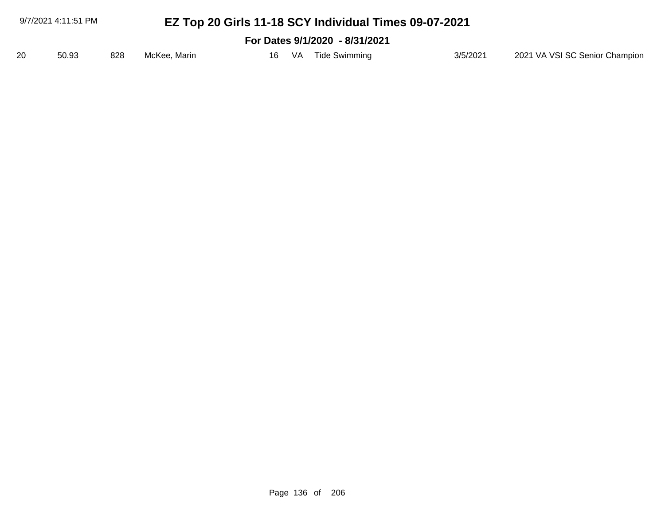| 9/7/2021 4:11:51 PM<br>EZ Top 20 Girls 11-18 SCY Individual Times 09-07-2021 |                                |     |              |    |  |                  |          |                                |  |  |
|------------------------------------------------------------------------------|--------------------------------|-----|--------------|----|--|------------------|----------|--------------------------------|--|--|
|                                                                              | For Dates 9/1/2020 - 8/31/2021 |     |              |    |  |                  |          |                                |  |  |
| 20                                                                           | 50.93                          | 828 | McKee, Marin | 16 |  | VA Tide Swimming | 3/5/2021 | 2021 VA VSI SC Senior Champion |  |  |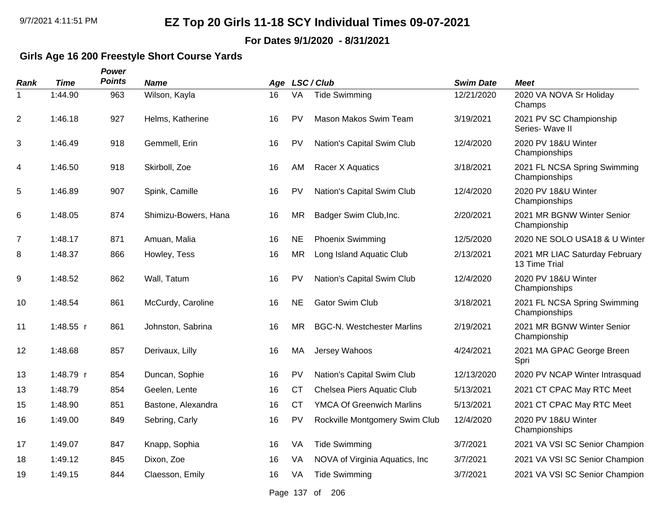**For Dates 9/1/2020 - 8/31/2021**

### **Girls Age 16 200 Freestyle Short Course Yards**

*Power*

| <b>Rank</b>    | <b>Time</b> | <b>Points</b> | <b>Name</b>          |    |           | Age LSC/Club                      | <b>Swim Date</b> | <b>Meet</b>                                     |
|----------------|-------------|---------------|----------------------|----|-----------|-----------------------------------|------------------|-------------------------------------------------|
| 1              | 1:44.90     | 963           | Wilson, Kayla        | 16 | VA        | <b>Tide Swimming</b>              | 12/21/2020       | 2020 VA NOVA Sr Holiday<br>Champs               |
| $\overline{c}$ | 1:46.18     | 927           | Helms, Katherine     | 16 | <b>PV</b> | Mason Makos Swim Team             | 3/19/2021        | 2021 PV SC Championship<br>Series- Wave II      |
| 3              | 1:46.49     | 918           | Gemmell, Erin        | 16 | PV        | Nation's Capital Swim Club        | 12/4/2020        | 2020 PV 18&U Winter<br>Championships            |
| 4              | 1:46.50     | 918           | Skirboll, Zoe        | 16 | AM        | Racer X Aquatics                  | 3/18/2021        | 2021 FL NCSA Spring Swimming<br>Championships   |
| 5              | 1:46.89     | 907           | Spink, Camille       | 16 | <b>PV</b> | Nation's Capital Swim Club        | 12/4/2020        | 2020 PV 18&U Winter<br>Championships            |
| 6              | 1:48.05     | 874           | Shimizu-Bowers, Hana | 16 | <b>MR</b> | Badger Swim Club, Inc.            | 2/20/2021        | 2021 MR BGNW Winter Senior<br>Championship      |
| $\overline{7}$ | 1:48.17     | 871           | Amuan, Malia         | 16 | <b>NE</b> | Phoenix Swimming                  | 12/5/2020        | 2020 NE SOLO USA18 & U Winter                   |
| 8              | 1:48.37     | 866           | Howley, Tess         | 16 | <b>MR</b> | Long Island Aquatic Club          | 2/13/2021        | 2021 MR LIAC Saturday February<br>13 Time Trial |
| 9              | 1:48.52     | 862           | Wall, Tatum          | 16 | PV        | Nation's Capital Swim Club        | 12/4/2020        | 2020 PV 18&U Winter<br>Championships            |
| 10             | 1:48.54     | 861           | McCurdy, Caroline    | 16 | <b>NE</b> | <b>Gator Swim Club</b>            | 3/18/2021        | 2021 FL NCSA Spring Swimming<br>Championships   |
| 11             | 1:48.55 r   | 861           | Johnston, Sabrina    | 16 | <b>MR</b> | <b>BGC-N. Westchester Marlins</b> | 2/19/2021        | 2021 MR BGNW Winter Senior<br>Championship      |
| 12             | 1:48.68     | 857           | Derivaux, Lilly      | 16 | MA        | Jersey Wahoos                     | 4/24/2021        | 2021 MA GPAC George Breen<br>Spri               |
| 13             | 1:48.79 r   | 854           | Duncan, Sophie       | 16 | PV        | Nation's Capital Swim Club        | 12/13/2020       | 2020 PV NCAP Winter Intrasquad                  |
| 13             | 1:48.79     | 854           | Geelen, Lente        | 16 | <b>CT</b> | Chelsea Piers Aquatic Club        | 5/13/2021        | 2021 CT CPAC May RTC Meet                       |
| 15             | 1:48.90     | 851           | Bastone, Alexandra   | 16 | <b>CT</b> | <b>YMCA Of Greenwich Marlins</b>  | 5/13/2021        | 2021 CT CPAC May RTC Meet                       |
| 16             | 1:49.00     | 849           | Sebring, Carly       | 16 | PV        | Rockville Montgomery Swim Club    | 12/4/2020        | 2020 PV 18&U Winter<br>Championships            |
| 17             | 1:49.07     | 847           | Knapp, Sophia        | 16 | VA        | <b>Tide Swimming</b>              | 3/7/2021         | 2021 VA VSI SC Senior Champion                  |
| 18             | 1:49.12     | 845           | Dixon, Zoe           | 16 | VA        | NOVA of Virginia Aquatics, Inc.   | 3/7/2021         | 2021 VA VSI SC Senior Champion                  |
| 19             | 1:49.15     | 844           | Claesson, Emily      | 16 | VA        | <b>Tide Swimming</b>              | 3/7/2021         | 2021 VA VSI SC Senior Champion                  |
|                |             |               |                      |    |           |                                   |                  |                                                 |

Page 137 of 206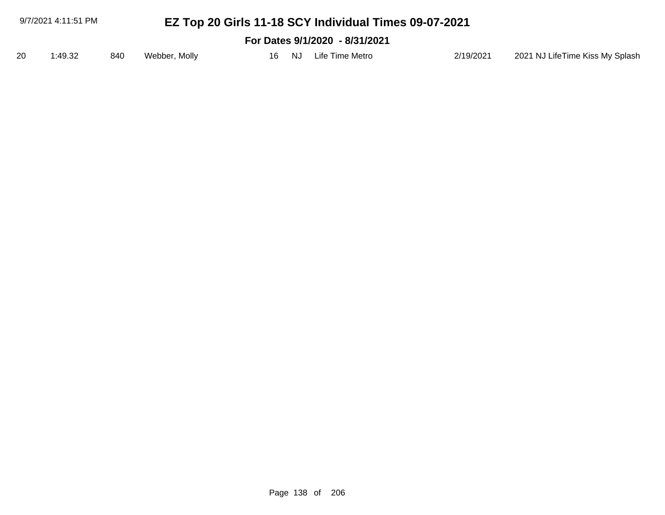| 9/7/2021 4:11:51 PM<br>EZ Top 20 Girls 11-18 SCY Individual Times 09-07-2021 |                                |     |               |     |     |                 |           |                                 |  |
|------------------------------------------------------------------------------|--------------------------------|-----|---------------|-----|-----|-----------------|-----------|---------------------------------|--|
|                                                                              | For Dates 9/1/2020 - 8/31/2021 |     |               |     |     |                 |           |                                 |  |
| 20                                                                           | 1:49.32                        | 840 | Webber, Molly | 16. | NJ. | Life Time Metro | 2/19/2021 | 2021 NJ LifeTime Kiss My Splash |  |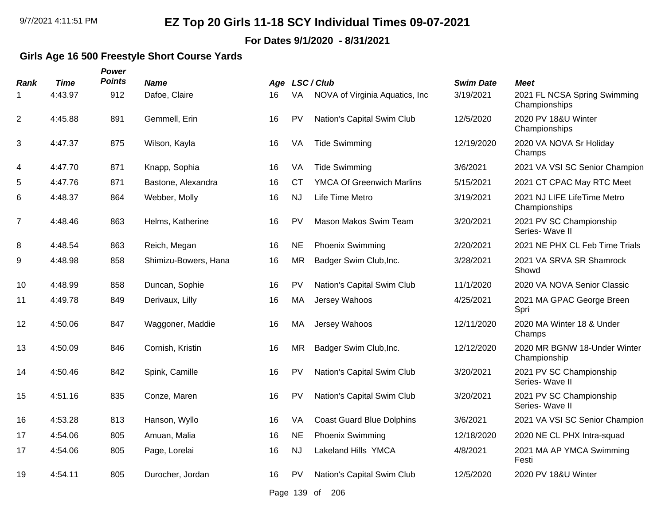**For Dates 9/1/2020 - 8/31/2021**

### **Girls Age 16 500 Freestyle Short Course Yards**

| Rank | <b>Time</b> | Power<br><b>Points</b> | Name                 | Age |           | LSC / Club                       | <b>Swim Date</b> | <b>Meet</b>                                   |
|------|-------------|------------------------|----------------------|-----|-----------|----------------------------------|------------------|-----------------------------------------------|
| 1    | 4:43.97     | 912                    | Dafoe, Claire        | 16  | VA        | NOVA of Virginia Aquatics, Inc.  | 3/19/2021        | 2021 FL NCSA Spring Swimming<br>Championships |
| 2    | 4:45.88     | 891                    | Gemmell, Erin        | 16  | PV        | Nation's Capital Swim Club       | 12/5/2020        | 2020 PV 18&U Winter<br>Championships          |
| 3    | 4:47.37     | 875                    | Wilson, Kayla        | 16  | VA        | <b>Tide Swimming</b>             | 12/19/2020       | 2020 VA NOVA Sr Holiday<br>Champs             |
| 4    | 4:47.70     | 871                    | Knapp, Sophia        | 16  | VA        | <b>Tide Swimming</b>             | 3/6/2021         | 2021 VA VSI SC Senior Champion                |
| 5    | 4:47.76     | 871                    | Bastone, Alexandra   | 16  | <b>CT</b> | <b>YMCA Of Greenwich Marlins</b> | 5/15/2021        | 2021 CT CPAC May RTC Meet                     |
| 6    | 4:48.37     | 864                    | Webber, Molly        | 16  | <b>NJ</b> | Life Time Metro                  | 3/19/2021        | 2021 NJ LIFE LifeTime Metro<br>Championships  |
| 7    | 4:48.46     | 863                    | Helms, Katherine     | 16  | PV        | Mason Makos Swim Team            | 3/20/2021        | 2021 PV SC Championship<br>Series- Wave II    |
| 8    | 4:48.54     | 863                    | Reich, Megan         | 16  | <b>NE</b> | <b>Phoenix Swimming</b>          | 2/20/2021        | 2021 NE PHX CL Feb Time Trials                |
| 9    | 4:48.98     | 858                    | Shimizu-Bowers, Hana | 16  | <b>MR</b> | Badger Swim Club, Inc.           | 3/28/2021        | 2021 VA SRVA SR Shamrock<br>Showd             |
| 10   | 4:48.99     | 858                    | Duncan, Sophie       | 16  | PV        | Nation's Capital Swim Club       | 11/1/2020        | 2020 VA NOVA Senior Classic                   |
| 11   | 4:49.78     | 849                    | Derivaux, Lilly      | 16  | MA        | Jersey Wahoos                    | 4/25/2021        | 2021 MA GPAC George Breen<br>Spri             |
| 12   | 4:50.06     | 847                    | Waggoner, Maddie     | 16  | MA        | Jersey Wahoos                    | 12/11/2020       | 2020 MA Winter 18 & Under<br>Champs           |
| 13   | 4:50.09     | 846                    | Cornish, Kristin     | 16  | <b>MR</b> | Badger Swim Club, Inc.           | 12/12/2020       | 2020 MR BGNW 18-Under Winter<br>Championship  |
| 14   | 4:50.46     | 842                    | Spink, Camille       | 16  | PV        | Nation's Capital Swim Club       | 3/20/2021        | 2021 PV SC Championship<br>Series- Wave II    |
| 15   | 4:51.16     | 835                    | Conze, Maren         | 16  | <b>PV</b> | Nation's Capital Swim Club       | 3/20/2021        | 2021 PV SC Championship<br>Series- Wave II    |
| 16   | 4:53.28     | 813                    | Hanson, Wyllo        | 16  | VA        | <b>Coast Guard Blue Dolphins</b> | 3/6/2021         | 2021 VA VSI SC Senior Champion                |
| 17   | 4:54.06     | 805                    | Amuan, Malia         | 16  | <b>NE</b> | <b>Phoenix Swimming</b>          | 12/18/2020       | 2020 NE CL PHX Intra-squad                    |
| 17   | 4:54.06     | 805                    | Page, Lorelai        | 16  | <b>NJ</b> | Lakeland Hills YMCA              | 4/8/2021         | 2021 MA AP YMCA Swimming<br>Festi             |
| 19   | 4:54.11     | 805                    | Durocher, Jordan     | 16  | <b>PV</b> | Nation's Capital Swim Club       | 12/5/2020        | 2020 PV 18&U Winter                           |
|      |             |                        |                      |     |           | $D_{\text{max}}$ 400 $I$ 000     |                  |                                               |

Page 139 of 206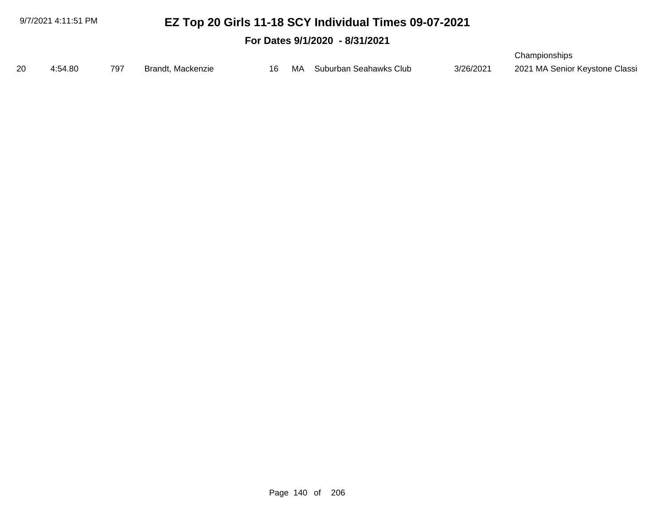#### **For Dates 9/1/2020 - 8/31/2021**

|    |         |     |                   |  |                           |           | Championships                  |
|----|---------|-----|-------------------|--|---------------------------|-----------|--------------------------------|
| 20 | 4:54.80 | 797 | Brandt, Mackenzie |  | MA Suburban Seahawks Club | 3/26/2021 | 2021 MA Senior Keystone Classi |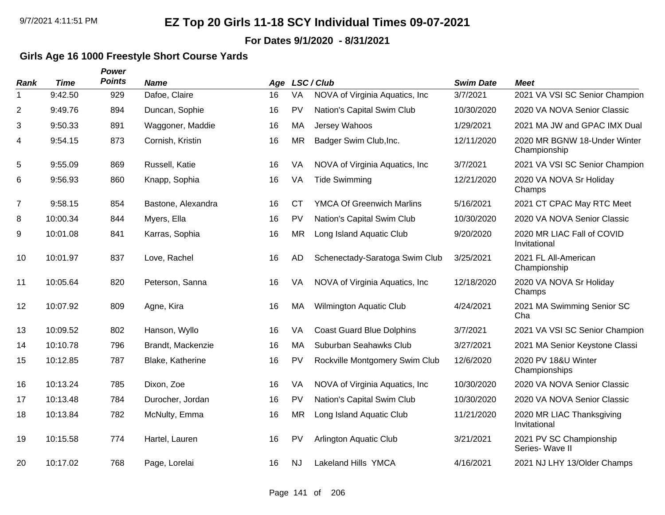**For Dates 9/1/2020 - 8/31/2021**

### **Girls Age 16 1000 Freestyle Short Course Yards**

| <b>Rank</b>    | <b>Time</b> | Power<br><b>Points</b> | <b>Name</b>        | Age |           | LSC / Club                       | <b>Swim Date</b> | <b>Meet</b>                                  |
|----------------|-------------|------------------------|--------------------|-----|-----------|----------------------------------|------------------|----------------------------------------------|
| 1              | 9:42.50     | 929                    | Dafoe, Claire      | 16  | VA        | NOVA of Virginia Aquatics, Inc.  | 3/7/2021         | 2021 VA VSI SC Senior Champion               |
| $\overline{2}$ | 9:49.76     | 894                    | Duncan, Sophie     | 16  | PV        | Nation's Capital Swim Club       | 10/30/2020       | 2020 VA NOVA Senior Classic                  |
| 3              | 9:50.33     | 891                    | Waggoner, Maddie   | 16  | MA        | Jersey Wahoos                    | 1/29/2021        | 2021 MA JW and GPAC IMX Dual                 |
| 4              | 9:54.15     | 873                    | Cornish, Kristin   | 16  | <b>MR</b> | Badger Swim Club, Inc.           | 12/11/2020       | 2020 MR BGNW 18-Under Winter<br>Championship |
| 5              | 9:55.09     | 869                    | Russell, Katie     | 16  | VA        | NOVA of Virginia Aquatics, Inc.  | 3/7/2021         | 2021 VA VSI SC Senior Champion               |
| 6              | 9:56.93     | 860                    | Knapp, Sophia      | 16  | VA        | <b>Tide Swimming</b>             | 12/21/2020       | 2020 VA NOVA Sr Holiday<br>Champs            |
| 7              | 9:58.15     | 854                    | Bastone, Alexandra | 16  | <b>CT</b> | <b>YMCA Of Greenwich Marlins</b> | 5/16/2021        | 2021 CT CPAC May RTC Meet                    |
| 8              | 10:00.34    | 844                    | Myers, Ella        | 16  | PV        | Nation's Capital Swim Club       | 10/30/2020       | 2020 VA NOVA Senior Classic                  |
| 9              | 10:01.08    | 841                    | Karras, Sophia     | 16  | <b>MR</b> | Long Island Aquatic Club         | 9/20/2020        | 2020 MR LIAC Fall of COVID<br>Invitational   |
| 10             | 10:01.97    | 837                    | Love, Rachel       | 16  | <b>AD</b> | Schenectady-Saratoga Swim Club   | 3/25/2021        | 2021 FL All-American<br>Championship         |
| 11             | 10:05.64    | 820                    | Peterson, Sanna    | 16  | VA        | NOVA of Virginia Aquatics, Inc.  | 12/18/2020       | 2020 VA NOVA Sr Holiday<br>Champs            |
| 12             | 10:07.92    | 809                    | Agne, Kira         | 16  | MA        | Wilmington Aquatic Club          | 4/24/2021        | 2021 MA Swimming Senior SC<br>Cha            |
| 13             | 10:09.52    | 802                    | Hanson, Wyllo      | 16  | VA        | <b>Coast Guard Blue Dolphins</b> | 3/7/2021         | 2021 VA VSI SC Senior Champion               |
| 14             | 10:10.78    | 796                    | Brandt, Mackenzie  | 16  | MA        | Suburban Seahawks Club           | 3/27/2021        | 2021 MA Senior Keystone Classi               |
| 15             | 10:12.85    | 787                    | Blake, Katherine   | 16  | PV        | Rockville Montgomery Swim Club   | 12/6/2020        | 2020 PV 18&U Winter<br>Championships         |
| 16             | 10:13.24    | 785                    | Dixon, Zoe         | 16  | VA        | NOVA of Virginia Aquatics, Inc.  | 10/30/2020       | 2020 VA NOVA Senior Classic                  |
| 17             | 10:13.48    | 784                    | Durocher, Jordan   | 16  | PV        | Nation's Capital Swim Club       | 10/30/2020       | 2020 VA NOVA Senior Classic                  |
| 18             | 10:13.84    | 782                    | McNulty, Emma      | 16  | <b>MR</b> | Long Island Aquatic Club         | 11/21/2020       | 2020 MR LIAC Thanksgiving<br>Invitational    |
| 19             | 10:15.58    | 774                    | Hartel, Lauren     | 16  | PV        | <b>Arlington Aquatic Club</b>    | 3/21/2021        | 2021 PV SC Championship<br>Series- Wave II   |
| 20             | 10:17.02    | 768                    | Page, Lorelai      | 16  | <b>NJ</b> | Lakeland Hills YMCA              | 4/16/2021        | 2021 NJ LHY 13/Older Champs                  |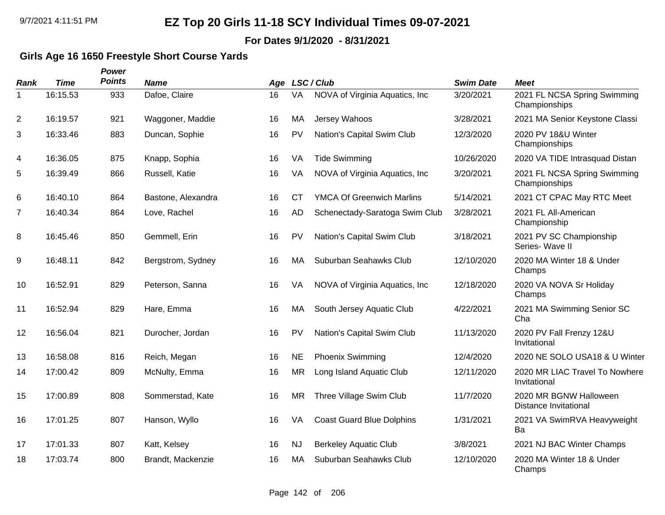**For Dates 9/1/2020 - 8/31/2021**

### **Girls Age 16 1650 Freestyle Short Course Yards**

| <b>Rank</b>    | <b>Time</b> | Power<br><b>Points</b> | <b>Name</b>        |    |           | Age LSC/Club                     | <b>Swim Date</b> | <b>Meet</b>                                            |
|----------------|-------------|------------------------|--------------------|----|-----------|----------------------------------|------------------|--------------------------------------------------------|
| $\mathbf 1$    | 16:15.53    | 933                    | Dafoe, Claire      | 16 | VA        | NOVA of Virginia Aquatics, Inc.  | 3/20/2021        | 2021 FL NCSA Spring Swimming<br>Championships          |
| $\overline{2}$ | 16:19.57    | 921                    | Waggoner, Maddie   | 16 | MA        | Jersey Wahoos                    | 3/28/2021        | 2021 MA Senior Keystone Classi                         |
| 3              | 16:33.46    | 883                    | Duncan, Sophie     | 16 | PV        | Nation's Capital Swim Club       | 12/3/2020        | 2020 PV 18&U Winter<br>Championships                   |
| 4              | 16:36.05    | 875                    | Knapp, Sophia      | 16 | VA        | <b>Tide Swimming</b>             | 10/26/2020       | 2020 VA TIDE Intrasquad Distan                         |
| 5              | 16:39.49    | 866                    | Russell, Katie     | 16 | VA        | NOVA of Virginia Aquatics, Inc.  | 3/20/2021        | 2021 FL NCSA Spring Swimming<br>Championships          |
| 6              | 16:40.10    | 864                    | Bastone, Alexandra | 16 | <b>CT</b> | <b>YMCA Of Greenwich Marlins</b> | 5/14/2021        | 2021 CT CPAC May RTC Meet                              |
| 7              | 16:40.34    | 864                    | Love, Rachel       | 16 | AD        | Schenectady-Saratoga Swim Club   | 3/28/2021        | 2021 FL All-American<br>Championship                   |
| 8              | 16:45.46    | 850                    | Gemmell, Erin      | 16 | PV        | Nation's Capital Swim Club       | 3/18/2021        | 2021 PV SC Championship<br>Series- Wave II             |
| 9              | 16:48.11    | 842                    | Bergstrom, Sydney  | 16 | MA        | Suburban Seahawks Club           | 12/10/2020       | 2020 MA Winter 18 & Under<br>Champs                    |
| 10             | 16:52.91    | 829                    | Peterson, Sanna    | 16 | VA        | NOVA of Virginia Aquatics, Inc.  | 12/18/2020       | 2020 VA NOVA Sr Holiday<br>Champs                      |
| 11             | 16:52.94    | 829                    | Hare, Emma         | 16 | MA        | South Jersey Aquatic Club        | 4/22/2021        | 2021 MA Swimming Senior SC<br>Cha                      |
| 12             | 16:56.04    | 821                    | Durocher, Jordan   | 16 | PV        | Nation's Capital Swim Club       | 11/13/2020       | 2020 PV Fall Frenzy 12&U<br>Invitational               |
| 13             | 16:58.08    | 816                    | Reich, Megan       | 16 | <b>NE</b> | <b>Phoenix Swimming</b>          | 12/4/2020        | 2020 NE SOLO USA18 & U Winter                          |
| 14             | 17:00.42    | 809                    | McNulty, Emma      | 16 | <b>MR</b> | Long Island Aquatic Club         | 12/11/2020       | 2020 MR LIAC Travel To Nowhere<br>Invitational         |
| 15             | 17:00.89    | 808                    | Sommerstad, Kate   | 16 | <b>MR</b> | Three Village Swim Club          | 11/7/2020        | 2020 MR BGNW Halloween<br><b>Distance Invitational</b> |
| 16             | 17:01.25    | 807                    | Hanson, Wyllo      | 16 | VA        | <b>Coast Guard Blue Dolphins</b> | 1/31/2021        | 2021 VA SwimRVA Heavyweight<br>Ba                      |
| 17             | 17:01.33    | 807                    | Katt, Kelsey       | 16 | <b>NJ</b> | <b>Berkeley Aquatic Club</b>     | 3/8/2021         | 2021 NJ BAC Winter Champs                              |
| 18             | 17:03.74    | 800                    | Brandt, Mackenzie  | 16 | <b>MA</b> | Suburban Seahawks Club           | 12/10/2020       | 2020 MA Winter 18 & Under<br>Champs                    |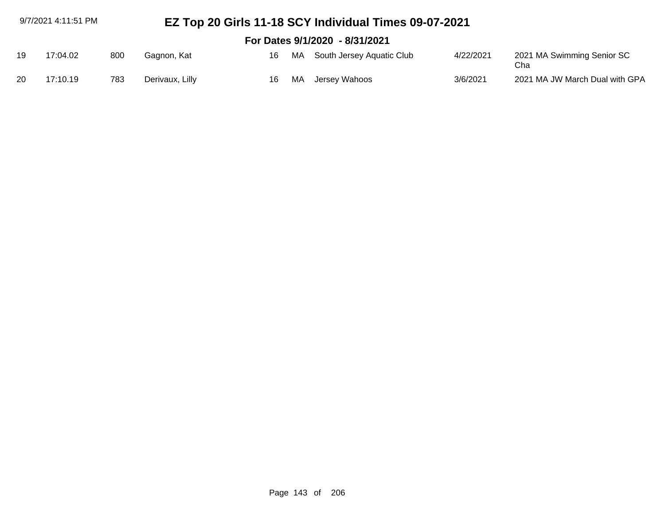|                                | 9/7/2021 4:11:51 PM |     |                 |    |    | EZ Top 20 Girls 11-18 SCY Individual Times 09-07-2021 |           |                                   |  |  |
|--------------------------------|---------------------|-----|-----------------|----|----|-------------------------------------------------------|-----------|-----------------------------------|--|--|
| For Dates 9/1/2020 - 8/31/2021 |                     |     |                 |    |    |                                                       |           |                                   |  |  |
| 19                             | 17:04.02            | 800 | Gagnon, Kat     | 16 |    | MA South Jersey Aquatic Club                          | 4/22/2021 | 2021 MA Swimming Senior SC<br>Cha |  |  |
| 20                             | 17:10.19            | 783 | Derivaux, Lilly | 16 | MA | Jersey Wahoos                                         | 3/6/2021  | 2021 MA JW March Dual with GPA    |  |  |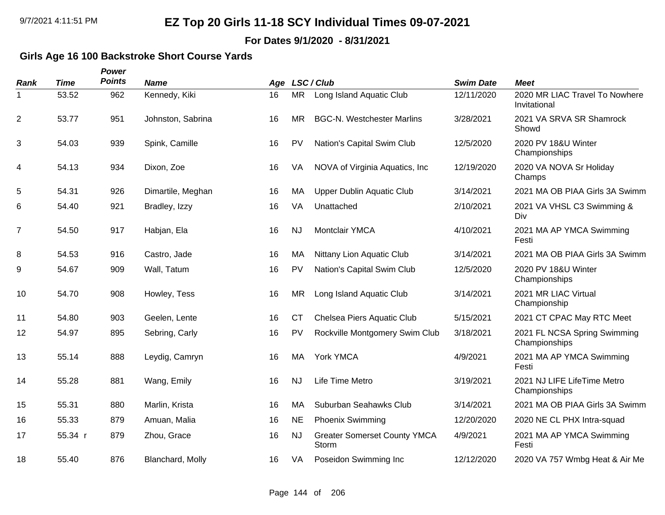**For Dates 9/1/2020 - 8/31/2021**

### **Girls Age 16 100 Backstroke Short Course Yards**

| <b>Rank</b>    | <b>Time</b> | Power<br><b>Points</b> | <b>Name</b>       | Age |           | LSC / Club                                   | <b>Swim Date</b> | <b>Meet</b>                                    |
|----------------|-------------|------------------------|-------------------|-----|-----------|----------------------------------------------|------------------|------------------------------------------------|
| 1              | 53.52       | 962                    | Kennedy, Kiki     | 16  | <b>MR</b> | Long Island Aquatic Club                     | 12/11/2020       | 2020 MR LIAC Travel To Nowhere<br>Invitational |
| $\overline{2}$ | 53.77       | 951                    | Johnston, Sabrina | 16  | <b>MR</b> | <b>BGC-N. Westchester Marlins</b>            | 3/28/2021        | 2021 VA SRVA SR Shamrock<br>Showd              |
| 3              | 54.03       | 939                    | Spink, Camille    | 16  | PV        | Nation's Capital Swim Club                   | 12/5/2020        | 2020 PV 18&U Winter<br>Championships           |
| 4              | 54.13       | 934                    | Dixon, Zoe        | 16  | VA        | NOVA of Virginia Aquatics, Inc.              | 12/19/2020       | 2020 VA NOVA Sr Holiday<br>Champs              |
| $\overline{5}$ | 54.31       | 926                    | Dimartile, Meghan | 16  | MA        | <b>Upper Dublin Aquatic Club</b>             | 3/14/2021        | 2021 MA OB PIAA Girls 3A Swimm                 |
| 6              | 54.40       | 921                    | Bradley, Izzy     | 16  | VA        | Unattached                                   | 2/10/2021        | 2021 VA VHSL C3 Swimming &<br>Div              |
| $\overline{7}$ | 54.50       | 917                    | Habjan, Ela       | 16  | <b>NJ</b> | Montclair YMCA                               | 4/10/2021        | 2021 MA AP YMCA Swimming<br>Festi              |
| 8              | 54.53       | 916                    | Castro, Jade      | 16  | MA        | Nittany Lion Aquatic Club                    | 3/14/2021        | 2021 MA OB PIAA Girls 3A Swimm                 |
| 9              | 54.67       | 909                    | Wall, Tatum       | 16  | <b>PV</b> | Nation's Capital Swim Club                   | 12/5/2020        | 2020 PV 18&U Winter<br>Championships           |
| 10             | 54.70       | 908                    | Howley, Tess      | 16  | <b>MR</b> | Long Island Aquatic Club                     | 3/14/2021        | 2021 MR LIAC Virtual<br>Championship           |
| 11             | 54.80       | 903                    | Geelen, Lente     | 16  | <b>CT</b> | Chelsea Piers Aquatic Club                   | 5/15/2021        | 2021 CT CPAC May RTC Meet                      |
| 12             | 54.97       | 895                    | Sebring, Carly    | 16  | PV        | Rockville Montgomery Swim Club               | 3/18/2021        | 2021 FL NCSA Spring Swimming<br>Championships  |
| 13             | 55.14       | 888                    | Leydig, Camryn    | 16  | MA        | York YMCA                                    | 4/9/2021         | 2021 MA AP YMCA Swimming<br>Festi              |
| 14             | 55.28       | 881                    | Wang, Emily       | 16  | <b>NJ</b> | Life Time Metro                              | 3/19/2021        | 2021 NJ LIFE LifeTime Metro<br>Championships   |
| 15             | 55.31       | 880                    | Marlin, Krista    | 16  | МA        | Suburban Seahawks Club                       | 3/14/2021        | 2021 MA OB PIAA Girls 3A Swimm                 |
| 16             | 55.33       | 879                    | Amuan, Malia      | 16  | <b>NE</b> | <b>Phoenix Swimming</b>                      | 12/20/2020       | 2020 NE CL PHX Intra-squad                     |
| 17             | 55.34 r     | 879                    | Zhou, Grace       | 16  | <b>NJ</b> | <b>Greater Somerset County YMCA</b><br>Storm | 4/9/2021         | 2021 MA AP YMCA Swimming<br>Festi              |
| 18             | 55.40       | 876                    | Blanchard, Molly  | 16  | VA        | Poseidon Swimming Inc                        | 12/12/2020       | 2020 VA 757 Wmbg Heat & Air Me                 |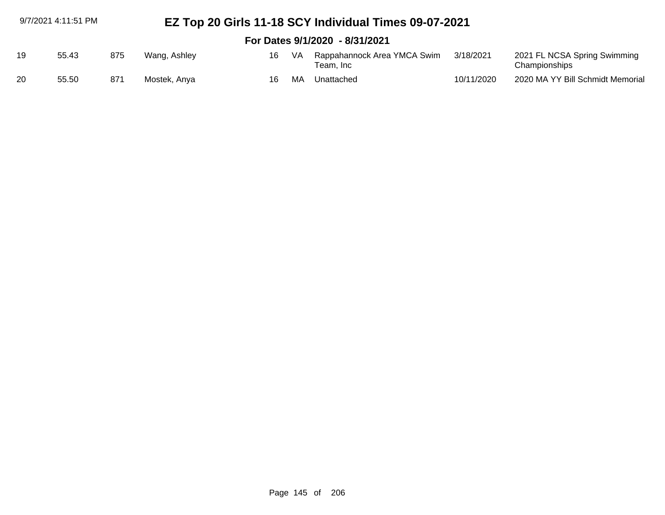| 9/7/2021 4:11:51 PM |       |     |              |    |    | EZ Top 20 Girls 11-18 SCY Individual Times 09-07-2021 |            |                                               |  |  |  |
|---------------------|-------|-----|--------------|----|----|-------------------------------------------------------|------------|-----------------------------------------------|--|--|--|
|                     |       |     |              |    |    | For Dates 9/1/2020 - 8/31/2021                        |            |                                               |  |  |  |
| 19                  | 55.43 | 875 | Wang, Ashley | 16 | VA | Rappahannock Area YMCA Swim<br>Team. Inc              | 3/18/2021  | 2021 FL NCSA Spring Swimming<br>Championships |  |  |  |
| 20                  | 55.50 | 871 | Mostek, Anya | 16 | МA | Unattached                                            | 10/11/2020 | 2020 MA YY Bill Schmidt Memorial              |  |  |  |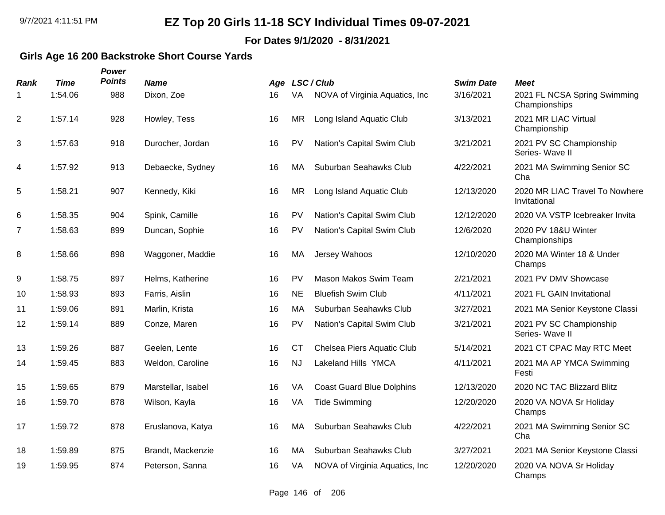**For Dates 9/1/2020 - 8/31/2021**

### **Girls Age 16 200 Backstroke Short Course Yards**

| Rank           | <b>Time</b> | <b>Power</b><br><b>Points</b> | <b>Name</b>        | Age |           | LSC / Club                       | <b>Swim Date</b> | <b>Meet</b>                                    |
|----------------|-------------|-------------------------------|--------------------|-----|-----------|----------------------------------|------------------|------------------------------------------------|
| $\mathbf 1$    | 1:54.06     | 988                           | Dixon, Zoe         | 16  | VA        | NOVA of Virginia Aquatics, Inc.  | 3/16/2021        | 2021 FL NCSA Spring Swimming<br>Championships  |
| $\overline{2}$ | 1:57.14     | 928                           | Howley, Tess       | 16  | <b>MR</b> | Long Island Aquatic Club         | 3/13/2021        | 2021 MR LIAC Virtual<br>Championship           |
| 3              | 1:57.63     | 918                           | Durocher, Jordan   | 16  | PV        | Nation's Capital Swim Club       | 3/21/2021        | 2021 PV SC Championship<br>Series- Wave II     |
| 4              | 1:57.92     | 913                           | Debaecke, Sydney   | 16  | МA        | Suburban Seahawks Club           | 4/22/2021        | 2021 MA Swimming Senior SC<br>Cha              |
| 5              | 1:58.21     | 907                           | Kennedy, Kiki      | 16  | <b>MR</b> | Long Island Aquatic Club         | 12/13/2020       | 2020 MR LIAC Travel To Nowhere<br>Invitational |
| 6              | 1:58.35     | 904                           | Spink, Camille     | 16  | <b>PV</b> | Nation's Capital Swim Club       | 12/12/2020       | 2020 VA VSTP Icebreaker Invita                 |
| 7              | 1:58.63     | 899                           | Duncan, Sophie     | 16  | PV        | Nation's Capital Swim Club       | 12/6/2020        | 2020 PV 18&U Winter<br>Championships           |
| 8              | 1:58.66     | 898                           | Waggoner, Maddie   | 16  | МA        | Jersey Wahoos                    | 12/10/2020       | 2020 MA Winter 18 & Under<br>Champs            |
| 9              | 1:58.75     | 897                           | Helms, Katherine   | 16  | PV        | Mason Makos Swim Team            | 2/21/2021        | 2021 PV DMV Showcase                           |
| 10             | 1:58.93     | 893                           | Farris, Aislin     | 16  | <b>NE</b> | <b>Bluefish Swim Club</b>        | 4/11/2021        | 2021 FL GAIN Invitational                      |
| 11             | 1:59.06     | 891                           | Marlin, Krista     | 16  | MA        | Suburban Seahawks Club           | 3/27/2021        | 2021 MA Senior Keystone Classi                 |
| 12             | 1:59.14     | 889                           | Conze, Maren       | 16  | PV        | Nation's Capital Swim Club       | 3/21/2021        | 2021 PV SC Championship<br>Series- Wave II     |
| 13             | 1:59.26     | 887                           | Geelen, Lente      | 16  | <b>CT</b> | Chelsea Piers Aquatic Club       | 5/14/2021        | 2021 CT CPAC May RTC Meet                      |
| 14             | 1:59.45     | 883                           | Weldon, Caroline   | 16  | <b>NJ</b> | Lakeland Hills YMCA              | 4/11/2021        | 2021 MA AP YMCA Swimming<br>Festi              |
| 15             | 1:59.65     | 879                           | Marstellar, Isabel | 16  | VA        | <b>Coast Guard Blue Dolphins</b> | 12/13/2020       | 2020 NC TAC Blizzard Blitz                     |
| 16             | 1:59.70     | 878                           | Wilson, Kayla      | 16  | VA        | <b>Tide Swimming</b>             | 12/20/2020       | 2020 VA NOVA Sr Holiday<br>Champs              |
| 17             | 1:59.72     | 878                           | Eruslanova, Katya  | 16  | МA        | Suburban Seahawks Club           | 4/22/2021        | 2021 MA Swimming Senior SC<br>Cha              |
| 18             | 1:59.89     | 875                           | Brandt, Mackenzie  | 16  | MA        | Suburban Seahawks Club           | 3/27/2021        | 2021 MA Senior Keystone Classi                 |
| 19             | 1:59.95     | 874                           | Peterson, Sanna    | 16  | VA        | NOVA of Virginia Aquatics, Inc.  | 12/20/2020       | 2020 VA NOVA Sr Holiday<br>Champs              |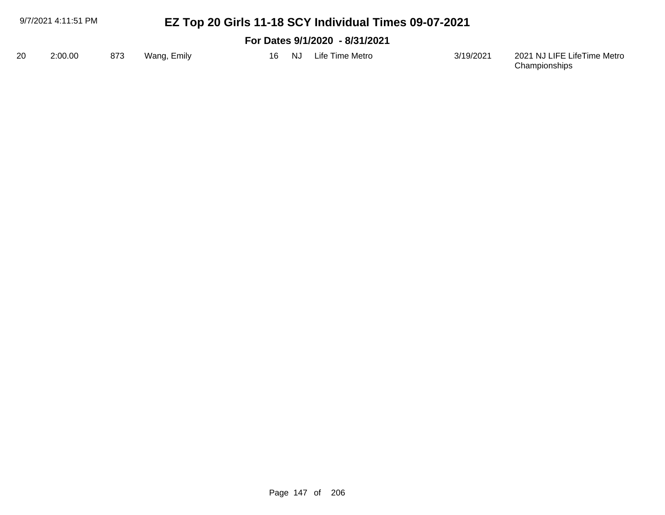| 9/7/2021 4:11:51 PM |         |     | EZ Top 20 Girls 11-18 SCY Individual Times 09-07-2021 |  |       |                                |           |                                              |
|---------------------|---------|-----|-------------------------------------------------------|--|-------|--------------------------------|-----------|----------------------------------------------|
|                     |         |     |                                                       |  |       | For Dates 9/1/2020 - 8/31/2021 |           |                                              |
| 20                  | 2:00.00 | 873 | Wang, Emily                                           |  | 16 NJ | Life Time Metro                | 3/19/2021 | 2021 NJ LIFE LifeTime Metro<br>Championships |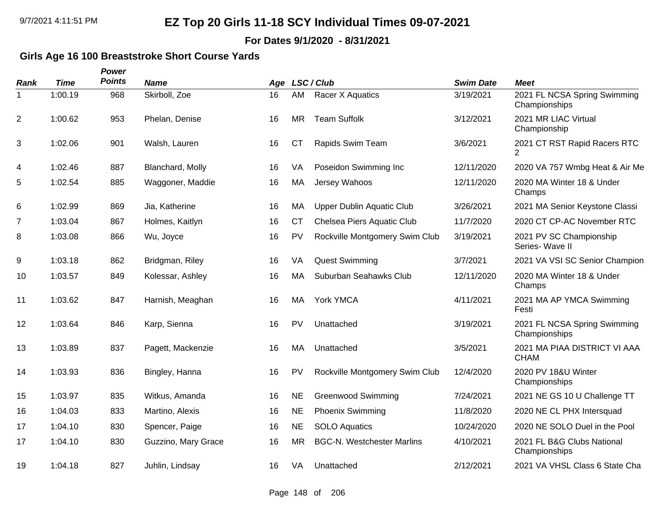**For Dates 9/1/2020 - 8/31/2021**

### **Girls Age 16 100 Breaststroke Short Course Yards**

| <b>Rank</b> | <b>Time</b> | Power<br><b>Points</b> | <b>Name</b>         | Age |           | LSC / Club                        | <b>Swim Date</b> | <b>Meet</b>                                    |
|-------------|-------------|------------------------|---------------------|-----|-----------|-----------------------------------|------------------|------------------------------------------------|
| $\mathbf 1$ | 1:00.19     | 968                    | Skirboll, Zoe       | 16  | AM        | Racer X Aquatics                  | 3/19/2021        | 2021 FL NCSA Spring Swimming<br>Championships  |
| 2           | 1:00.62     | 953                    | Phelan, Denise      | 16  | <b>MR</b> | <b>Team Suffolk</b>               | 3/12/2021        | 2021 MR LIAC Virtual<br>Championship           |
| 3           | 1:02.06     | 901                    | Walsh, Lauren       | 16  | <b>CT</b> | Rapids Swim Team                  | 3/6/2021         | 2021 CT RST Rapid Racers RTC<br>$\overline{2}$ |
| 4           | 1:02.46     | 887                    | Blanchard, Molly    | 16  | VA        | Poseidon Swimming Inc             | 12/11/2020       | 2020 VA 757 Wmbg Heat & Air Me                 |
| 5           | 1:02.54     | 885                    | Waggoner, Maddie    | 16  | MA        | Jersey Wahoos                     | 12/11/2020       | 2020 MA Winter 18 & Under<br>Champs            |
| 6           | 1:02.99     | 869                    | Jia, Katherine      | 16  | MA        | <b>Upper Dublin Aquatic Club</b>  | 3/26/2021        | 2021 MA Senior Keystone Classi                 |
| 7           | 1:03.04     | 867                    | Holmes, Kaitlyn     | 16  | <b>CT</b> | Chelsea Piers Aquatic Club        | 11/7/2020        | 2020 CT CP-AC November RTC                     |
| 8           | 1:03.08     | 866                    | Wu, Joyce           | 16  | PV        | Rockville Montgomery Swim Club    | 3/19/2021        | 2021 PV SC Championship<br>Series- Wave II     |
| 9           | 1:03.18     | 862                    | Bridgman, Riley     | 16  | VA        | <b>Quest Swimming</b>             | 3/7/2021         | 2021 VA VSI SC Senior Champion                 |
| 10          | 1:03.57     | 849                    | Kolessar, Ashley    | 16  | MA        | Suburban Seahawks Club            | 12/11/2020       | 2020 MA Winter 18 & Under<br>Champs            |
| 11          | 1:03.62     | 847                    | Harnish, Meaghan    | 16  | MA        | York YMCA                         | 4/11/2021        | 2021 MA AP YMCA Swimming<br>Festi              |
| 12          | 1:03.64     | 846                    | Karp, Sienna        | 16  | PV        | Unattached                        | 3/19/2021        | 2021 FL NCSA Spring Swimming<br>Championships  |
| 13          | 1:03.89     | 837                    | Pagett, Mackenzie   | 16  | MA        | Unattached                        | 3/5/2021         | 2021 MA PIAA DISTRICT VI AAA<br><b>CHAM</b>    |
| 14          | 1:03.93     | 836                    | Bingley, Hanna      | 16  | PV        | Rockville Montgomery Swim Club    | 12/4/2020        | 2020 PV 18&U Winter<br>Championships           |
| 15          | 1:03.97     | 835                    | Witkus, Amanda      | 16  | <b>NE</b> | <b>Greenwood Swimming</b>         | 7/24/2021        | 2021 NE GS 10 U Challenge TT                   |
| 16          | 1:04.03     | 833                    | Martino, Alexis     | 16  | <b>NE</b> | <b>Phoenix Swimming</b>           | 11/8/2020        | 2020 NE CL PHX Intersquad                      |
| 17          | 1:04.10     | 830                    | Spencer, Paige      | 16  | <b>NE</b> | <b>SOLO Aquatics</b>              | 10/24/2020       | 2020 NE SOLO Duel in the Pool                  |
| 17          | 1:04.10     | 830                    | Guzzino, Mary Grace | 16  | <b>MR</b> | <b>BGC-N. Westchester Marlins</b> | 4/10/2021        | 2021 FL B&G Clubs National<br>Championships    |
| 19          | 1:04.18     | 827                    | Juhlin, Lindsay     | 16  | VA        | Unattached                        | 2/12/2021        | 2021 VA VHSL Class 6 State Cha                 |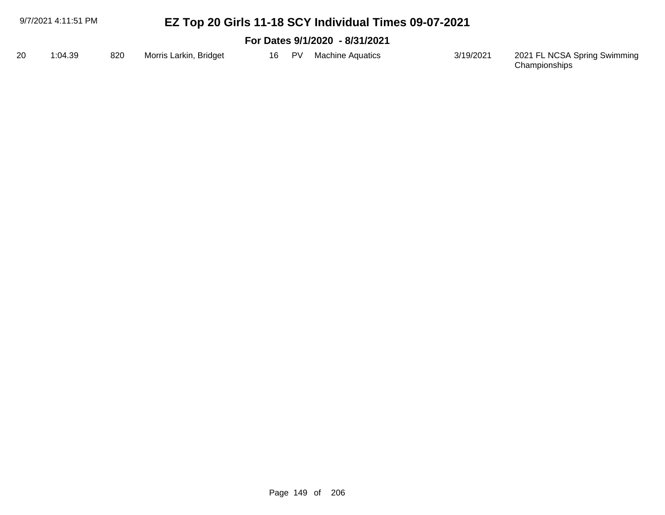| 9/7/2021 4:11:51 PM |         |     |                        |     |     |                                | EZ Top 20 Girls 11-18 SCY Individual Times 09-07-2021 |                                               |  |  |  |
|---------------------|---------|-----|------------------------|-----|-----|--------------------------------|-------------------------------------------------------|-----------------------------------------------|--|--|--|
|                     |         |     |                        |     |     | For Dates 9/1/2020 - 8/31/2021 |                                                       |                                               |  |  |  |
| 20                  | 1:04.39 | 820 | Morris Larkin, Bridget | 16. | PV. | <b>Machine Aquatics</b>        | 3/19/2021                                             | 2021 FL NCSA Spring Swimming<br>Championships |  |  |  |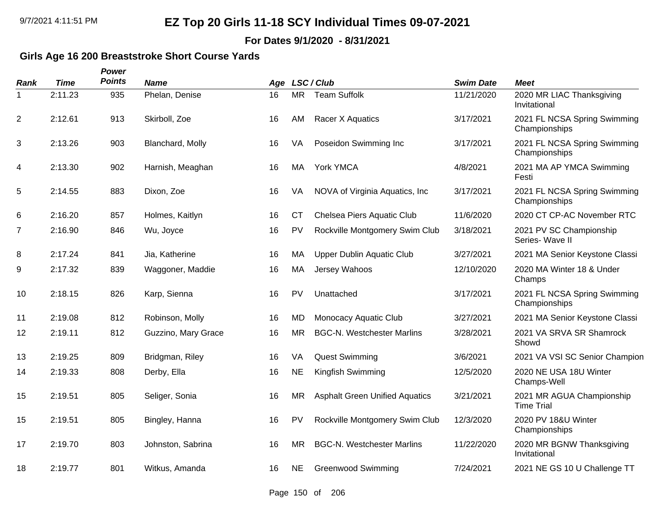**For Dates 9/1/2020 - 8/31/2021**

### **Girls Age 16 200 Breaststroke Short Course Yards**

| <b>Rank</b> | <b>Time</b> | Power<br><b>Points</b> | <b>Name</b>         |    |           | Age LSC/Club                          | <b>Swim Date</b> | <b>Meet</b>                                    |
|-------------|-------------|------------------------|---------------------|----|-----------|---------------------------------------|------------------|------------------------------------------------|
| -1          | 2:11.23     | 935                    | Phelan, Denise      | 16 | <b>MR</b> | <b>Team Suffolk</b>                   | 11/21/2020       | 2020 MR LIAC Thanksgiving<br>Invitational      |
| 2           | 2:12.61     | 913                    | Skirboll, Zoe       | 16 | AM        | Racer X Aquatics                      | 3/17/2021        | 2021 FL NCSA Spring Swimming<br>Championships  |
| 3           | 2:13.26     | 903                    | Blanchard, Molly    | 16 | VA        | Poseidon Swimming Inc                 | 3/17/2021        | 2021 FL NCSA Spring Swimming<br>Championships  |
| 4           | 2:13.30     | 902                    | Harnish, Meaghan    | 16 | MA        | York YMCA                             | 4/8/2021         | 2021 MA AP YMCA Swimming<br>Festi              |
| 5           | 2:14.55     | 883                    | Dixon, Zoe          | 16 | VA        | NOVA of Virginia Aquatics, Inc.       | 3/17/2021        | 2021 FL NCSA Spring Swimming<br>Championships  |
| 6           | 2:16.20     | 857                    | Holmes, Kaitlyn     | 16 | <b>CT</b> | Chelsea Piers Aquatic Club            | 11/6/2020        | 2020 CT CP-AC November RTC                     |
| 7           | 2:16.90     | 846                    | Wu, Joyce           | 16 | PV        | Rockville Montgomery Swim Club        | 3/18/2021        | 2021 PV SC Championship<br>Series- Wave II     |
| 8           | 2:17.24     | 841                    | Jia, Katherine      | 16 | МA        | <b>Upper Dublin Aquatic Club</b>      | 3/27/2021        | 2021 MA Senior Keystone Classi                 |
| 9           | 2:17.32     | 839                    | Waggoner, Maddie    | 16 | MA        | Jersey Wahoos                         | 12/10/2020       | 2020 MA Winter 18 & Under<br>Champs            |
| 10          | 2:18.15     | 826                    | Karp, Sienna        | 16 | PV        | Unattached                            | 3/17/2021        | 2021 FL NCSA Spring Swimming<br>Championships  |
| 11          | 2:19.08     | 812                    | Robinson, Molly     | 16 | <b>MD</b> | Monocacy Aquatic Club                 | 3/27/2021        | 2021 MA Senior Keystone Classi                 |
| $12 \,$     | 2:19.11     | 812                    | Guzzino, Mary Grace | 16 | <b>MR</b> | <b>BGC-N. Westchester Marlins</b>     | 3/28/2021        | 2021 VA SRVA SR Shamrock<br>Showd              |
| 13          | 2:19.25     | 809                    | Bridgman, Riley     | 16 | VA        | <b>Quest Swimming</b>                 | 3/6/2021         | 2021 VA VSI SC Senior Champion                 |
| 14          | 2:19.33     | 808                    | Derby, Ella         | 16 | <b>NE</b> | <b>Kingfish Swimming</b>              | 12/5/2020        | 2020 NE USA 18U Winter<br>Champs-Well          |
| 15          | 2:19.51     | 805                    | Seliger, Sonia      | 16 | <b>MR</b> | <b>Asphalt Green Unified Aquatics</b> | 3/21/2021        | 2021 MR AGUA Championship<br><b>Time Trial</b> |
| 15          | 2:19.51     | 805                    | Bingley, Hanna      | 16 | PV        | Rockville Montgomery Swim Club        | 12/3/2020        | 2020 PV 18&U Winter<br>Championships           |
| 17          | 2:19.70     | 803                    | Johnston, Sabrina   | 16 | <b>MR</b> | <b>BGC-N. Westchester Marlins</b>     | 11/22/2020       | 2020 MR BGNW Thanksgiving<br>Invitational      |
| 18          | 2:19.77     | 801                    | Witkus, Amanda      | 16 | <b>NE</b> | <b>Greenwood Swimming</b>             | 7/24/2021        | 2021 NE GS 10 U Challenge TT                   |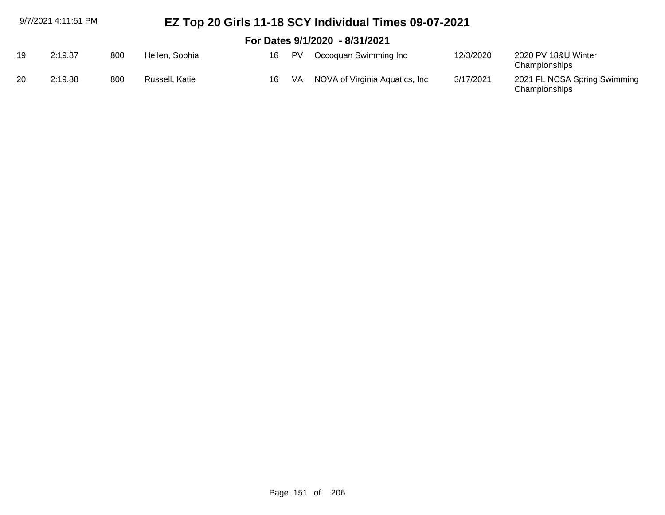| 9/7/2021 4:11:51 PM |         |     | EZ Top 20 Girls 11-18 SCY Individual Times 09-07-2021 |    |     |                                   |           |                                               |  |  |  |
|---------------------|---------|-----|-------------------------------------------------------|----|-----|-----------------------------------|-----------|-----------------------------------------------|--|--|--|
|                     |         |     |                                                       |    |     | For Dates 9/1/2020 - 8/31/2021    |           |                                               |  |  |  |
| 19                  | 2:19.87 | 800 | Heilen, Sophia                                        | 16 | PV. | Occoquan Swimming Inc             | 12/3/2020 | 2020 PV 18&U Winter<br>Championships          |  |  |  |
| 20                  | 2:19.88 | 800 | Russell, Katie                                        | 16 |     | VA NOVA of Virginia Aquatics, Inc | 3/17/2021 | 2021 FL NCSA Spring Swimming<br>Championships |  |  |  |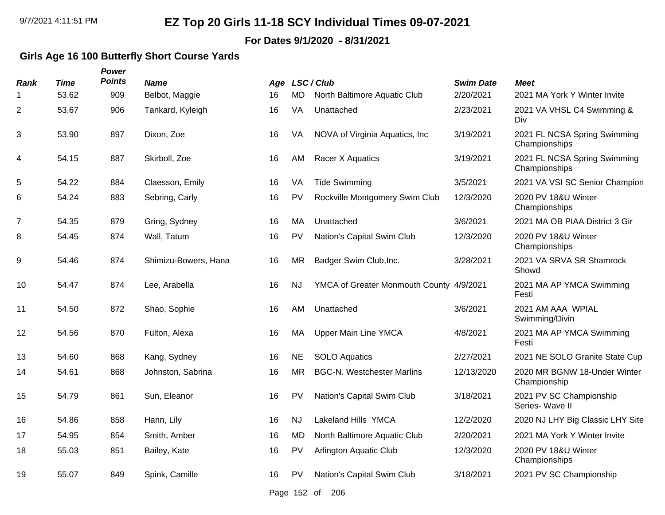#### **For Dates 9/1/2020 - 8/31/2021**

### **Girls Age 16 100 Butterfly Short Course Yards**

| <b>Rank</b>    | <b>Time</b> | Power<br><b>Points</b> | <b>Name</b>          |    |             | Age LSC/Club                             | <b>Swim Date</b> | <b>Meet</b>                                   |
|----------------|-------------|------------------------|----------------------|----|-------------|------------------------------------------|------------------|-----------------------------------------------|
| 1              | 53.62       | 909                    | Belbot, Maggie       | 16 | <b>MD</b>   | North Baltimore Aquatic Club             | 2/20/2021        | 2021 MA York Y Winter Invite                  |
| $\overline{2}$ | 53.67       | 906                    | Tankard, Kyleigh     | 16 | VA          | Unattached                               | 2/23/2021        | 2021 VA VHSL C4 Swimming &<br>Div             |
| 3              | 53.90       | 897                    | Dixon, Zoe           | 16 | VA          | NOVA of Virginia Aquatics, Inc.          | 3/19/2021        | 2021 FL NCSA Spring Swimming<br>Championships |
| 4              | 54.15       | 887                    | Skirboll, Zoe        | 16 | AM          | Racer X Aquatics                         | 3/19/2021        | 2021 FL NCSA Spring Swimming<br>Championships |
| 5              | 54.22       | 884                    | Claesson, Emily      | 16 | VA          | <b>Tide Swimming</b>                     | 3/5/2021         | 2021 VA VSI SC Senior Champion                |
| 6              | 54.24       | 883                    | Sebring, Carly       | 16 | PV          | Rockville Montgomery Swim Club           | 12/3/2020        | 2020 PV 18&U Winter<br>Championships          |
| $\overline{7}$ | 54.35       | 879                    | Gring, Sydney        | 16 | МA          | Unattached                               | 3/6/2021         | 2021 MA OB PIAA District 3 Gir                |
| 8              | 54.45       | 874                    | Wall, Tatum          | 16 | PV          | Nation's Capital Swim Club               | 12/3/2020        | 2020 PV 18&U Winter<br>Championships          |
| 9              | 54.46       | 874                    | Shimizu-Bowers, Hana | 16 | <b>MR</b>   | Badger Swim Club, Inc.                   | 3/28/2021        | 2021 VA SRVA SR Shamrock<br>Showd             |
| 10             | 54.47       | 874                    | Lee, Arabella        | 16 | <b>NJ</b>   | YMCA of Greater Monmouth County 4/9/2021 |                  | 2021 MA AP YMCA Swimming<br>Festi             |
| 11             | 54.50       | 872                    | Shao, Sophie         | 16 | AM          | Unattached                               | 3/6/2021         | 2021 AM AAA WPIAL<br>Swimming/Divin           |
| 12             | 54.56       | 870                    | Fulton, Alexa        | 16 | <b>MA</b>   | <b>Upper Main Line YMCA</b>              | 4/8/2021         | 2021 MA AP YMCA Swimming<br>Festi             |
| 13             | 54.60       | 868                    | Kang, Sydney         | 16 | <b>NE</b>   | <b>SOLO Aquatics</b>                     | 2/27/2021        | 2021 NE SOLO Granite State Cup                |
| 14             | 54.61       | 868                    | Johnston, Sabrina    | 16 | <b>MR</b>   | <b>BGC-N. Westchester Marlins</b>        | 12/13/2020       | 2020 MR BGNW 18-Under Winter<br>Championship  |
| 15             | 54.79       | 861                    | Sun, Eleanor         | 16 | PV          | Nation's Capital Swim Club               | 3/18/2021        | 2021 PV SC Championship<br>Series- Wave II    |
| 16             | 54.86       | 858                    | Hann, Lily           | 16 | <b>NJ</b>   | Lakeland Hills YMCA                      | 12/2/2020        | 2020 NJ LHY Big Classic LHY Site              |
| 17             | 54.95       | 854                    | Smith, Amber         | 16 | <b>MD</b>   | North Baltimore Aquatic Club             | 2/20/2021        | 2021 MA York Y Winter Invite                  |
| 18             | 55.03       | 851                    | Bailey, Kate         | 16 | PV          | Arlington Aquatic Club                   | 12/3/2020        | 2020 PV 18&U Winter<br>Championships          |
| 19             | 55.07       | 849                    | Spink, Camille       | 16 | <b>PV</b>   | Nation's Capital Swim Club               | 3/18/2021        | 2021 PV SC Championship                       |
|                |             |                        |                      |    | Page 152 of | 206                                      |                  |                                               |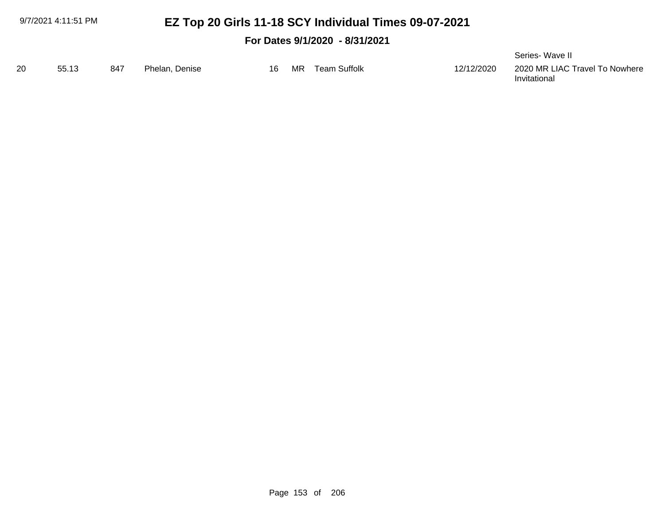#### **For Dates 9/1/2020 - 8/31/2021**

|    |       |     |                |     |                 |            | Series- Wave II                                |
|----|-------|-----|----------------|-----|-----------------|------------|------------------------------------------------|
| 20 | 55.13 | 847 | Phelan, Denise | 16. | MR Team Suffolk | 12/12/2020 | 2020 MR LIAC Travel To Nowhere<br>Invitational |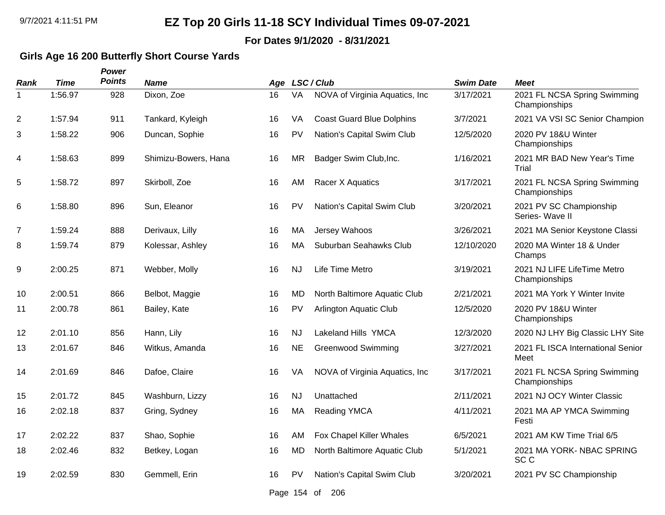**For Dates 9/1/2020 - 8/31/2021**

### **Girls Age 16 200 Butterfly Short Course Yards**

| <b>Rank</b> | <b>Time</b> | Power<br><b>Points</b> | <b>Name</b>          |    |             | Age LSC/Club                     | <b>Swim Date</b> | <b>Meet</b>                                   |
|-------------|-------------|------------------------|----------------------|----|-------------|----------------------------------|------------------|-----------------------------------------------|
| 1           | 1:56.97     | 928                    | Dixon, Zoe           | 16 | VA          | NOVA of Virginia Aquatics, Inc.  | 3/17/2021        | 2021 FL NCSA Spring Swimming<br>Championships |
| 2           | 1:57.94     | 911                    | Tankard, Kyleigh     | 16 | VA          | <b>Coast Guard Blue Dolphins</b> | 3/7/2021         | 2021 VA VSI SC Senior Champion                |
| 3           | 1:58.22     | 906                    | Duncan, Sophie       | 16 | PV          | Nation's Capital Swim Club       | 12/5/2020        | 2020 PV 18&U Winter<br>Championships          |
| 4           | 1:58.63     | 899                    | Shimizu-Bowers, Hana | 16 | <b>MR</b>   | Badger Swim Club, Inc.           | 1/16/2021        | 2021 MR BAD New Year's Time<br>Trial          |
| 5           | 1:58.72     | 897                    | Skirboll, Zoe        | 16 | AM          | Racer X Aquatics                 | 3/17/2021        | 2021 FL NCSA Spring Swimming<br>Championships |
| 6           | 1:58.80     | 896                    | Sun, Eleanor         | 16 | PV          | Nation's Capital Swim Club       | 3/20/2021        | 2021 PV SC Championship<br>Series- Wave II    |
| 7           | 1:59.24     | 888                    | Derivaux, Lilly      | 16 | MA          | Jersey Wahoos                    | 3/26/2021        | 2021 MA Senior Keystone Classi                |
| 8           | 1:59.74     | 879                    | Kolessar, Ashley     | 16 | MA          | Suburban Seahawks Club           | 12/10/2020       | 2020 MA Winter 18 & Under<br>Champs           |
| 9           | 2:00.25     | 871                    | Webber, Molly        | 16 | <b>NJ</b>   | Life Time Metro                  | 3/19/2021        | 2021 NJ LIFE LifeTime Metro<br>Championships  |
| 10          | 2:00.51     | 866                    | Belbot, Maggie       | 16 | <b>MD</b>   | North Baltimore Aquatic Club     | 2/21/2021        | 2021 MA York Y Winter Invite                  |
| 11          | 2:00.78     | 861                    | Bailey, Kate         | 16 | PV          | Arlington Aquatic Club           | 12/5/2020        | 2020 PV 18&U Winter<br>Championships          |
| 12          | 2:01.10     | 856                    | Hann, Lily           | 16 | <b>NJ</b>   | Lakeland Hills YMCA              | 12/3/2020        | 2020 NJ LHY Big Classic LHY Site              |
| 13          | 2:01.67     | 846                    | Witkus, Amanda       | 16 | <b>NE</b>   | <b>Greenwood Swimming</b>        | 3/27/2021        | 2021 FL ISCA International Senior<br>Meet     |
| 14          | 2:01.69     | 846                    | Dafoe, Claire        | 16 | VA          | NOVA of Virginia Aquatics, Inc   | 3/17/2021        | 2021 FL NCSA Spring Swimming<br>Championships |
| 15          | 2:01.72     | 845                    | Washburn, Lizzy      | 16 | <b>NJ</b>   | Unattached                       | 2/11/2021        | 2021 NJ OCY Winter Classic                    |
| 16          | 2:02.18     | 837                    | Gring, Sydney        | 16 | MA          | <b>Reading YMCA</b>              | 4/11/2021        | 2021 MA AP YMCA Swimming<br>Festi             |
| 17          | 2:02.22     | 837                    | Shao, Sophie         | 16 | AM          | Fox Chapel Killer Whales         | 6/5/2021         | 2021 AM KW Time Trial 6/5                     |
| 18          | 2:02.46     | 832                    | Betkey, Logan        | 16 | <b>MD</b>   | North Baltimore Aquatic Club     | 5/1/2021         | 2021 MA YORK- NBAC SPRING<br>SC <sub>C</sub>  |
| 19          | 2:02.59     | 830                    | Gemmell, Erin        | 16 | <b>PV</b>   | Nation's Capital Swim Club       | 3/20/2021        | 2021 PV SC Championship                       |
|             |             |                        |                      |    | Page 154 of | 206                              |                  |                                               |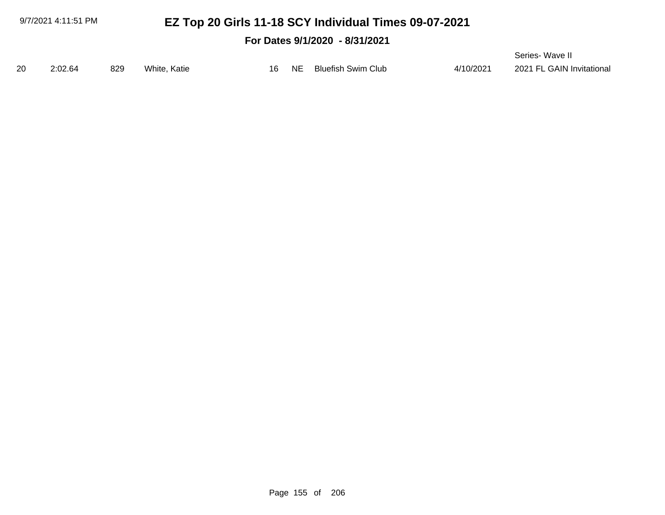#### **For Dates 9/1/2020 - 8/31/2021**

|    |        |     |              |    |    |                    |           | Series- Wave II           |
|----|--------|-----|--------------|----|----|--------------------|-----------|---------------------------|
| 20 | 2.0264 | 829 | White, Katie | 16 | NE | Bluefish Swim Club | 4/10/2021 | 2021 FL GAIN Invitational |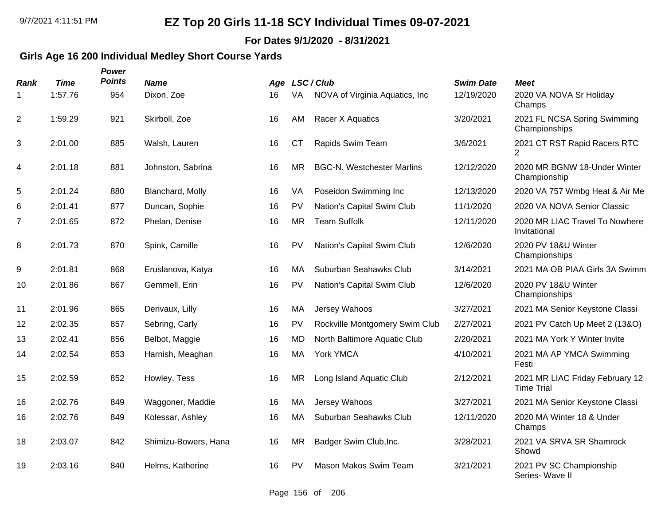**For Dates 9/1/2020 - 8/31/2021**

### **Girls Age 16 200 Individual Medley Short Course Yards**

| Rank           | <b>Time</b> | Power<br><b>Points</b> | <b>Name</b>          |    |           | Age LSC/Club                      | <b>Swim Date</b> | <b>Meet</b>                                          |
|----------------|-------------|------------------------|----------------------|----|-----------|-----------------------------------|------------------|------------------------------------------------------|
| -1             | 1:57.76     | 954                    | Dixon, Zoe           | 16 | VA        | NOVA of Virginia Aquatics, Inc    | 12/19/2020       | 2020 VA NOVA Sr Holiday<br>Champs                    |
| $\overline{2}$ | 1:59.29     | 921                    | Skirboll, Zoe        | 16 | AM        | Racer X Aquatics                  | 3/20/2021        | 2021 FL NCSA Spring Swimming<br>Championships        |
| 3              | 2:01.00     | 885                    | Walsh, Lauren        | 16 | <b>CT</b> | Rapids Swim Team                  | 3/6/2021         | 2021 CT RST Rapid Racers RTC<br>2                    |
| 4              | 2:01.18     | 881                    | Johnston, Sabrina    | 16 | <b>MR</b> | <b>BGC-N. Westchester Marlins</b> | 12/12/2020       | 2020 MR BGNW 18-Under Winter<br>Championship         |
| 5              | 2:01.24     | 880                    | Blanchard, Molly     | 16 | VA        | Poseidon Swimming Inc             | 12/13/2020       | 2020 VA 757 Wmbg Heat & Air Me                       |
| 6              | 2:01.41     | 877                    | Duncan, Sophie       | 16 | PV        | Nation's Capital Swim Club        | 11/1/2020        | 2020 VA NOVA Senior Classic                          |
| $\overline{7}$ | 2:01.65     | 872                    | Phelan, Denise       | 16 | <b>MR</b> | <b>Team Suffolk</b>               | 12/11/2020       | 2020 MR LIAC Travel To Nowhere<br>Invitational       |
| 8              | 2:01.73     | 870                    | Spink, Camille       | 16 | PV        | Nation's Capital Swim Club        | 12/6/2020        | 2020 PV 18&U Winter<br>Championships                 |
| 9              | 2:01.81     | 868                    | Eruslanova, Katya    | 16 | <b>MA</b> | Suburban Seahawks Club            | 3/14/2021        | 2021 MA OB PIAA Girls 3A Swimm                       |
| 10             | 2:01.86     | 867                    | Gemmell, Erin        | 16 | PV        | Nation's Capital Swim Club        | 12/6/2020        | 2020 PV 18&U Winter<br>Championships                 |
| 11             | 2:01.96     | 865                    | Derivaux, Lilly      | 16 | MA        | Jersey Wahoos                     | 3/27/2021        | 2021 MA Senior Keystone Classi                       |
| 12             | 2:02.35     | 857                    | Sebring, Carly       | 16 | PV        | Rockville Montgomery Swim Club    | 2/27/2021        | 2021 PV Catch Up Meet 2 (13&O)                       |
| 13             | 2:02.41     | 856                    | Belbot, Maggie       | 16 | <b>MD</b> | North Baltimore Aquatic Club      | 2/20/2021        | 2021 MA York Y Winter Invite                         |
| 14             | 2:02.54     | 853                    | Harnish, Meaghan     | 16 | MA        | York YMCA                         | 4/10/2021        | 2021 MA AP YMCA Swimming<br>Festi                    |
| 15             | 2:02.59     | 852                    | Howley, Tess         | 16 | <b>MR</b> | Long Island Aquatic Club          | 2/12/2021        | 2021 MR LIAC Friday February 12<br><b>Time Trial</b> |
| 16             | 2:02.76     | 849                    | Waggoner, Maddie     | 16 | MA        | Jersey Wahoos                     | 3/27/2021        | 2021 MA Senior Keystone Classi                       |
| 16             | 2:02.76     | 849                    | Kolessar, Ashley     | 16 | MA        | Suburban Seahawks Club            | 12/11/2020       | 2020 MA Winter 18 & Under<br>Champs                  |
| 18             | 2:03.07     | 842                    | Shimizu-Bowers, Hana | 16 | <b>MR</b> | Badger Swim Club, Inc.            | 3/28/2021        | 2021 VA SRVA SR Shamrock<br>Showd                    |
| 19             | 2:03.16     | 840                    | Helms, Katherine     | 16 | PV        | Mason Makos Swim Team             | 3/21/2021        | 2021 PV SC Championship<br>Series- Wave II           |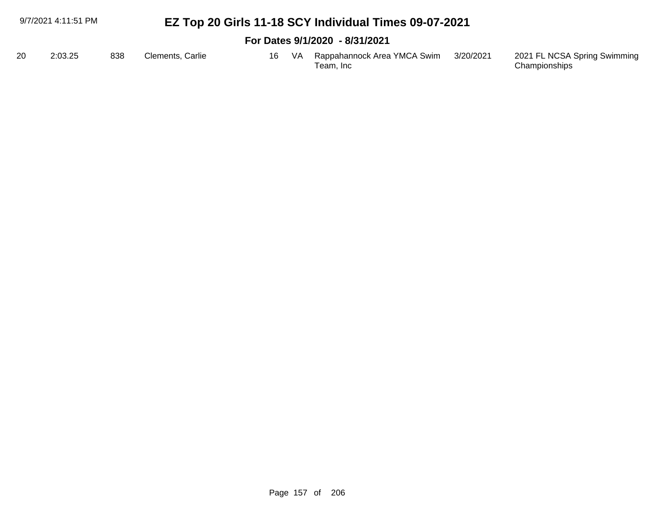| 9/7/2021 4:11:51 PM |         |     |                  |     |     | EZ Top 20 Girls 11-18 SCY Individual Times 09-07-2021 |           |                                               |
|---------------------|---------|-----|------------------|-----|-----|-------------------------------------------------------|-----------|-----------------------------------------------|
|                     |         |     |                  |     |     | For Dates 9/1/2020 - 8/31/2021                        |           |                                               |
| -20                 | 2:03.25 | 838 | Clements, Carlie | 16. | VA. | Rappahannock Area YMCA Swim<br>Team. Inc              | 3/20/2021 | 2021 FL NCSA Spring Swimming<br>Championships |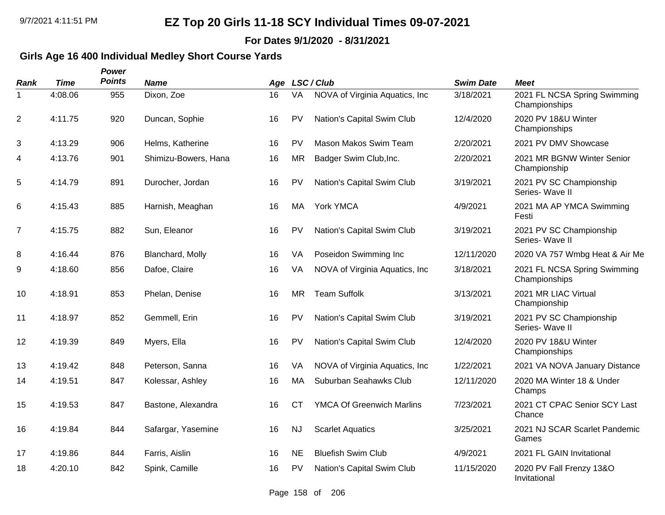**For Dates 9/1/2020 - 8/31/2021**

### **Girls Age 16 400 Individual Medley Short Course Yards**

| <b>Rank</b>    | Time    | <b>Power</b><br><b>Points</b> | <b>Name</b>          | Age |           | LSC / Club                       | <b>Swim Date</b> | <b>Meet</b>                                   |
|----------------|---------|-------------------------------|----------------------|-----|-----------|----------------------------------|------------------|-----------------------------------------------|
| 1              | 4:08.06 | 955                           | Dixon, Zoe           | 16  | VA        | NOVA of Virginia Aquatics, Inc.  | 3/18/2021        | 2021 FL NCSA Spring Swimming<br>Championships |
| $\overline{2}$ | 4:11.75 | 920                           | Duncan, Sophie       | 16  | <b>PV</b> | Nation's Capital Swim Club       | 12/4/2020        | 2020 PV 18&U Winter<br>Championships          |
| 3              | 4:13.29 | 906                           | Helms, Katherine     | 16  | PV        | Mason Makos Swim Team            | 2/20/2021        | 2021 PV DMV Showcase                          |
| 4              | 4:13.76 | 901                           | Shimizu-Bowers, Hana | 16  | <b>MR</b> | Badger Swim Club, Inc.           | 2/20/2021        | 2021 MR BGNW Winter Senior<br>Championship    |
| 5              | 4:14.79 | 891                           | Durocher, Jordan     | 16  | PV        | Nation's Capital Swim Club       | 3/19/2021        | 2021 PV SC Championship<br>Series- Wave II    |
| 6              | 4:15.43 | 885                           | Harnish, Meaghan     | 16  | MA        | York YMCA                        | 4/9/2021         | 2021 MA AP YMCA Swimming<br>Festi             |
| $\overline{7}$ | 4:15.75 | 882                           | Sun, Eleanor         | 16  | PV        | Nation's Capital Swim Club       | 3/19/2021        | 2021 PV SC Championship<br>Series- Wave II    |
| 8              | 4:16.44 | 876                           | Blanchard, Molly     | 16  | VA        | Poseidon Swimming Inc            | 12/11/2020       | 2020 VA 757 Wmbg Heat & Air Me                |
| 9              | 4:18.60 | 856                           | Dafoe, Claire        | 16  | VA        | NOVA of Virginia Aquatics, Inc   | 3/18/2021        | 2021 FL NCSA Spring Swimming<br>Championships |
| 10             | 4:18.91 | 853                           | Phelan, Denise       | 16  | <b>MR</b> | <b>Team Suffolk</b>              | 3/13/2021        | 2021 MR LIAC Virtual<br>Championship          |
| 11             | 4:18.97 | 852                           | Gemmell, Erin        | 16  | PV        | Nation's Capital Swim Club       | 3/19/2021        | 2021 PV SC Championship<br>Series- Wave II    |
| 12             | 4:19.39 | 849                           | Myers, Ella          | 16  | PV        | Nation's Capital Swim Club       | 12/4/2020        | 2020 PV 18&U Winter<br>Championships          |
| 13             | 4:19.42 | 848                           | Peterson, Sanna      | 16  | VA        | NOVA of Virginia Aquatics, Inc.  | 1/22/2021        | 2021 VA NOVA January Distance                 |
| 14             | 4:19.51 | 847                           | Kolessar, Ashley     | 16  | MA        | Suburban Seahawks Club           | 12/11/2020       | 2020 MA Winter 18 & Under<br>Champs           |
| 15             | 4:19.53 | 847                           | Bastone, Alexandra   | 16  | <b>CT</b> | <b>YMCA Of Greenwich Marlins</b> | 7/23/2021        | 2021 CT CPAC Senior SCY Last<br>Chance        |
| 16             | 4:19.84 | 844                           | Safargar, Yasemine   | 16  | <b>NJ</b> | <b>Scarlet Aquatics</b>          | 3/25/2021        | 2021 NJ SCAR Scarlet Pandemic<br>Games        |
| 17             | 4:19.86 | 844                           | Farris, Aislin       | 16  | <b>NE</b> | <b>Bluefish Swim Club</b>        | 4/9/2021         | 2021 FL GAIN Invitational                     |
| 18             | 4:20.10 | 842                           | Spink, Camille       | 16  | PV        | Nation's Capital Swim Club       | 11/15/2020       | 2020 PV Fall Frenzy 13&O<br>Invitational      |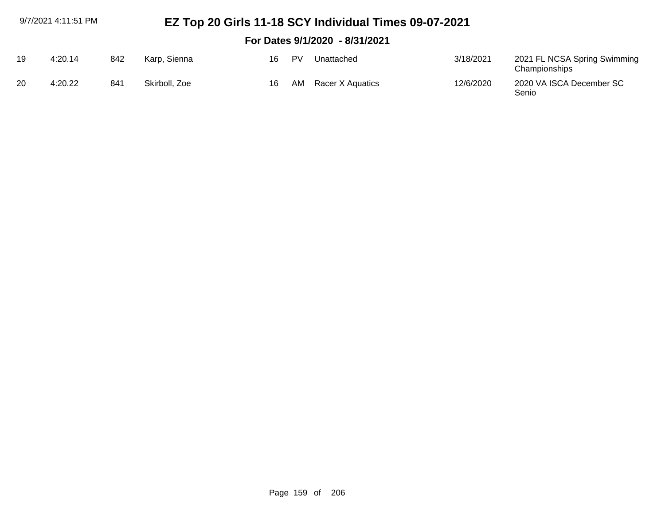|                                | 9/7/2021 4:11:51 PM |     | EZ Top 20 Girls 11-18 SCY Individual Times 09-07-2021 |    |    |                  |           |                                               |  |  |  |
|--------------------------------|---------------------|-----|-------------------------------------------------------|----|----|------------------|-----------|-----------------------------------------------|--|--|--|
| For Dates 9/1/2020 - 8/31/2021 |                     |     |                                                       |    |    |                  |           |                                               |  |  |  |
| 19                             | 4:20.14             | 842 | Karp, Sienna                                          | 16 | PV | Unattached       | 3/18/2021 | 2021 FL NCSA Spring Swimming<br>Championships |  |  |  |
| 20                             | 4:20.22             | 841 | Skirboll, Zoe                                         | 16 | AM | Racer X Aquatics | 12/6/2020 | 2020 VA ISCA December SC<br>Senio             |  |  |  |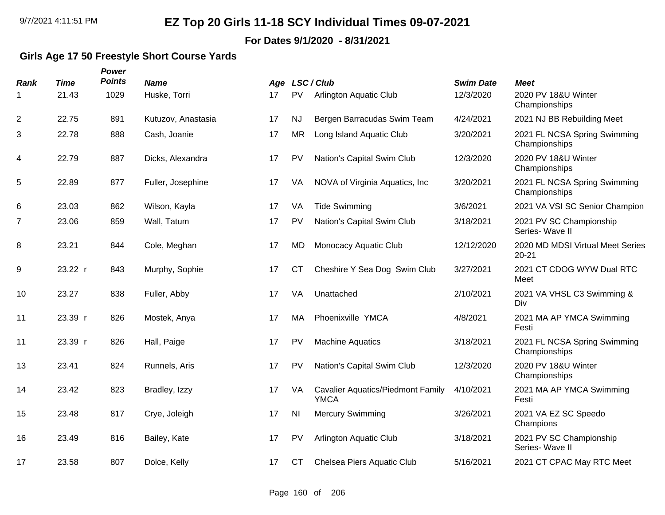**For Dates 9/1/2020 - 8/31/2021**

### **Girls Age 17 50 Freestyle Short Course Yards**

| Rank                     | <b>Time</b> | Power<br><b>Points</b> | <b>Name</b>        |    |           | Age LSC/Club                                            | <b>Swim Date</b> | <b>Meet</b>                                   |
|--------------------------|-------------|------------------------|--------------------|----|-----------|---------------------------------------------------------|------------------|-----------------------------------------------|
| 1                        | 21.43       | 1029                   | Huske, Torri       | 17 | <b>PV</b> | <b>Arlington Aquatic Club</b>                           | 12/3/2020        | 2020 PV 18&U Winter<br>Championships          |
| $\overline{2}$           | 22.75       | 891                    | Kutuzov, Anastasia | 17 | <b>NJ</b> | Bergen Barracudas Swim Team                             | 4/24/2021        | 2021 NJ BB Rebuilding Meet                    |
| 3                        | 22.78       | 888                    | Cash, Joanie       | 17 | <b>MR</b> | Long Island Aquatic Club                                | 3/20/2021        | 2021 FL NCSA Spring Swimming<br>Championships |
| $\overline{\mathcal{A}}$ | 22.79       | 887                    | Dicks, Alexandra   | 17 | <b>PV</b> | Nation's Capital Swim Club                              | 12/3/2020        | 2020 PV 18&U Winter<br>Championships          |
| 5                        | 22.89       | 877                    | Fuller, Josephine  | 17 | VA        | NOVA of Virginia Aquatics, Inc.                         | 3/20/2021        | 2021 FL NCSA Spring Swimming<br>Championships |
| 6                        | 23.03       | 862                    | Wilson, Kayla      | 17 | VA        | <b>Tide Swimming</b>                                    | 3/6/2021         | 2021 VA VSI SC Senior Champion                |
| $\overline{7}$           | 23.06       | 859                    | Wall, Tatum        | 17 | <b>PV</b> | Nation's Capital Swim Club                              | 3/18/2021        | 2021 PV SC Championship<br>Series- Wave II    |
| 8                        | 23.21       | 844                    | Cole, Meghan       | 17 | <b>MD</b> | Monocacy Aquatic Club                                   | 12/12/2020       | 2020 MD MDSI Virtual Meet Series<br>$20 - 21$ |
| 9                        | 23.22 r     | 843                    | Murphy, Sophie     | 17 | <b>CT</b> | Cheshire Y Sea Dog Swim Club                            | 3/27/2021        | 2021 CT CDOG WYW Dual RTC<br>Meet             |
| 10                       | 23.27       | 838                    | Fuller, Abby       | 17 | VA        | Unattached                                              | 2/10/2021        | 2021 VA VHSL C3 Swimming &<br>Div             |
| 11                       | 23.39 r     | 826                    | Mostek, Anya       | 17 | MA        | Phoenixville YMCA                                       | 4/8/2021         | 2021 MA AP YMCA Swimming<br>Festi             |
| 11                       | 23.39 r     | 826                    | Hall, Paige        | 17 | <b>PV</b> | <b>Machine Aquatics</b>                                 | 3/18/2021        | 2021 FL NCSA Spring Swimming<br>Championships |
| 13                       | 23.41       | 824                    | Runnels, Aris      | 17 | <b>PV</b> | Nation's Capital Swim Club                              | 12/3/2020        | 2020 PV 18&U Winter<br>Championships          |
| 14                       | 23.42       | 823                    | Bradley, Izzy      | 17 | VA        | <b>Cavalier Aquatics/Piedmont Family</b><br><b>YMCA</b> | 4/10/2021        | 2021 MA AP YMCA Swimming<br>Festi             |
| 15                       | 23.48       | 817                    | Crye, Joleigh      | 17 | <b>NI</b> | <b>Mercury Swimming</b>                                 | 3/26/2021        | 2021 VA EZ SC Speedo<br>Champions             |
| 16                       | 23.49       | 816                    | Bailey, Kate       | 17 | <b>PV</b> | Arlington Aquatic Club                                  | 3/18/2021        | 2021 PV SC Championship<br>Series- Wave II    |
| 17                       | 23.58       | 807                    | Dolce, Kelly       | 17 | <b>CT</b> | Chelsea Piers Aquatic Club                              | 5/16/2021        | 2021 CT CPAC May RTC Meet                     |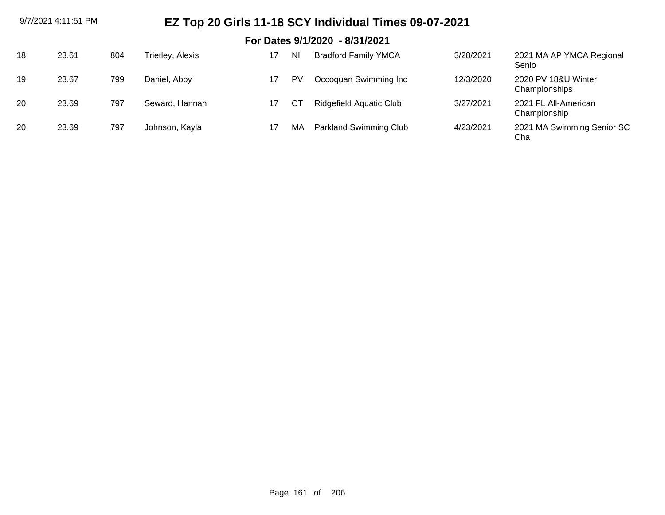| 9/7/2021 4:11:51 PM |       |     | EZ Top 20 Girls 11-18 SCY Individual Times 09-07-2021 |    |           |                                |           |                                      |  |  |  |  |  |  |
|---------------------|-------|-----|-------------------------------------------------------|----|-----------|--------------------------------|-----------|--------------------------------------|--|--|--|--|--|--|
|                     |       |     | For Dates 9/1/2020 - 8/31/2021                        |    |           |                                |           |                                      |  |  |  |  |  |  |
| 18                  | 23.61 | 804 | Trietley, Alexis                                      | 17 | <b>NI</b> | <b>Bradford Family YMCA</b>    | 3/28/2021 | 2021 MA AP YMCA Regional<br>Senio    |  |  |  |  |  |  |
| 19                  | 23.67 | 799 | Daniel, Abby                                          | 17 | PV        | Occoquan Swimming Inc          | 12/3/2020 | 2020 PV 18&U Winter<br>Championships |  |  |  |  |  |  |
| 20                  | 23.69 | 797 | Seward, Hannah                                        | 17 | CТ        | <b>Ridgefield Aquatic Club</b> | 3/27/2021 | 2021 FL All-American<br>Championship |  |  |  |  |  |  |
| 20                  | 23.69 | 797 | Johnson, Kayla                                        | 17 | MA        | Parkland Swimming Club         | 4/23/2021 | 2021 MA Swimming Senior SC<br>Cha    |  |  |  |  |  |  |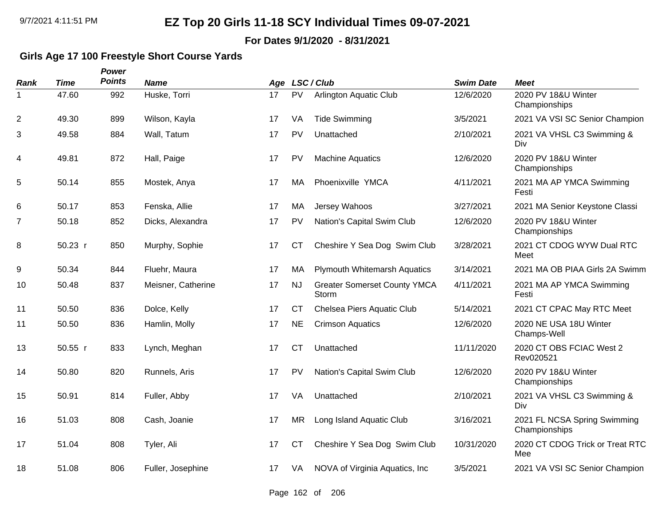#### **For Dates 9/1/2020 - 8/31/2021**

### **Girls Age 17 100 Freestyle Short Course Yards**

| Rank           | <b>Time</b> | Power<br><b>Points</b> | <b>Name</b>        |    |           | Age LSC/Club                                 | <b>Swim Date</b> | <b>Meet</b>                                   |
|----------------|-------------|------------------------|--------------------|----|-----------|----------------------------------------------|------------------|-----------------------------------------------|
| 1              | 47.60       | 992                    | Huske, Torri       | 17 | PV        | <b>Arlington Aquatic Club</b>                | 12/6/2020        | 2020 PV 18&U Winter<br>Championships          |
| 2              | 49.30       | 899                    | Wilson, Kayla      | 17 | VA        | <b>Tide Swimming</b>                         | 3/5/2021         | 2021 VA VSI SC Senior Champion                |
| 3              | 49.58       | 884                    | Wall, Tatum        | 17 | PV        | Unattached                                   | 2/10/2021        | 2021 VA VHSL C3 Swimming &<br>Div             |
| 4              | 49.81       | 872                    | Hall, Paige        | 17 | <b>PV</b> | <b>Machine Aquatics</b>                      | 12/6/2020        | 2020 PV 18&U Winter<br>Championships          |
| 5              | 50.14       | 855                    | Mostek, Anya       | 17 | МA        | Phoenixville YMCA                            | 4/11/2021        | 2021 MA AP YMCA Swimming<br>Festi             |
| 6              | 50.17       | 853                    | Fenska, Allie      | 17 | МA        | Jersey Wahoos                                | 3/27/2021        | 2021 MA Senior Keystone Classi                |
| $\overline{7}$ | 50.18       | 852                    | Dicks, Alexandra   | 17 | PV        | Nation's Capital Swim Club                   | 12/6/2020        | 2020 PV 18&U Winter<br>Championships          |
| 8              | $50.23$ r   | 850                    | Murphy, Sophie     | 17 | <b>CT</b> | Cheshire Y Sea Dog Swim Club                 | 3/28/2021        | 2021 CT CDOG WYW Dual RTC<br>Meet             |
| 9              | 50.34       | 844                    | Fluehr, Maura      | 17 | MA        | <b>Plymouth Whitemarsh Aquatics</b>          | 3/14/2021        | 2021 MA OB PIAA Girls 2A Swimm                |
| 10             | 50.48       | 837                    | Meisner, Catherine | 17 | <b>NJ</b> | <b>Greater Somerset County YMCA</b><br>Storm | 4/11/2021        | 2021 MA AP YMCA Swimming<br>Festi             |
| 11             | 50.50       | 836                    | Dolce, Kelly       | 17 | <b>CT</b> | Chelsea Piers Aquatic Club                   | 5/14/2021        | 2021 CT CPAC May RTC Meet                     |
| 11             | 50.50       | 836                    | Hamlin, Molly      | 17 | <b>NE</b> | <b>Crimson Aquatics</b>                      | 12/6/2020        | 2020 NE USA 18U Winter<br>Champs-Well         |
| 13             | $50.55$ r   | 833                    | Lynch, Meghan      | 17 | <b>CT</b> | Unattached                                   | 11/11/2020       | 2020 CT OBS FCIAC West 2<br>Rev020521         |
| 14             | 50.80       | 820                    | Runnels, Aris      | 17 | <b>PV</b> | Nation's Capital Swim Club                   | 12/6/2020        | 2020 PV 18&U Winter<br>Championships          |
| 15             | 50.91       | 814                    | Fuller, Abby       | 17 | VA        | Unattached                                   | 2/10/2021        | 2021 VA VHSL C3 Swimming &<br>Div             |
| 16             | 51.03       | 808                    | Cash, Joanie       | 17 | <b>MR</b> | Long Island Aquatic Club                     | 3/16/2021        | 2021 FL NCSA Spring Swimming<br>Championships |
| 17             | 51.04       | 808                    | Tyler, Ali         | 17 | <b>CT</b> | Cheshire Y Sea Dog Swim Club                 | 10/31/2020       | 2020 CT CDOG Trick or Treat RTC<br>Mee        |
| 18             | 51.08       | 806                    | Fuller, Josephine  | 17 | VA        | NOVA of Virginia Aquatics, Inc.              | 3/5/2021         | 2021 VA VSI SC Senior Champion                |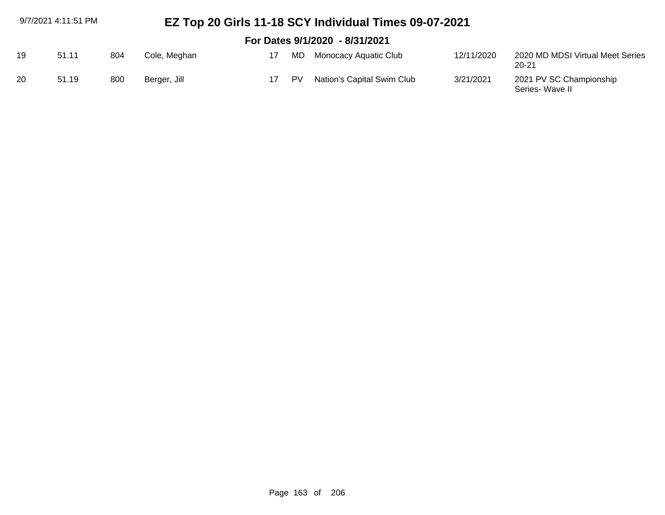| 9/7/2021 4:11:51 PM |       |     |              |           | EZ Top 20 Girls 11-18 SCY Individual Times 09-07-2021 |            |                                               |  |  |  |  |
|---------------------|-------|-----|--------------|-----------|-------------------------------------------------------|------------|-----------------------------------------------|--|--|--|--|
|                     |       |     |              |           |                                                       |            |                                               |  |  |  |  |
| 19                  | 51.11 | 804 | Cole, Meghan | MD.       | Monocacy Aquatic Club                                 | 12/11/2020 | 2020 MD MDSI Virtual Meet Series<br>$20 - 21$ |  |  |  |  |
| 20                  | 51.19 | 800 | Berger, Jill | <b>PV</b> | Nation's Capital Swim Club                            | 3/21/2021  | 2021 PV SC Championship<br>Series- Wave II    |  |  |  |  |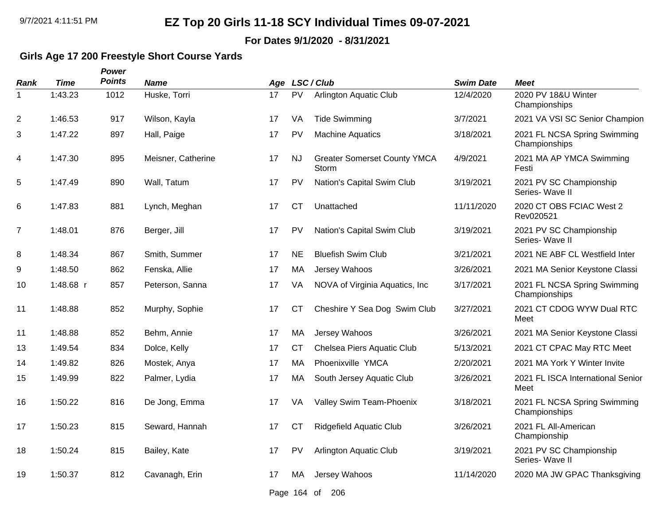#### **For Dates 9/1/2020 - 8/31/2021**

### **Girls Age 17 200 Freestyle Short Course Yards**

| <b>Rank</b> | <b>Time</b> | Power<br><b>Points</b> | <b>Name</b>        |    |             | Age LSC/Club                                 | <b>Swim Date</b> | <b>Meet</b>                                   |
|-------------|-------------|------------------------|--------------------|----|-------------|----------------------------------------------|------------------|-----------------------------------------------|
| -1          | 1:43.23     | 1012                   | Huske, Torri       | 17 | <b>PV</b>   | <b>Arlington Aquatic Club</b>                | 12/4/2020        | 2020 PV 18&U Winter<br>Championships          |
| 2           | 1:46.53     | 917                    | Wilson, Kayla      | 17 | VA          | <b>Tide Swimming</b>                         | 3/7/2021         | 2021 VA VSI SC Senior Champion                |
| 3           | 1:47.22     | 897                    | Hall, Paige        | 17 | PV          | <b>Machine Aquatics</b>                      | 3/18/2021        | 2021 FL NCSA Spring Swimming<br>Championships |
| 4           | 1:47.30     | 895                    | Meisner, Catherine | 17 | <b>NJ</b>   | <b>Greater Somerset County YMCA</b><br>Storm | 4/9/2021         | 2021 MA AP YMCA Swimming<br>Festi             |
| 5           | 1:47.49     | 890                    | Wall, Tatum        | 17 | PV          | Nation's Capital Swim Club                   | 3/19/2021        | 2021 PV SC Championship<br>Series- Wave II    |
| 6           | 1:47.83     | 881                    | Lynch, Meghan      | 17 | <b>CT</b>   | Unattached                                   | 11/11/2020       | 2020 CT OBS FCIAC West 2<br>Rev020521         |
| 7           | 1:48.01     | 876                    | Berger, Jill       | 17 | PV          | Nation's Capital Swim Club                   | 3/19/2021        | 2021 PV SC Championship<br>Series- Wave II    |
| 8           | 1:48.34     | 867                    | Smith, Summer      | 17 | <b>NE</b>   | <b>Bluefish Swim Club</b>                    | 3/21/2021        | 2021 NE ABF CL Westfield Inter                |
| 9           | 1:48.50     | 862                    | Fenska, Allie      | 17 | МA          | Jersey Wahoos                                | 3/26/2021        | 2021 MA Senior Keystone Classi                |
| 10          | 1:48.68 r   | 857                    | Peterson, Sanna    | 17 | VA          | NOVA of Virginia Aquatics, Inc.              | 3/17/2021        | 2021 FL NCSA Spring Swimming<br>Championships |
| 11          | 1:48.88     | 852                    | Murphy, Sophie     | 17 | <b>CT</b>   | Cheshire Y Sea Dog Swim Club                 | 3/27/2021        | 2021 CT CDOG WYW Dual RTC<br>Meet             |
| 11          | 1:48.88     | 852                    | Behm, Annie        | 17 | MA          | Jersey Wahoos                                | 3/26/2021        | 2021 MA Senior Keystone Classi                |
| 13          | 1:49.54     | 834                    | Dolce, Kelly       | 17 | <b>CT</b>   | Chelsea Piers Aquatic Club                   | 5/13/2021        | 2021 CT CPAC May RTC Meet                     |
| 14          | 1:49.82     | 826                    | Mostek, Anya       | 17 | MA          | Phoenixville YMCA                            | 2/20/2021        | 2021 MA York Y Winter Invite                  |
| 15          | 1:49.99     | 822                    | Palmer, Lydia      | 17 | MA          | South Jersey Aquatic Club                    | 3/26/2021        | 2021 FL ISCA International Senior<br>Meet     |
| 16          | 1:50.22     | 816                    | De Jong, Emma      | 17 | VA          | Valley Swim Team-Phoenix                     | 3/18/2021        | 2021 FL NCSA Spring Swimming<br>Championships |
| 17          | 1:50.23     | 815                    | Seward, Hannah     | 17 | <b>CT</b>   | <b>Ridgefield Aquatic Club</b>               | 3/26/2021        | 2021 FL All-American<br>Championship          |
| 18          | 1:50.24     | 815                    | Bailey, Kate       | 17 | PV          | <b>Arlington Aquatic Club</b>                | 3/19/2021        | 2021 PV SC Championship<br>Series- Wave II    |
| 19          | 1:50.37     | 812                    | Cavanagh, Erin     | 17 | МA          | Jersey Wahoos                                | 11/14/2020       | 2020 MA JW GPAC Thanksgiving                  |
|             |             |                        |                    |    | Page 164 of | 206                                          |                  |                                               |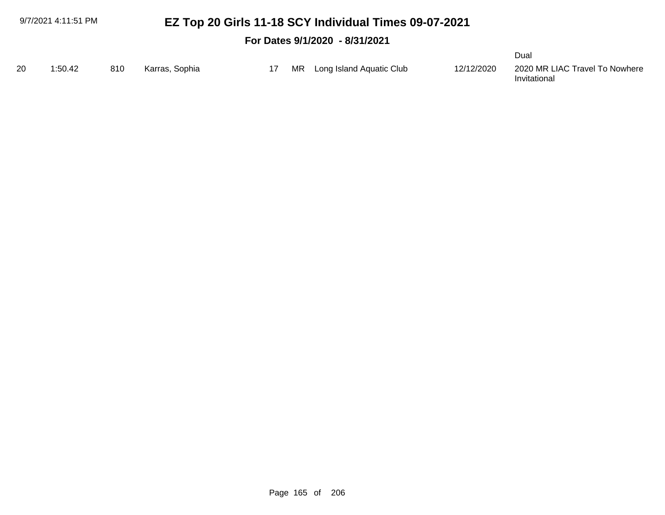#### **For Dates 9/1/2020 - 8/31/2021**

| 20 | 1:50.42 | 810 Karras, Sophia |  | 17 MR Long Island Aquatic Club | 12/12/2020 2020 MR LIAC Travel To Nowhere |
|----|---------|--------------------|--|--------------------------------|-------------------------------------------|
|    |         |                    |  |                                | Invitational                              |

Dual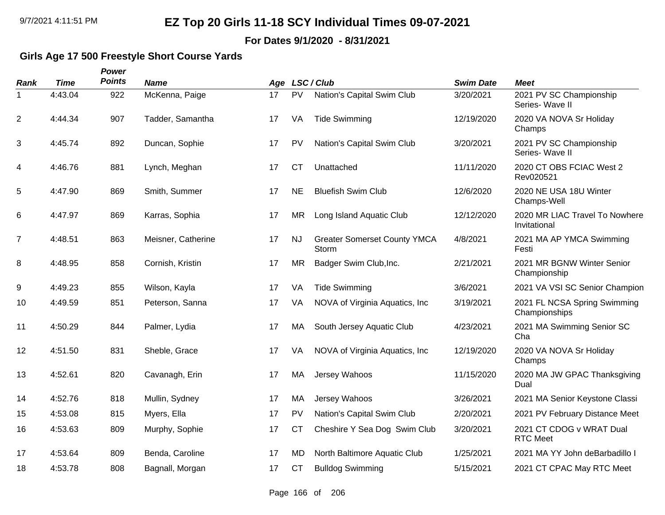**For Dates 9/1/2020 - 8/31/2021**

### **Girls Age 17 500 Freestyle Short Course Yards**

| <b>Rank</b>    | <b>Time</b> | Power<br><b>Points</b> | <b>Name</b>        |    |           | Age LSC/Club                                 | <b>Swim Date</b> | <b>Meet</b>                                    |
|----------------|-------------|------------------------|--------------------|----|-----------|----------------------------------------------|------------------|------------------------------------------------|
| 1              | 4:43.04     | 922                    | McKenna, Paige     | 17 | <b>PV</b> | Nation's Capital Swim Club                   | 3/20/2021        | 2021 PV SC Championship<br>Series- Wave II     |
| $\overline{2}$ | 4:44.34     | 907                    | Tadder, Samantha   | 17 | VA        | <b>Tide Swimming</b>                         | 12/19/2020       | 2020 VA NOVA Sr Holiday<br>Champs              |
| 3              | 4:45.74     | 892                    | Duncan, Sophie     | 17 | <b>PV</b> | Nation's Capital Swim Club                   | 3/20/2021        | 2021 PV SC Championship<br>Series- Wave II     |
| 4              | 4:46.76     | 881                    | Lynch, Meghan      | 17 | <b>CT</b> | Unattached                                   | 11/11/2020       | 2020 CT OBS FCIAC West 2<br>Rev020521          |
| 5              | 4:47.90     | 869                    | Smith, Summer      | 17 | <b>NE</b> | <b>Bluefish Swim Club</b>                    | 12/6/2020        | 2020 NE USA 18U Winter<br>Champs-Well          |
| 6              | 4:47.97     | 869                    | Karras, Sophia     | 17 | <b>MR</b> | Long Island Aquatic Club                     | 12/12/2020       | 2020 MR LIAC Travel To Nowhere<br>Invitational |
| $\overline{7}$ | 4:48.51     | 863                    | Meisner, Catherine | 17 | <b>NJ</b> | <b>Greater Somerset County YMCA</b><br>Storm | 4/8/2021         | 2021 MA AP YMCA Swimming<br>Festi              |
| 8              | 4:48.95     | 858                    | Cornish, Kristin   | 17 | <b>MR</b> | Badger Swim Club, Inc.                       | 2/21/2021        | 2021 MR BGNW Winter Senior<br>Championship     |
| 9              | 4:49.23     | 855                    | Wilson, Kayla      | 17 | VA        | <b>Tide Swimming</b>                         | 3/6/2021         | 2021 VA VSI SC Senior Champion                 |
| 10             | 4:49.59     | 851                    | Peterson, Sanna    | 17 | VA        | NOVA of Virginia Aquatics, Inc.              | 3/19/2021        | 2021 FL NCSA Spring Swimming<br>Championships  |
| 11             | 4:50.29     | 844                    | Palmer, Lydia      | 17 | МA        | South Jersey Aquatic Club                    | 4/23/2021        | 2021 MA Swimming Senior SC<br>Cha              |
| 12             | 4:51.50     | 831                    | Sheble, Grace      | 17 | VA        | NOVA of Virginia Aquatics, Inc               | 12/19/2020       | 2020 VA NOVA Sr Holiday<br>Champs              |
| 13             | 4:52.61     | 820                    | Cavanagh, Erin     | 17 | MA        | Jersey Wahoos                                | 11/15/2020       | 2020 MA JW GPAC Thanksgiving<br>Dual           |
| 14             | 4:52.76     | 818                    | Mullin, Sydney     | 17 | MA        | Jersey Wahoos                                | 3/26/2021        | 2021 MA Senior Keystone Classi                 |
| 15             | 4:53.08     | 815                    | Myers, Ella        | 17 | <b>PV</b> | Nation's Capital Swim Club                   | 2/20/2021        | 2021 PV February Distance Meet                 |
| 16             | 4:53.63     | 809                    | Murphy, Sophie     | 17 | <b>CT</b> | Cheshire Y Sea Dog Swim Club                 | 3/20/2021        | 2021 CT CDOG v WRAT Dual<br><b>RTC Meet</b>    |
| 17             | 4:53.64     | 809                    | Benda, Caroline    | 17 | <b>MD</b> | North Baltimore Aquatic Club                 | 1/25/2021        | 2021 MA YY John deBarbadillo I                 |
| 18             | 4:53.78     | 808                    | Bagnall, Morgan    | 17 | <b>CT</b> | <b>Bulldog Swimming</b>                      | 5/15/2021        | 2021 CT CPAC May RTC Meet                      |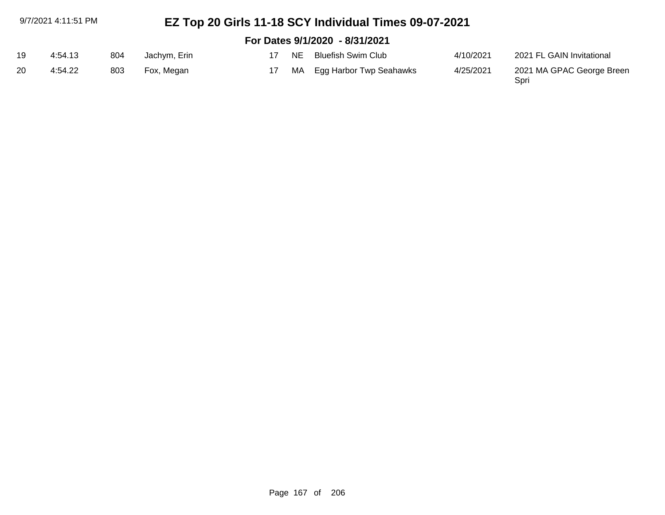|    | 9/7/2021 4:11:51 PM            |     |              |    | EZ Top 20 Girls 11-18 SCY Individual Times 09-07-2021 |                            |           |                           |  |  |  |  |
|----|--------------------------------|-----|--------------|----|-------------------------------------------------------|----------------------------|-----------|---------------------------|--|--|--|--|
|    | For Dates 9/1/2020 - 8/31/2021 |     |              |    |                                                       |                            |           |                           |  |  |  |  |
| 19 | 4:54.13                        | 804 | Jachym, Erin | 17 |                                                       | NE Bluefish Swim Club      | 4/10/2021 | 2021 FL GAIN Invitational |  |  |  |  |
| 20 | 4:54.22                        | 803 | Fox, Megan   |    |                                                       | MA Egg Harbor Twp Seahawks | 4/25/2021 | 2021 MA GPAC George Breen |  |  |  |  |

2021 l<br>Spri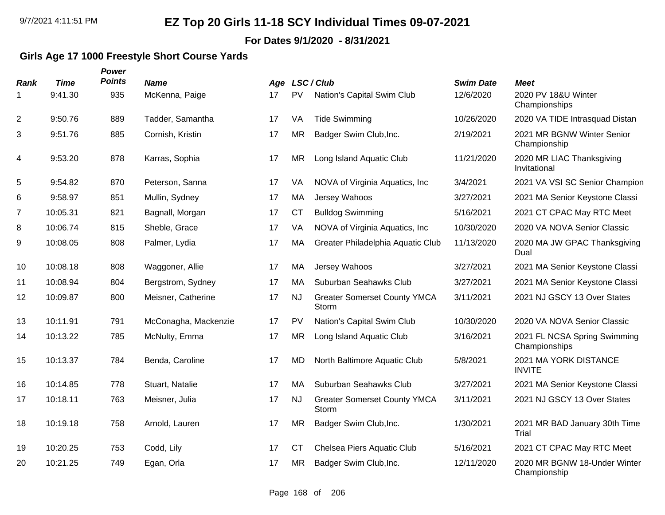**For Dates 9/1/2020 - 8/31/2021**

### **Girls Age 17 1000 Freestyle Short Course Yards**

| <b>Rank</b>    | <b>Time</b> | Power<br><b>Points</b> | <b>Name</b>          |    |           | Age LSC/Club                                        | <b>Swim Date</b> | <b>Meet</b>                                   |
|----------------|-------------|------------------------|----------------------|----|-----------|-----------------------------------------------------|------------------|-----------------------------------------------|
| 1              | 9:41.30     | 935                    | McKenna, Paige       | 17 | <b>PV</b> | Nation's Capital Swim Club                          | 12/6/2020        | 2020 PV 18&U Winter<br>Championships          |
| $\overline{2}$ | 9:50.76     | 889                    | Tadder, Samantha     | 17 | VA        | <b>Tide Swimming</b>                                | 10/26/2020       | 2020 VA TIDE Intrasquad Distan                |
| 3              | 9:51.76     | 885                    | Cornish, Kristin     | 17 | <b>MR</b> | Badger Swim Club, Inc.                              | 2/19/2021        | 2021 MR BGNW Winter Senior<br>Championship    |
| 4              | 9:53.20     | 878                    | Karras, Sophia       | 17 | <b>MR</b> | Long Island Aquatic Club                            | 11/21/2020       | 2020 MR LIAC Thanksgiving<br>Invitational     |
| 5              | 9:54.82     | 870                    | Peterson, Sanna      | 17 | VA        | NOVA of Virginia Aquatics, Inc.                     | 3/4/2021         | 2021 VA VSI SC Senior Champion                |
| 6              | 9:58.97     | 851                    | Mullin, Sydney       | 17 | MA        | Jersey Wahoos                                       | 3/27/2021        | 2021 MA Senior Keystone Classi                |
| $\overline{7}$ | 10:05.31    | 821                    | Bagnall, Morgan      | 17 | <b>CT</b> | <b>Bulldog Swimming</b>                             | 5/16/2021        | 2021 CT CPAC May RTC Meet                     |
| 8              | 10:06.74    | 815                    | Sheble, Grace        | 17 | VA        | NOVA of Virginia Aquatics, Inc                      | 10/30/2020       | 2020 VA NOVA Senior Classic                   |
| 9              | 10:08.05    | 808                    | Palmer, Lydia        | 17 | MA        | Greater Philadelphia Aquatic Club                   | 11/13/2020       | 2020 MA JW GPAC Thanksgiving<br>Dual          |
| 10             | 10:08.18    | 808                    | Waggoner, Allie      | 17 | MA        | Jersey Wahoos                                       | 3/27/2021        | 2021 MA Senior Keystone Classi                |
| 11             | 10:08.94    | 804                    | Bergstrom, Sydney    | 17 | MA        | Suburban Seahawks Club                              | 3/27/2021        | 2021 MA Senior Keystone Classi                |
| 12             | 10:09.87    | 800                    | Meisner, Catherine   | 17 | <b>NJ</b> | <b>Greater Somerset County YMCA</b><br>Storm        | 3/11/2021        | 2021 NJ GSCY 13 Over States                   |
| 13             | 10:11.91    | 791                    | McConagha, Mackenzie | 17 | PV        | Nation's Capital Swim Club                          | 10/30/2020       | 2020 VA NOVA Senior Classic                   |
| 14             | 10:13.22    | 785                    | McNulty, Emma        | 17 | <b>MR</b> | Long Island Aquatic Club                            | 3/16/2021        | 2021 FL NCSA Spring Swimming<br>Championships |
| 15             | 10:13.37    | 784                    | Benda, Caroline      | 17 | MD        | North Baltimore Aquatic Club                        | 5/8/2021         | 2021 MA YORK DISTANCE<br><b>INVITE</b>        |
| 16             | 10:14.85    | 778                    | Stuart, Natalie      | 17 | MA        | Suburban Seahawks Club                              | 3/27/2021        | 2021 MA Senior Keystone Classi                |
| 17             | 10:18.11    | 763                    | Meisner, Julia       | 17 | <b>NJ</b> | <b>Greater Somerset County YMCA</b><br><b>Storm</b> | 3/11/2021        | 2021 NJ GSCY 13 Over States                   |
| 18             | 10:19.18    | 758                    | Arnold, Lauren       | 17 | <b>MR</b> | Badger Swim Club, Inc.                              | 1/30/2021        | 2021 MR BAD January 30th Time<br>Trial        |
| 19             | 10:20.25    | 753                    | Codd, Lily           | 17 | <b>CT</b> | Chelsea Piers Aquatic Club                          | 5/16/2021        | 2021 CT CPAC May RTC Meet                     |
| 20             | 10:21.25    | 749                    | Egan, Orla           | 17 | <b>MR</b> | Badger Swim Club, Inc.                              | 12/11/2020       | 2020 MR BGNW 18-Under Winter<br>Championship  |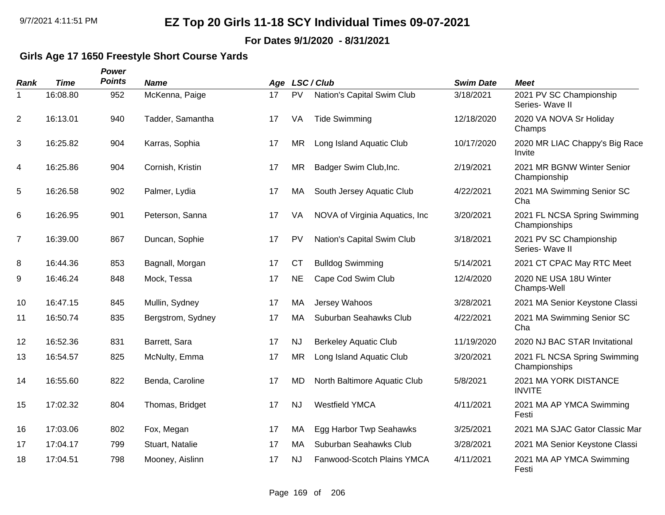**For Dates 9/1/2020 - 8/31/2021**

### **Girls Age 17 1650 Freestyle Short Course Yards**

| Rank           | <b>Time</b> | Power<br><b>Points</b> | <b>Name</b>       |    |           | Age LSC/Club                    | <b>Swim Date</b> | <b>Meet</b>                                   |
|----------------|-------------|------------------------|-------------------|----|-----------|---------------------------------|------------------|-----------------------------------------------|
| $\mathbf 1$    | 16:08.80    | 952                    | McKenna, Paige    | 17 | PV        | Nation's Capital Swim Club      | 3/18/2021        | 2021 PV SC Championship<br>Series- Wave II    |
| 2              | 16:13.01    | 940                    | Tadder, Samantha  | 17 | VA        | <b>Tide Swimming</b>            | 12/18/2020       | 2020 VA NOVA Sr Holiday<br>Champs             |
| 3              | 16:25.82    | 904                    | Karras, Sophia    | 17 | <b>MR</b> | Long Island Aquatic Club        | 10/17/2020       | 2020 MR LIAC Chappy's Big Race<br>Invite      |
| 4              | 16:25.86    | 904                    | Cornish, Kristin  | 17 | <b>MR</b> | Badger Swim Club, Inc.          | 2/19/2021        | 2021 MR BGNW Winter Senior<br>Championship    |
| 5              | 16:26.58    | 902                    | Palmer, Lydia     | 17 | MA        | South Jersey Aquatic Club       | 4/22/2021        | 2021 MA Swimming Senior SC<br>Cha             |
| 6              | 16:26.95    | 901                    | Peterson, Sanna   | 17 | VA        | NOVA of Virginia Aquatics, Inc. | 3/20/2021        | 2021 FL NCSA Spring Swimming<br>Championships |
| $\overline{7}$ | 16:39.00    | 867                    | Duncan, Sophie    | 17 | <b>PV</b> | Nation's Capital Swim Club      | 3/18/2021        | 2021 PV SC Championship<br>Series- Wave II    |
| 8              | 16:44.36    | 853                    | Bagnall, Morgan   | 17 | <b>CT</b> | <b>Bulldog Swimming</b>         | 5/14/2021        | 2021 CT CPAC May RTC Meet                     |
| 9              | 16:46.24    | 848                    | Mock, Tessa       | 17 | <b>NE</b> | Cape Cod Swim Club              | 12/4/2020        | 2020 NE USA 18U Winter<br>Champs-Well         |
| 10             | 16:47.15    | 845                    | Mullin, Sydney    | 17 | MA        | Jersey Wahoos                   | 3/28/2021        | 2021 MA Senior Keystone Classi                |
| 11             | 16:50.74    | 835                    | Bergstrom, Sydney | 17 | MA        | Suburban Seahawks Club          | 4/22/2021        | 2021 MA Swimming Senior SC<br>Cha             |
| 12             | 16:52.36    | 831                    | Barrett, Sara     | 17 | <b>NJ</b> | <b>Berkeley Aquatic Club</b>    | 11/19/2020       | 2020 NJ BAC STAR Invitational                 |
| 13             | 16:54.57    | 825                    | McNulty, Emma     | 17 | <b>MR</b> | Long Island Aquatic Club        | 3/20/2021        | 2021 FL NCSA Spring Swimming<br>Championships |
| 14             | 16:55.60    | 822                    | Benda, Caroline   | 17 | <b>MD</b> | North Baltimore Aquatic Club    | 5/8/2021         | 2021 MA YORK DISTANCE<br><b>INVITE</b>        |
| 15             | 17:02.32    | 804                    | Thomas, Bridget   | 17 | <b>NJ</b> | <b>Westfield YMCA</b>           | 4/11/2021        | 2021 MA AP YMCA Swimming<br>Festi             |
| 16             | 17:03.06    | 802                    | Fox, Megan        | 17 | MA        | Egg Harbor Twp Seahawks         | 3/25/2021        | 2021 MA SJAC Gator Classic Mar                |
| 17             | 17:04.17    | 799                    | Stuart, Natalie   | 17 | MA        | Suburban Seahawks Club          | 3/28/2021        | 2021 MA Senior Keystone Classi                |
| 18             | 17:04.51    | 798                    | Mooney, Aislinn   | 17 | <b>NJ</b> | Fanwood-Scotch Plains YMCA      | 4/11/2021        | 2021 MA AP YMCA Swimming<br>Festi             |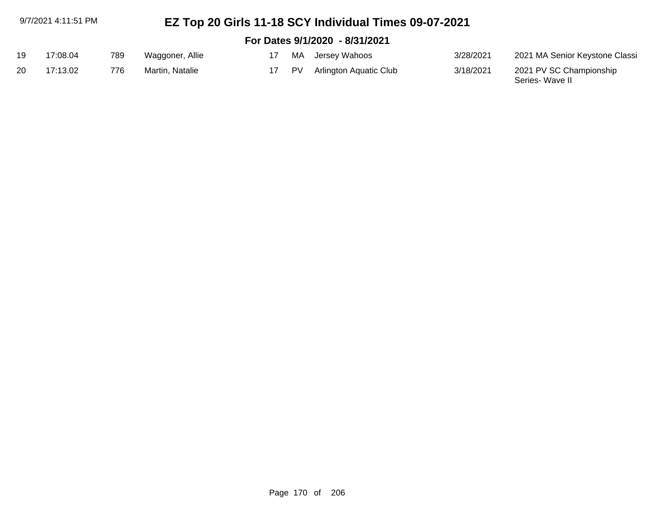|                                | 9/7/2021 4:11:51 PM |     |                 |    |           | EZ Top 20 Girls 11-18 SCY Individual Times 09-07-2021 |           |                                |  |  |  |  |
|--------------------------------|---------------------|-----|-----------------|----|-----------|-------------------------------------------------------|-----------|--------------------------------|--|--|--|--|
| For Dates 9/1/2020 - 8/31/2021 |                     |     |                 |    |           |                                                       |           |                                |  |  |  |  |
| 19                             | 17:08.04            | 789 | Waggoner, Allie |    |           | 17 MA Jersey Wahoos                                   | 3/28/2021 | 2021 MA Senior Keystone Classi |  |  |  |  |
| 20                             | 17:13.02            | 776 | Martin, Natalie | 17 | <b>PV</b> | <b>Arlington Aquatic Club</b>                         | 3/18/2021 | 2021 PV SC Championship        |  |  |  |  |

Series- Wave II

Page 170 of 206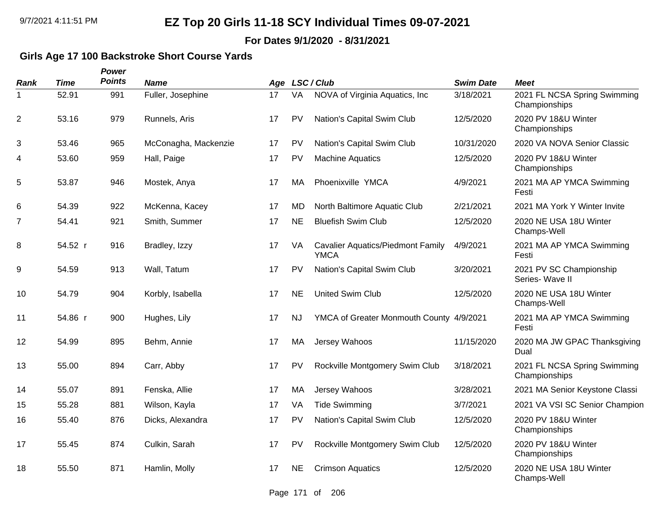**For Dates 9/1/2020 - 8/31/2021**

### **Girls Age 17 100 Backstroke Short Course Yards**

| <b>Rank</b> | <b>Time</b> | Power<br><b>Points</b> | <b>Name</b>          |    |           | Age LSC/Club                                            | <b>Swim Date</b> | <b>Meet</b>                                   |
|-------------|-------------|------------------------|----------------------|----|-----------|---------------------------------------------------------|------------------|-----------------------------------------------|
| 1           | 52.91       | 991                    | Fuller, Josephine    | 17 | VA        | NOVA of Virginia Aquatics, Inc.                         | 3/18/2021        | 2021 FL NCSA Spring Swimming<br>Championships |
| 2           | 53.16       | 979                    | Runnels, Aris        | 17 | PV        | Nation's Capital Swim Club                              | 12/5/2020        | 2020 PV 18&U Winter<br>Championships          |
| 3           | 53.46       | 965                    | McConagha, Mackenzie | 17 | PV        | Nation's Capital Swim Club                              | 10/31/2020       | 2020 VA NOVA Senior Classic                   |
| 4           | 53.60       | 959                    | Hall, Paige          | 17 | PV        | <b>Machine Aquatics</b>                                 | 12/5/2020        | 2020 PV 18&U Winter<br>Championships          |
| 5           | 53.87       | 946                    | Mostek, Anya         | 17 | MA        | Phoenixville YMCA                                       | 4/9/2021         | 2021 MA AP YMCA Swimming<br>Festi             |
| 6           | 54.39       | 922                    | McKenna, Kacey       | 17 | <b>MD</b> | North Baltimore Aquatic Club                            | 2/21/2021        | 2021 MA York Y Winter Invite                  |
| 7           | 54.41       | 921                    | Smith, Summer        | 17 | <b>NE</b> | <b>Bluefish Swim Club</b>                               | 12/5/2020        | 2020 NE USA 18U Winter<br>Champs-Well         |
| 8           | 54.52 r     | 916                    | Bradley, Izzy        | 17 | VA        | <b>Cavalier Aquatics/Piedmont Family</b><br><b>YMCA</b> | 4/9/2021         | 2021 MA AP YMCA Swimming<br>Festi             |
| 9           | 54.59       | 913                    | Wall, Tatum          | 17 | PV        | Nation's Capital Swim Club                              | 3/20/2021        | 2021 PV SC Championship<br>Series- Wave II    |
| 10          | 54.79       | 904                    | Korbly, Isabella     | 17 | <b>NE</b> | <b>United Swim Club</b>                                 | 12/5/2020        | 2020 NE USA 18U Winter<br>Champs-Well         |
| 11          | 54.86 r     | 900                    | Hughes, Lily         | 17 | <b>NJ</b> | YMCA of Greater Monmouth County 4/9/2021                |                  | 2021 MA AP YMCA Swimming<br>Festi             |
| 12          | 54.99       | 895                    | Behm, Annie          | 17 | MA        | Jersey Wahoos                                           | 11/15/2020       | 2020 MA JW GPAC Thanksgiving<br>Dual          |
| 13          | 55.00       | 894                    | Carr, Abby           | 17 | PV        | Rockville Montgomery Swim Club                          | 3/18/2021        | 2021 FL NCSA Spring Swimming<br>Championships |
| 14          | 55.07       | 891                    | Fenska, Allie        | 17 | MA        | Jersey Wahoos                                           | 3/28/2021        | 2021 MA Senior Keystone Classi                |
| 15          | 55.28       | 881                    | Wilson, Kayla        | 17 | VA        | <b>Tide Swimming</b>                                    | 3/7/2021         | 2021 VA VSI SC Senior Champion                |
| 16          | 55.40       | 876                    | Dicks, Alexandra     | 17 | PV        | Nation's Capital Swim Club                              | 12/5/2020        | 2020 PV 18&U Winter<br>Championships          |
| 17          | 55.45       | 874                    | Culkin, Sarah        | 17 | PV        | Rockville Montgomery Swim Club                          | 12/5/2020        | 2020 PV 18&U Winter<br>Championships          |
| 18          | 55.50       | 871                    | Hamlin, Molly        | 17 | <b>NE</b> | <b>Crimson Aquatics</b>                                 | 12/5/2020        | 2020 NE USA 18U Winter<br>Champs-Well         |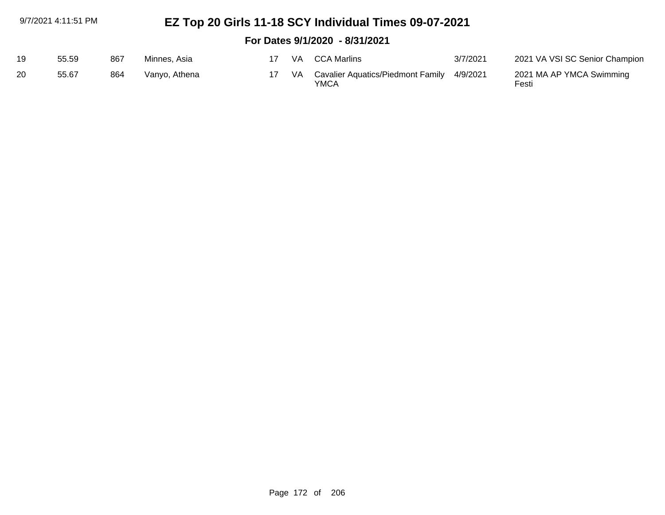#### 9/7/2021 4:11:51 PM

## **EZ Top 20 Girls 11-18 SCY Individual Times 09-07-2021**

#### **For Dates 9/1/2020 - 8/31/2021**

| 19 | 55.59 | 867 | Minnes, Asia  |  | VA CCA Marlins                                        | 3/7/2021 | 2021 VA VSI SC Senior Champion    |
|----|-------|-----|---------------|--|-------------------------------------------------------|----------|-----------------------------------|
| 20 | 55.67 | 864 | Vanyo, Athena |  | VA Cavalier Aquatics/Piedmont Family 4/9/2021<br>YMCA |          | 2021 MA AP YMCA Swimming<br>Festi |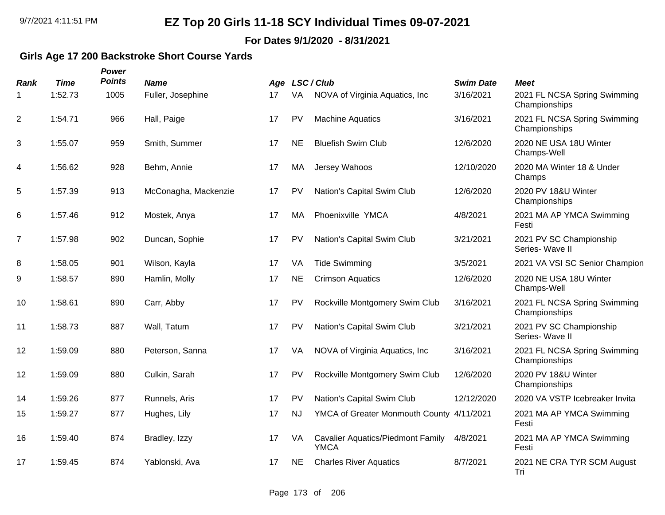**For Dates 9/1/2020 - 8/31/2021**

### **Girls Age 17 200 Backstroke Short Course Yards**

| <b>Rank</b>    | <b>Time</b> | Power<br><b>Points</b> | <b>Name</b>          |    |           | Age LSC/Club                                            | <b>Swim Date</b> | <b>Meet</b>                                   |
|----------------|-------------|------------------------|----------------------|----|-----------|---------------------------------------------------------|------------------|-----------------------------------------------|
| 1              | 1:52.73     | 1005                   | Fuller, Josephine    | 17 | VA        | NOVA of Virginia Aquatics, Inc.                         | 3/16/2021        | 2021 FL NCSA Spring Swimming<br>Championships |
| 2              | 1:54.71     | 966                    | Hall, Paige          | 17 | PV        | <b>Machine Aquatics</b>                                 | 3/16/2021        | 2021 FL NCSA Spring Swimming<br>Championships |
| 3              | 1:55.07     | 959                    | Smith, Summer        | 17 | <b>NE</b> | <b>Bluefish Swim Club</b>                               | 12/6/2020        | 2020 NE USA 18U Winter<br>Champs-Well         |
| 4              | 1:56.62     | 928                    | Behm, Annie          | 17 | MA        | Jersey Wahoos                                           | 12/10/2020       | 2020 MA Winter 18 & Under<br>Champs           |
| 5              | 1:57.39     | 913                    | McConagha, Mackenzie | 17 | <b>PV</b> | Nation's Capital Swim Club                              | 12/6/2020        | 2020 PV 18&U Winter<br>Championships          |
| 6              | 1:57.46     | 912                    | Mostek, Anya         | 17 | MA        | Phoenixville YMCA                                       | 4/8/2021         | 2021 MA AP YMCA Swimming<br>Festi             |
| $\overline{7}$ | 1:57.98     | 902                    | Duncan, Sophie       | 17 | <b>PV</b> | Nation's Capital Swim Club                              | 3/21/2021        | 2021 PV SC Championship<br>Series- Wave II    |
| 8              | 1:58.05     | 901                    | Wilson, Kayla        | 17 | VA        | <b>Tide Swimming</b>                                    | 3/5/2021         | 2021 VA VSI SC Senior Champion                |
| 9              | 1:58.57     | 890                    | Hamlin, Molly        | 17 | <b>NE</b> | <b>Crimson Aquatics</b>                                 | 12/6/2020        | 2020 NE USA 18U Winter<br>Champs-Well         |
| 10             | 1:58.61     | 890                    | Carr, Abby           | 17 | PV        | Rockville Montgomery Swim Club                          | 3/16/2021        | 2021 FL NCSA Spring Swimming<br>Championships |
| 11             | 1:58.73     | 887                    | Wall, Tatum          | 17 | <b>PV</b> | Nation's Capital Swim Club                              | 3/21/2021        | 2021 PV SC Championship<br>Series- Wave II    |
| 12             | 1:59.09     | 880                    | Peterson, Sanna      | 17 | VA        | NOVA of Virginia Aquatics, Inc.                         | 3/16/2021        | 2021 FL NCSA Spring Swimming<br>Championships |
| 12             | 1:59.09     | 880                    | Culkin, Sarah        | 17 | <b>PV</b> | Rockville Montgomery Swim Club                          | 12/6/2020        | 2020 PV 18&U Winter<br>Championships          |
| 14             | 1:59.26     | 877                    | Runnels, Aris        | 17 | PV        | Nation's Capital Swim Club                              | 12/12/2020       | 2020 VA VSTP Icebreaker Invita                |
| 15             | 1:59.27     | 877                    | Hughes, Lily         | 17 | <b>NJ</b> | YMCA of Greater Monmouth County 4/11/2021               |                  | 2021 MA AP YMCA Swimming<br>Festi             |
| 16             | 1:59.40     | 874                    | Bradley, Izzy        | 17 | VA        | <b>Cavalier Aquatics/Piedmont Family</b><br><b>YMCA</b> | 4/8/2021         | 2021 MA AP YMCA Swimming<br>Festi             |
| 17             | 1:59.45     | 874                    | Yablonski, Ava       | 17 | <b>NE</b> | <b>Charles River Aquatics</b>                           | 8/7/2021         | 2021 NE CRA TYR SCM August<br>Tri             |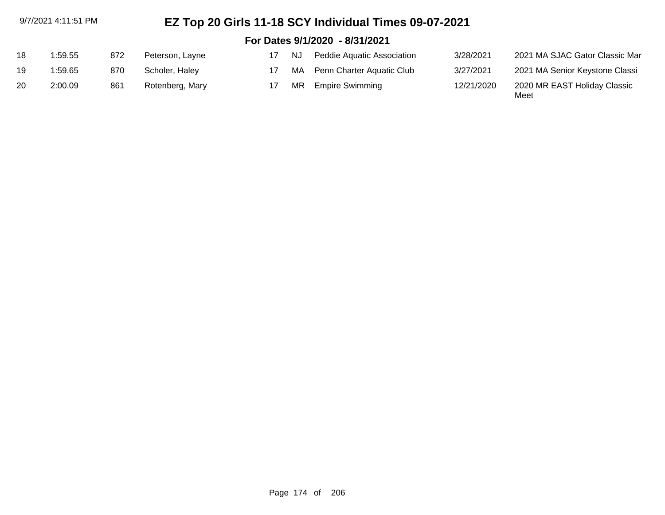| 9/7/2021 4:11:51 PM |         |     | EZ Top 20 Girls 11-18 SCY Individual Times 09-07-2021 |    |     |                                |            |                                      |  |  |  |  |
|---------------------|---------|-----|-------------------------------------------------------|----|-----|--------------------------------|------------|--------------------------------------|--|--|--|--|
|                     |         |     |                                                       |    |     | For Dates 9/1/2020 - 8/31/2021 |            |                                      |  |  |  |  |
| 18                  | 1:59.55 | 872 | Peterson, Layne                                       | 17 | NJ. | Peddie Aquatic Association     | 3/28/2021  | 2021 MA SJAC Gator Classic Mar       |  |  |  |  |
| 19                  | 1:59.65 | 870 | Scholer, Haley                                        | 17 | MA  | Penn Charter Aquatic Club      | 3/27/2021  | 2021 MA Senior Keystone Classi       |  |  |  |  |
| 20                  | 2:00.09 | 861 | Rotenberg, Mary                                       | 17 | МR  | <b>Empire Swimming</b>         | 12/21/2020 | 2020 MR EAST Holiday Classic<br>Meet |  |  |  |  |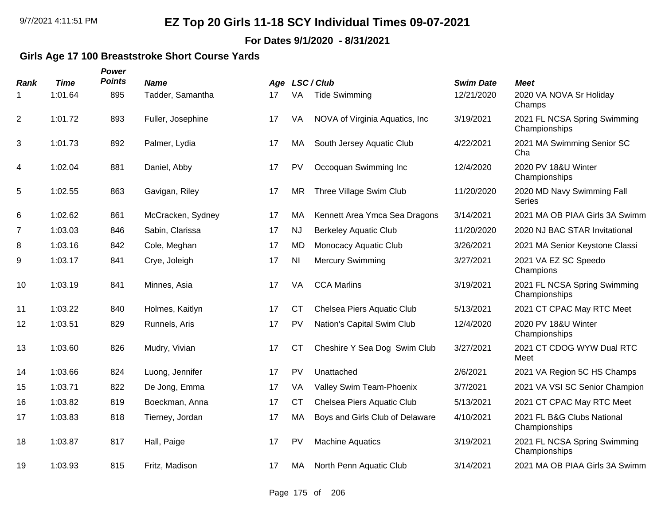**For Dates 9/1/2020 - 8/31/2021**

### **Girls Age 17 100 Breaststroke Short Course Yards**

| <b>Rank</b>    | <b>Time</b> | Power<br><b>Points</b> | <b>Name</b>       |    |                | Age LSC/Club                    | <b>Swim Date</b> | <b>Meet</b>                                   |
|----------------|-------------|------------------------|-------------------|----|----------------|---------------------------------|------------------|-----------------------------------------------|
| 1              | 1:01.64     | 895                    | Tadder, Samantha  | 17 | VA             | <b>Tide Swimming</b>            | 12/21/2020       | 2020 VA NOVA Sr Holiday<br>Champs             |
| $\overline{c}$ | 1:01.72     | 893                    | Fuller, Josephine | 17 | VA             | NOVA of Virginia Aquatics, Inc  | 3/19/2021        | 2021 FL NCSA Spring Swimming<br>Championships |
| 3              | 1:01.73     | 892                    | Palmer, Lydia     | 17 | МA             | South Jersey Aquatic Club       | 4/22/2021        | 2021 MA Swimming Senior SC<br>Cha             |
| 4              | 1:02.04     | 881                    | Daniel, Abby      | 17 | PV             | Occoquan Swimming Inc           | 12/4/2020        | 2020 PV 18&U Winter<br>Championships          |
| 5              | 1:02.55     | 863                    | Gavigan, Riley    | 17 | MR             | Three Village Swim Club         | 11/20/2020       | 2020 MD Navy Swimming Fall<br><b>Series</b>   |
| 6              | 1:02.62     | 861                    | McCracken, Sydney | 17 | MA             | Kennett Area Ymca Sea Dragons   | 3/14/2021        | 2021 MA OB PIAA Girls 3A Swimm                |
| 7              | 1:03.03     | 846                    | Sabin, Clarissa   | 17 | <b>NJ</b>      | <b>Berkeley Aquatic Club</b>    | 11/20/2020       | 2020 NJ BAC STAR Invitational                 |
| 8              | 1:03.16     | 842                    | Cole, Meghan      | 17 | <b>MD</b>      | Monocacy Aquatic Club           | 3/26/2021        | 2021 MA Senior Keystone Classi                |
| 9              | 1:03.17     | 841                    | Crye, Joleigh     | 17 | N <sub>l</sub> | <b>Mercury Swimming</b>         | 3/27/2021        | 2021 VA EZ SC Speedo<br>Champions             |
| 10             | 1:03.19     | 841                    | Minnes, Asia      | 17 | VA             | <b>CCA Marlins</b>              | 3/19/2021        | 2021 FL NCSA Spring Swimming<br>Championships |
| 11             | 1:03.22     | 840                    | Holmes, Kaitlyn   | 17 | <b>CT</b>      | Chelsea Piers Aquatic Club      | 5/13/2021        | 2021 CT CPAC May RTC Meet                     |
| 12             | 1:03.51     | 829                    | Runnels, Aris     | 17 | <b>PV</b>      | Nation's Capital Swim Club      | 12/4/2020        | 2020 PV 18&U Winter<br>Championships          |
| 13             | 1:03.60     | 826                    | Mudry, Vivian     | 17 | <b>CT</b>      | Cheshire Y Sea Dog Swim Club    | 3/27/2021        | 2021 CT CDOG WYW Dual RTC<br>Meet             |
| 14             | 1:03.66     | 824                    | Luong, Jennifer   | 17 | <b>PV</b>      | Unattached                      | 2/6/2021         | 2021 VA Region 5C HS Champs                   |
| 15             | 1:03.71     | 822                    | De Jong, Emma     | 17 | VA             | Valley Swim Team-Phoenix        | 3/7/2021         | 2021 VA VSI SC Senior Champion                |
| 16             | 1:03.82     | 819                    | Boeckman, Anna    | 17 | <b>CT</b>      | Chelsea Piers Aquatic Club      | 5/13/2021        | 2021 CT CPAC May RTC Meet                     |
| 17             | 1:03.83     | 818                    | Tierney, Jordan   | 17 | MA             | Boys and Girls Club of Delaware | 4/10/2021        | 2021 FL B&G Clubs National<br>Championships   |
| 18             | 1:03.87     | 817                    | Hall, Paige       | 17 | <b>PV</b>      | <b>Machine Aquatics</b>         | 3/19/2021        | 2021 FL NCSA Spring Swimming<br>Championships |
| 19             | 1:03.93     | 815                    | Fritz, Madison    | 17 | МA             | North Penn Aquatic Club         | 3/14/2021        | 2021 MA OB PIAA Girls 3A Swimm                |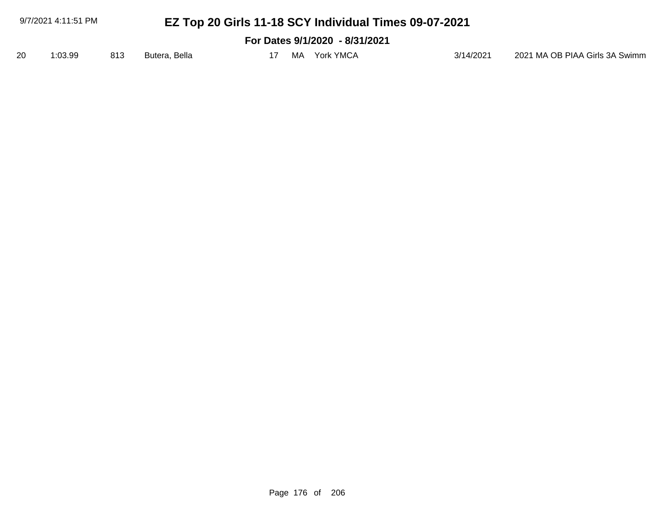|    | 9/7/2021 4:11:51 PM            |     |               |  |    | EZ Top 20 Girls 11-18 SCY Individual Times 09-07-2021 |           |                                |  |  |
|----|--------------------------------|-----|---------------|--|----|-------------------------------------------------------|-----------|--------------------------------|--|--|
|    | For Dates 9/1/2020 - 8/31/2021 |     |               |  |    |                                                       |           |                                |  |  |
| 20 | 1:03.99                        | 813 | Butera, Bella |  | MA | York YMCA                                             | 3/14/2021 | 2021 MA OB PIAA Girls 3A Swimm |  |  |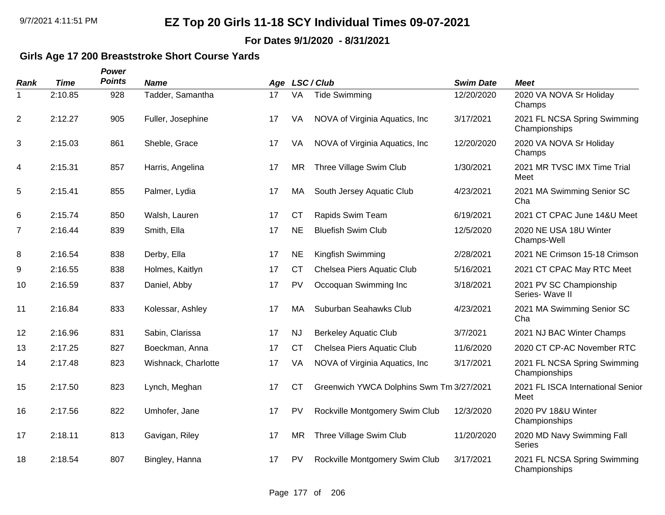**For Dates 9/1/2020 - 8/31/2021**

### **Girls Age 17 200 Breaststroke Short Course Yards**

| Rank           | <b>Time</b> | Power<br><b>Points</b> | <b>Name</b>         |    |           | Age LSC/Club                             | <b>Swim Date</b> | <b>Meet</b>                                   |
|----------------|-------------|------------------------|---------------------|----|-----------|------------------------------------------|------------------|-----------------------------------------------|
| 1              | 2:10.85     | 928                    | Tadder, Samantha    | 17 | VA        | <b>Tide Swimming</b>                     | 12/20/2020       | 2020 VA NOVA Sr Holiday<br>Champs             |
| $\overline{2}$ | 2:12.27     | 905                    | Fuller, Josephine   | 17 | VA        | NOVA of Virginia Aquatics, Inc.          | 3/17/2021        | 2021 FL NCSA Spring Swimming<br>Championships |
| 3              | 2:15.03     | 861                    | Sheble, Grace       | 17 | VA        | NOVA of Virginia Aquatics, Inc.          | 12/20/2020       | 2020 VA NOVA Sr Holiday<br>Champs             |
| 4              | 2:15.31     | 857                    | Harris, Angelina    | 17 | <b>MR</b> | Three Village Swim Club                  | 1/30/2021        | 2021 MR TVSC IMX Time Trial<br>Meet           |
| 5              | 2:15.41     | 855                    | Palmer, Lydia       | 17 | MA        | South Jersey Aquatic Club                | 4/23/2021        | 2021 MA Swimming Senior SC<br>Cha             |
| 6              | 2:15.74     | 850                    | Walsh, Lauren       | 17 | <b>CT</b> | Rapids Swim Team                         | 6/19/2021        | 2021 CT CPAC June 14&U Meet                   |
| $\overline{7}$ | 2:16.44     | 839                    | Smith, Ella         | 17 | <b>NE</b> | <b>Bluefish Swim Club</b>                | 12/5/2020        | 2020 NE USA 18U Winter<br>Champs-Well         |
| 8              | 2:16.54     | 838                    | Derby, Ella         | 17 | <b>NE</b> | Kingfish Swimming                        | 2/28/2021        | 2021 NE Crimson 15-18 Crimson                 |
| 9              | 2:16.55     | 838                    | Holmes, Kaitlyn     | 17 | <b>CT</b> | Chelsea Piers Aquatic Club               | 5/16/2021        | 2021 CT CPAC May RTC Meet                     |
| 10             | 2:16.59     | 837                    | Daniel, Abby        | 17 | <b>PV</b> | Occoquan Swimming Inc                    | 3/18/2021        | 2021 PV SC Championship<br>Series- Wave II    |
| 11             | 2:16.84     | 833                    | Kolessar, Ashley    | 17 | MA        | Suburban Seahawks Club                   | 4/23/2021        | 2021 MA Swimming Senior SC<br>Cha             |
| 12             | 2:16.96     | 831                    | Sabin, Clarissa     | 17 | <b>NJ</b> | <b>Berkeley Aquatic Club</b>             | 3/7/2021         | 2021 NJ BAC Winter Champs                     |
| 13             | 2:17.25     | 827                    | Boeckman, Anna      | 17 | <b>CT</b> | Chelsea Piers Aquatic Club               | 11/6/2020        | 2020 CT CP-AC November RTC                    |
| 14             | 2:17.48     | 823                    | Wishnack, Charlotte | 17 | VA        | NOVA of Virginia Aquatics, Inc.          | 3/17/2021        | 2021 FL NCSA Spring Swimming<br>Championships |
| 15             | 2:17.50     | 823                    | Lynch, Meghan       | 17 | <b>CT</b> | Greenwich YWCA Dolphins Swm Tm 3/27/2021 |                  | 2021 FL ISCA International Senior<br>Meet     |
| 16             | 2:17.56     | 822                    | Umhofer, Jane       | 17 | PV        | Rockville Montgomery Swim Club           | 12/3/2020        | 2020 PV 18&U Winter<br>Championships          |
| 17             | 2:18.11     | 813                    | Gavigan, Riley      | 17 | <b>MR</b> | Three Village Swim Club                  | 11/20/2020       | 2020 MD Navy Swimming Fall<br><b>Series</b>   |
| 18             | 2:18.54     | 807                    | Bingley, Hanna      | 17 | <b>PV</b> | Rockville Montgomery Swim Club           | 3/17/2021        | 2021 FL NCSA Spring Swimming<br>Championships |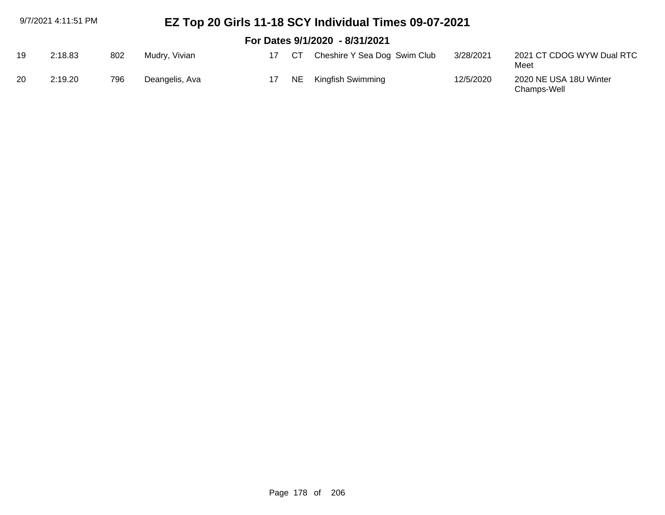| 9/7/2021 4:11:51 PM |         |     |                | EZ Top 20 Girls 11-18 SCY Individual Times 09-07-2021 |     |                                |           |                                       |  |  |  |
|---------------------|---------|-----|----------------|-------------------------------------------------------|-----|--------------------------------|-----------|---------------------------------------|--|--|--|
|                     |         |     |                |                                                       |     | For Dates 9/1/2020 - 8/31/2021 |           |                                       |  |  |  |
| 19                  | 2:18.83 | 802 | Mudry, Vivian  | 17                                                    | CT. | Cheshire Y Sea Dog Swim Club   | 3/28/2021 | 2021 CT CDOG WYW Dual RTC<br>Meet     |  |  |  |
| 20                  | 2:19.20 | 796 | Deangelis, Ava | 17                                                    | NE. | Kingfish Swimming              | 12/5/2020 | 2020 NE USA 18U Winter<br>Champs-Well |  |  |  |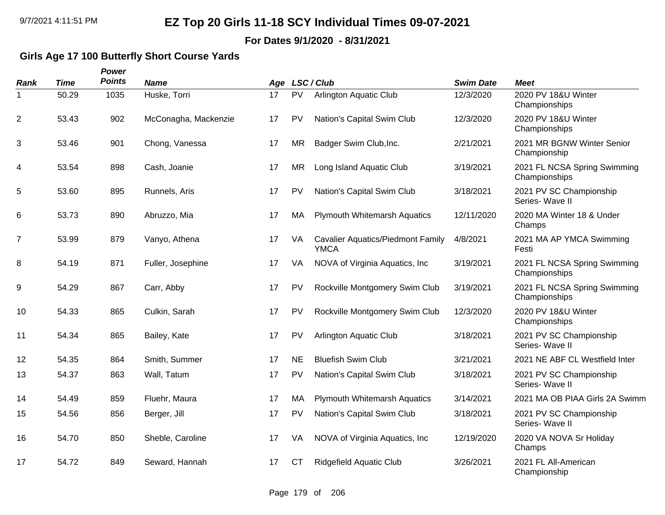**For Dates 9/1/2020 - 8/31/2021**

### **Girls Age 17 100 Butterfly Short Course Yards**

| Rank | <b>Time</b> | Power<br><b>Points</b> | <b>Name</b>          | Age |           | LSC / Club                                              | <b>Swim Date</b> | <b>Meet</b>                                   |
|------|-------------|------------------------|----------------------|-----|-----------|---------------------------------------------------------|------------------|-----------------------------------------------|
| 1    | 50.29       | 1035                   | Huske, Torri         | 17  | <b>PV</b> | <b>Arlington Aquatic Club</b>                           | 12/3/2020        | 2020 PV 18&U Winter<br>Championships          |
| 2    | 53.43       | 902                    | McConagha, Mackenzie | 17  | PV        | Nation's Capital Swim Club                              | 12/3/2020        | 2020 PV 18&U Winter<br>Championships          |
| 3    | 53.46       | 901                    | Chong, Vanessa       | 17  | <b>MR</b> | Badger Swim Club, Inc.                                  | 2/21/2021        | 2021 MR BGNW Winter Senior<br>Championship    |
| 4    | 53.54       | 898                    | Cash, Joanie         | 17  | <b>MR</b> | Long Island Aquatic Club                                | 3/19/2021        | 2021 FL NCSA Spring Swimming<br>Championships |
| 5    | 53.60       | 895                    | Runnels, Aris        | 17  | <b>PV</b> | Nation's Capital Swim Club                              | 3/18/2021        | 2021 PV SC Championship<br>Series- Wave II    |
| 6    | 53.73       | 890                    | Abruzzo, Mia         | 17  | MA        | Plymouth Whitemarsh Aquatics                            | 12/11/2020       | 2020 MA Winter 18 & Under<br>Champs           |
| 7    | 53.99       | 879                    | Vanyo, Athena        | 17  | VA        | <b>Cavalier Aquatics/Piedmont Family</b><br><b>YMCA</b> | 4/8/2021         | 2021 MA AP YMCA Swimming<br>Festi             |
| 8    | 54.19       | 871                    | Fuller, Josephine    | 17  | VA        | NOVA of Virginia Aquatics, Inc.                         | 3/19/2021        | 2021 FL NCSA Spring Swimming<br>Championships |
| 9    | 54.29       | 867                    | Carr, Abby           | 17  | <b>PV</b> | Rockville Montgomery Swim Club                          | 3/19/2021        | 2021 FL NCSA Spring Swimming<br>Championships |
| 10   | 54.33       | 865                    | Culkin, Sarah        | 17  | PV        | Rockville Montgomery Swim Club                          | 12/3/2020        | 2020 PV 18&U Winter<br>Championships          |
| 11   | 54.34       | 865                    | Bailey, Kate         | 17  | <b>PV</b> | <b>Arlington Aquatic Club</b>                           | 3/18/2021        | 2021 PV SC Championship<br>Series- Wave II    |
| 12   | 54.35       | 864                    | Smith, Summer        | 17  | <b>NE</b> | <b>Bluefish Swim Club</b>                               | 3/21/2021        | 2021 NE ABF CL Westfield Inter                |
| 13   | 54.37       | 863                    | Wall, Tatum          | 17  | <b>PV</b> | Nation's Capital Swim Club                              | 3/18/2021        | 2021 PV SC Championship<br>Series- Wave II    |
| 14   | 54.49       | 859                    | Fluehr, Maura        | 17  | MA        | <b>Plymouth Whitemarsh Aquatics</b>                     | 3/14/2021        | 2021 MA OB PIAA Girls 2A Swimm                |
| 15   | 54.56       | 856                    | Berger, Jill         | 17  | <b>PV</b> | Nation's Capital Swim Club                              | 3/18/2021        | 2021 PV SC Championship<br>Series- Wave II    |
| 16   | 54.70       | 850                    | Sheble, Caroline     | 17  | VA        | NOVA of Virginia Aquatics, Inc                          | 12/19/2020       | 2020 VA NOVA Sr Holiday<br>Champs             |
| 17   | 54.72       | 849                    | Seward, Hannah       | 17  | <b>CT</b> | <b>Ridgefield Aquatic Club</b>                          | 3/26/2021        | 2021 FL All-American<br>Championship          |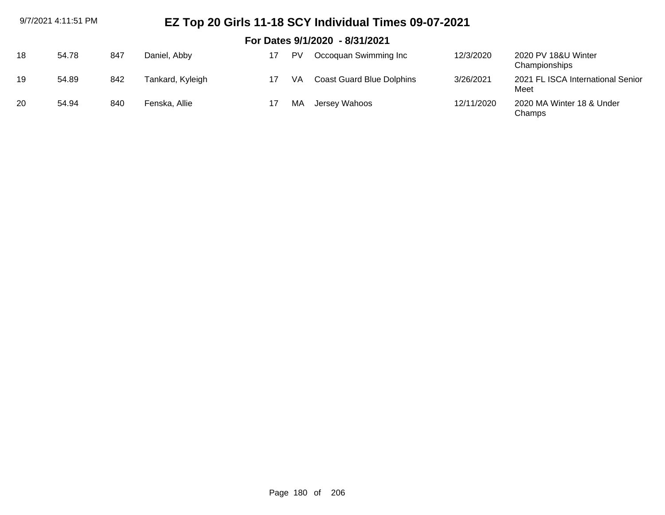| 9/7/2021 4:11:51 PM |       |     | EZ Top 20 Girls 11-18 SCY Individual Times 09-07-2021 |    |     |                                  |            |                                           |  |  |  |
|---------------------|-------|-----|-------------------------------------------------------|----|-----|----------------------------------|------------|-------------------------------------------|--|--|--|
|                     |       |     |                                                       |    |     | For Dates 9/1/2020 - 8/31/2021   |            |                                           |  |  |  |
| 18                  | 54.78 | 847 | Daniel, Abby                                          | 17 | PV  | Occoquan Swimming Inc            | 12/3/2020  | 2020 PV 18&U Winter<br>Championships      |  |  |  |
| 19                  | 54.89 | 842 | Tankard, Kyleigh                                      | 17 | VA. | <b>Coast Guard Blue Dolphins</b> | 3/26/2021  | 2021 FL ISCA International Senior<br>Meet |  |  |  |
| 20                  | 54.94 | 840 | Fenska, Allie                                         | 17 | МA  | Jersey Wahoos                    | 12/11/2020 | 2020 MA Winter 18 & Under<br>Champs       |  |  |  |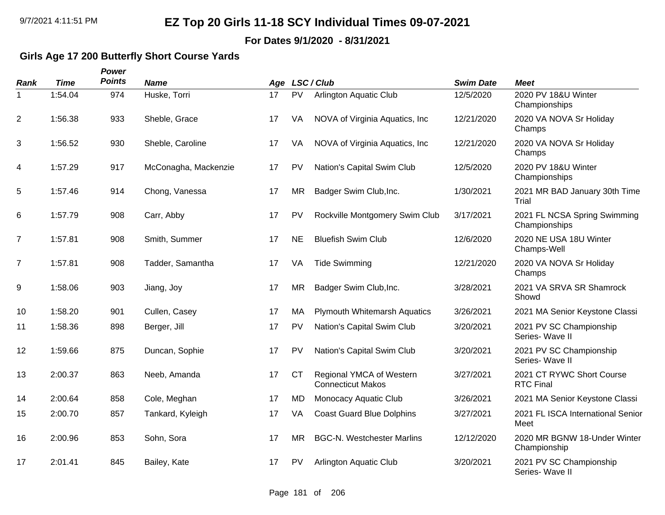**For Dates 9/1/2020 - 8/31/2021**

### **Girls Age 17 200 Butterfly Short Course Yards**

| <b>Rank</b> | <b>Time</b> | Power<br><b>Points</b> | <b>Name</b>          |    |           | Age LSC/Club                                         | <b>Swim Date</b> | <b>Meet</b>                                   |
|-------------|-------------|------------------------|----------------------|----|-----------|------------------------------------------------------|------------------|-----------------------------------------------|
| 1           | 1:54.04     | 974                    | Huske, Torri         | 17 | <b>PV</b> | Arlington Aquatic Club                               | 12/5/2020        | 2020 PV 18&U Winter<br>Championships          |
| 2           | 1:56.38     | 933                    | Sheble, Grace        | 17 | VA        | NOVA of Virginia Aquatics, Inc.                      | 12/21/2020       | 2020 VA NOVA Sr Holiday<br>Champs             |
| 3           | 1:56.52     | 930                    | Sheble, Caroline     | 17 | VA        | NOVA of Virginia Aquatics, Inc.                      | 12/21/2020       | 2020 VA NOVA Sr Holiday<br>Champs             |
| 4           | 1:57.29     | 917                    | McConagha, Mackenzie | 17 | PV        | Nation's Capital Swim Club                           | 12/5/2020        | 2020 PV 18&U Winter<br>Championships          |
| 5           | 1:57.46     | 914                    | Chong, Vanessa       | 17 | <b>MR</b> | Badger Swim Club, Inc.                               | 1/30/2021        | 2021 MR BAD January 30th Time<br>Trial        |
| 6           | 1:57.79     | 908                    | Carr, Abby           | 17 | PV        | Rockville Montgomery Swim Club                       | 3/17/2021        | 2021 FL NCSA Spring Swimming<br>Championships |
| 7           | 1:57.81     | 908                    | Smith, Summer        | 17 | <b>NE</b> | <b>Bluefish Swim Club</b>                            | 12/6/2020        | 2020 NE USA 18U Winter<br>Champs-Well         |
| 7           | 1:57.81     | 908                    | Tadder, Samantha     | 17 | VA        | <b>Tide Swimming</b>                                 | 12/21/2020       | 2020 VA NOVA Sr Holiday<br>Champs             |
| 9           | 1:58.06     | 903                    | Jiang, Joy           | 17 | <b>MR</b> | Badger Swim Club, Inc.                               | 3/28/2021        | 2021 VA SRVA SR Shamrock<br>Showd             |
| 10          | 1:58.20     | 901                    | Cullen, Casey        | 17 | МA        | <b>Plymouth Whitemarsh Aquatics</b>                  | 3/26/2021        | 2021 MA Senior Keystone Classi                |
| 11          | 1:58.36     | 898                    | Berger, Jill         | 17 | PV        | Nation's Capital Swim Club                           | 3/20/2021        | 2021 PV SC Championship<br>Series-Wave II     |
| 12          | 1:59.66     | 875                    | Duncan, Sophie       | 17 | <b>PV</b> | Nation's Capital Swim Club                           | 3/20/2021        | 2021 PV SC Championship<br>Series-Wave II     |
| 13          | 2:00.37     | 863                    | Neeb, Amanda         | 17 | <b>CT</b> | Regional YMCA of Western<br><b>Connecticut Makos</b> | 3/27/2021        | 2021 CT RYWC Short Course<br><b>RTC Final</b> |
| 14          | 2:00.64     | 858                    | Cole, Meghan         | 17 | <b>MD</b> | Monocacy Aquatic Club                                | 3/26/2021        | 2021 MA Senior Keystone Classi                |
| 15          | 2:00.70     | 857                    | Tankard, Kyleigh     | 17 | VA        | <b>Coast Guard Blue Dolphins</b>                     | 3/27/2021        | 2021 FL ISCA International Senior<br>Meet     |
| 16          | 2:00.96     | 853                    | Sohn, Sora           | 17 | <b>MR</b> | <b>BGC-N. Westchester Marlins</b>                    | 12/12/2020       | 2020 MR BGNW 18-Under Winter<br>Championship  |
| 17          | 2:01.41     | 845                    | Bailey, Kate         | 17 | PV        | Arlington Aquatic Club                               | 3/20/2021        | 2021 PV SC Championship<br>Series- Wave II    |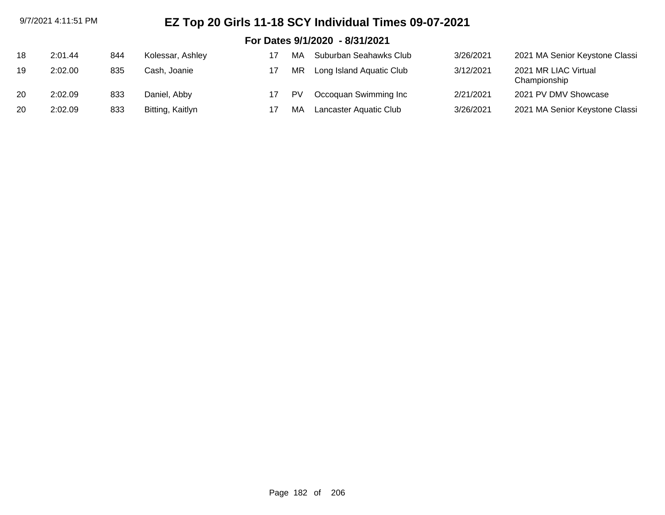| 9/7/2021 4:11:51 PM |         |     |                  |    |    | EZ Top 20 Girls 11-18 SCY Individual Times 09-07-2021 |           |                                      |  |  |  |  |
|---------------------|---------|-----|------------------|----|----|-------------------------------------------------------|-----------|--------------------------------------|--|--|--|--|
|                     |         |     |                  |    |    | For Dates 9/1/2020 - 8/31/2021                        |           |                                      |  |  |  |  |
| 18                  | 2:01.44 | 844 | Kolessar, Ashley |    | МA | Suburban Seahawks Club                                | 3/26/2021 | 2021 MA Senior Keystone Classi       |  |  |  |  |
| 19                  | 2:02.00 | 835 | Cash, Joanie     |    | MR | Long Island Aquatic Club                              | 3/12/2021 | 2021 MR LIAC Virtual<br>Championship |  |  |  |  |
| 20                  | 2:02.09 | 833 | Daniel, Abby     | 17 | PV | Occoquan Swimming Inc                                 | 2/21/2021 | 2021 PV DMV Showcase                 |  |  |  |  |
| 20                  | 2:02.09 | 833 | Bitting, Kaitlyn | 17 | MA | Lancaster Aquatic Club                                | 3/26/2021 | 2021 MA Senior Keystone Classi       |  |  |  |  |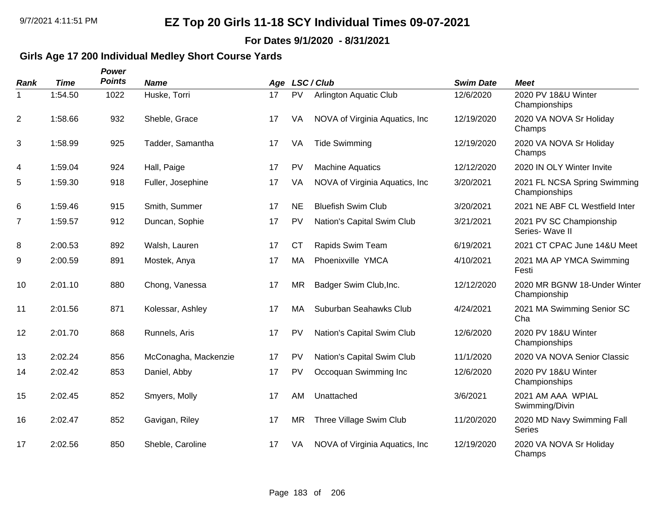**For Dates 9/1/2020 - 8/31/2021**

### **Girls Age 17 200 Individual Medley Short Course Yards**

| Rank           | <b>Time</b> | Power<br><b>Points</b> | <b>Name</b>          |    |           | Age LSC/Club                    | <b>Swim Date</b> | <b>Meet</b>                                   |
|----------------|-------------|------------------------|----------------------|----|-----------|---------------------------------|------------------|-----------------------------------------------|
| 1              | 1:54.50     | 1022                   | Huske, Torri         | 17 | <b>PV</b> | <b>Arlington Aquatic Club</b>   | 12/6/2020        | 2020 PV 18&U Winter<br>Championships          |
| $\overline{2}$ | 1:58.66     | 932                    | Sheble, Grace        | 17 | VA        | NOVA of Virginia Aquatics, Inc. | 12/19/2020       | 2020 VA NOVA Sr Holiday<br>Champs             |
| 3              | 1:58.99     | 925                    | Tadder, Samantha     | 17 | VA        | <b>Tide Swimming</b>            | 12/19/2020       | 2020 VA NOVA Sr Holiday<br>Champs             |
| 4              | 1:59.04     | 924                    | Hall, Paige          | 17 | PV        | <b>Machine Aquatics</b>         | 12/12/2020       | 2020 IN OLY Winter Invite                     |
| 5              | 1:59.30     | 918                    | Fuller, Josephine    | 17 | VA        | NOVA of Virginia Aquatics, Inc. | 3/20/2021        | 2021 FL NCSA Spring Swimming<br>Championships |
| 6              | 1:59.46     | 915                    | Smith, Summer        | 17 | <b>NE</b> | <b>Bluefish Swim Club</b>       | 3/20/2021        | 2021 NE ABF CL Westfield Inter                |
| 7              | 1:59.57     | 912                    | Duncan, Sophie       | 17 | <b>PV</b> | Nation's Capital Swim Club      | 3/21/2021        | 2021 PV SC Championship<br>Series- Wave II    |
| 8              | 2:00.53     | 892                    | Walsh, Lauren        | 17 | <b>CT</b> | Rapids Swim Team                | 6/19/2021        | 2021 CT CPAC June 14&U Meet                   |
| 9              | 2:00.59     | 891                    | Mostek, Anya         | 17 | MA        | Phoenixville YMCA               | 4/10/2021        | 2021 MA AP YMCA Swimming<br>Festi             |
| 10             | 2:01.10     | 880                    | Chong, Vanessa       | 17 | <b>MR</b> | Badger Swim Club, Inc.          | 12/12/2020       | 2020 MR BGNW 18-Under Winter<br>Championship  |
| 11             | 2:01.56     | 871                    | Kolessar, Ashley     | 17 | <b>MA</b> | Suburban Seahawks Club          | 4/24/2021        | 2021 MA Swimming Senior SC<br>Cha             |
| 12             | 2:01.70     | 868                    | Runnels, Aris        | 17 | PV        | Nation's Capital Swim Club      | 12/6/2020        | 2020 PV 18&U Winter<br>Championships          |
| 13             | 2:02.24     | 856                    | McConagha, Mackenzie | 17 | <b>PV</b> | Nation's Capital Swim Club      | 11/1/2020        | 2020 VA NOVA Senior Classic                   |
| 14             | 2:02.42     | 853                    | Daniel, Abby         | 17 | PV        | Occoquan Swimming Inc           | 12/6/2020        | 2020 PV 18&U Winter<br>Championships          |
| 15             | 2:02.45     | 852                    | Smyers, Molly        | 17 | <b>AM</b> | Unattached                      | 3/6/2021         | 2021 AM AAA WPIAL<br>Swimming/Divin           |
| 16             | 2:02.47     | 852                    | Gavigan, Riley       | 17 | <b>MR</b> | Three Village Swim Club         | 11/20/2020       | 2020 MD Navy Swimming Fall<br>Series          |
| 17             | 2:02.56     | 850                    | Sheble, Caroline     | 17 | VA        | NOVA of Virginia Aquatics, Inc. | 12/19/2020       | 2020 VA NOVA Sr Holiday<br>Champs             |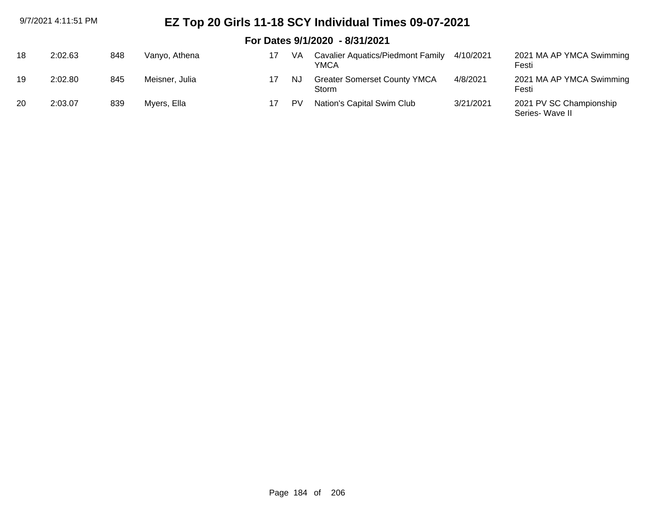| 9/7/2021 4:11:51 PM |         | EZ Top 20 Girls 11-18 SCY Individual Times 09-07-2021 |                |    |     |                                                  |           |                                            |  |  |  |
|---------------------|---------|-------------------------------------------------------|----------------|----|-----|--------------------------------------------------|-----------|--------------------------------------------|--|--|--|
|                     |         |                                                       |                |    |     | For Dates 9/1/2020 - 8/31/2021                   |           |                                            |  |  |  |
| 18                  | 2:02.63 | 848                                                   | Vanyo, Athena  | 17 | VA. | <b>Cavalier Aquatics/Piedmont Family</b><br>YMCA | 4/10/2021 | 2021 MA AP YMCA Swimming<br>Festi          |  |  |  |
| 19                  | 2:02.80 | 845                                                   | Meisner, Julia | 17 | NJ  | <b>Greater Somerset County YMCA</b><br>Storm     | 4/8/2021  | 2021 MA AP YMCA Swimming<br>Festi          |  |  |  |
| 20                  | 2:03.07 | 839                                                   | Myers, Ella    |    | PV  | Nation's Capital Swim Club                       | 3/21/2021 | 2021 PV SC Championship<br>Series- Wave II |  |  |  |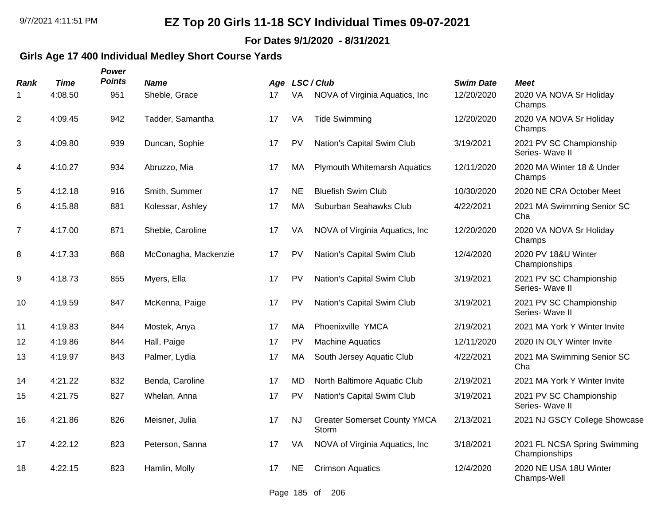**For Dates 9/1/2020 - 8/31/2021**

### **Girls Age 17 400 Individual Medley Short Course Yards**

| <b>Rank</b>    | <b>Time</b> | Power<br><b>Points</b> | <b>Name</b>          |    |           | Age LSC/Club                                 | <b>Swim Date</b> | <b>Meet</b>                                   |
|----------------|-------------|------------------------|----------------------|----|-----------|----------------------------------------------|------------------|-----------------------------------------------|
| 1              | 4:08.50     | 951                    | Sheble, Grace        | 17 | VA        | NOVA of Virginia Aquatics, Inc.              | 12/20/2020       | 2020 VA NOVA Sr Holiday<br>Champs             |
| $\overline{2}$ | 4:09.45     | 942                    | Tadder, Samantha     | 17 | VA        | <b>Tide Swimming</b>                         | 12/20/2020       | 2020 VA NOVA Sr Holiday<br>Champs             |
| 3              | 4:09.80     | 939                    | Duncan, Sophie       | 17 | PV        | Nation's Capital Swim Club                   | 3/19/2021        | 2021 PV SC Championship<br>Series- Wave II    |
| 4              | 4:10.27     | 934                    | Abruzzo, Mia         | 17 | MA        | <b>Plymouth Whitemarsh Aquatics</b>          | 12/11/2020       | 2020 MA Winter 18 & Under<br>Champs           |
| 5              | 4:12.18     | 916                    | Smith, Summer        | 17 | <b>NE</b> | <b>Bluefish Swim Club</b>                    | 10/30/2020       | 2020 NE CRA October Meet                      |
| 6              | 4:15.88     | 881                    | Kolessar, Ashley     | 17 | MA        | Suburban Seahawks Club                       | 4/22/2021        | 2021 MA Swimming Senior SC<br>Cha             |
| 7              | 4:17.00     | 871                    | Sheble, Caroline     | 17 | VA        | NOVA of Virginia Aquatics, Inc.              | 12/20/2020       | 2020 VA NOVA Sr Holiday<br>Champs             |
| 8              | 4:17.33     | 868                    | McConagha, Mackenzie | 17 | PV        | Nation's Capital Swim Club                   | 12/4/2020        | 2020 PV 18&U Winter<br>Championships          |
| 9              | 4:18.73     | 855                    | Myers, Ella          | 17 | <b>PV</b> | Nation's Capital Swim Club                   | 3/19/2021        | 2021 PV SC Championship<br>Series- Wave II    |
| 10             | 4:19.59     | 847                    | McKenna, Paige       | 17 | PV        | Nation's Capital Swim Club                   | 3/19/2021        | 2021 PV SC Championship<br>Series- Wave II    |
| 11             | 4:19.83     | 844                    | Mostek, Anya         | 17 | <b>MA</b> | Phoenixville YMCA                            | 2/19/2021        | 2021 MA York Y Winter Invite                  |
| 12             | 4:19.86     | 844                    | Hall, Paige          | 17 | <b>PV</b> | <b>Machine Aquatics</b>                      | 12/11/2020       | 2020 IN OLY Winter Invite                     |
| 13             | 4:19.97     | 843                    | Palmer, Lydia        | 17 | MA        | South Jersey Aquatic Club                    | 4/22/2021        | 2021 MA Swimming Senior SC<br>Cha             |
| 14             | 4:21.22     | 832                    | Benda, Caroline      | 17 | MD        | North Baltimore Aquatic Club                 | 2/19/2021        | 2021 MA York Y Winter Invite                  |
| 15             | 4:21.75     | 827                    | Whelan, Anna         | 17 | PV        | Nation's Capital Swim Club                   | 3/19/2021        | 2021 PV SC Championship<br>Series- Wave II    |
| 16             | 4:21.86     | 826                    | Meisner, Julia       | 17 | <b>NJ</b> | <b>Greater Somerset County YMCA</b><br>Storm | 2/13/2021        | 2021 NJ GSCY College Showcase                 |
| 17             | 4:22.12     | 823                    | Peterson, Sanna      | 17 | VA        | NOVA of Virginia Aquatics, Inc.              | 3/18/2021        | 2021 FL NCSA Spring Swimming<br>Championships |
| 18             | 4:22.15     | 823                    | Hamlin, Molly        | 17 | <b>NE</b> | <b>Crimson Aquatics</b>                      | 12/4/2020        | 2020 NE USA 18U Winter<br>Champs-Well         |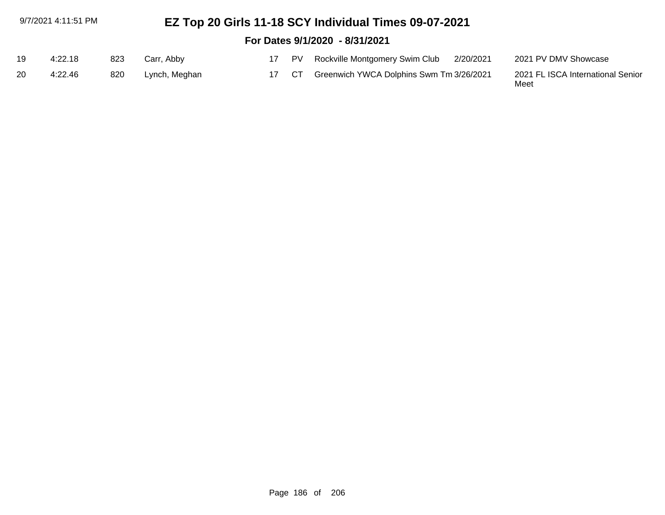|    | 9/7/2021 4:11:51 PM |     | EZ Top 20 Girls 11-18 SCY Individual Times 09-07-2021 |    |       |                                             |                                           |  |  |
|----|---------------------|-----|-------------------------------------------------------|----|-------|---------------------------------------------|-------------------------------------------|--|--|
|    |                     |     |                                                       |    |       |                                             |                                           |  |  |
| 19 | 4:22.18             | 823 | Carr, Abby                                            | 17 | PV    | Rockville Montgomery Swim Club<br>2/20/2021 | 2021 PV DMV Showcase                      |  |  |
| 20 | 4:22.46             | 820 | Lynch, Meghan                                         |    | 17 CT | Greenwich YWCA Dolphins Swm Tm 3/26/2021    | 2021 FL ISCA International Senior<br>Meet |  |  |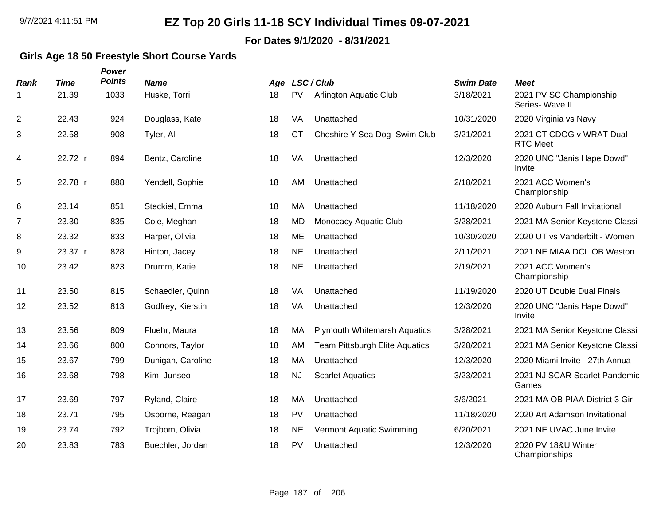#### **For Dates 9/1/2020 - 8/31/2021**

### **Girls Age 18 50 Freestyle Short Course Yards**

| Rank           | <b>Time</b> | Power<br><b>Points</b> | <b>Name</b>       | Age |           | LSC / Club                          | <b>Swim Date</b> | <b>Meet</b>                                 |
|----------------|-------------|------------------------|-------------------|-----|-----------|-------------------------------------|------------------|---------------------------------------------|
|                | 21.39       | 1033                   | Huske, Torri      | 18  | PV        | <b>Arlington Aquatic Club</b>       | 3/18/2021        | 2021 PV SC Championship<br>Series- Wave II  |
| $\overline{2}$ | 22.43       | 924                    | Douglass, Kate    | 18  | VA        | Unattached                          | 10/31/2020       | 2020 Virginia vs Navy                       |
| 3              | 22.58       | 908                    | Tyler, Ali        | 18  | <b>CT</b> | Cheshire Y Sea Dog Swim Club        | 3/21/2021        | 2021 CT CDOG v WRAT Dual<br><b>RTC Meet</b> |
| 4              | 22.72 r     | 894                    | Bentz, Caroline   | 18  | VA        | Unattached                          | 12/3/2020        | 2020 UNC "Janis Hape Dowd"<br>Invite        |
| 5              | 22.78 r     | 888                    | Yendell, Sophie   | 18  | AM        | Unattached                          | 2/18/2021        | 2021 ACC Women's<br>Championship            |
| 6              | 23.14       | 851                    | Steckiel, Emma    | 18  | MA        | Unattached                          | 11/18/2020       | 2020 Auburn Fall Invitational               |
| 7              | 23.30       | 835                    | Cole, Meghan      | 18  | <b>MD</b> | Monocacy Aquatic Club               | 3/28/2021        | 2021 MA Senior Keystone Classi              |
| 8              | 23.32       | 833                    | Harper, Olivia    | 18  | ME        | Unattached                          | 10/30/2020       | 2020 UT vs Vanderbilt - Women               |
| 9              | 23.37 r     | 828                    | Hinton, Jacey     | 18  | <b>NE</b> | Unattached                          | 2/11/2021        | 2021 NE MIAA DCL OB Weston                  |
| 10             | 23.42       | 823                    | Drumm, Katie      | 18  | <b>NE</b> | Unattached                          | 2/19/2021        | 2021 ACC Women's<br>Championship            |
| 11             | 23.50       | 815                    | Schaedler, Quinn  | 18  | VA        | Unattached                          | 11/19/2020       | 2020 UT Double Dual Finals                  |
| 12             | 23.52       | 813                    | Godfrey, Kierstin | 18  | VA        | Unattached                          | 12/3/2020        | 2020 UNC "Janis Hape Dowd"<br>Invite        |
| 13             | 23.56       | 809                    | Fluehr, Maura     | 18  | МA        | <b>Plymouth Whitemarsh Aquatics</b> | 3/28/2021        | 2021 MA Senior Keystone Classi              |
| 14             | 23.66       | 800                    | Connors, Taylor   | 18  | AM        | Team Pittsburgh Elite Aquatics      | 3/28/2021        | 2021 MA Senior Keystone Classi              |
| 15             | 23.67       | 799                    | Dunigan, Caroline | 18  | MA        | Unattached                          | 12/3/2020        | 2020 Miami Invite - 27th Annua              |
| 16             | 23.68       | 798                    | Kim, Junseo       | 18  | <b>NJ</b> | <b>Scarlet Aquatics</b>             | 3/23/2021        | 2021 NJ SCAR Scarlet Pandemic<br>Games      |
| 17             | 23.69       | 797                    | Ryland, Claire    | 18  | MA        | Unattached                          | 3/6/2021         | 2021 MA OB PIAA District 3 Gir              |
| 18             | 23.71       | 795                    | Osborne, Reagan   | 18  | PV        | Unattached                          | 11/18/2020       | 2020 Art Adamson Invitational               |
| 19             | 23.74       | 792                    | Trojbom, Olivia   | 18  | <b>NE</b> | Vermont Aquatic Swimming            | 6/20/2021        | 2021 NE UVAC June Invite                    |
| 20             | 23.83       | 783                    | Buechler, Jordan  | 18  | <b>PV</b> | Unattached                          | 12/3/2020        | 2020 PV 18&U Winter<br>Championships        |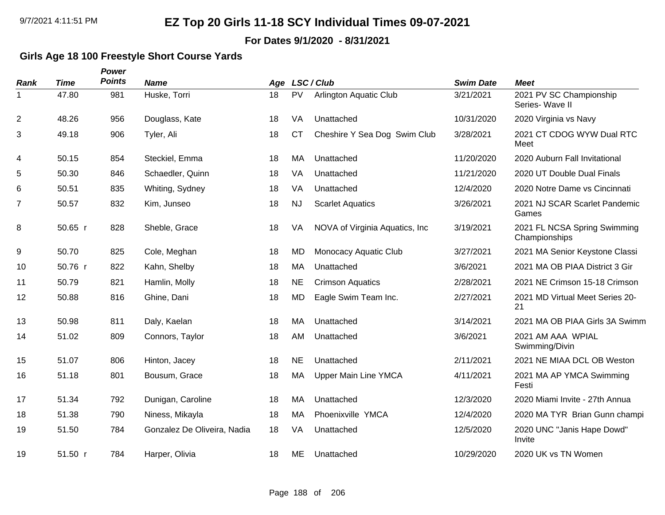#### **For Dates 9/1/2020 - 8/31/2021**

### **Girls Age 18 100 Freestyle Short Course Yards**

| Rank           | <b>Time</b> | Power<br><b>Points</b> | <b>Name</b>                 | Age |           | LSC / Club                      | <b>Swim Date</b> | <b>Meet</b>                                   |
|----------------|-------------|------------------------|-----------------------------|-----|-----------|---------------------------------|------------------|-----------------------------------------------|
| 1              | 47.80       | 981                    | Huske, Torri                | 18  | <b>PV</b> | <b>Arlington Aquatic Club</b>   | 3/21/2021        | 2021 PV SC Championship<br>Series- Wave II    |
| 2              | 48.26       | 956                    | Douglass, Kate              | 18  | <b>VA</b> | Unattached                      | 10/31/2020       | 2020 Virginia vs Navy                         |
| 3              | 49.18       | 906                    | Tyler, Ali                  | 18  | <b>CT</b> | Cheshire Y Sea Dog Swim Club    | 3/28/2021        | 2021 CT CDOG WYW Dual RTC<br>Meet             |
| 4              | 50.15       | 854                    | Steckiel, Emma              | 18  | MA        | Unattached                      | 11/20/2020       | 2020 Auburn Fall Invitational                 |
| 5              | 50.30       | 846                    | Schaedler, Quinn            | 18  | VA        | Unattached                      | 11/21/2020       | 2020 UT Double Dual Finals                    |
| 6              | 50.51       | 835                    | Whiting, Sydney             | 18  | VA        | Unattached                      | 12/4/2020        | 2020 Notre Dame vs Cincinnati                 |
| $\overline{7}$ | 50.57       | 832                    | Kim, Junseo                 | 18  | <b>NJ</b> | <b>Scarlet Aquatics</b>         | 3/26/2021        | 2021 NJ SCAR Scarlet Pandemic<br>Games        |
| 8              | $50.65$ r   | 828                    | Sheble, Grace               | 18  | VA        | NOVA of Virginia Aquatics, Inc. | 3/19/2021        | 2021 FL NCSA Spring Swimming<br>Championships |
| 9              | 50.70       | 825                    | Cole, Meghan                | 18  | MD        | Monocacy Aquatic Club           | 3/27/2021        | 2021 MA Senior Keystone Classi                |
| 10             | 50.76 r     | 822                    | Kahn, Shelby                | 18  | MA        | Unattached                      | 3/6/2021         | 2021 MA OB PIAA District 3 Gir                |
| 11             | 50.79       | 821                    | Hamlin, Molly               | 18  | <b>NE</b> | <b>Crimson Aquatics</b>         | 2/28/2021        | 2021 NE Crimson 15-18 Crimson                 |
| 12             | 50.88       | 816                    | Ghine, Dani                 | 18  | <b>MD</b> | Eagle Swim Team Inc.            | 2/27/2021        | 2021 MD Virtual Meet Series 20-<br>21         |
| 13             | 50.98       | 811                    | Daly, Kaelan                | 18  | MA        | Unattached                      | 3/14/2021        | 2021 MA OB PIAA Girls 3A Swimm                |
| 14             | 51.02       | 809                    | Connors, Taylor             | 18  | AM        | Unattached                      | 3/6/2021         | 2021 AM AAA WPIAL<br>Swimming/Divin           |
| 15             | 51.07       | 806                    | Hinton, Jacey               | 18  | <b>NE</b> | Unattached                      | 2/11/2021        | 2021 NE MIAA DCL OB Weston                    |
| 16             | 51.18       | 801                    | Bousum, Grace               | 18  | MA        | <b>Upper Main Line YMCA</b>     | 4/11/2021        | 2021 MA AP YMCA Swimming<br>Festi             |
| 17             | 51.34       | 792                    | Dunigan, Caroline           | 18  | МA        | Unattached                      | 12/3/2020        | 2020 Miami Invite - 27th Annua                |
| 18             | 51.38       | 790                    | Niness, Mikayla             | 18  | MA        | Phoenixville YMCA               | 12/4/2020        | 2020 MA TYR Brian Gunn champi                 |
| 19             | 51.50       | 784                    | Gonzalez De Oliveira, Nadia | 18  | VA        | Unattached                      | 12/5/2020        | 2020 UNC "Janis Hape Dowd"<br>Invite          |
| 19             | 51.50 r     | 784                    | Harper, Olivia              | 18  | ME        | Unattached                      | 10/29/2020       | 2020 UK vs TN Women                           |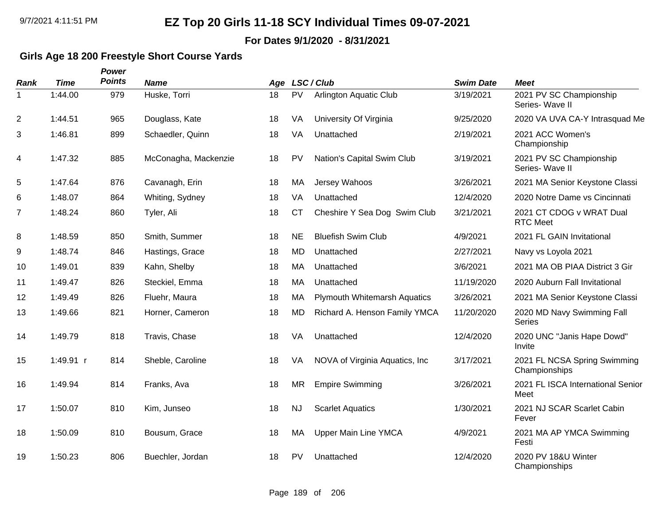#### **For Dates 9/1/2020 - 8/31/2021**

### **Girls Age 18 200 Freestyle Short Course Yards**

| Rank        | <b>Time</b> | Power<br><b>Points</b> | <b>Name</b>          |    |           | Age LSC/Club                        | <b>Swim Date</b> | <b>Meet</b>                                   |
|-------------|-------------|------------------------|----------------------|----|-----------|-------------------------------------|------------------|-----------------------------------------------|
| $\mathbf 1$ | 1:44.00     | 979                    | Huske, Torri         | 18 | PV        | <b>Arlington Aquatic Club</b>       | 3/19/2021        | 2021 PV SC Championship<br>Series- Wave II    |
| 2           | 1:44.51     | 965                    | Douglass, Kate       | 18 | VA        | University Of Virginia              | 9/25/2020        | 2020 VA UVA CA-Y Intrasquad Me                |
| 3           | 1:46.81     | 899                    | Schaedler, Quinn     | 18 | VA        | Unattached                          | 2/19/2021        | 2021 ACC Women's<br>Championship              |
| 4           | 1:47.32     | 885                    | McConagha, Mackenzie | 18 | PV        | Nation's Capital Swim Club          | 3/19/2021        | 2021 PV SC Championship<br>Series- Wave II    |
| 5           | 1:47.64     | 876                    | Cavanagh, Erin       | 18 | MA        | Jersey Wahoos                       | 3/26/2021        | 2021 MA Senior Keystone Classi                |
| 6           | 1:48.07     | 864                    | Whiting, Sydney      | 18 | VA        | Unattached                          | 12/4/2020        | 2020 Notre Dame vs Cincinnati                 |
| 7           | 1:48.24     | 860                    | Tyler, Ali           | 18 | <b>CT</b> | Cheshire Y Sea Dog Swim Club        | 3/21/2021        | 2021 CT CDOG v WRAT Dual<br><b>RTC Meet</b>   |
| 8           | 1:48.59     | 850                    | Smith, Summer        | 18 | <b>NE</b> | <b>Bluefish Swim Club</b>           | 4/9/2021         | 2021 FL GAIN Invitational                     |
| 9           | 1:48.74     | 846                    | Hastings, Grace      | 18 | MD        | Unattached                          | 2/27/2021        | Navy vs Loyola 2021                           |
| 10          | 1:49.01     | 839                    | Kahn, Shelby         | 18 | MA        | Unattached                          | 3/6/2021         | 2021 MA OB PIAA District 3 Gir                |
| 11          | 1:49.47     | 826                    | Steckiel, Emma       | 18 | <b>MA</b> | Unattached                          | 11/19/2020       | 2020 Auburn Fall Invitational                 |
| 12          | 1:49.49     | 826                    | Fluehr, Maura        | 18 | MA        | <b>Plymouth Whitemarsh Aquatics</b> | 3/26/2021        | 2021 MA Senior Keystone Classi                |
| 13          | 1:49.66     | 821                    | Horner, Cameron      | 18 | <b>MD</b> | Richard A. Henson Family YMCA       | 11/20/2020       | 2020 MD Navy Swimming Fall<br>Series          |
| 14          | 1:49.79     | 818                    | Travis, Chase        | 18 | VA        | Unattached                          | 12/4/2020        | 2020 UNC "Janis Hape Dowd"<br>Invite          |
| 15          | 1:49.91 r   | 814                    | Sheble, Caroline     | 18 | VA        | NOVA of Virginia Aquatics, Inc.     | 3/17/2021        | 2021 FL NCSA Spring Swimming<br>Championships |
| 16          | 1:49.94     | 814                    | Franks, Ava          | 18 | <b>MR</b> | <b>Empire Swimming</b>              | 3/26/2021        | 2021 FL ISCA International Senior<br>Meet     |
| 17          | 1:50.07     | 810                    | Kim, Junseo          | 18 | <b>NJ</b> | <b>Scarlet Aquatics</b>             | 1/30/2021        | 2021 NJ SCAR Scarlet Cabin<br>Fever           |
| 18          | 1:50.09     | 810                    | Bousum, Grace        | 18 | МA        | <b>Upper Main Line YMCA</b>         | 4/9/2021         | 2021 MA AP YMCA Swimming<br>Festi             |
| 19          | 1:50.23     | 806                    | Buechler, Jordan     | 18 | PV        | Unattached                          | 12/4/2020        | 2020 PV 18&U Winter<br>Championships          |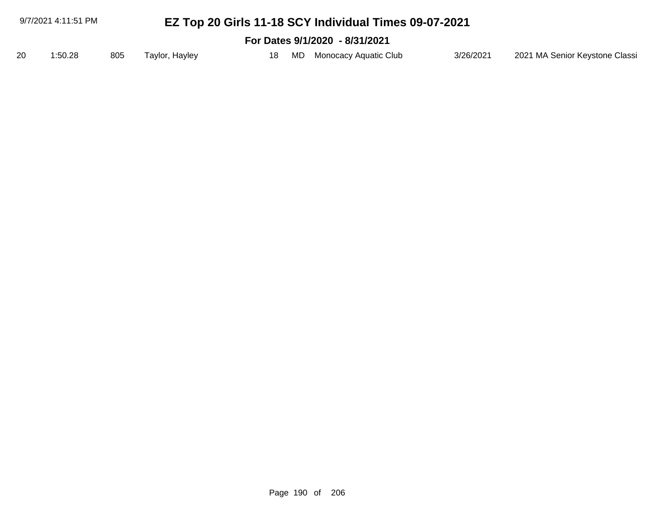| 9/7/2021 4:11:51 PM<br>EZ Top 20 Girls 11-18 SCY Individual Times 09-07-2021 |                                |     |                |  |     |  |                          |           |                                |  |
|------------------------------------------------------------------------------|--------------------------------|-----|----------------|--|-----|--|--------------------------|-----------|--------------------------------|--|
|                                                                              | For Dates 9/1/2020 - 8/31/2021 |     |                |  |     |  |                          |           |                                |  |
| 20                                                                           | 1:50.28                        | 805 | Taylor, Hayley |  | 18. |  | MD Monocacy Aquatic Club | 3/26/2021 | 2021 MA Senior Keystone Classi |  |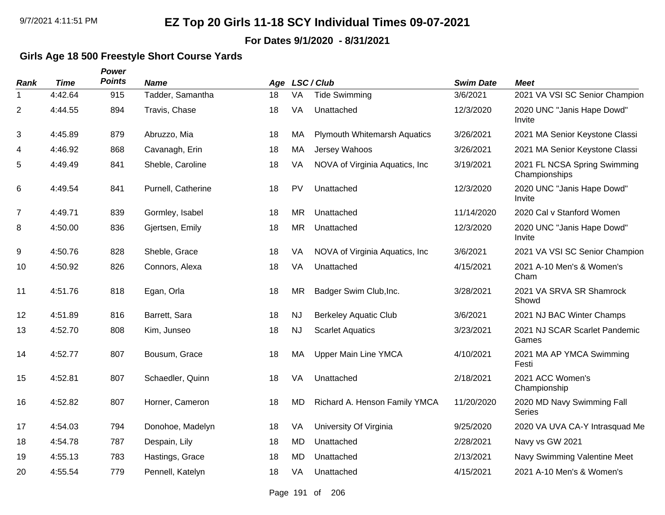#### **For Dates 9/1/2020 - 8/31/2021**

### **Girls Age 18 500 Freestyle Short Course Yards**

| Rank         | <b>Time</b> | Power<br><b>Points</b> | <b>Name</b>        |    |           | Age LSC/Club                        | <b>Swim Date</b> | <b>Meet</b>                                   |
|--------------|-------------|------------------------|--------------------|----|-----------|-------------------------------------|------------------|-----------------------------------------------|
| $\mathbf{1}$ | 4:42.64     | 915                    | Tadder, Samantha   | 18 | VA        | <b>Tide Swimming</b>                | 3/6/2021         | 2021 VA VSI SC Senior Champion                |
| 2            | 4:44.55     | 894                    | Travis, Chase      | 18 | VA        | Unattached                          | 12/3/2020        | 2020 UNC "Janis Hape Dowd"<br>Invite          |
| 3            | 4:45.89     | 879                    | Abruzzo, Mia       | 18 | MA        | <b>Plymouth Whitemarsh Aquatics</b> | 3/26/2021        | 2021 MA Senior Keystone Classi                |
| 4            | 4:46.92     | 868                    | Cavanagh, Erin     | 18 | МA        | Jersey Wahoos                       | 3/26/2021        | 2021 MA Senior Keystone Classi                |
| 5            | 4:49.49     | 841                    | Sheble, Caroline   | 18 | VA        | NOVA of Virginia Aquatics, Inc.     | 3/19/2021        | 2021 FL NCSA Spring Swimming<br>Championships |
| 6            | 4:49.54     | 841                    | Purnell, Catherine | 18 | PV        | Unattached                          | 12/3/2020        | 2020 UNC "Janis Hape Dowd"<br>Invite          |
| 7            | 4:49.71     | 839                    | Gormley, Isabel    | 18 | <b>MR</b> | Unattached                          | 11/14/2020       | 2020 Cal v Stanford Women                     |
| 8            | 4:50.00     | 836                    | Gjertsen, Emily    | 18 | <b>MR</b> | Unattached                          | 12/3/2020        | 2020 UNC "Janis Hape Dowd"<br>Invite          |
| 9            | 4:50.76     | 828                    | Sheble, Grace      | 18 | VA        | NOVA of Virginia Aquatics, Inc      | 3/6/2021         | 2021 VA VSI SC Senior Champion                |
| 10           | 4:50.92     | 826                    | Connors, Alexa     | 18 | VA        | Unattached                          | 4/15/2021        | 2021 A-10 Men's & Women's<br>Cham             |
| 11           | 4:51.76     | 818                    | Egan, Orla         | 18 | <b>MR</b> | Badger Swim Club, Inc.              | 3/28/2021        | 2021 VA SRVA SR Shamrock<br>Showd             |
| 12           | 4:51.89     | 816                    | Barrett, Sara      | 18 | <b>NJ</b> | <b>Berkeley Aquatic Club</b>        | 3/6/2021         | 2021 NJ BAC Winter Champs                     |
| 13           | 4:52.70     | 808                    | Kim, Junseo        | 18 | <b>NJ</b> | <b>Scarlet Aquatics</b>             | 3/23/2021        | 2021 NJ SCAR Scarlet Pandemic<br>Games        |
| 14           | 4:52.77     | 807                    | Bousum, Grace      | 18 | MA        | <b>Upper Main Line YMCA</b>         | 4/10/2021        | 2021 MA AP YMCA Swimming<br>Festi             |
| 15           | 4:52.81     | 807                    | Schaedler, Quinn   | 18 | VA        | Unattached                          | 2/18/2021        | 2021 ACC Women's<br>Championship              |
| 16           | 4:52.82     | 807                    | Horner, Cameron    | 18 | <b>MD</b> | Richard A. Henson Family YMCA       | 11/20/2020       | 2020 MD Navy Swimming Fall<br>Series          |
| 17           | 4:54.03     | 794                    | Donohoe, Madelyn   | 18 | VA        | University Of Virginia              | 9/25/2020        | 2020 VA UVA CA-Y Intrasquad Me                |
| 18           | 4:54.78     | 787                    | Despain, Lily      | 18 | <b>MD</b> | Unattached                          | 2/28/2021        | Navy vs GW 2021                               |
| 19           | 4:55.13     | 783                    | Hastings, Grace    | 18 | <b>MD</b> | Unattached                          | 2/13/2021        | Navy Swimming Valentine Meet                  |
| 20           | 4:55.54     | 779                    | Pennell, Katelyn   | 18 | VA        | Unattached                          | 4/15/2021        | 2021 A-10 Men's & Women's                     |

Page 191 of 206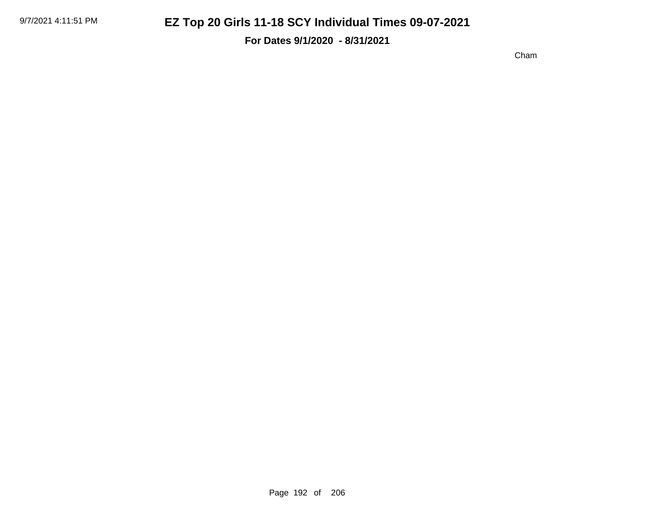**For Dates 9/1/2020 - 8/31/2021**

Cham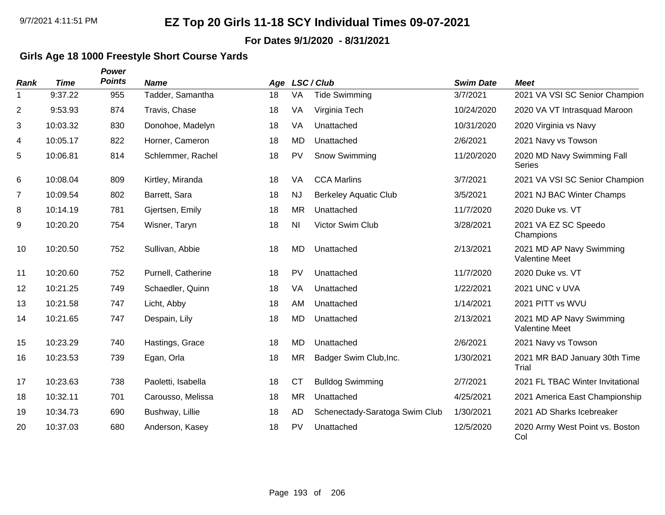#### **For Dates 9/1/2020 - 8/31/2021**

### **Girls Age 18 1000 Freestyle Short Course Yards**

| <b>Rank</b>    | <b>Time</b> | Power<br><b>Points</b> | <b>Name</b>        | Age |                | LSC / Club                     | <b>Swim Date</b> | <b>Meet</b>                                       |
|----------------|-------------|------------------------|--------------------|-----|----------------|--------------------------------|------------------|---------------------------------------------------|
| 1              | 9:37.22     | 955                    | Tadder, Samantha   | 18  | VA             | <b>Tide Swimming</b>           | 3/7/2021         | 2021 VA VSI SC Senior Champion                    |
| $\overline{c}$ | 9:53.93     | 874                    | Travis, Chase      | 18  | VA             | Virginia Tech                  | 10/24/2020       | 2020 VA VT Intrasquad Maroon                      |
| 3              | 10:03.32    | 830                    | Donohoe, Madelyn   | 18  | VA             | Unattached                     | 10/31/2020       | 2020 Virginia vs Navy                             |
| 4              | 10:05.17    | 822                    | Horner, Cameron    | 18  | <b>MD</b>      | Unattached                     | 2/6/2021         | 2021 Navy vs Towson                               |
| 5              | 10:06.81    | 814                    | Schlemmer, Rachel  | 18  | PV             | Snow Swimming                  | 11/20/2020       | 2020 MD Navy Swimming Fall<br><b>Series</b>       |
| 6              | 10:08.04    | 809                    | Kirtley, Miranda   | 18  | VA             | <b>CCA Marlins</b>             | 3/7/2021         | 2021 VA VSI SC Senior Champion                    |
| $\overline{7}$ | 10:09.54    | 802                    | Barrett, Sara      | 18  | <b>NJ</b>      | <b>Berkeley Aquatic Club</b>   | 3/5/2021         | 2021 NJ BAC Winter Champs                         |
| 8              | 10:14.19    | 781                    | Gjertsen, Emily    | 18  | <b>MR</b>      | Unattached                     | 11/7/2020        | 2020 Duke vs. VT                                  |
| 9              | 10:20.20    | 754                    | Wisner, Taryn      | 18  | N <sub>l</sub> | Victor Swim Club               | 3/28/2021        | 2021 VA EZ SC Speedo<br>Champions                 |
| 10             | 10:20.50    | 752                    | Sullivan, Abbie    | 18  | <b>MD</b>      | Unattached                     | 2/13/2021        | 2021 MD AP Navy Swimming<br><b>Valentine Meet</b> |
| 11             | 10:20.60    | 752                    | Purnell, Catherine | 18  | PV             | Unattached                     | 11/7/2020        | 2020 Duke vs. VT                                  |
| 12             | 10:21.25    | 749                    | Schaedler, Quinn   | 18  | VA             | Unattached                     | 1/22/2021        | 2021 UNC v UVA                                    |
| 13             | 10:21.58    | 747                    | Licht, Abby        | 18  | AM             | Unattached                     | 1/14/2021        | 2021 PITT vs WVU                                  |
| 14             | 10:21.65    | 747                    | Despain, Lily      | 18  | <b>MD</b>      | Unattached                     | 2/13/2021        | 2021 MD AP Navy Swimming<br><b>Valentine Meet</b> |
| 15             | 10:23.29    | 740                    | Hastings, Grace    | 18  | <b>MD</b>      | Unattached                     | 2/6/2021         | 2021 Navy vs Towson                               |
| 16             | 10:23.53    | 739                    | Egan, Orla         | 18  | <b>MR</b>      | Badger Swim Club, Inc.         | 1/30/2021        | 2021 MR BAD January 30th Time<br>Trial            |
| 17             | 10:23.63    | 738                    | Paoletti, Isabella | 18  | <b>CT</b>      | <b>Bulldog Swimming</b>        | 2/7/2021         | 2021 FL TBAC Winter Invitational                  |
| 18             | 10:32.11    | 701                    | Carousso, Melissa  | 18  | <b>MR</b>      | Unattached                     | 4/25/2021        | 2021 America East Championship                    |
| 19             | 10:34.73    | 690                    | Bushway, Lillie    | 18  | <b>AD</b>      | Schenectady-Saratoga Swim Club | 1/30/2021        | 2021 AD Sharks Icebreaker                         |
| 20             | 10:37.03    | 680                    | Anderson, Kasey    | 18  | <b>PV</b>      | Unattached                     | 12/5/2020        | 2020 Army West Point vs. Boston<br>Col            |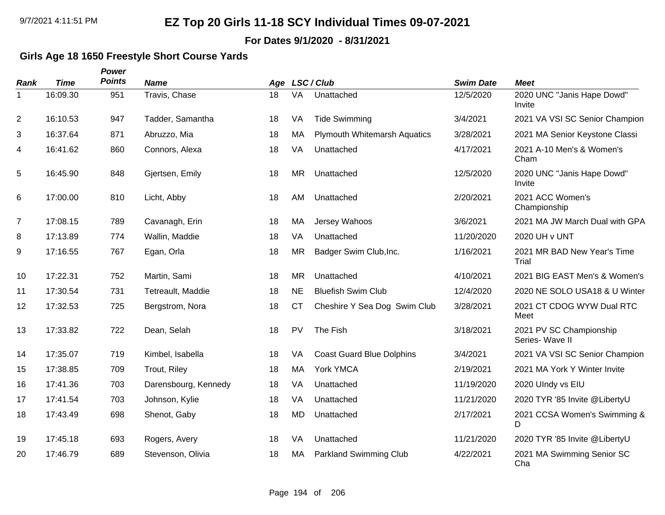#### **For Dates 9/1/2020 - 8/31/2021**

### **Girls Age 18 1650 Freestyle Short Course Yards**

| <b>Rank</b>    | <b>Time</b> | Power<br><b>Points</b> | <b>Name</b>          | Age |           | LSC / Club                          | <b>Swim Date</b> | <b>Meet</b>                                |
|----------------|-------------|------------------------|----------------------|-----|-----------|-------------------------------------|------------------|--------------------------------------------|
| 1              | 16:09.30    | 951                    | Travis, Chase        | 18  | <b>VA</b> | Unattached                          | 12/5/2020        | 2020 UNC "Janis Hape Dowd"<br>Invite       |
| $\overline{2}$ | 16:10.53    | 947                    | Tadder, Samantha     | 18  | VA        | <b>Tide Swimming</b>                | 3/4/2021         | 2021 VA VSI SC Senior Champion             |
| 3              | 16:37.64    | 871                    | Abruzzo, Mia         | 18  | MA        | <b>Plymouth Whitemarsh Aquatics</b> | 3/28/2021        | 2021 MA Senior Keystone Classi             |
| 4              | 16:41.62    | 860                    | Connors, Alexa       | 18  | VA        | Unattached                          | 4/17/2021        | 2021 A-10 Men's & Women's<br>Cham          |
| 5              | 16:45.90    | 848                    | Gjertsen, Emily      | 18  | <b>MR</b> | Unattached                          | 12/5/2020        | 2020 UNC "Janis Hape Dowd"<br>Invite       |
| 6              | 17:00.00    | 810                    | Licht, Abby          | 18  | AM        | Unattached                          | 2/20/2021        | 2021 ACC Women's<br>Championship           |
| 7              | 17:08.15    | 789                    | Cavanagh, Erin       | 18  | MA        | Jersey Wahoos                       | 3/6/2021         | 2021 MA JW March Dual with GPA             |
| 8              | 17:13.89    | 774                    | Wallin, Maddie       | 18  | VA        | Unattached                          | 11/20/2020       | 2020 UH v UNT                              |
| 9              | 17:16.55    | 767                    | Egan, Orla           | 18  | <b>MR</b> | Badger Swim Club, Inc.              | 1/16/2021        | 2021 MR BAD New Year's Time<br>Trial       |
| 10             | 17:22.31    | 752                    | Martin, Sami         | 18  | <b>MR</b> | Unattached                          | 4/10/2021        | 2021 BIG EAST Men's & Women's              |
| 11             | 17:30.54    | 731                    | Tetreault, Maddie    | 18  | <b>NE</b> | <b>Bluefish Swim Club</b>           | 12/4/2020        | 2020 NE SOLO USA18 & U Winter              |
| 12             | 17:32.53    | 725                    | Bergstrom, Nora      | 18  | <b>CT</b> | Cheshire Y Sea Dog Swim Club        | 3/28/2021        | 2021 CT CDOG WYW Dual RTC<br>Meet          |
| 13             | 17:33.82    | 722                    | Dean, Selah          | 18  | PV        | The Fish                            | 3/18/2021        | 2021 PV SC Championship<br>Series- Wave II |
| 14             | 17:35.07    | 719                    | Kimbel, Isabella     | 18  | VA        | <b>Coast Guard Blue Dolphins</b>    | 3/4/2021         | 2021 VA VSI SC Senior Champion             |
| 15             | 17:38.85    | 709                    | Trout, Riley         | 18  | MA        | York YMCA                           | 2/19/2021        | 2021 MA York Y Winter Invite               |
| 16             | 17:41.36    | 703                    | Darensbourg, Kennedy | 18  | VA        | Unattached                          | 11/19/2020       | 2020 UIndy vs EIU                          |
| 17             | 17:41.54    | 703                    | Johnson, Kylie       | 18  | VA        | Unattached                          | 11/21/2020       | 2020 TYR '85 Invite @LibertyU              |
| 18             | 17:43.49    | 698                    | Shenot, Gaby         | 18  | <b>MD</b> | Unattached                          | 2/17/2021        | 2021 CCSA Women's Swimming &<br>D          |
| 19             | 17:45.18    | 693                    | Rogers, Avery        | 18  | VA        | Unattached                          | 11/21/2020       | 2020 TYR '85 Invite @LibertyU              |
| 20             | 17:46.79    | 689                    | Stevenson, Olivia    | 18  | MA        | Parkland Swimming Club              | 4/22/2021        | 2021 MA Swimming Senior SC<br>Cha          |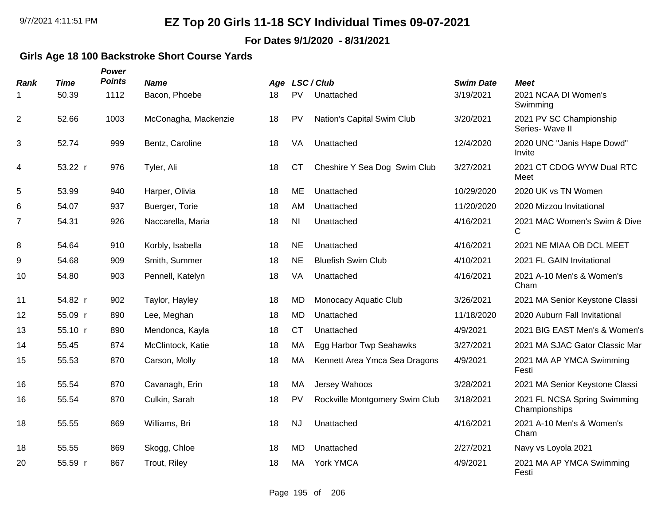**For Dates 9/1/2020 - 8/31/2021**

### **Girls Age 18 100 Backstroke Short Course Yards**

| <b>Rank</b>    | <b>Time</b> | Power<br><b>Points</b> | <b>Name</b>          | Age |                | LSC / Club                     | <b>Swim Date</b> | <b>Meet</b>                                   |
|----------------|-------------|------------------------|----------------------|-----|----------------|--------------------------------|------------------|-----------------------------------------------|
| 1              | 50.39       | 1112                   | Bacon, Phoebe        | 18  | <b>PV</b>      | Unattached                     | 3/19/2021        | 2021 NCAA DI Women's<br>Swimming              |
| $\overline{2}$ | 52.66       | 1003                   | McConagha, Mackenzie | 18  | <b>PV</b>      | Nation's Capital Swim Club     | 3/20/2021        | 2021 PV SC Championship<br>Series- Wave II    |
| 3              | 52.74       | 999                    | Bentz, Caroline      | 18  | VA             | Unattached                     | 12/4/2020        | 2020 UNC "Janis Hape Dowd"<br>Invite          |
| 4              | 53.22 r     | 976                    | Tyler, Ali           | 18  | <b>CT</b>      | Cheshire Y Sea Dog Swim Club   | 3/27/2021        | 2021 CT CDOG WYW Dual RTC<br>Meet             |
| 5              | 53.99       | 940                    | Harper, Olivia       | 18  | <b>ME</b>      | Unattached                     | 10/29/2020       | 2020 UK vs TN Women                           |
| 6              | 54.07       | 937                    | Buerger, Torie       | 18  | AM             | Unattached                     | 11/20/2020       | 2020 Mizzou Invitational                      |
| $\overline{7}$ | 54.31       | 926                    | Naccarella, Maria    | 18  | N <sub>l</sub> | Unattached                     | 4/16/2021        | 2021 MAC Women's Swim & Dive<br>C             |
| 8              | 54.64       | 910                    | Korbly, Isabella     | 18  | <b>NE</b>      | Unattached                     | 4/16/2021        | 2021 NE MIAA OB DCL MEET                      |
| 9              | 54.68       | 909                    | Smith, Summer        | 18  | <b>NE</b>      | <b>Bluefish Swim Club</b>      | 4/10/2021        | 2021 FL GAIN Invitational                     |
| 10             | 54.80       | 903                    | Pennell, Katelyn     | 18  | VA             | Unattached                     | 4/16/2021        | 2021 A-10 Men's & Women's<br>Cham             |
| 11             | 54.82 r     | 902                    | Taylor, Hayley       | 18  | <b>MD</b>      | Monocacy Aquatic Club          | 3/26/2021        | 2021 MA Senior Keystone Classi                |
| 12             | 55.09 r     | 890                    | Lee, Meghan          | 18  | <b>MD</b>      | Unattached                     | 11/18/2020       | 2020 Auburn Fall Invitational                 |
| 13             | 55.10 r     | 890                    | Mendonca, Kayla      | 18  | <b>CT</b>      | Unattached                     | 4/9/2021         | 2021 BIG EAST Men's & Women's                 |
| 14             | 55.45       | 874                    | McClintock, Katie    | 18  | MA             | Egg Harbor Twp Seahawks        | 3/27/2021        | 2021 MA SJAC Gator Classic Mar                |
| 15             | 55.53       | 870                    | Carson, Molly        | 18  | МA             | Kennett Area Ymca Sea Dragons  | 4/9/2021         | 2021 MA AP YMCA Swimming<br>Festi             |
| 16             | 55.54       | 870                    | Cavanagh, Erin       | 18  | МA             | Jersey Wahoos                  | 3/28/2021        | 2021 MA Senior Keystone Classi                |
| 16             | 55.54       | 870                    | Culkin, Sarah        | 18  | PV             | Rockville Montgomery Swim Club | 3/18/2021        | 2021 FL NCSA Spring Swimming<br>Championships |
| 18             | 55.55       | 869                    | Williams, Bri        | 18  | <b>NJ</b>      | Unattached                     | 4/16/2021        | 2021 A-10 Men's & Women's<br>Cham             |
| 18             | 55.55       | 869                    | Skogg, Chloe         | 18  | <b>MD</b>      | Unattached                     | 2/27/2021        | Navy vs Loyola 2021                           |
| 20             | 55.59 r     | 867                    | Trout, Riley         | 18  | <b>MA</b>      | York YMCA                      | 4/9/2021         | 2021 MA AP YMCA Swimming<br>Festi             |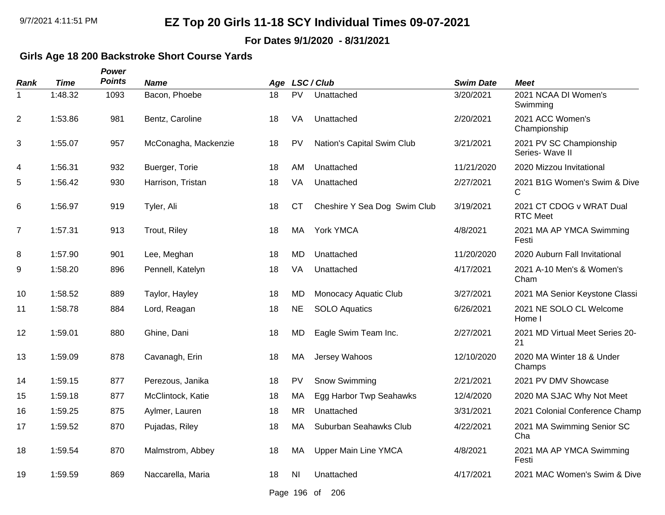**For Dates 9/1/2020 - 8/31/2021**

### **Girls Age 18 200 Backstroke Short Course Yards**

| <b>Rank</b> | <b>Time</b> | Power<br><b>Points</b> | <b>Name</b>          | Age |             | LSC/Club                     | <b>Swim Date</b> | <b>Meet</b>                                 |
|-------------|-------------|------------------------|----------------------|-----|-------------|------------------------------|------------------|---------------------------------------------|
| 1           | 1:48.32     | 1093                   | Bacon, Phoebe        | 18  | PV          | Unattached                   | 3/20/2021        | 2021 NCAA DI Women's<br>Swimming            |
| 2           | 1:53.86     | 981                    | Bentz, Caroline      | 18  | VA          | Unattached                   | 2/20/2021        | 2021 ACC Women's<br>Championship            |
| 3           | 1:55.07     | 957                    | McConagha, Mackenzie | 18  | PV          | Nation's Capital Swim Club   | 3/21/2021        | 2021 PV SC Championship<br>Series- Wave II  |
| 4           | 1:56.31     | 932                    | Buerger, Torie       | 18  | AM          | Unattached                   | 11/21/2020       | 2020 Mizzou Invitational                    |
| 5           | 1:56.42     | 930                    | Harrison, Tristan    | 18  | VA          | Unattached                   | 2/27/2021        | 2021 B1G Women's Swim & Dive<br>С           |
| 6           | 1:56.97     | 919                    | Tyler, Ali           | 18  | <b>CT</b>   | Cheshire Y Sea Dog Swim Club | 3/19/2021        | 2021 CT CDOG v WRAT Dual<br><b>RTC Meet</b> |
| 7           | 1:57.31     | 913                    | Trout, Riley         | 18  | MA          | York YMCA                    | 4/8/2021         | 2021 MA AP YMCA Swimming<br>Festi           |
| 8           | 1:57.90     | 901                    | Lee, Meghan          | 18  | <b>MD</b>   | Unattached                   | 11/20/2020       | 2020 Auburn Fall Invitational               |
| 9           | 1:58.20     | 896                    | Pennell, Katelyn     | 18  | VA          | Unattached                   | 4/17/2021        | 2021 A-10 Men's & Women's<br>Cham           |
| 10          | 1:58.52     | 889                    | Taylor, Hayley       | 18  | <b>MD</b>   | Monocacy Aquatic Club        | 3/27/2021        | 2021 MA Senior Keystone Classi              |
| 11          | 1:58.78     | 884                    | Lord, Reagan         | 18  | <b>NE</b>   | <b>SOLO Aquatics</b>         | 6/26/2021        | 2021 NE SOLO CL Welcome<br>Home I           |
| 12          | 1:59.01     | 880                    | Ghine, Dani          | 18  | <b>MD</b>   | Eagle Swim Team Inc.         | 2/27/2021        | 2021 MD Virtual Meet Series 20-<br>21       |
| 13          | 1:59.09     | 878                    | Cavanagh, Erin       | 18  | MA          | Jersey Wahoos                | 12/10/2020       | 2020 MA Winter 18 & Under<br>Champs         |
| 14          | 1:59.15     | 877                    | Perezous, Janika     | 18  | PV          | Snow Swimming                | 2/21/2021        | 2021 PV DMV Showcase                        |
| 15          | 1:59.18     | 877                    | McClintock, Katie    | 18  | MA          | Egg Harbor Twp Seahawks      | 12/4/2020        | 2020 MA SJAC Why Not Meet                   |
| 16          | 1:59.25     | 875                    | Aylmer, Lauren       | 18  | <b>MR</b>   | Unattached                   | 3/31/2021        | 2021 Colonial Conference Champ              |
| 17          | 1:59.52     | 870                    | Pujadas, Riley       | 18  | MA          | Suburban Seahawks Club       | 4/22/2021        | 2021 MA Swimming Senior SC<br>Cha           |
| 18          | 1:59.54     | 870                    | Malmstrom, Abbey     | 18  | MA          | <b>Upper Main Line YMCA</b>  | 4/8/2021         | 2021 MA AP YMCA Swimming<br>Festi           |
| 19          | 1:59.59     | 869                    | Naccarella, Maria    | 18  | <b>NI</b>   | Unattached                   | 4/17/2021        | 2021 MAC Women's Swim & Dive                |
|             |             |                        |                      |     | Page 196 of | 206                          |                  |                                             |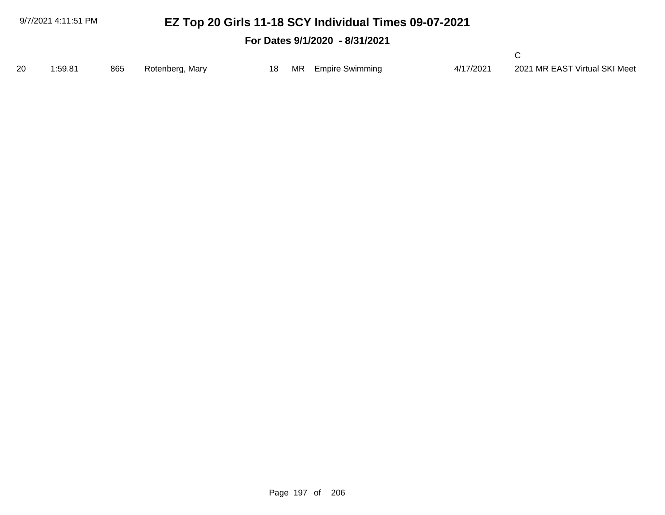#### **For Dates 9/1/2020 - 8/31/2021**

| 20 | 1:59.81 | 865 Rotenberg, Mary |  | 18 MR Empire Swimming | 4/17/2021 | 2021 MR EAST Virtual SKI Meet |
|----|---------|---------------------|--|-----------------------|-----------|-------------------------------|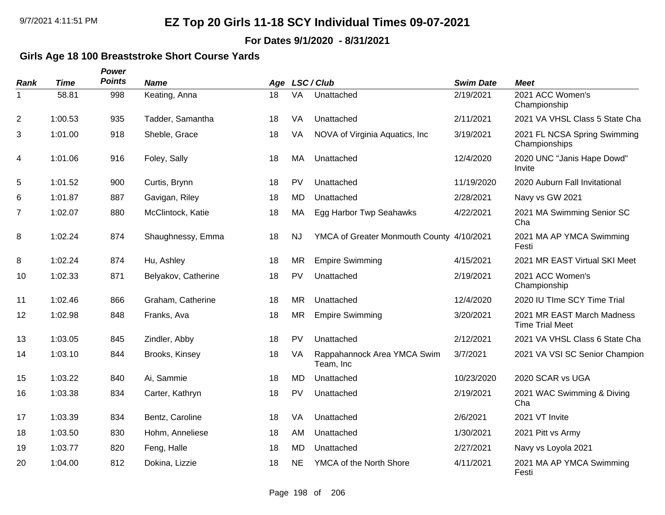**For Dates 9/1/2020 - 8/31/2021**

### **Girls Age 18 100 Breaststroke Short Course Yards**

| <b>Rank</b> | <b>Time</b> | Power<br><b>Points</b> | <b>Name</b>         |    |           | Age LSC/Club                              | <b>Swim Date</b> | <b>Meet</b>                                          |
|-------------|-------------|------------------------|---------------------|----|-----------|-------------------------------------------|------------------|------------------------------------------------------|
| 1           | 58.81       | 998                    | Keating, Anna       | 18 | <b>VA</b> | Unattached                                | 2/19/2021        | 2021 ACC Women's<br>Championship                     |
| 2           | 1:00.53     | 935                    | Tadder, Samantha    | 18 | <b>VA</b> | Unattached                                | 2/11/2021        | 2021 VA VHSL Class 5 State Cha                       |
| 3           | 1:01.00     | 918                    | Sheble, Grace       | 18 | VA        | NOVA of Virginia Aquatics, Inc.           | 3/19/2021        | 2021 FL NCSA Spring Swimming<br>Championships        |
| 4           | 1:01.06     | 916                    | Foley, Sally        | 18 | MA        | Unattached                                | 12/4/2020        | 2020 UNC "Janis Hape Dowd"<br>Invite                 |
| 5           | 1:01.52     | 900                    | Curtis, Brynn       | 18 | PV        | Unattached                                | 11/19/2020       | 2020 Auburn Fall Invitational                        |
| 6           | 1:01.87     | 887                    | Gavigan, Riley      | 18 | MD        | Unattached                                | 2/28/2021        | Navy vs GW 2021                                      |
| 7           | 1:02.07     | 880                    | McClintock, Katie   | 18 | MA        | Egg Harbor Twp Seahawks                   | 4/22/2021        | 2021 MA Swimming Senior SC<br>Cha                    |
| 8           | 1:02.24     | 874                    | Shaughnessy, Emma   | 18 | <b>NJ</b> | YMCA of Greater Monmouth County 4/10/2021 |                  | 2021 MA AP YMCA Swimming<br>Festi                    |
| 8           | 1:02.24     | 874                    | Hu, Ashley          | 18 | <b>MR</b> | <b>Empire Swimming</b>                    | 4/15/2021        | 2021 MR EAST Virtual SKI Meet                        |
| 10          | 1:02.33     | 871                    | Belyakov, Catherine | 18 | PV        | Unattached                                | 2/19/2021        | 2021 ACC Women's<br>Championship                     |
| 11          | 1:02.46     | 866                    | Graham, Catherine   | 18 | <b>MR</b> | Unattached                                | 12/4/2020        | 2020 IU TIme SCY Time Trial                          |
| 12          | 1:02.98     | 848                    | Franks, Ava         | 18 | <b>MR</b> | <b>Empire Swimming</b>                    | 3/20/2021        | 2021 MR EAST March Madness<br><b>Time Trial Meet</b> |
| 13          | 1:03.05     | 845                    | Zindler, Abby       | 18 | PV        | Unattached                                | 2/12/2021        | 2021 VA VHSL Class 6 State Cha                       |
| 14          | 1:03.10     | 844                    | Brooks, Kinsey      | 18 | VA        | Rappahannock Area YMCA Swim<br>Team, Inc  | 3/7/2021         | 2021 VA VSI SC Senior Champion                       |
| 15          | 1:03.22     | 840                    | Ai, Sammie          | 18 | MD        | Unattached                                | 10/23/2020       | 2020 SCAR vs UGA                                     |
| 16          | 1:03.38     | 834                    | Carter, Kathryn     | 18 | PV        | Unattached                                | 2/19/2021        | 2021 WAC Swimming & Diving<br>Cha                    |
| 17          | 1:03.39     | 834                    | Bentz, Caroline     | 18 | VA        | Unattached                                | 2/6/2021         | 2021 VT Invite                                       |
| 18          | 1:03.50     | 830                    | Hohm, Anneliese     | 18 | AM        | Unattached                                | 1/30/2021        | 2021 Pitt vs Army                                    |
| 19          | 1:03.77     | 820                    | Feng, Halle         | 18 | <b>MD</b> | Unattached                                | 2/27/2021        | Navy vs Loyola 2021                                  |
| 20          | 1:04.00     | 812                    | Dokina, Lizzie      | 18 | <b>NE</b> | YMCA of the North Shore                   | 4/11/2021        | 2021 MA AP YMCA Swimming<br>Festi                    |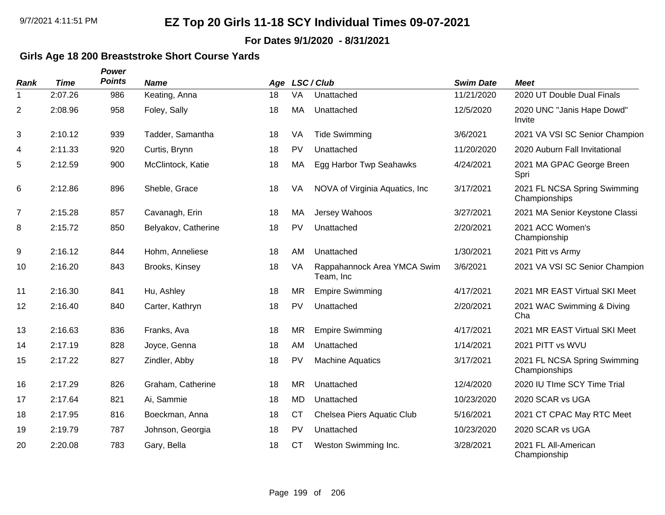#### **For Dates 9/1/2020 - 8/31/2021**

### **Girls Age 18 200 Breaststroke Short Course Yards**

| <b>Rank</b>    | <b>Time</b> | Power<br><b>Points</b> | <b>Name</b>         | Age |           | LSC / Club                               | <b>Swim Date</b> | <b>Meet</b>                                   |
|----------------|-------------|------------------------|---------------------|-----|-----------|------------------------------------------|------------------|-----------------------------------------------|
| 1              | 2:07.26     | 986                    | Keating, Anna       | 18  | VA        | Unattached                               | 11/21/2020       | 2020 UT Double Dual Finals                    |
| $\overline{2}$ | 2:08.96     | 958                    | Foley, Sally        | 18  | MA        | Unattached                               | 12/5/2020        | 2020 UNC "Janis Hape Dowd"<br>Invite          |
| 3              | 2:10.12     | 939                    | Tadder, Samantha    | 18  | VA        | <b>Tide Swimming</b>                     | 3/6/2021         | 2021 VA VSI SC Senior Champion                |
| 4              | 2:11.33     | 920                    | Curtis, Brynn       | 18  | PV        | Unattached                               | 11/20/2020       | 2020 Auburn Fall Invitational                 |
| 5              | 2:12.59     | 900                    | McClintock, Katie   | 18  | MA        | Egg Harbor Twp Seahawks                  | 4/24/2021        | 2021 MA GPAC George Breen<br>Spri             |
| 6              | 2:12.86     | 896                    | Sheble, Grace       | 18  | VA        | NOVA of Virginia Aquatics, Inc.          | 3/17/2021        | 2021 FL NCSA Spring Swimming<br>Championships |
| $\overline{7}$ | 2:15.28     | 857                    | Cavanagh, Erin      | 18  | MA        | Jersey Wahoos                            | 3/27/2021        | 2021 MA Senior Keystone Classi                |
| 8              | 2:15.72     | 850                    | Belyakov, Catherine | 18  | PV        | Unattached                               | 2/20/2021        | 2021 ACC Women's<br>Championship              |
| 9              | 2:16.12     | 844                    | Hohm, Anneliese     | 18  | AM        | Unattached                               | 1/30/2021        | 2021 Pitt vs Army                             |
| 10             | 2:16.20     | 843                    | Brooks, Kinsey      | 18  | VA        | Rappahannock Area YMCA Swim<br>Team, Inc | 3/6/2021         | 2021 VA VSI SC Senior Champion                |
| 11             | 2:16.30     | 841                    | Hu, Ashley          | 18  | <b>MR</b> | <b>Empire Swimming</b>                   | 4/17/2021        | 2021 MR EAST Virtual SKI Meet                 |
| 12             | 2:16.40     | 840                    | Carter, Kathryn     | 18  | <b>PV</b> | Unattached                               | 2/20/2021        | 2021 WAC Swimming & Diving<br>Cha             |
| 13             | 2:16.63     | 836                    | Franks, Ava         | 18  | <b>MR</b> | <b>Empire Swimming</b>                   | 4/17/2021        | 2021 MR EAST Virtual SKI Meet                 |
| 14             | 2:17.19     | 828                    | Joyce, Genna        | 18  | AM        | Unattached                               | 1/14/2021        | 2021 PITT vs WVU                              |
| 15             | 2:17.22     | 827                    | Zindler, Abby       | 18  | <b>PV</b> | <b>Machine Aquatics</b>                  | 3/17/2021        | 2021 FL NCSA Spring Swimming<br>Championships |
| 16             | 2:17.29     | 826                    | Graham, Catherine   | 18  | <b>MR</b> | Unattached                               | 12/4/2020        | 2020 IU TIme SCY Time Trial                   |
| 17             | 2:17.64     | 821                    | Ai, Sammie          | 18  | <b>MD</b> | Unattached                               | 10/23/2020       | 2020 SCAR vs UGA                              |
| 18             | 2:17.95     | 816                    | Boeckman, Anna      | 18  | <b>CT</b> | Chelsea Piers Aquatic Club               | 5/16/2021        | 2021 CT CPAC May RTC Meet                     |
| 19             | 2:19.79     | 787                    | Johnson, Georgia    | 18  | PV        | Unattached                               | 10/23/2020       | 2020 SCAR vs UGA                              |
| 20             | 2:20.08     | 783                    | Gary, Bella         | 18  | <b>CT</b> | Weston Swimming Inc.                     | 3/28/2021        | 2021 FL All-American<br>Championship          |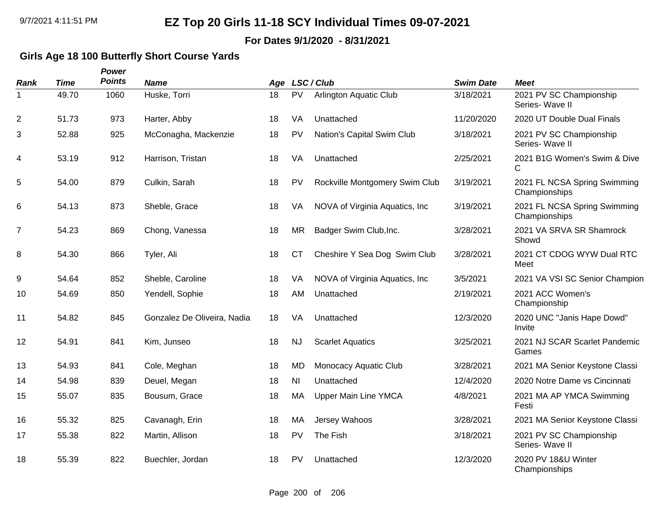**For Dates 9/1/2020 - 8/31/2021**

### **Girls Age 18 100 Butterfly Short Course Yards**

| <b>Rank</b>    | <b>Time</b> | Power<br><b>Points</b> | <b>Name</b>                 | Age |           | LSC / Club                      | <b>Swim Date</b> | <b>Meet</b>                                   |
|----------------|-------------|------------------------|-----------------------------|-----|-----------|---------------------------------|------------------|-----------------------------------------------|
| 1              | 49.70       | 1060                   | Huske, Torri                | 18  | PV        | <b>Arlington Aquatic Club</b>   | 3/18/2021        | 2021 PV SC Championship<br>Series- Wave II    |
| $\overline{c}$ | 51.73       | 973                    | Harter, Abby                | 18  | VA        | Unattached                      | 11/20/2020       | 2020 UT Double Dual Finals                    |
| 3              | 52.88       | 925                    | McConagha, Mackenzie        | 18  | PV        | Nation's Capital Swim Club      | 3/18/2021        | 2021 PV SC Championship<br>Series- Wave II    |
| 4              | 53.19       | 912                    | Harrison, Tristan           | 18  | VA        | Unattached                      | 2/25/2021        | 2021 B1G Women's Swim & Dive<br>C             |
| 5              | 54.00       | 879                    | Culkin, Sarah               | 18  | PV        | Rockville Montgomery Swim Club  | 3/19/2021        | 2021 FL NCSA Spring Swimming<br>Championships |
| 6              | 54.13       | 873                    | Sheble, Grace               | 18  | VA        | NOVA of Virginia Aquatics, Inc. | 3/19/2021        | 2021 FL NCSA Spring Swimming<br>Championships |
| $\overline{7}$ | 54.23       | 869                    | Chong, Vanessa              | 18  | <b>MR</b> | Badger Swim Club, Inc.          | 3/28/2021        | 2021 VA SRVA SR Shamrock<br>Showd             |
| 8              | 54.30       | 866                    | Tyler, Ali                  | 18  | <b>CT</b> | Cheshire Y Sea Dog Swim Club    | 3/28/2021        | 2021 CT CDOG WYW Dual RTC<br>Meet             |
| 9              | 54.64       | 852                    | Sheble, Caroline            | 18  | VA        | NOVA of Virginia Aquatics, Inc. | 3/5/2021         | 2021 VA VSI SC Senior Champion                |
| 10             | 54.69       | 850                    | Yendell, Sophie             | 18  | AM        | Unattached                      | 2/19/2021        | 2021 ACC Women's<br>Championship              |
| 11             | 54.82       | 845                    | Gonzalez De Oliveira, Nadia | 18  | VA        | Unattached                      | 12/3/2020        | 2020 UNC "Janis Hape Dowd"<br>Invite          |
| 12             | 54.91       | 841                    | Kim, Junseo                 | 18  | <b>NJ</b> | <b>Scarlet Aquatics</b>         | 3/25/2021        | 2021 NJ SCAR Scarlet Pandemic<br>Games        |
| 13             | 54.93       | 841                    | Cole, Meghan                | 18  | <b>MD</b> | Monocacy Aquatic Club           | 3/28/2021        | 2021 MA Senior Keystone Classi                |
| 14             | 54.98       | 839                    | Deuel, Megan                | 18  | <b>NI</b> | Unattached                      | 12/4/2020        | 2020 Notre Dame vs Cincinnati                 |
| 15             | 55.07       | 835                    | Bousum, Grace               | 18  | MA        | <b>Upper Main Line YMCA</b>     | 4/8/2021         | 2021 MA AP YMCA Swimming<br>Festi             |
| 16             | 55.32       | 825                    | Cavanagh, Erin              | 18  | МA        | Jersey Wahoos                   | 3/28/2021        | 2021 MA Senior Keystone Classi                |
| 17             | 55.38       | 822                    | Martin, Allison             | 18  | <b>PV</b> | The Fish                        | 3/18/2021        | 2021 PV SC Championship<br>Series- Wave II    |
| 18             | 55.39       | 822                    | Buechler, Jordan            | 18  | PV        | Unattached                      | 12/3/2020        | 2020 PV 18&U Winter<br>Championships          |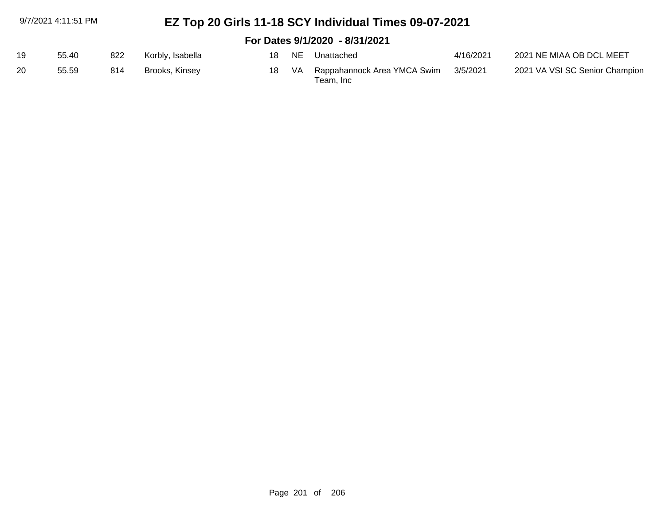| 9/7/2021 4:11:51 PM |                                |     |                  |     |     | EZ Top 20 Girls 11-18 SCY Individual Times 09-07-2021 |           |                                |  |  |  |  |
|---------------------|--------------------------------|-----|------------------|-----|-----|-------------------------------------------------------|-----------|--------------------------------|--|--|--|--|
|                     | For Dates 9/1/2020 - 8/31/2021 |     |                  |     |     |                                                       |           |                                |  |  |  |  |
| 19                  | 55.40                          | 822 | Korbly, Isabella | 18. | NE. | Unattached                                            | 4/16/2021 | 2021 NE MIAA OB DCL MEET       |  |  |  |  |
| 20                  | 55.59                          | 814 | Brooks, Kinsey   | 18  | VA. | Rappahannock Area YMCA Swim                           | 3/5/2021  | 2021 VA VSI SC Senior Champion |  |  |  |  |

Rappanani<br>Team, Inc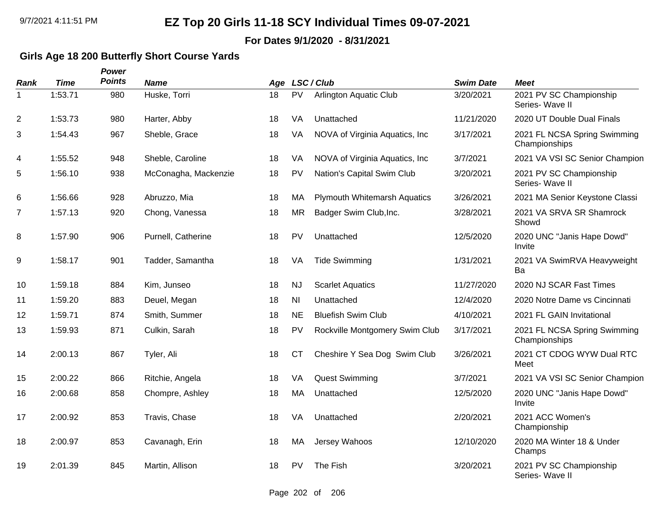**For Dates 9/1/2020 - 8/31/2021**

### **Girls Age 18 200 Butterfly Short Course Yards**

| <b>Rank</b>    | <b>Time</b> | Power<br><b>Points</b> | <b>Name</b>          | Age |           | LSC/Club                            | <b>Swim Date</b> | <b>Meet</b>                                   |
|----------------|-------------|------------------------|----------------------|-----|-----------|-------------------------------------|------------------|-----------------------------------------------|
| 1              | 1:53.71     | 980                    | Huske, Torri         | 18  | <b>PV</b> | <b>Arlington Aquatic Club</b>       | 3/20/2021        | 2021 PV SC Championship<br>Series- Wave II    |
| $\overline{2}$ | 1:53.73     | 980                    | Harter, Abby         | 18  | VA        | Unattached                          | 11/21/2020       | 2020 UT Double Dual Finals                    |
| 3              | 1:54.43     | 967                    | Sheble, Grace        | 18  | VA        | NOVA of Virginia Aquatics, Inc      | 3/17/2021        | 2021 FL NCSA Spring Swimming<br>Championships |
| 4              | 1:55.52     | 948                    | Sheble, Caroline     | 18  | VA        | NOVA of Virginia Aquatics, Inc.     | 3/7/2021         | 2021 VA VSI SC Senior Champion                |
| 5              | 1:56.10     | 938                    | McConagha, Mackenzie | 18  | <b>PV</b> | Nation's Capital Swim Club          | 3/20/2021        | 2021 PV SC Championship<br>Series- Wave II    |
| 6              | 1:56.66     | 928                    | Abruzzo, Mia         | 18  | МA        | <b>Plymouth Whitemarsh Aquatics</b> | 3/26/2021        | 2021 MA Senior Keystone Classi                |
| 7              | 1:57.13     | 920                    | Chong, Vanessa       | 18  | <b>MR</b> | Badger Swim Club, Inc.              | 3/28/2021        | 2021 VA SRVA SR Shamrock<br>Showd             |
| 8              | 1:57.90     | 906                    | Purnell, Catherine   | 18  | PV        | Unattached                          | 12/5/2020        | 2020 UNC "Janis Hape Dowd"<br>Invite          |
| 9              | 1:58.17     | 901                    | Tadder, Samantha     | 18  | VA        | <b>Tide Swimming</b>                | 1/31/2021        | 2021 VA SwimRVA Heavyweight<br>Ba             |
| 10             | 1:59.18     | 884                    | Kim, Junseo          | 18  | <b>NJ</b> | <b>Scarlet Aquatics</b>             | 11/27/2020       | 2020 NJ SCAR Fast Times                       |
| 11             | 1:59.20     | 883                    | Deuel, Megan         | 18  | <b>NI</b> | Unattached                          | 12/4/2020        | 2020 Notre Dame vs Cincinnati                 |
| 12             | 1:59.71     | 874                    | Smith, Summer        | 18  | <b>NE</b> | <b>Bluefish Swim Club</b>           | 4/10/2021        | 2021 FL GAIN Invitational                     |
| 13             | 1:59.93     | 871                    | Culkin, Sarah        | 18  | PV        | Rockville Montgomery Swim Club      | 3/17/2021        | 2021 FL NCSA Spring Swimming<br>Championships |
| 14             | 2:00.13     | 867                    | Tyler, Ali           | 18  | СT        | Cheshire Y Sea Dog Swim Club        | 3/26/2021        | 2021 CT CDOG WYW Dual RTC<br>Meet             |
| 15             | 2:00.22     | 866                    | Ritchie, Angela      | 18  | VA        | <b>Quest Swimming</b>               | 3/7/2021         | 2021 VA VSI SC Senior Champion                |
| 16             | 2:00.68     | 858                    | Chompre, Ashley      | 18  | MA        | Unattached                          | 12/5/2020        | 2020 UNC "Janis Hape Dowd"<br>Invite          |
| 17             | 2:00.92     | 853                    | Travis, Chase        | 18  | VA        | Unattached                          | 2/20/2021        | 2021 ACC Women's<br>Championship              |
| 18             | 2:00.97     | 853                    | Cavanagh, Erin       | 18  | MA        | Jersey Wahoos                       | 12/10/2020       | 2020 MA Winter 18 & Under<br>Champs           |
| 19             | 2:01.39     | 845                    | Martin, Allison      | 18  | PV        | The Fish                            | 3/20/2021        | 2021 PV SC Championship<br>Series- Wave II    |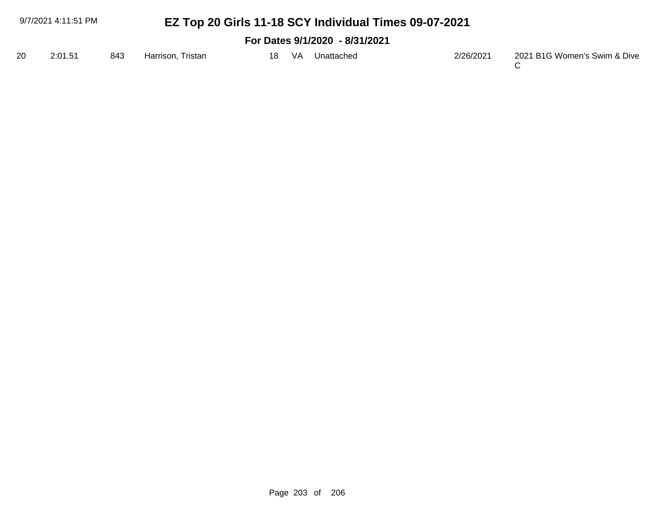| 9/7/2021 4:11:51 PM |         |     | EZ Top 20 Girls 11-18 SCY Individual Times 09-07-2021 |     |     |                                |           |                              |  |
|---------------------|---------|-----|-------------------------------------------------------|-----|-----|--------------------------------|-----------|------------------------------|--|
|                     |         |     |                                                       |     |     | For Dates 9/1/2020 - 8/31/2021 |           |                              |  |
| 20                  | 2:01.51 | 843 | Harrison, Tristan                                     | 18. | -VA | Unattached                     | 2/26/2021 | 2021 B1G Women's Swim & Dive |  |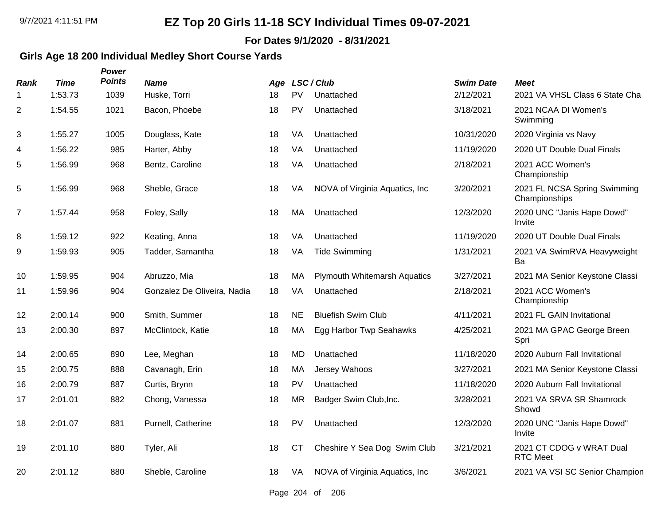**For Dates 9/1/2020 - 8/31/2021**

### **Girls Age 18 200 Individual Medley Short Course Yards**

*Power*

| <b>Rank</b>    | <b>Time</b> | <b>Points</b> | <b>Name</b>                 | Age |           | LSC / Club                          | <b>Swim Date</b> | <b>Meet</b>                                   |
|----------------|-------------|---------------|-----------------------------|-----|-----------|-------------------------------------|------------------|-----------------------------------------------|
|                | 1:53.73     | 1039          | Huske, Torri                | 18  | <b>PV</b> | Unattached                          | 2/12/2021        | 2021 VA VHSL Class 6 State Cha                |
| 2              | 1:54.55     | 1021          | Bacon, Phoebe               | 18  | <b>PV</b> | Unattached                          | 3/18/2021        | 2021 NCAA DI Women's<br>Swimming              |
| 3              | 1:55.27     | 1005          | Douglass, Kate              | 18  | VA        | Unattached                          | 10/31/2020       | 2020 Virginia vs Navy                         |
| 4              | 1:56.22     | 985           | Harter, Abby                | 18  | VA        | Unattached                          | 11/19/2020       | 2020 UT Double Dual Finals                    |
| 5              | 1:56.99     | 968           | Bentz, Caroline             | 18  | VA        | Unattached                          | 2/18/2021        | 2021 ACC Women's<br>Championship              |
| 5              | 1:56.99     | 968           | Sheble, Grace               | 18  | VA        | NOVA of Virginia Aquatics, Inc.     | 3/20/2021        | 2021 FL NCSA Spring Swimming<br>Championships |
| $\overline{7}$ | 1:57.44     | 958           | Foley, Sally                | 18  | МA        | Unattached                          | 12/3/2020        | 2020 UNC "Janis Hape Dowd"<br>Invite          |
| 8              | 1:59.12     | 922           | Keating, Anna               | 18  | VA        | Unattached                          | 11/19/2020       | 2020 UT Double Dual Finals                    |
| 9              | 1:59.93     | 905           | Tadder, Samantha            | 18  | VA        | <b>Tide Swimming</b>                | 1/31/2021        | 2021 VA SwimRVA Heavyweight<br>Ba             |
| 10             | 1:59.95     | 904           | Abruzzo, Mia                | 18  | MA        | <b>Plymouth Whitemarsh Aquatics</b> | 3/27/2021        | 2021 MA Senior Keystone Classi                |
| 11             | 1:59.96     | 904           | Gonzalez De Oliveira, Nadia | 18  | VA        | Unattached                          | 2/18/2021        | 2021 ACC Women's<br>Championship              |
| 12             | 2:00.14     | 900           | Smith, Summer               | 18  | <b>NE</b> | <b>Bluefish Swim Club</b>           | 4/11/2021        | 2021 FL GAIN Invitational                     |
| 13             | 2:00.30     | 897           | McClintock, Katie           | 18  | MA        | Egg Harbor Twp Seahawks             | 4/25/2021        | 2021 MA GPAC George Breen<br>Spri             |
| 14             | 2:00.65     | 890           | Lee, Meghan                 | 18  | <b>MD</b> | Unattached                          | 11/18/2020       | 2020 Auburn Fall Invitational                 |
| 15             | 2:00.75     | 888           | Cavanagh, Erin              | 18  | MA        | Jersey Wahoos                       | 3/27/2021        | 2021 MA Senior Keystone Classi                |
| 16             | 2:00.79     | 887           | Curtis, Brynn               | 18  | <b>PV</b> | Unattached                          | 11/18/2020       | 2020 Auburn Fall Invitational                 |
| 17             | 2:01.01     | 882           | Chong, Vanessa              | 18  | <b>MR</b> | Badger Swim Club, Inc.              | 3/28/2021        | 2021 VA SRVA SR Shamrock<br>Showd             |
| 18             | 2:01.07     | 881           | Purnell, Catherine          | 18  | <b>PV</b> | Unattached                          | 12/3/2020        | 2020 UNC "Janis Hape Dowd"<br>Invite          |
| 19             | 2:01.10     | 880           | Tyler, Ali                  | 18  | <b>CT</b> | Cheshire Y Sea Dog Swim Club        | 3/21/2021        | 2021 CT CDOG v WRAT Dual<br><b>RTC Meet</b>   |
| 20             | 2:01.12     | 880           | Sheble, Caroline            | 18  | VA        | NOVA of Virginia Aquatics, Inc.     | 3/6/2021         | 2021 VA VSI SC Senior Champion                |

Page 204 of 206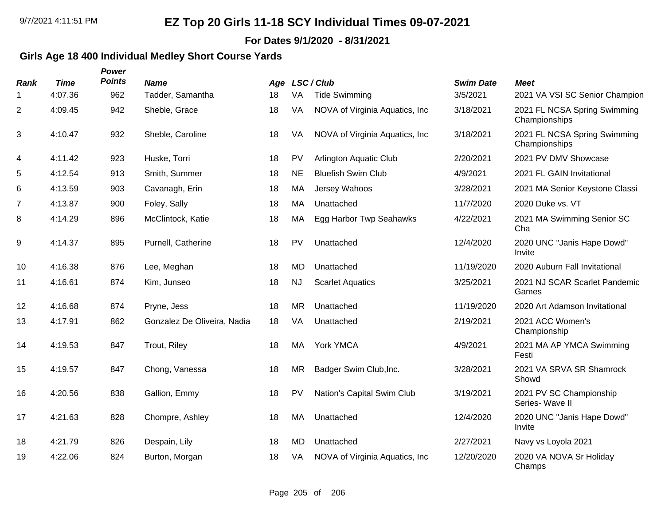**For Dates 9/1/2020 - 8/31/2021**

### **Girls Age 18 400 Individual Medley Short Course Yards**

| Rank           | <b>Time</b> | Power<br><b>Points</b> | <b>Name</b>                 |    |           | Age LSC/Club                    | <b>Swim Date</b> | <b>Meet</b>                                   |
|----------------|-------------|------------------------|-----------------------------|----|-----------|---------------------------------|------------------|-----------------------------------------------|
| $\mathbf 1$    | 4:07.36     | 962                    | Tadder, Samantha            | 18 | VA        | <b>Tide Swimming</b>            | 3/5/2021         | 2021 VA VSI SC Senior Champion                |
| $\overline{c}$ | 4:09.45     | 942                    | Sheble, Grace               | 18 | VA        | NOVA of Virginia Aquatics, Inc. | 3/18/2021        | 2021 FL NCSA Spring Swimming<br>Championships |
| 3              | 4:10.47     | 932                    | Sheble, Caroline            | 18 | VA        | NOVA of Virginia Aquatics, Inc. | 3/18/2021        | 2021 FL NCSA Spring Swimming<br>Championships |
| 4              | 4:11.42     | 923                    | Huske, Torri                | 18 | <b>PV</b> | Arlington Aquatic Club          | 2/20/2021        | 2021 PV DMV Showcase                          |
| 5              | 4:12.54     | 913                    | Smith, Summer               | 18 | <b>NE</b> | <b>Bluefish Swim Club</b>       | 4/9/2021         | 2021 FL GAIN Invitational                     |
| 6              | 4:13.59     | 903                    | Cavanagh, Erin              | 18 | MA        | Jersey Wahoos                   | 3/28/2021        | 2021 MA Senior Keystone Classi                |
| 7              | 4:13.87     | 900                    | Foley, Sally                | 18 | <b>MA</b> | Unattached                      | 11/7/2020        | 2020 Duke vs. VT                              |
| 8              | 4:14.29     | 896                    | McClintock, Katie           | 18 | <b>MA</b> | Egg Harbor Twp Seahawks         | 4/22/2021        | 2021 MA Swimming Senior SC<br>Cha             |
| 9              | 4:14.37     | 895                    | Purnell, Catherine          | 18 | <b>PV</b> | Unattached                      | 12/4/2020        | 2020 UNC "Janis Hape Dowd"<br>Invite          |
| 10             | 4:16.38     | 876                    | Lee, Meghan                 | 18 | <b>MD</b> | Unattached                      | 11/19/2020       | 2020 Auburn Fall Invitational                 |
| 11             | 4:16.61     | 874                    | Kim, Junseo                 | 18 | <b>NJ</b> | <b>Scarlet Aquatics</b>         | 3/25/2021        | 2021 NJ SCAR Scarlet Pandemic<br>Games        |
| 12             | 4:16.68     | 874                    | Pryne, Jess                 | 18 | <b>MR</b> | Unattached                      | 11/19/2020       | 2020 Art Adamson Invitational                 |
| 13             | 4:17.91     | 862                    | Gonzalez De Oliveira, Nadia | 18 | VA        | Unattached                      | 2/19/2021        | 2021 ACC Women's<br>Championship              |
| 14             | 4:19.53     | 847                    | Trout, Riley                | 18 | MA        | York YMCA                       | 4/9/2021         | 2021 MA AP YMCA Swimming<br>Festi             |
| 15             | 4:19.57     | 847                    | Chong, Vanessa              | 18 | <b>MR</b> | Badger Swim Club, Inc.          | 3/28/2021        | 2021 VA SRVA SR Shamrock<br>Showd             |
| 16             | 4:20.56     | 838                    | Gallion, Emmy               | 18 | <b>PV</b> | Nation's Capital Swim Club      | 3/19/2021        | 2021 PV SC Championship<br>Series- Wave II    |
| 17             | 4:21.63     | 828                    | Chompre, Ashley             | 18 | MA        | Unattached                      | 12/4/2020        | 2020 UNC "Janis Hape Dowd"<br>Invite          |
| 18             | 4:21.79     | 826                    | Despain, Lily               | 18 | MD        | Unattached                      | 2/27/2021        | Navy vs Loyola 2021                           |
| 19             | 4:22.06     | 824                    | Burton, Morgan              | 18 | VA        | NOVA of Virginia Aquatics, Inc. | 12/20/2020       | 2020 VA NOVA Sr Holiday<br>Champs             |